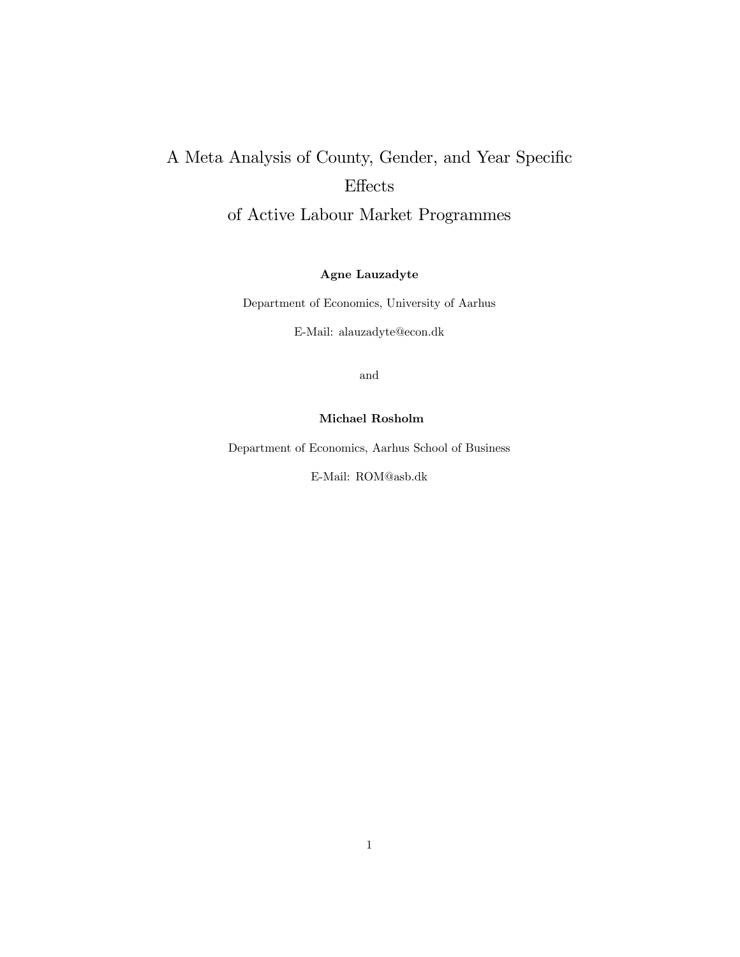# A Meta Analysis of County, Gender, and Year Specific  $E$ ffects

of Active Labour Market Programmes

Agne Lauzadyte

Department of Economics, University of Aarhus

E-Mail: alauzadyte@econ.dk

and

#### Michael Rosholm

Department of Economics, Aarhus School of Business

E-Mail: ROM@asb.dk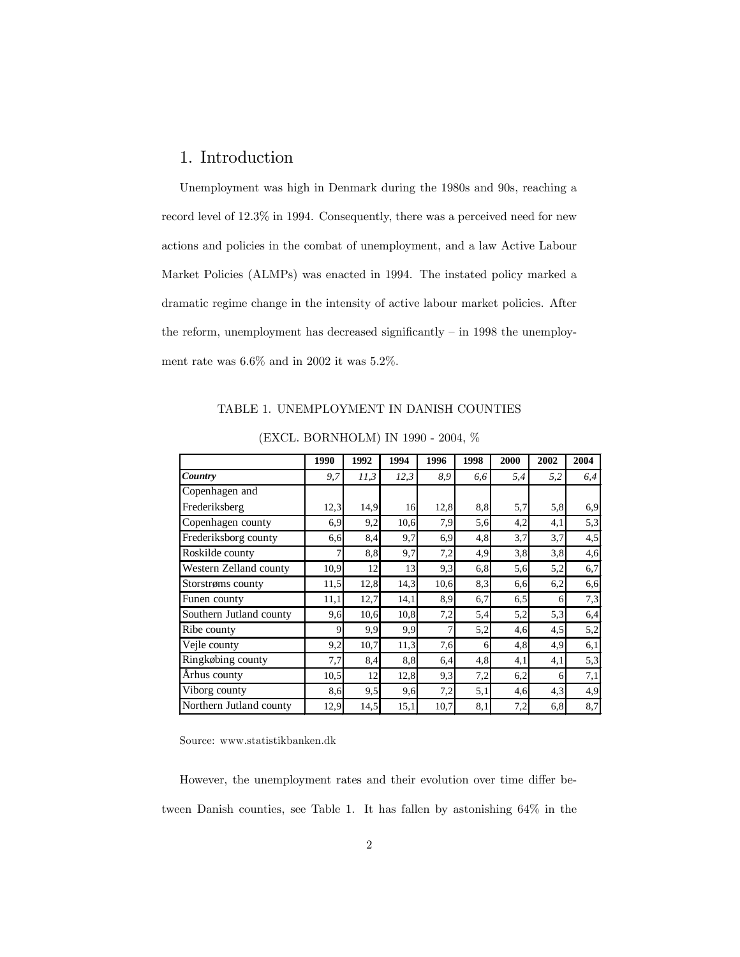## 1. Introduction

Unemployment was high in Denmark during the 1980s and 90s, reaching a record level of 12.3% in 1994. Consequently, there was a perceived need for new actions and policies in the combat of unemployment, and a law Active Labour Market Policies (ALMPs) was enacted in 1994. The instated policy marked a dramatic regime change in the intensity of active labour market policies. After the reform, unemployment has decreased significantly  $-$  in 1998 the unemployment rate was 6.6% and in 2002 it was 5.2%.

TABLE 1. UNEMPLOYMENT IN DANISH COUNTIES

|                         | 1990 | 1992 | 1994 | 1996 | 1998 | 2000 | 2002 | 2004 |
|-------------------------|------|------|------|------|------|------|------|------|
| Country                 | 9,7  | 11,3 | 12,3 | 8,9  | 6,6  | 5,4  | 5,2  | 6,4  |
| Copenhagen and          |      |      |      |      |      |      |      |      |
| Frederiksberg           | 12,3 | 14,9 | 16   | 12,8 | 8,8  | 5,7  | 5,8  | 6,9  |
| Copenhagen county       | 6,9  | 9,2  | 10,6 | 7,9  | 5,6  | 4,2  | 4,1  | 5,3  |
| Frederiksborg county    | 6,6  | 8,4  | 9,7  | 6,9  | 4,8  | 3,7  | 3,7  | 4,5  |
| Roskilde county         | 7    | 8,8  | 9,7  | 7,2  | 4,9  | 3,8  | 3,8  | 4,6  |
| Western Zelland county  | 10,9 | 12   | 13   | 9,3  | 6.8  | 5,6  | 5,2  | 6,7  |
| Storstrøms county       | 11,5 | 12,8 | 14,3 | 10,6 | 8,3  | 6,6  | 6,2  | 6,6  |
| Funen county            | 11,1 | 12,7 | 14,1 | 8,9  | 6,7  | 6,5  | 6    | 7,3  |
| Southern Jutland county | 9,6  | 10.6 | 10.8 | 7,2  | 5,4  | 5,2  | 5,3  | 6,4  |
| Ribe county             | 9    | 9,9  | 9.9  | 7    | 5,2  | 4,6  | 4,5  | 5,2  |
| Vejle county            | 9,2  | 10,7 | 11,3 | 7,6  | 6    | 4,8  | 4,9  | 6,1  |
| Ringkøbing county       | 7,7  | 8,4  | 8,8  | 6,4  | 4,8  | 4,1  | 4,1  | 5,3  |
| Århus county            | 10,5 | 12   | 12,8 | 9,3  | 7,2  | 6,2  | 6    | 7,1  |
| Viborg county           | 8.6  | 9,5  | 9,6  | 7,2  | 5,1  | 4,6  | 4,3  | 4,9  |
| Northern Jutland county | 12,9 | 14,5 | 15,1 | 10,7 | 8,1  | 7,2  | 6,8  | 8,7  |

(EXCL. BORNHOLM) IN 1990 - 2004, %

Source: www.statistikbanken.dk

However, the unemployment rates and their evolution over time differ between Danish counties, see Table 1. It has fallen by astonishing 64% in the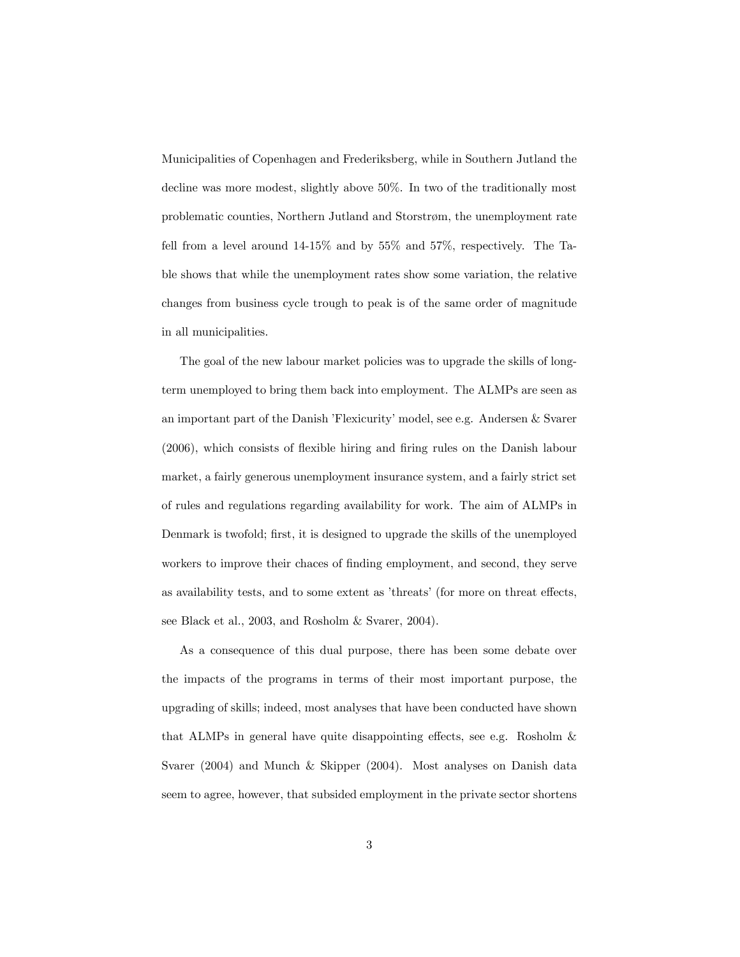Municipalities of Copenhagen and Frederiksberg, while in Southern Jutland the decline was more modest, slightly above 50%. In two of the traditionally most problematic counties, Northern Jutland and Storstrøm, the unemployment rate fell from a level around 14-15% and by 55% and 57%, respectively. The Table shows that while the unemployment rates show some variation, the relative changes from business cycle trough to peak is of the same order of magnitude in all municipalities.

The goal of the new labour market policies was to upgrade the skills of longterm unemployed to bring them back into employment. The ALMPs are seen as an important part of the Danish 'Flexicurity' model, see e.g. Andersen & Svarer  $(2006)$ , which consists of flexible hiring and firing rules on the Danish labour market, a fairly generous unemployment insurance system, and a fairly strict set of rules and regulations regarding availability for work. The aim of ALMPs in Denmark is twofold; first, it is designed to upgrade the skills of the unemployed workers to improve their chaces of finding employment, and second, they serve as availability tests, and to some extent as 'threats' (for more on threat effects, see Black et al., 2003, and Rosholm & Svarer, 2004).

As a consequence of this dual purpose, there has been some debate over the impacts of the programs in terms of their most important purpose, the upgrading of skills; indeed, most analyses that have been conducted have shown that ALMPs in general have quite disappointing effects, see e.g. Rosholm  $\&$ Svarer (2004) and Munch & Skipper (2004). Most analyses on Danish data seem to agree, however, that subsided employment in the private sector shortens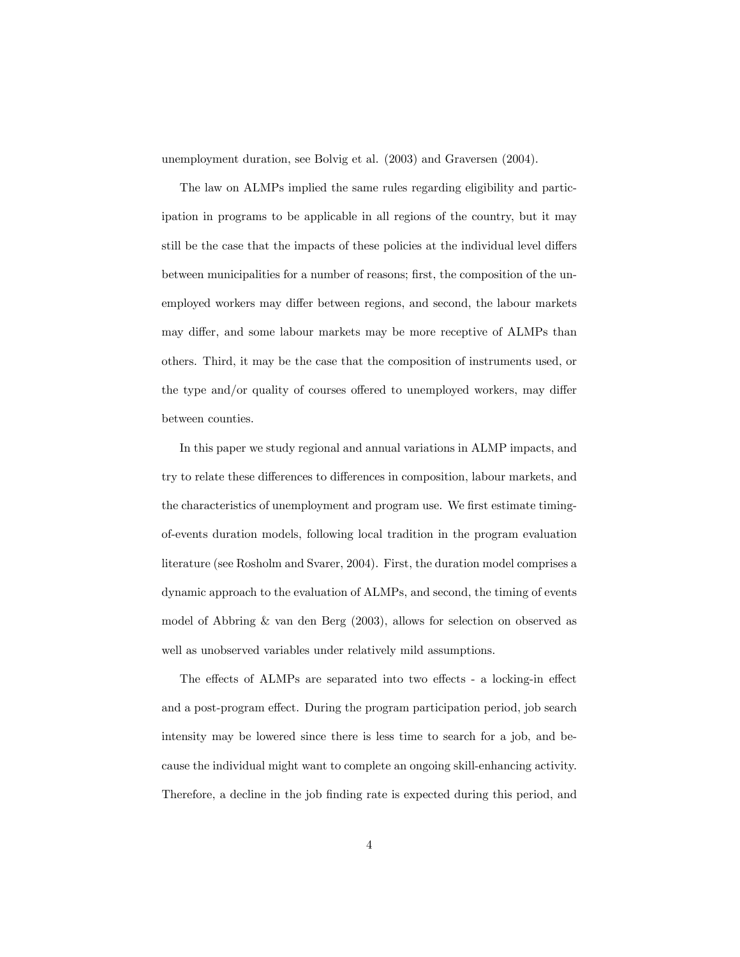unemployment duration, see Bolvig et al. (2003) and Graversen (2004).

The law on ALMPs implied the same rules regarding eligibility and participation in programs to be applicable in all regions of the country, but it may still be the case that the impacts of these policies at the individual level differs between municipalities for a number of reasons; first, the composition of the unemployed workers may differ between regions, and second, the labour markets may differ, and some labour markets may be more receptive of ALMPs than others. Third, it may be the case that the composition of instruments used, or the type and/or quality of courses offered to unemployed workers, may differ between counties.

In this paper we study regional and annual variations in ALMP impacts, and try to relate these differences to differences in composition, labour markets, and the characteristics of unemployment and program use. We first estimate timingof-events duration models, following local tradition in the program evaluation literature (see Rosholm and Svarer, 2004). First, the duration model comprises a dynamic approach to the evaluation of ALMPs, and second, the timing of events model of Abbring & van den Berg (2003), allows for selection on observed as well as unobserved variables under relatively mild assumptions.

The effects of ALMPs are separated into two effects - a locking-in effect and a post-program effect. During the program participation period, job search intensity may be lowered since there is less time to search for a job, and because the individual might want to complete an ongoing skill-enhancing activity. Therefore, a decline in the job finding rate is expected during this period, and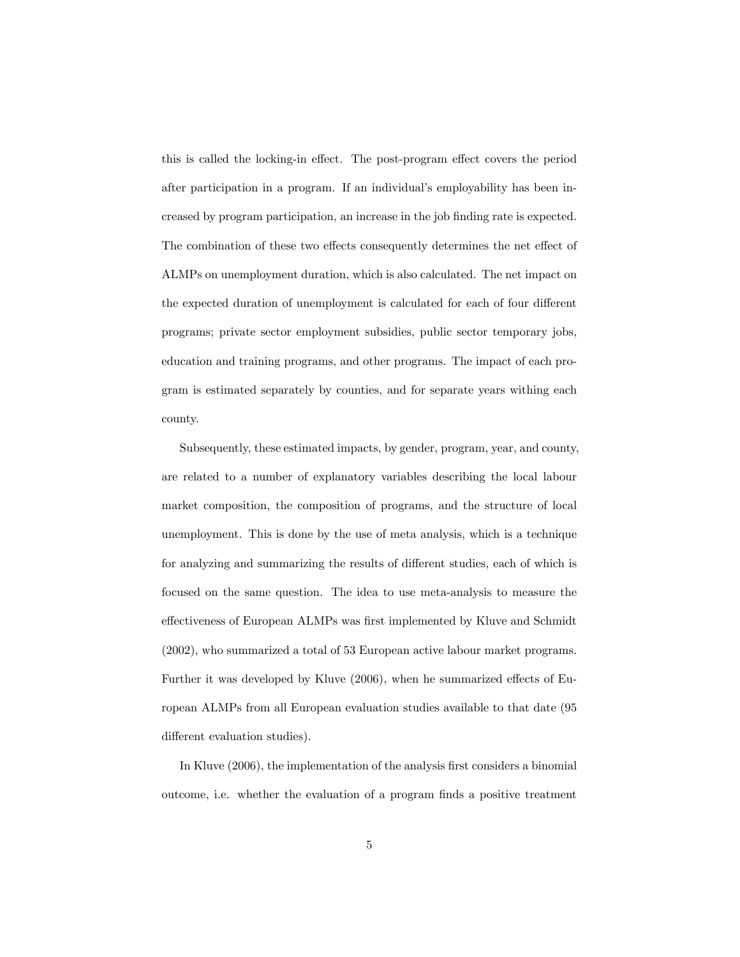this is called the locking-in effect. The post-program effect covers the period after participation in a program. If an individual's employability has been increased by program participation, an increase in the job Önding rate is expected. The combination of these two effects consequently determines the net effect of ALMPs on unemployment duration, which is also calculated. The net impact on the expected duration of unemployment is calculated for each of four different programs; private sector employment subsidies, public sector temporary jobs, education and training programs, and other programs. The impact of each program is estimated separately by counties, and for separate years withing each county.

Subsequently, these estimated impacts, by gender, program, year, and county, are related to a number of explanatory variables describing the local labour market composition, the composition of programs, and the structure of local unemployment. This is done by the use of meta analysis, which is a technique for analyzing and summarizing the results of different studies, each of which is focused on the same question. The idea to use meta-analysis to measure the effectiveness of European ALMPs was first implemented by Kluve and Schmidt (2002), who summarized a total of 53 European active labour market programs. Further it was developed by Kluve (2006), when he summarized effects of European ALMPs from all European evaluation studies available to that date (95 different evaluation studies).

In Kluve (2006), the implementation of the analysis first considers a binomial outcome, i.e. whether the evaluation of a program Önds a positive treatment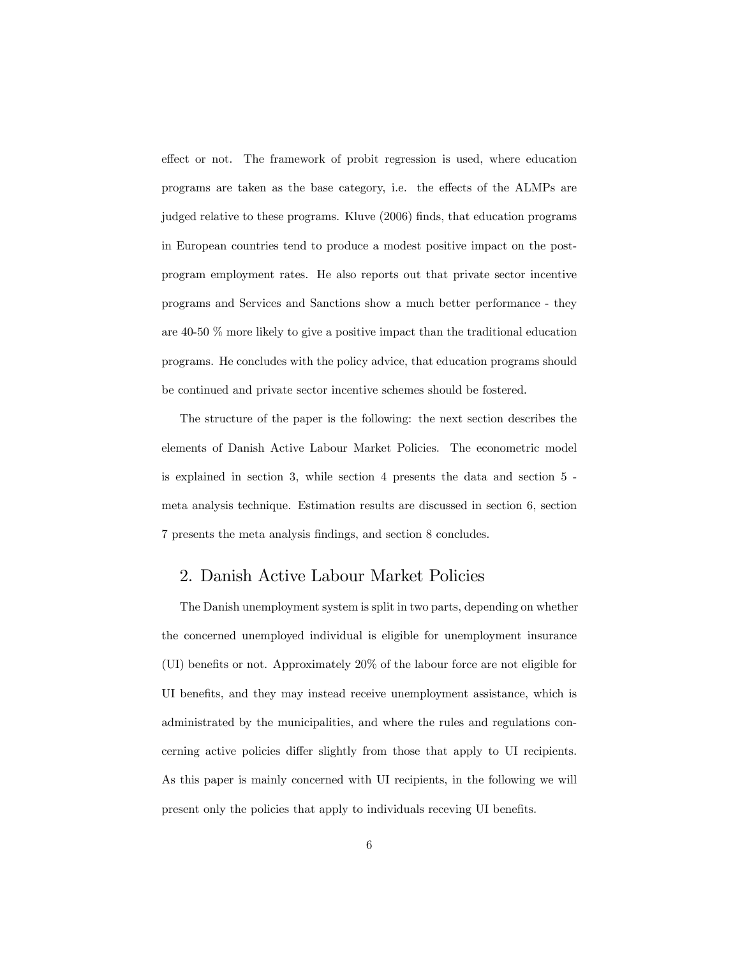effect or not. The framework of probit regression is used, where education programs are taken as the base category, i.e. the effects of the ALMPs are judged relative to these programs. Kluve (2006) finds, that education programs in European countries tend to produce a modest positive impact on the postprogram employment rates. He also reports out that private sector incentive programs and Services and Sanctions show a much better performance - they are 40-50 % more likely to give a positive impact than the traditional education programs. He concludes with the policy advice, that education programs should be continued and private sector incentive schemes should be fostered.

The structure of the paper is the following: the next section describes the elements of Danish Active Labour Market Policies. The econometric model is explained in section 3, while section 4 presents the data and section 5 meta analysis technique. Estimation results are discussed in section 6, section 7 presents the meta analysis Öndings, and section 8 concludes.

## 2. Danish Active Labour Market Policies

The Danish unemployment system is split in two parts, depending on whether the concerned unemployed individual is eligible for unemployment insurance (UI) benefits or not. Approximately  $20\%$  of the labour force are not eligible for UI benefits, and they may instead receive unemployment assistance, which is administrated by the municipalities, and where the rules and regulations concerning active policies differ slightly from those that apply to UI recipients. As this paper is mainly concerned with UI recipients, in the following we will present only the policies that apply to individuals receving UI benefits.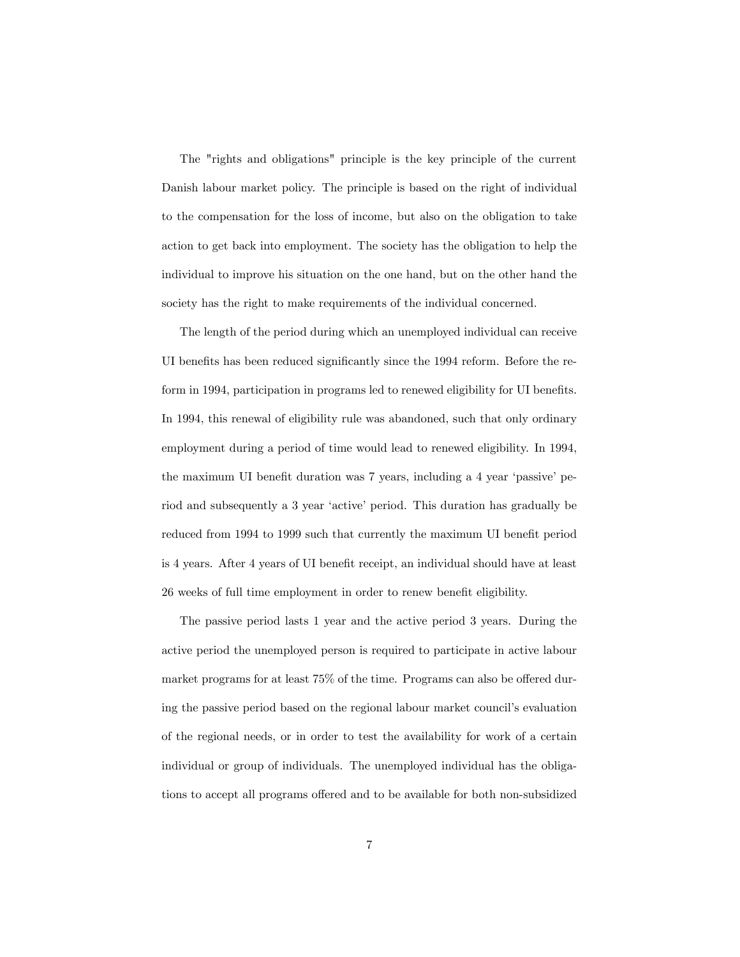The "rights and obligations" principle is the key principle of the current Danish labour market policy. The principle is based on the right of individual to the compensation for the loss of income, but also on the obligation to take action to get back into employment. The society has the obligation to help the individual to improve his situation on the one hand, but on the other hand the society has the right to make requirements of the individual concerned.

The length of the period during which an unemployed individual can receive UI benefits has been reduced significantly since the 1994 reform. Before the reform in 1994, participation in programs led to renewed eligibility for UI benefits. In 1994, this renewal of eligibility rule was abandoned, such that only ordinary employment during a period of time would lead to renewed eligibility. In 1994, the maximum UI benefit duration was 7 years, including a 4 year 'passive' period and subsequently a 3 year 'active' period. This duration has gradually be reduced from 1994 to 1999 such that currently the maximum UI benefit period is 4 years. After 4 years of UI benefit receipt, an individual should have at least 26 weeks of full time employment in order to renew benefit eligibility.

The passive period lasts 1 year and the active period 3 years. During the active period the unemployed person is required to participate in active labour market programs for at least  $75\%$  of the time. Programs can also be offered during the passive period based on the regional labour market council's evaluation of the regional needs, or in order to test the availability for work of a certain individual or group of individuals. The unemployed individual has the obligations to accept all programs offered and to be available for both non-subsidized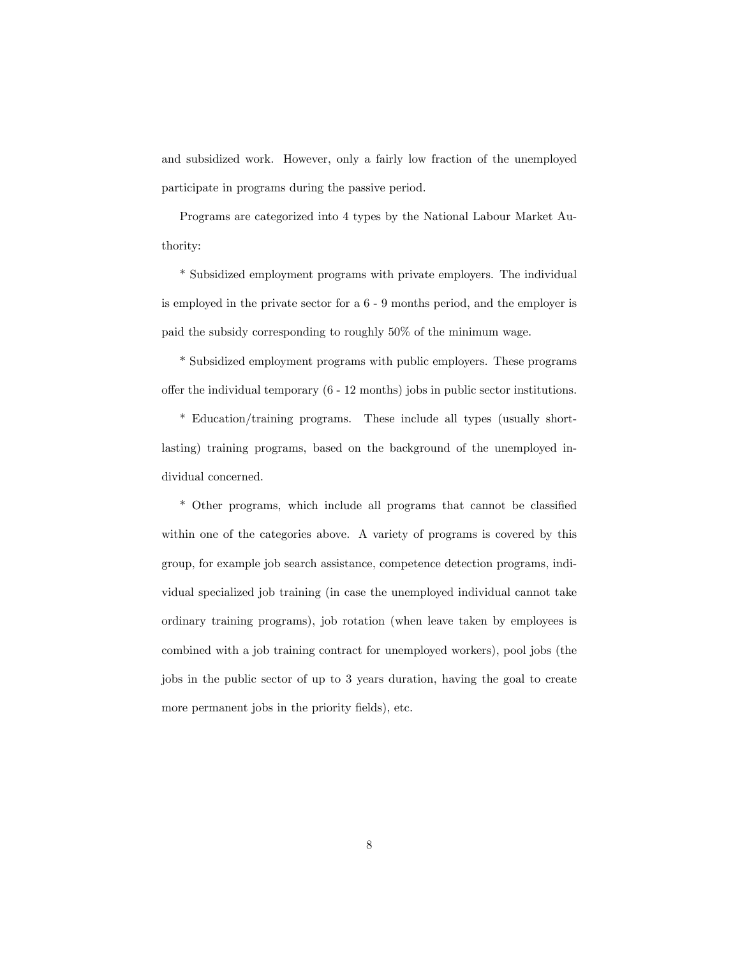and subsidized work. However, only a fairly low fraction of the unemployed participate in programs during the passive period.

Programs are categorized into 4 types by the National Labour Market Authority:

\* Subsidized employment programs with private employers. The individual is employed in the private sector for a 6 - 9 months period, and the employer is paid the subsidy corresponding to roughly 50% of the minimum wage.

\* Subsidized employment programs with public employers. These programs offer the individual temporary  $(6 - 12 \text{ months})$  jobs in public sector institutions.

\* Education/training programs. These include all types (usually shortlasting) training programs, based on the background of the unemployed individual concerned.

\* Other programs, which include all programs that cannot be classified within one of the categories above. A variety of programs is covered by this group, for example job search assistance, competence detection programs, individual specialized job training (in case the unemployed individual cannot take ordinary training programs), job rotation (when leave taken by employees is combined with a job training contract for unemployed workers), pool jobs (the jobs in the public sector of up to 3 years duration, having the goal to create more permanent jobs in the priority fields), etc.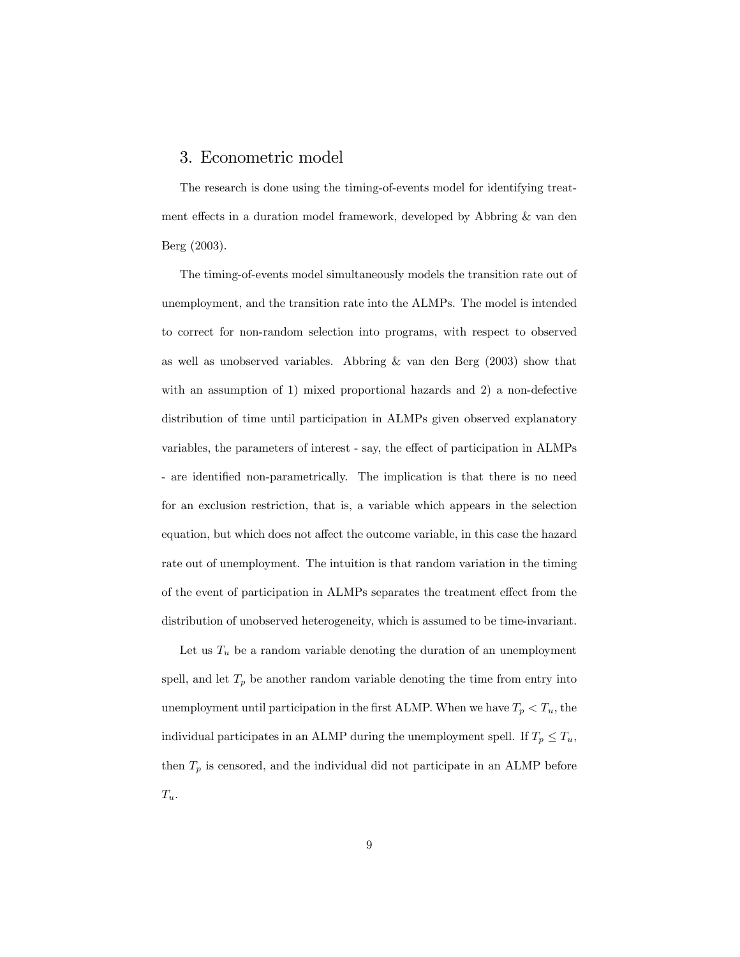#### 3. Econometric model

The research is done using the timing-of-events model for identifying treatment effects in a duration model framework, developed by Abbring  $\&$  van den Berg (2003).

The timing-of-events model simultaneously models the transition rate out of unemployment, and the transition rate into the ALMPs. The model is intended to correct for non-random selection into programs, with respect to observed as well as unobserved variables. Abbring  $\&$  van den Berg (2003) show that with an assumption of 1) mixed proportional hazards and 2) a non-defective distribution of time until participation in ALMPs given observed explanatory variables, the parameters of interest - say, the effect of participation in ALMPs - are identified non-parametrically. The implication is that there is no need for an exclusion restriction, that is, a variable which appears in the selection equation, but which does not affect the outcome variable, in this case the hazard rate out of unemployment. The intuition is that random variation in the timing of the event of participation in ALMPs separates the treatment effect from the distribution of unobserved heterogeneity, which is assumed to be time-invariant.

Let us  $T_u$  be a random variable denoting the duration of an unemployment spell, and let  $T_p$  be another random variable denoting the time from entry into unemployment until participation in the first ALMP. When we have  $T_p < T_u$ , the individual participates in an ALMP during the unemployment spell. If  $T_p \leq T_u$ , then  $T_p$  is censored, and the individual did not participate in an ALMP before  $T_u$ .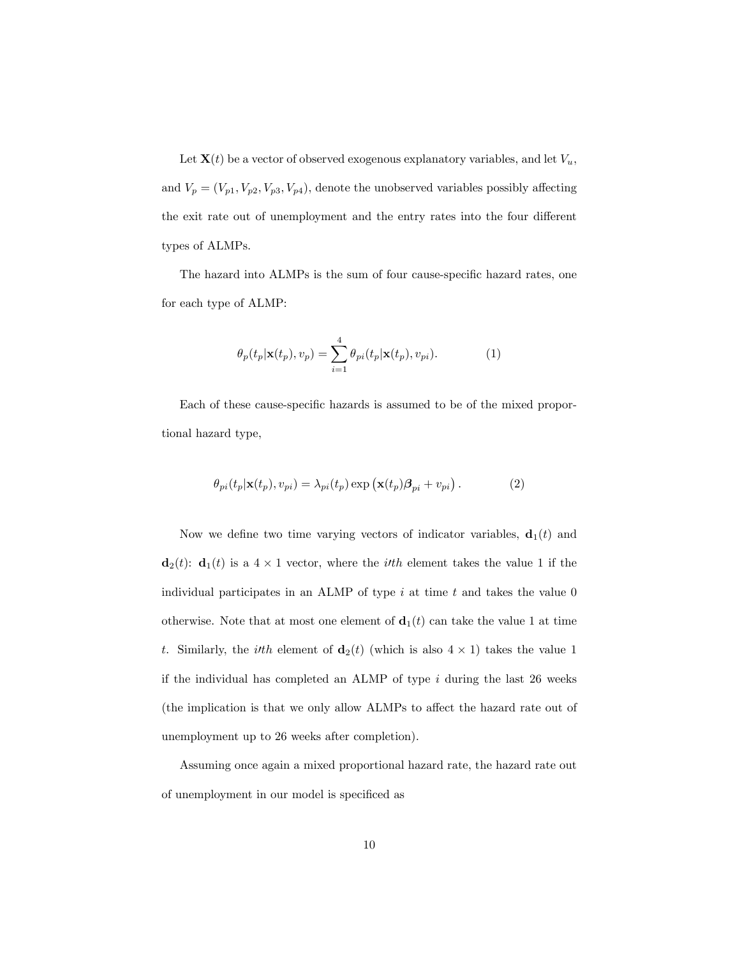Let  $\mathbf{X}(t)$  be a vector of observed exogenous explanatory variables, and let  $V_u$ , and  $V_p = (V_{p1}, V_{p2}, V_{p3}, V_{p4})$ , denote the unobserved variables possibly affecting the exit rate out of unemployment and the entry rates into the four different types of ALMPs.

The hazard into ALMPs is the sum of four cause-specific hazard rates, one for each type of ALMP:

$$
\theta_p(t_p|\mathbf{x}(t_p), v_p) = \sum_{i=1}^4 \theta_{pi}(t_p|\mathbf{x}(t_p), v_{pi}).
$$
\n(1)

Each of these cause-specific hazards is assumed to be of the mixed proportional hazard type,

$$
\theta_{pi}(t_p|\mathbf{x}(t_p), v_{pi}) = \lambda_{pi}(t_p) \exp(\mathbf{x}(t_p)\boldsymbol{\beta}_{pi} + v_{pi}).
$$
\n(2)

Now we define two time varying vectors of indicator variables,  $\mathbf{d}_1(t)$  and  $\mathbf{d}_2(t)$ :  $\mathbf{d}_1(t)$  is a  $4 \times 1$  vector, where the *ith* element takes the value 1 if the individual participates in an ALMP of type  $i$  at time  $t$  and takes the value  $0$ otherwise. Note that at most one element of  $\mathbf{d}_1(t)$  can take the value 1 at time t. Similarly, the *ith* element of  $\mathbf{d}_2(t)$  (which is also  $4 \times 1$ ) takes the value 1 if the individual has completed an ALMP of type  $i$  during the last 26 weeks (the implication is that we only allow ALMPs to affect the hazard rate out of unemployment up to 26 weeks after completion).

Assuming once again a mixed proportional hazard rate, the hazard rate out of unemployment in our model is specificed as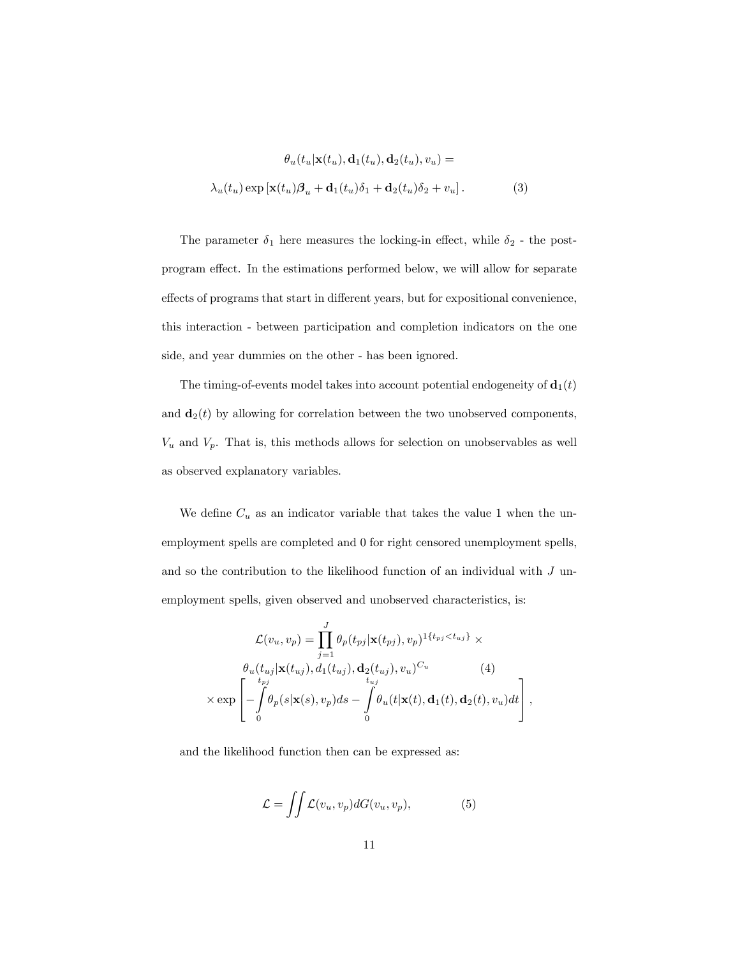$$
\theta_u(t_u|\mathbf{x}(t_u), \mathbf{d}_1(t_u), \mathbf{d}_2(t_u), v_u) =
$$

$$
\lambda_u(t_u) \exp\left[\mathbf{x}(t_u)\beta_u + \mathbf{d}_1(t_u)\delta_1 + \mathbf{d}_2(t_u)\delta_2 + v_u\right].
$$
 (3)

The parameter  $\delta_1$  here measures the locking-in effect, while  $\delta_2$  - the postprogram effect. In the estimations performed below, we will allow for separate effects of programs that start in different years, but for expositional convenience, this interaction - between participation and completion indicators on the one side, and year dummies on the other - has been ignored.

The timing-of-events model takes into account potential endogeneity of  $\mathbf{d}_1(t)$ and  $\mathbf{d}_2(t)$  by allowing for correlation between the two unobserved components,  $V_u$  and  $V_p$ . That is, this methods allows for selection on unobservables as well as observed explanatory variables.

We define  $C_u$  as an indicator variable that takes the value 1 when the unemployment spells are completed and 0 for right censored unemployment spells, and so the contribution to the likelihood function of an individual with  $J$  unemployment spells, given observed and unobserved characteristics, is:

$$
\mathcal{L}(v_u, v_p) = \prod_{j=1}^J \theta_p(t_{pj}|\mathbf{x}(t_{pj}), v_p)^{1\{t_{pj} < t_{uj}\}} \times
$$
\n
$$
\theta_u(t_{uj}|\mathbf{x}(t_{uj}), d_1(t_{uj}), \mathbf{d}_2(t_{uj}), v_u)^{C_u} \qquad (4)
$$
\n
$$
\times \exp\left[-\int_0^{t_{pj}} \theta_p(s|\mathbf{x}(s), v_p) ds - \int_0^T \theta_u(t|\mathbf{x}(t), \mathbf{d}_1(t), \mathbf{d}_2(t), v_u) dt\right],
$$

and the likelihood function then can be expressed as:

$$
\mathcal{L} = \iint \mathcal{L}(v_u, v_p) dG(v_u, v_p), \tag{5}
$$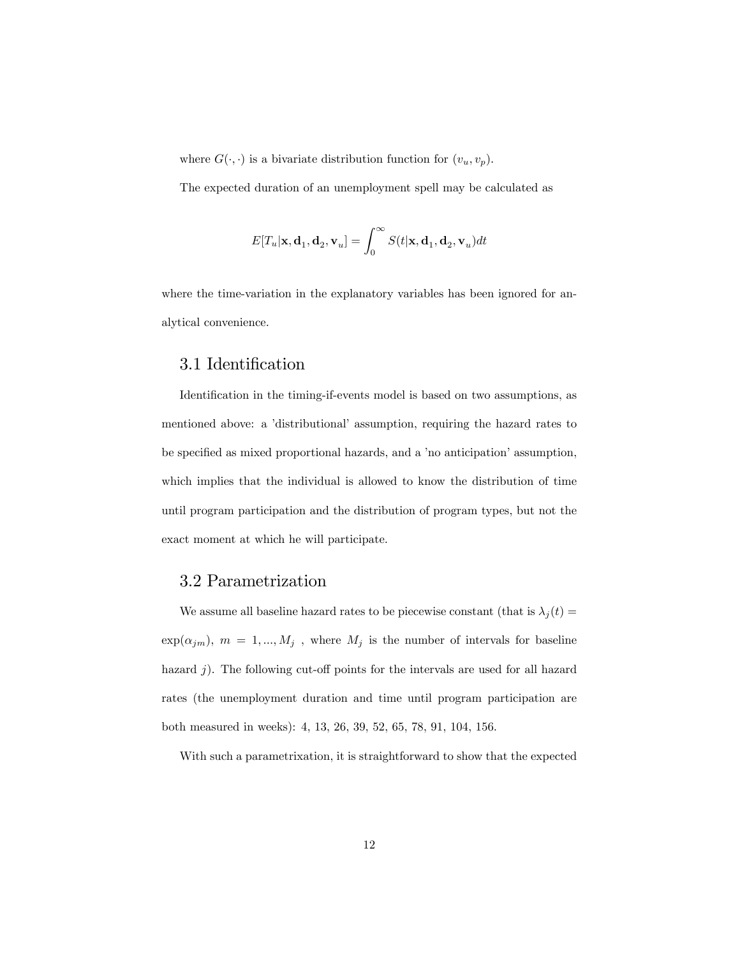where  $G(\cdot, \cdot)$  is a bivariate distribution function for  $(v_u, v_p)$ .

The expected duration of an unemployment spell may be calculated as

$$
E[T_u|\mathbf{x},\mathbf{d}_1,\mathbf{d}_2,\mathbf{v}_u]=\int_0^\infty S(t|\mathbf{x},\mathbf{d}_1,\mathbf{d}_2,\mathbf{v}_u)dt
$$

where the time-variation in the explanatory variables has been ignored for analytical convenience.

## 3.1 Identification

Identification in the timing-if-events model is based on two assumptions, as mentioned above: a 'distributional' assumption, requiring the hazard rates to be specified as mixed proportional hazards, and a 'no anticipation' assumption, which implies that the individual is allowed to know the distribution of time until program participation and the distribution of program types, but not the exact moment at which he will participate.

## 3.2 Parametrization

We assume all baseline hazard rates to be piecewise constant (that is  $\lambda_j(t) =$  $\exp(\alpha_{jm}), \ m \ = \ 1,...,M_j$  , where  $M_j$  is the number of intervals for baseline hazard  $j$ ). The following cut-off points for the intervals are used for all hazard rates (the unemployment duration and time until program participation are both measured in weeks): 4, 13, 26, 39, 52, 65, 78, 91, 104, 156.

With such a parametrixation, it is straightforward to show that the expected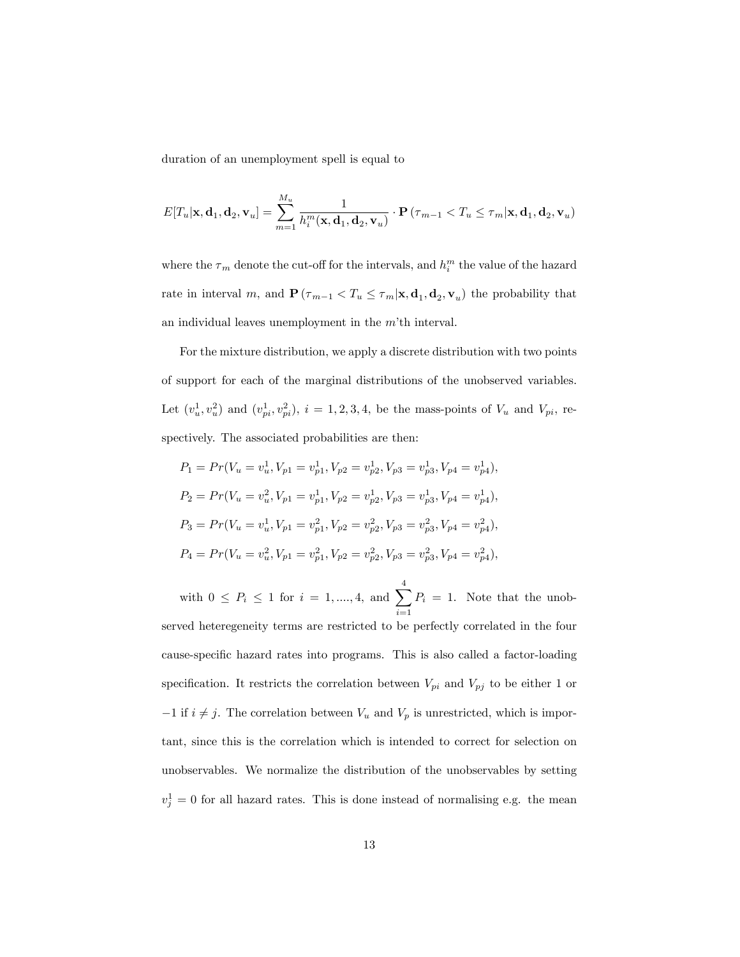duration of an unemployment spell is equal to

$$
E[T_u|\mathbf{x},\mathbf{d}_1,\mathbf{d}_2,\mathbf{v}_u] = \sum_{m=1}^{M_u} \frac{1}{h_i^m(\mathbf{x},\mathbf{d}_1,\mathbf{d}_2,\mathbf{v}_u)} \cdot \mathbf{P}\left(\tau_{m-1} < T_u \le \tau_m|\mathbf{x},\mathbf{d}_1,\mathbf{d}_2,\mathbf{v}_u\right)
$$

where the  $\tau_m$  denote the cut-off for the intervals, and  $h^m_i$  the value of the hazard rate in interval m, and  $\mathbf{P}(\tau_{m-1} < T_u \leq \tau_m | \mathbf{x}, \mathbf{d}_1, \mathbf{d}_2, \mathbf{v}_u)$  the probability that an individual leaves unemployment in the  $m<sup>1</sup>$ th interval.

For the mixture distribution, we apply a discrete distribution with two points of support for each of the marginal distributions of the unobserved variables. Let  $(v_u^1, v_u^2)$  and  $(v_{pi}^1, v_{pi}^2)$ ,  $i = 1, 2, 3, 4$ , be the mass-points of  $V_u$  and  $V_{pi}$ , respectively. The associated probabilities are then:

$$
P_1 = Pr(V_u = v_u^1, V_{p1} = v_{p1}^1, V_{p2} = v_{p2}^1, V_{p3} = v_{p3}^1, V_{p4} = v_{p4}^1),
$$
  
\n
$$
P_2 = Pr(V_u = v_u^2, V_{p1} = v_{p1}^1, V_{p2} = v_{p2}^1, V_{p3} = v_{p3}^1, V_{p4} = v_{p4}^1),
$$
  
\n
$$
P_3 = Pr(V_u = v_u^1, V_{p1} = v_{p1}^2, V_{p2} = v_{p2}^2, V_{p3} = v_{p3}^2, V_{p4} = v_{p4}^2),
$$
  
\n
$$
P_4 = Pr(V_u = v_u^2, V_{p1} = v_{p1}^2, V_{p2} = v_{p2}^2, V_{p3} = v_{p3}^2, V_{p4} = v_{p4}^2),
$$

with  $0 \le P_i \le 1$  for  $i = 1, ..., 4$ , and  $\sum^4$  $i=1$  $P_i = 1$ . Note that the unobserved heteregeneity terms are restricted to be perfectly correlated in the four cause-specific hazard rates into programs. This is also called a factor-loading specification. It restricts the correlation between  $V_{pi}$  and  $V_{pj}$  to be either 1 or  $-1$  if  $i \neq j$ . The correlation between  $V_u$  and  $V_p$  is unrestricted, which is important, since this is the correlation which is intended to correct for selection on unobservables. We normalize the distribution of the unobservables by setting  $v_j^1 = 0$  for all hazard rates. This is done instead of normalising e.g. the mean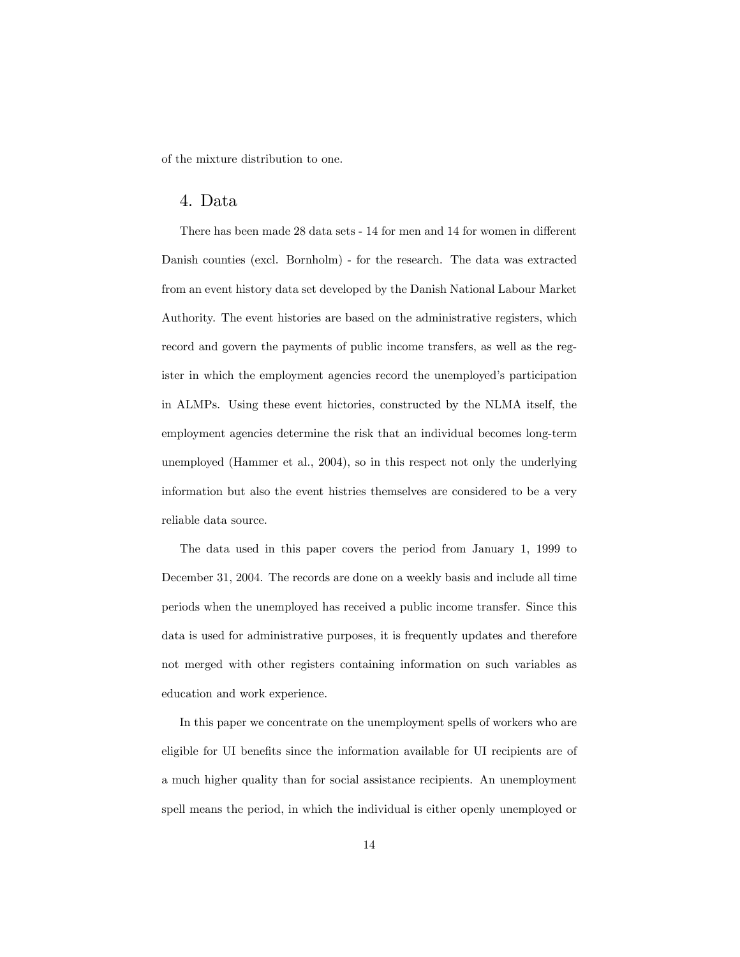of the mixture distribution to one.

#### 4. Data

There has been made 28 data sets - 14 for men and 14 for women in different Danish counties (excl. Bornholm) - for the research. The data was extracted from an event history data set developed by the Danish National Labour Market Authority. The event histories are based on the administrative registers, which record and govern the payments of public income transfers, as well as the register in which the employment agencies record the unemployed's participation in ALMPs. Using these event hictories, constructed by the NLMA itself, the employment agencies determine the risk that an individual becomes long-term unemployed (Hammer et al., 2004), so in this respect not only the underlying information but also the event histries themselves are considered to be a very reliable data source.

The data used in this paper covers the period from January 1, 1999 to December 31, 2004. The records are done on a weekly basis and include all time periods when the unemployed has received a public income transfer. Since this data is used for administrative purposes, it is frequently updates and therefore not merged with other registers containing information on such variables as education and work experience.

In this paper we concentrate on the unemployment spells of workers who are eligible for UI benefits since the information available for UI recipients are of a much higher quality than for social assistance recipients. An unemployment spell means the period, in which the individual is either openly unemployed or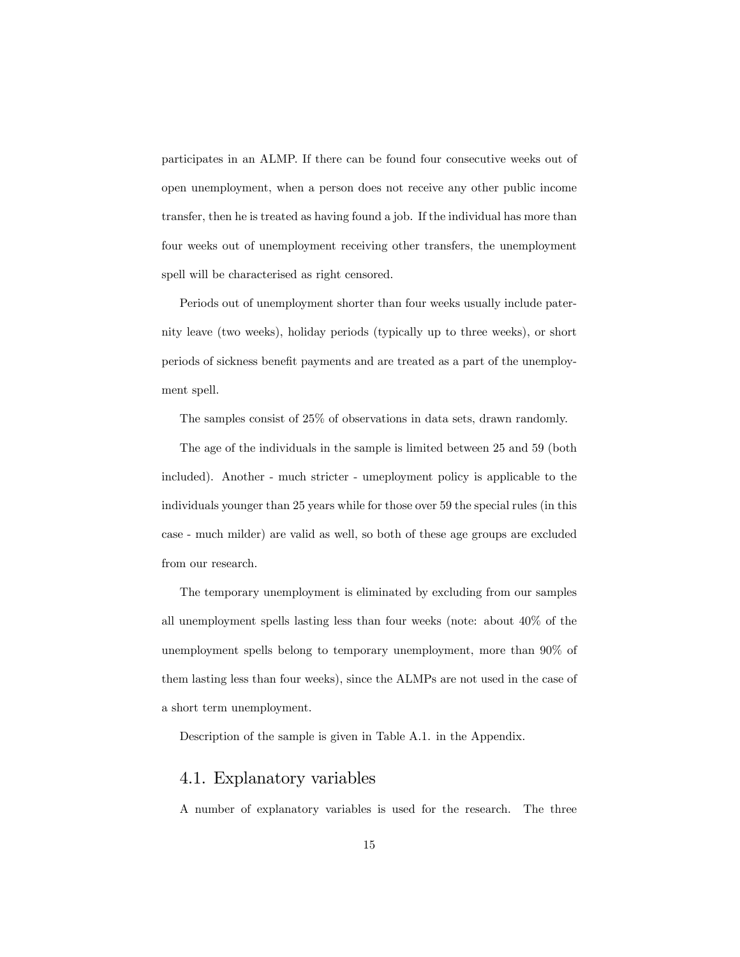participates in an ALMP. If there can be found four consecutive weeks out of open unemployment, when a person does not receive any other public income transfer, then he is treated as having found a job. If the individual has more than four weeks out of unemployment receiving other transfers, the unemployment spell will be characterised as right censored.

Periods out of unemployment shorter than four weeks usually include paternity leave (two weeks), holiday periods (typically up to three weeks), or short periods of sickness benefit payments and are treated as a part of the unemployment spell.

The samples consist of 25% of observations in data sets, drawn randomly.

The age of the individuals in the sample is limited between 25 and 59 (both included). Another - much stricter - umeployment policy is applicable to the individuals younger than 25 years while for those over 59 the special rules (in this case - much milder) are valid as well, so both of these age groups are excluded from our research.

The temporary unemployment is eliminated by excluding from our samples all unemployment spells lasting less than four weeks (note: about 40% of the unemployment spells belong to temporary unemployment, more than 90% of them lasting less than four weeks), since the ALMPs are not used in the case of a short term unemployment.

Description of the sample is given in Table A.1. in the Appendix.

# 4.1. Explanatory variables

A number of explanatory variables is used for the research. The three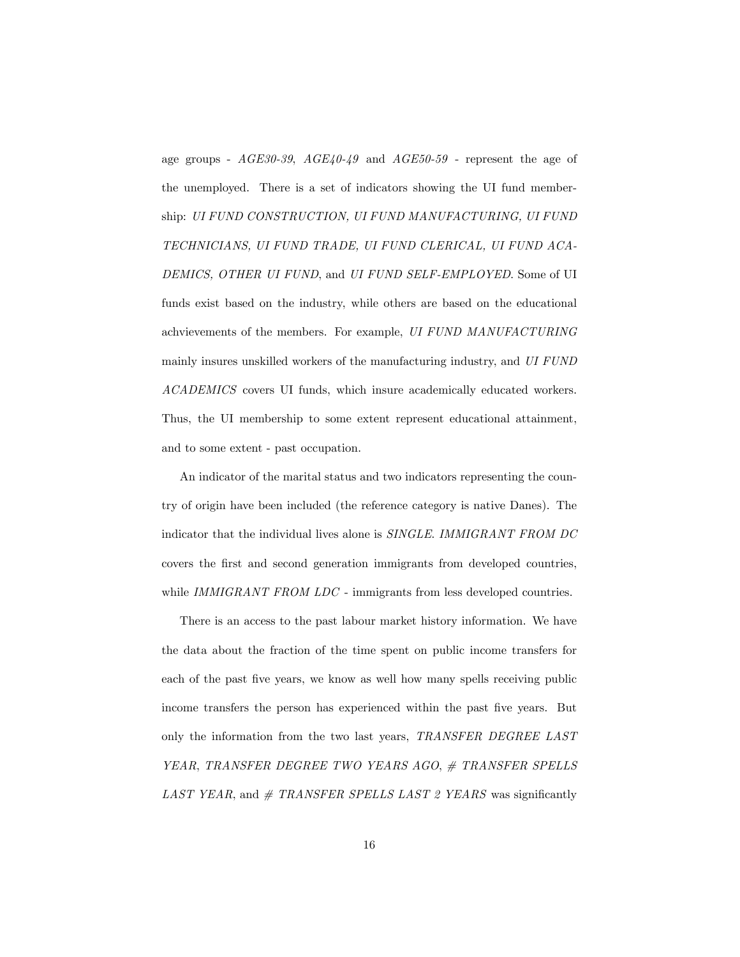age groups - AGE30-39, AGE40-49 and AGE50-59 - represent the age of the unemployed. There is a set of indicators showing the UI fund membership: UI FUND CONSTRUCTION, UI FUND MANUFACTURING, UI FUND TECHNICIANS, UI FUND TRADE, UI FUND CLERICAL, UI FUND ACA-DEMICS, OTHER UI FUND, and UI FUND SELF-EMPLOYED. Some of UI funds exist based on the industry, while others are based on the educational achvievements of the members. For example, UI FUND MANUFACTURING mainly insures unskilled workers of the manufacturing industry, and UI FUND ACADEMICS covers UI funds, which insure academically educated workers. Thus, the UI membership to some extent represent educational attainment, and to some extent - past occupation.

An indicator of the marital status and two indicators representing the country of origin have been included (the reference category is native Danes). The indicator that the individual lives alone is SINGLE. IMMIGRANT FROM DC covers the first and second generation immigrants from developed countries, while IMMIGRANT FROM LDC - immigrants from less developed countries.

There is an access to the past labour market history information. We have the data about the fraction of the time spent on public income transfers for each of the past five years, we know as well how many spells receiving public income transfers the person has experienced within the past Öve years. But only the information from the two last years, TRANSFER DEGREE LAST YEAR, TRANSFER DEGREE TWO YEARS AGO, # TRANSFER SPELLS LAST YEAR, and  $#$  TRANSFER SPELLS LAST 2 YEARS was significantly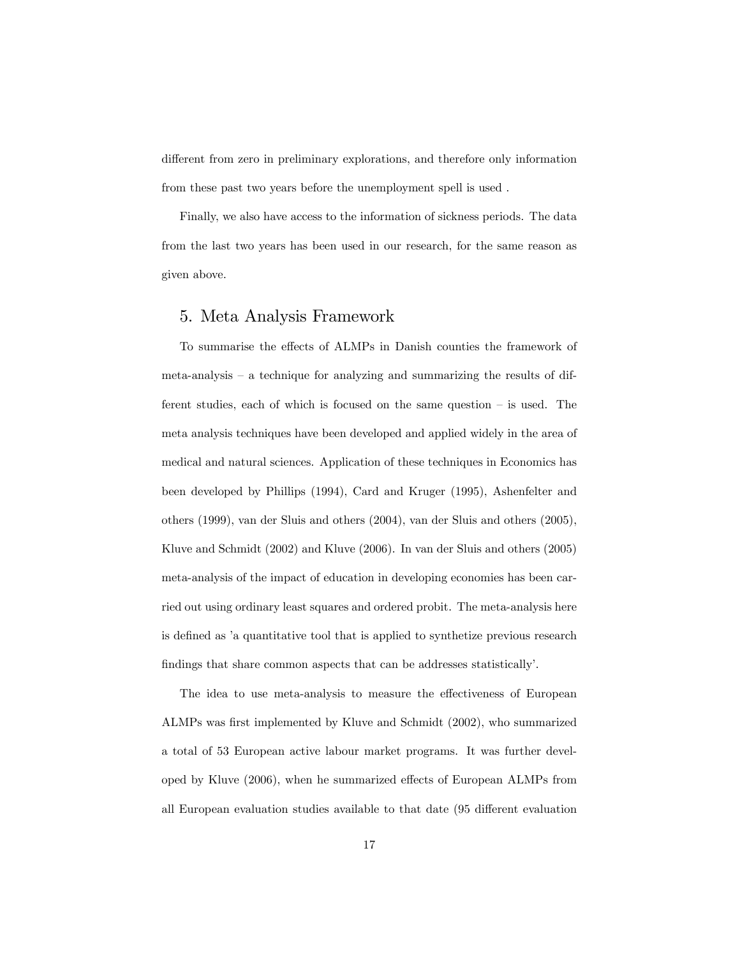different from zero in preliminary explorations, and therefore only information from these past two years before the unemployment spell is used .

Finally, we also have access to the information of sickness periods. The data from the last two years has been used in our research, for the same reason as given above.

## 5. Meta Analysis Framework

To summarise the effects of ALMPs in Danish counties the framework of meta-analysis  $\overline{\phantom{a}}$  a technique for analyzing and summarizing the results of different studies, each of which is focused on the same question  $-$  is used. The meta analysis techniques have been developed and applied widely in the area of medical and natural sciences. Application of these techniques in Economics has been developed by Phillips (1994), Card and Kruger (1995), Ashenfelter and others (1999), van der Sluis and others (2004), van der Sluis and others (2005), Kluve and Schmidt (2002) and Kluve (2006). In van der Sluis and others (2005) meta-analysis of the impact of education in developing economies has been carried out using ordinary least squares and ordered probit. The meta-analysis here is defined as 'a quantitative tool that is applied to synthetize previous research findings that share common aspects that can be addresses statistically'.

The idea to use meta-analysis to measure the effectiveness of European ALMPs was first implemented by Kluve and Schmidt (2002), who summarized a total of 53 European active labour market programs. It was further developed by Kluve (2006), when he summarized effects of European ALMPs from all European evaluation studies available to that date (95 different evaluation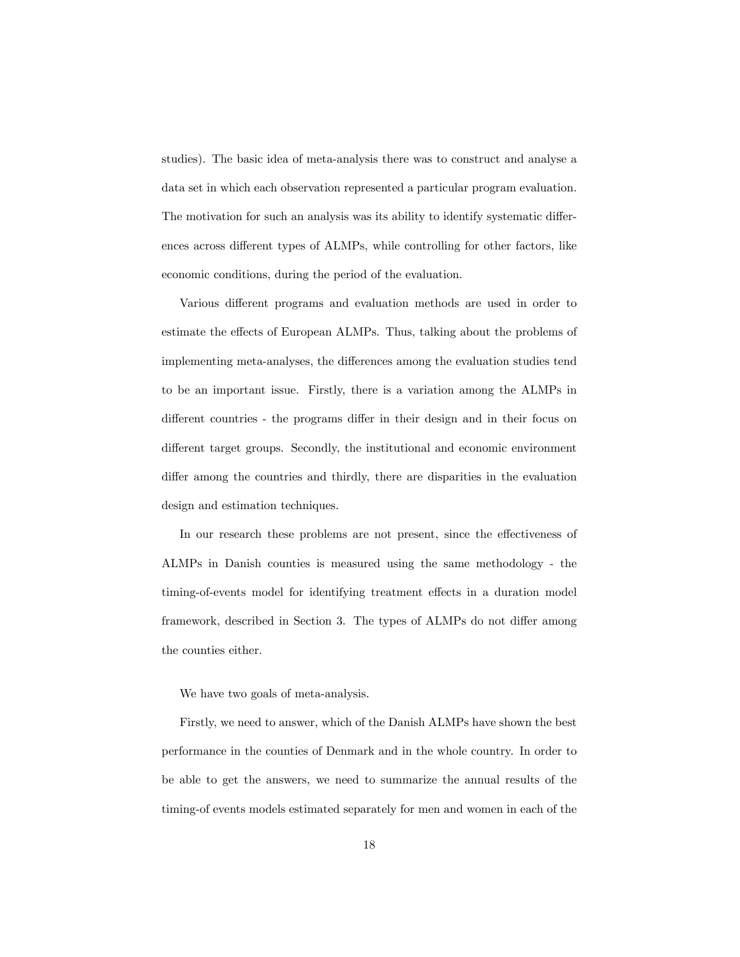studies). The basic idea of meta-analysis there was to construct and analyse a data set in which each observation represented a particular program evaluation. The motivation for such an analysis was its ability to identify systematic differences across different types of ALMPs, while controlling for other factors, like economic conditions, during the period of the evaluation.

Various different programs and evaluation methods are used in order to estimate the effects of European ALMPs. Thus, talking about the problems of implementing meta-analyses, the differences among the evaluation studies tend to be an important issue. Firstly, there is a variation among the ALMPs in different countries - the programs differ in their design and in their focus on different target groups. Secondly, the institutional and economic environment differ among the countries and thirdly, there are disparities in the evaluation design and estimation techniques.

In our research these problems are not present, since the effectiveness of ALMPs in Danish counties is measured using the same methodology - the timing-of-events model for identifying treatment effects in a duration model framework, described in Section 3. The types of ALMPs do not differ among the counties either.

We have two goals of meta-analysis.

Firstly, we need to answer, which of the Danish ALMPs have shown the best performance in the counties of Denmark and in the whole country. In order to be able to get the answers, we need to summarize the annual results of the timing-of events models estimated separately for men and women in each of the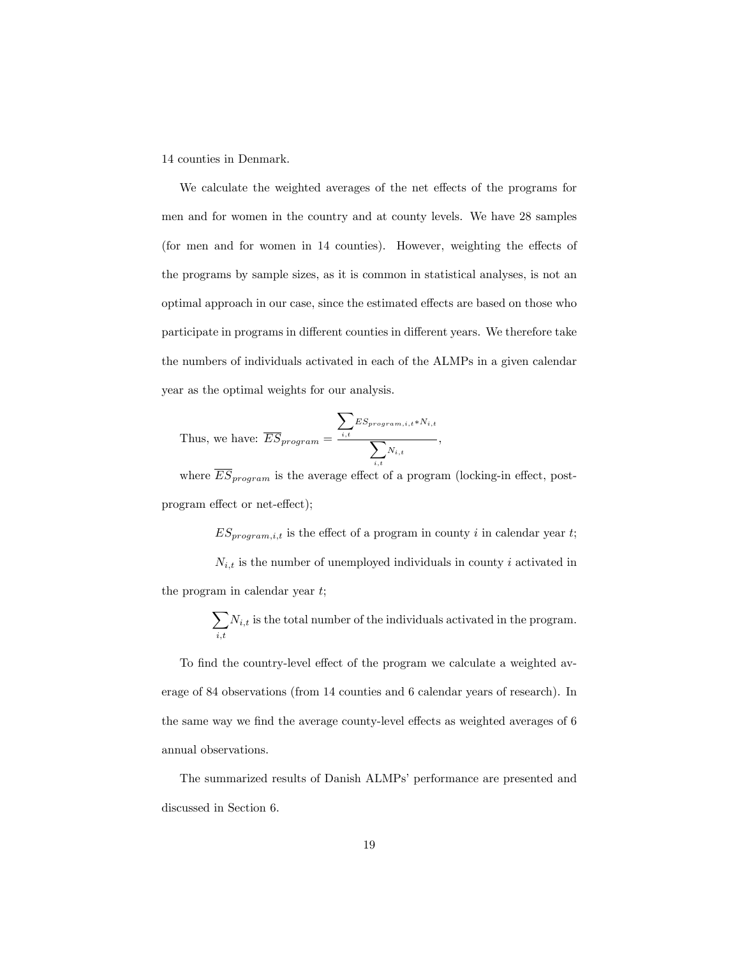14 counties in Denmark.

We calculate the weighted averages of the net effects of the programs for men and for women in the country and at county levels. We have 28 samples (for men and for women in  $14$  counties). However, weighting the effects of the programs by sample sizes, as it is common in statistical analyses, is not an optimal approach in our case, since the estimated effects are based on those who participate in programs in different counties in different years. We therefore take the numbers of individuals activated in each of the ALMPs in a given calendar year as the optimal weights for our analysis.

Thus, we have: 
$$
\overline{ES}_{program} = \frac{\sum_{i,t} ES_{program,i,t} * N_{i,t}}{\sum_{i,t} N_{i,t}},
$$

where  $\overline{ES}_{program}$  is the average effect of a program (locking-in effect, postprogram effect or net-effect);

 $ES_{program,i,t}$  is the effect of a program in county i in calendar year t;  $N_{i,t}$  is the number of unemployed individuals in county i activated in the program in calendar year  $t$ ;

> $\sqrt{ }$  $_{i,t}$  $N_{i,t}$  is the total number of the individuals activated in the program.

To find the country-level effect of the program we calculate a weighted average of 84 observations (from 14 counties and 6 calendar years of research). In the same way we find the average county-level effects as weighted averages of 6 annual observations.

The summarized results of Danish ALMPs' performance are presented and discussed in Section 6.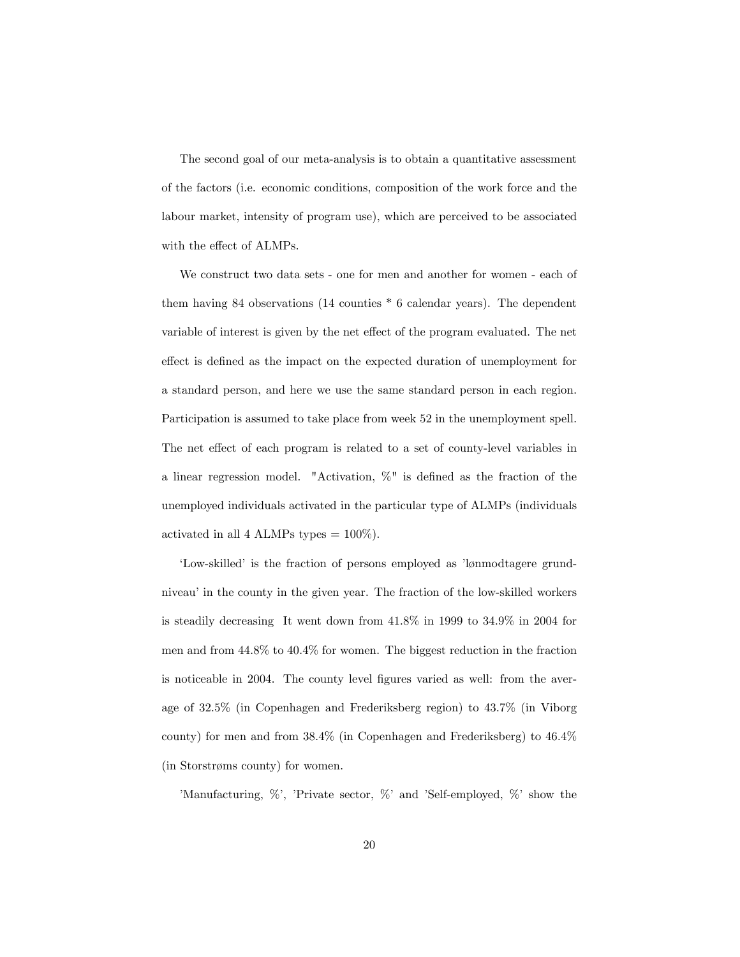The second goal of our meta-analysis is to obtain a quantitative assessment of the factors (i.e. economic conditions, composition of the work force and the labour market, intensity of program use), which are perceived to be associated with the effect of ALMPs.

We construct two data sets - one for men and another for women - each of them having 84 observations (14 counties \* 6 calendar years). The dependent variable of interest is given by the net effect of the program evaluated. The net effect is defined as the impact on the expected duration of unemployment for a standard person, and here we use the same standard person in each region. Participation is assumed to take place from week 52 in the unemployment spell. The net effect of each program is related to a set of county-level variables in a linear regression model. "Activation,  $\%$ " is defined as the fraction of the unemployed individuals activated in the particular type of ALMPs (individuals activated in all 4 ALMPs types  $= 100\%$ ).

'Low-skilled' is the fraction of persons employed as 'lønmodtagere grundniveau' in the county in the given year. The fraction of the low-skilled workers is steadily decreasing It went down from 41.8% in 1999 to 34.9% in 2004 for men and from 44.8% to 40.4% for women. The biggest reduction in the fraction is noticeable in 2004. The county level figures varied as well: from the average of 32.5% (in Copenhagen and Frederiksberg region) to 43.7% (in Viborg county) for men and from 38.4% (in Copenhagen and Frederiksberg) to 46.4% (in Storstrøms county) for women.

'Manufacturing,  $\%$ ', 'Private sector,  $\%$ ' and 'Self-employed,  $\%$ ' show the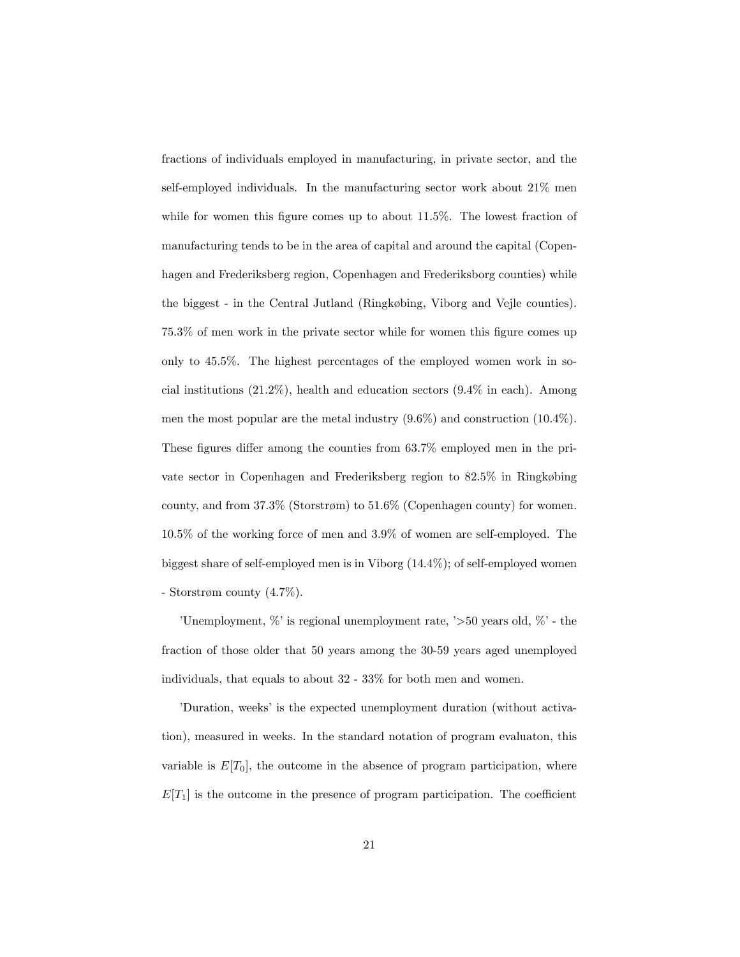fractions of individuals employed in manufacturing, in private sector, and the self-employed individuals. In the manufacturing sector work about 21% men while for women this figure comes up to about  $11.5\%$ . The lowest fraction of manufacturing tends to be in the area of capital and around the capital (Copenhagen and Frederiksberg region, Copenhagen and Frederiksborg counties) while the biggest - in the Central Jutland (Ringkøbing, Viborg and Vejle counties).  $75.3\%$  of men work in the private sector while for women this figure comes up only to 45.5%. The highest percentages of the employed women work in social institutions (21.2%), health and education sectors (9.4% in each). Among men the most popular are the metal industry (9.6%) and construction (10.4%). These figures differ among the counties from  $63.7\%$  employed men in the private sector in Copenhagen and Frederiksberg region to  $82.5\%$  in Ringkøbing county, and from  $37.3\%$  (Storstrøm) to  $51.6\%$  (Copenhagen county) for women. 10.5% of the working force of men and 3.9% of women are self-employed. The biggest share of self-employed men is in Viborg (14.4%); of self-employed women - Storstrøm county  $(4.7\%).$ 

'Unemployment,  $\%$ ' is regional unemployment rate, ' $>50$  years old,  $\%$ ' - the fraction of those older that 50 years among the 30-59 years aged unemployed individuals, that equals to about 32 - 33% for both men and women.

<sup>'</sup>Duration, weeks' is the expected unemployment duration (without activation), measured in weeks. In the standard notation of program evaluaton, this variable is  $E[T_0]$ , the outcome in the absence of program participation, where  $E[T_1]$  is the outcome in the presence of program participation. The coefficient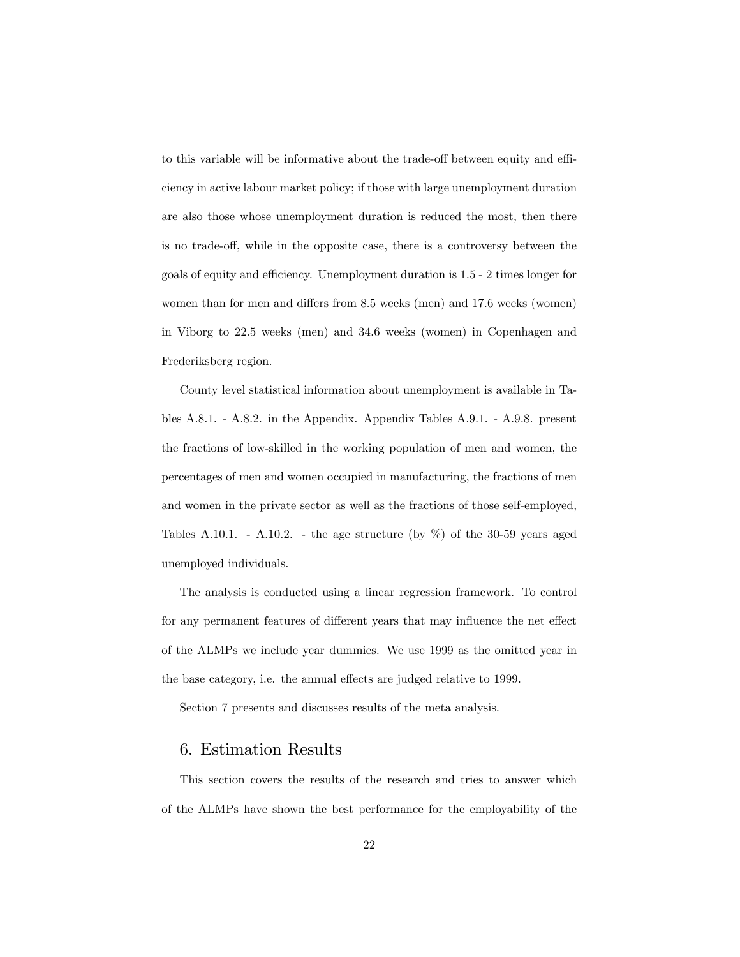to this variable will be informative about the trade-off between equity and efficiency in active labour market policy; if those with large unemployment duration are also those whose unemployment duration is reduced the most, then there is no trade-off, while in the opposite case, there is a controversy between the goals of equity and efficiency. Unemployment duration is  $1.5 - 2$  times longer for women than for men and differs from 8.5 weeks (men) and 17.6 weeks (women) in Viborg to 22.5 weeks (men) and 34.6 weeks (women) in Copenhagen and Frederiksberg region.

County level statistical information about unemployment is available in Tables A.8.1. - A.8.2. in the Appendix. Appendix Tables A.9.1. - A.9.8. present the fractions of low-skilled in the working population of men and women, the percentages of men and women occupied in manufacturing, the fractions of men and women in the private sector as well as the fractions of those self-employed, Tables A.10.1. - A.10.2. - the age structure (by  $\%$ ) of the 30-59 years aged unemployed individuals.

The analysis is conducted using a linear regression framework. To control for any permanent features of different years that may influence the net effect of the ALMPs we include year dummies. We use 1999 as the omitted year in the base category, i.e. the annual effects are judged relative to 1999.

Section 7 presents and discusses results of the meta analysis.

## 6. Estimation Results

This section covers the results of the research and tries to answer which of the ALMPs have shown the best performance for the employability of the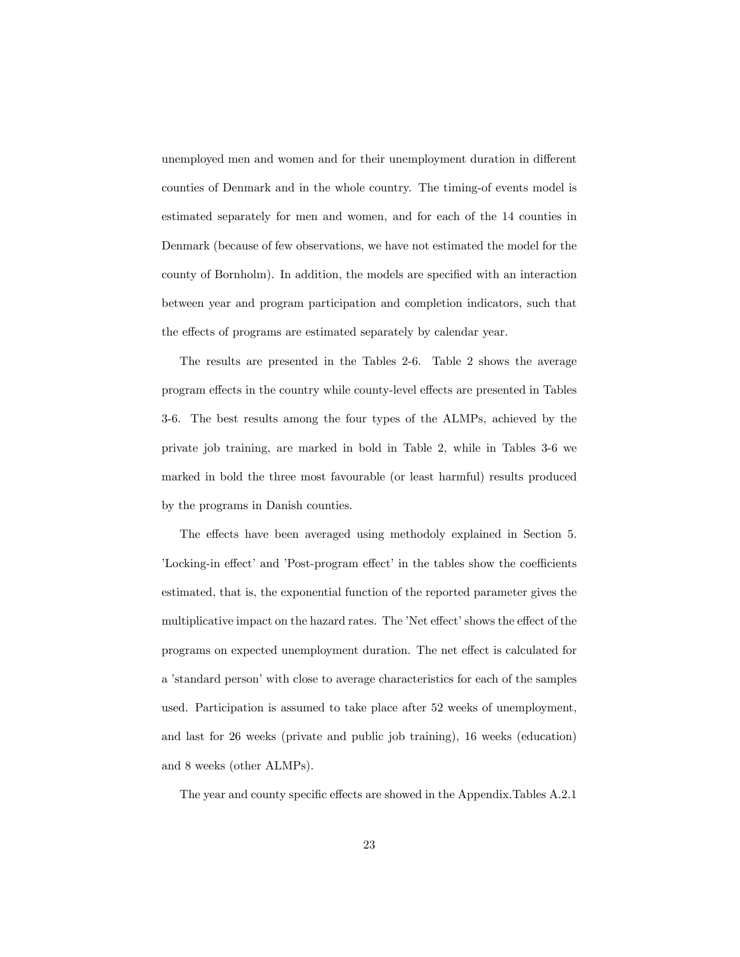unemployed men and women and for their unemployment duration in different counties of Denmark and in the whole country. The timing-of events model is estimated separately for men and women, and for each of the 14 counties in Denmark (because of few observations, we have not estimated the model for the county of Bornholm). In addition, the models are specified with an interaction between year and program participation and completion indicators, such that the effects of programs are estimated separately by calendar year.

The results are presented in the Tables 2-6. Table 2 shows the average program effects in the country while county-level effects are presented in Tables 3-6. The best results among the four types of the ALMPs, achieved by the private job training, are marked in bold in Table 2, while in Tables 3-6 we marked in bold the three most favourable (or least harmful) results produced by the programs in Danish counties.

The effects have been averaged using methodoly explained in Section 5. 'Locking-in effect' and 'Post-program effect' in the tables show the coefficients estimated, that is, the exponential function of the reported parameter gives the multiplicative impact on the hazard rates. The 'Net effect' shows the effect of the programs on expected unemployment duration. The net effect is calculated for a 'standard person' with close to average characteristics for each of the samples used. Participation is assumed to take place after 52 weeks of unemployment, and last for 26 weeks (private and public job training), 16 weeks (education) and 8 weeks (other ALMPs).

The year and county specific effects are showed in the Appendix.Tables A.2.1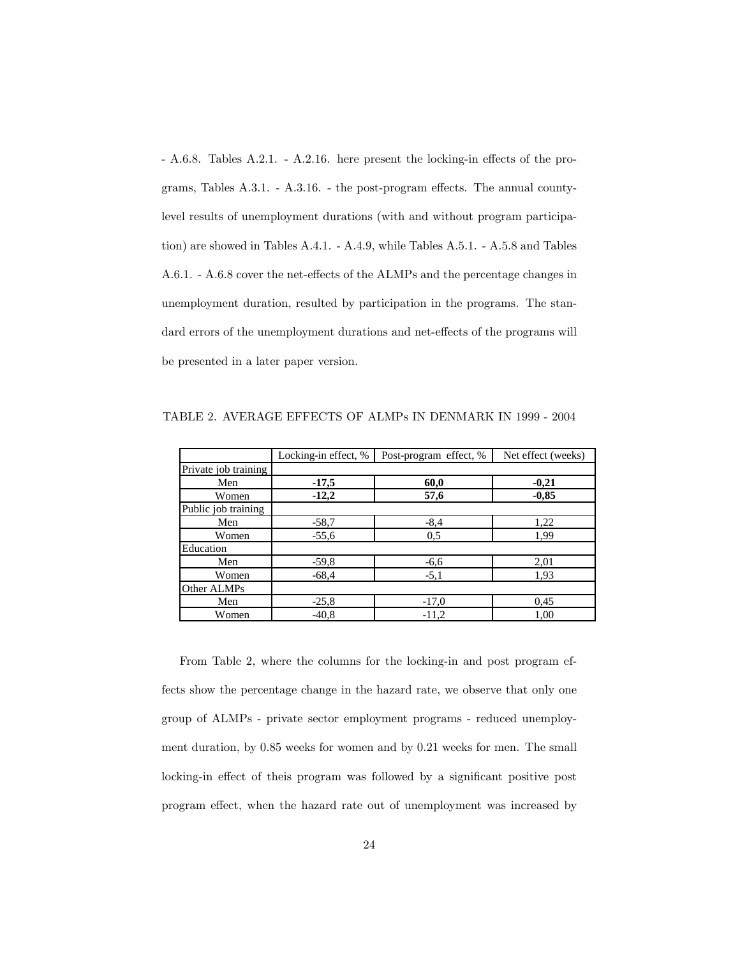$- A.6.8.$  Tables A.2.1.  $- A.2.16.$  here present the locking-in effects of the programs, Tables  $A.3.1. - A.3.16.$  - the post-program effects. The annual countylevel results of unemployment durations (with and without program participation) are showed in Tables A.4.1. - A.4.9, while Tables A.5.1. - A.5.8 and Tables A.6.1. - A.6.8 cover the net-effects of the ALMPs and the percentage changes in unemployment duration, resulted by participation in the programs. The standard errors of the unemployment durations and net-effects of the programs will be presented in a later paper version.

|                      | Locking-in effect, % | Post-program effect, % | Net effect (weeks) |
|----------------------|----------------------|------------------------|--------------------|
| Private job training |                      |                        |                    |
| Men                  | $-17,5$              | 60,0                   | $-0,21$            |
| Women                | $-12,2$              | 57,6                   | $-0.85$            |
| Public job training  |                      |                        |                    |
| Men                  | $-58,7$              | $-8,4$                 | 1,22               |
| Women                | $-55,6$              | 0,5                    | 1,99               |
| Education            |                      |                        |                    |
| Men                  | $-59,8$              | $-6,6$                 | 2,01               |
| Women                | $-68,4$              | $-5,1$                 | 1,93               |
| Other ALMPs          |                      |                        |                    |
| Men                  | $-25,8$              | $-17.0$                | 0,45               |
| Women                | $-40.8$              | $-11,2$                | 1,00               |

TABLE 2. AVERAGE EFFECTS OF ALMPs IN DENMARK IN 1999 - 2004

From Table 2, where the columns for the locking-in and post program effects show the percentage change in the hazard rate, we observe that only one group of ALMPs - private sector employment programs - reduced unemployment duration, by 0.85 weeks for women and by 0.21 weeks for men. The small locking-in effect of theis program was followed by a significant positive post program effect, when the hazard rate out of unemployment was increased by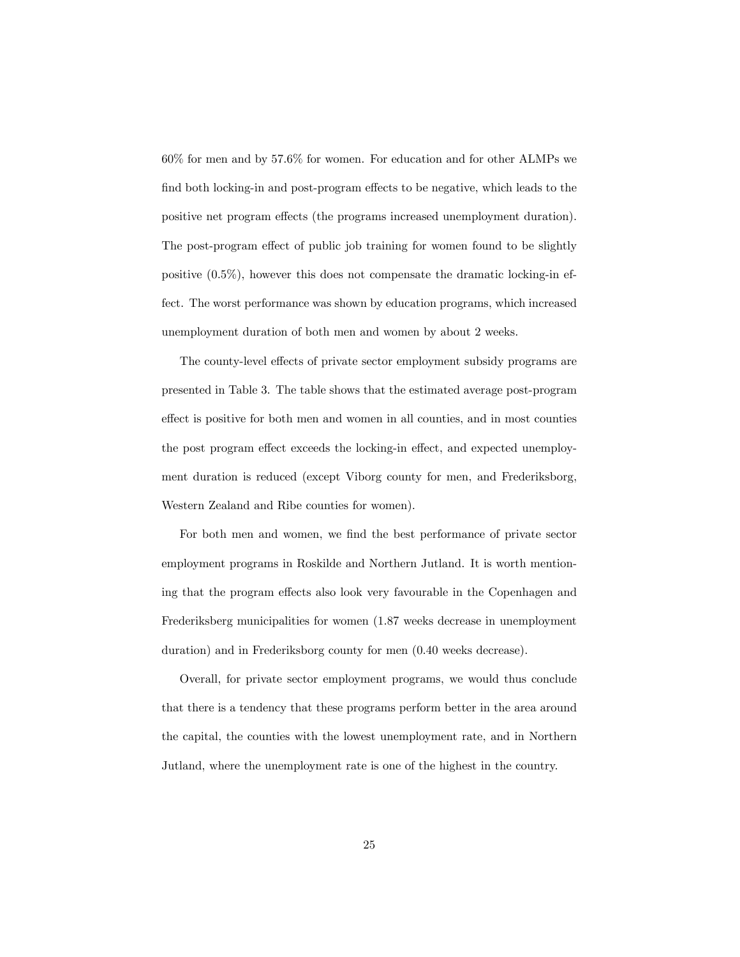60% for men and by 57.6% for women. For education and for other ALMPs we find both locking-in and post-program effects to be negative, which leads to the positive net program effects (the programs increased unemployment duration). The post-program effect of public job training for women found to be slightly positive (0.5%), however this does not compensate the dramatic locking-in effect. The worst performance was shown by education programs, which increased unemployment duration of both men and women by about 2 weeks.

The county-level effects of private sector employment subsidy programs are presented in Table 3. The table shows that the estimated average post-program effect is positive for both men and women in all counties, and in most counties the post program effect exceeds the locking-in effect, and expected unemployment duration is reduced (except Viborg county for men, and Frederiksborg, Western Zealand and Ribe counties for women).

For both men and women, we find the best performance of private sector employment programs in Roskilde and Northern Jutland. It is worth mentioning that the program effects also look very favourable in the Copenhagen and Frederiksberg municipalities for women (1.87 weeks decrease in unemployment duration) and in Frederiksborg county for men (0.40 weeks decrease).

Overall, for private sector employment programs, we would thus conclude that there is a tendency that these programs perform better in the area around the capital, the counties with the lowest unemployment rate, and in Northern Jutland, where the unemployment rate is one of the highest in the country.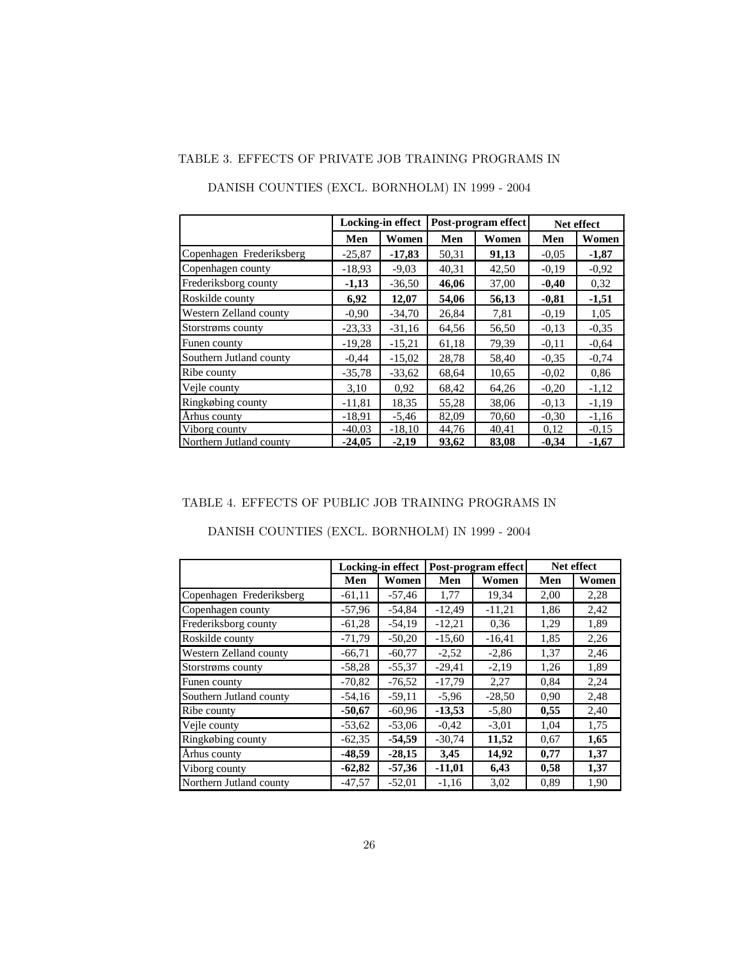|                          |          | <b>Locking-in effect</b> |       | Post-program effect |         | Net effect |
|--------------------------|----------|--------------------------|-------|---------------------|---------|------------|
|                          | Men      | Women                    | Men   | Women               | Men     | Women      |
| Copenhagen Frederiksberg | $-25,87$ | $-17,83$                 | 50,31 | 91,13               | $-0.05$ | $-1,87$    |
| Copenhagen county        | $-18,93$ | $-9,03$                  | 40,31 | 42,50               | $-0.19$ | $-0.92$    |
| Frederiksborg county     | $-1,13$  | $-36,50$                 | 46,06 | 37,00               | $-0,40$ | 0,32       |
| Roskilde county          | 6,92     | 12,07                    | 54,06 | 56,13               | $-0.81$ | $-1,51$    |
| Western Zelland county   | $-0.90$  | $-34,70$                 | 26,84 | 7,81                | $-0.19$ | 1,05       |
| Storstrøms county        | $-23,33$ | $-31,16$                 | 64,56 | 56,50               | $-0.13$ | $-0,35$    |
| Funen county             | $-19,28$ | $-15,21$                 | 61,18 | 79,39               | $-0.11$ | $-0.64$    |
| Southern Jutland county  | $-0.44$  | $-15,02$                 | 28,78 | 58,40               | $-0.35$ | $-0,74$    |
| Ribe county              | $-35,78$ | $-33,62$                 | 68,64 | 10,65               | $-0.02$ | 0,86       |
| Veile county             | 3,10     | 0.92                     | 68,42 | 64,26               | $-0,20$ | $-1,12$    |
| Ringkøbing county        | $-11,81$ | 18,35                    | 55,28 | 38,06               | $-0.13$ | $-1,19$    |
| Århus county             | $-18.91$ | $-5,46$                  | 82,09 | 70,60               | $-0,30$ | $-1,16$    |
| Viborg county            | $-40.03$ | $-18,10$                 | 44,76 | 40,41               | 0,12    | $-0.15$    |
| Northern Jutland county  | $-24,05$ | $-2,19$                  | 93,62 | 83,08               | $-0,34$ | $-1,67$    |

# DANISH COUNTIES (EXCL. BORNHOLM) IN 1999 - 2004

#### TABLE 4. EFFECTS OF PUBLIC JOB TRAINING PROGRAMS IN

|                          |          | <b>Locking-in effect</b> |          | Post-program effect |      | Net effect |
|--------------------------|----------|--------------------------|----------|---------------------|------|------------|
|                          | Men      | Women                    | Men      | Women               | Men  | Women      |
| Copenhagen Frederiksberg | $-61,11$ | $-57,46$                 | 1,77     | 19,34               | 2,00 | 2,28       |
| Copenhagen county        | $-57,96$ | $-54,84$                 | $-12,49$ | $-11,21$            | 1,86 | 2,42       |
| Frederiksborg county     | $-61,28$ | $-54,19$                 | $-12,21$ | 0.36                | 1,29 | 1,89       |
| Roskilde county          | $-71,79$ | $-50,20$                 | $-15,60$ | $-16,41$            | 1,85 | 2,26       |
| Western Zelland county   | $-66,71$ | $-60,77$                 | $-2,52$  | $-2,86$             | 1,37 | 2,46       |
| Storstrøms county        | $-58,28$ | $-55,37$                 | $-29,41$ | $-2,19$             | 1,26 | 1,89       |
| Funen county             | $-70,82$ | $-76,52$                 | $-17,79$ | 2,27                | 0.84 | 2,24       |
| Southern Jutland county  | $-54,16$ | $-59,11$                 | $-5,96$  | $-28,50$            | 0.90 | 2,48       |
| Ribe county              | $-50,67$ | $-60,96$                 | $-13,53$ | $-5,80$             | 0,55 | 2,40       |
| Vejle county             | $-53,62$ | $-53,06$                 | $-0.42$  | $-3,01$             | 1,04 | 1,75       |
| Ringkøbing county        | $-62,35$ | $-54,59$                 | $-30,74$ | 11,52               | 0.67 | 1,65       |
| Århus county             | $-48,59$ | $-28,15$                 | 3,45     | 14,92               | 0,77 | 1,37       |
| Viborg county            | $-62,82$ | $-57,36$                 | $-11,01$ | 6,43                | 0,58 | 1,37       |
| Northern Jutland county  | $-47.57$ | $-52,01$                 | $-1,16$  | 3,02                | 0.89 | 1,90       |

#### DANISH COUNTIES (EXCL. BORNHOLM) IN 1999 - 2004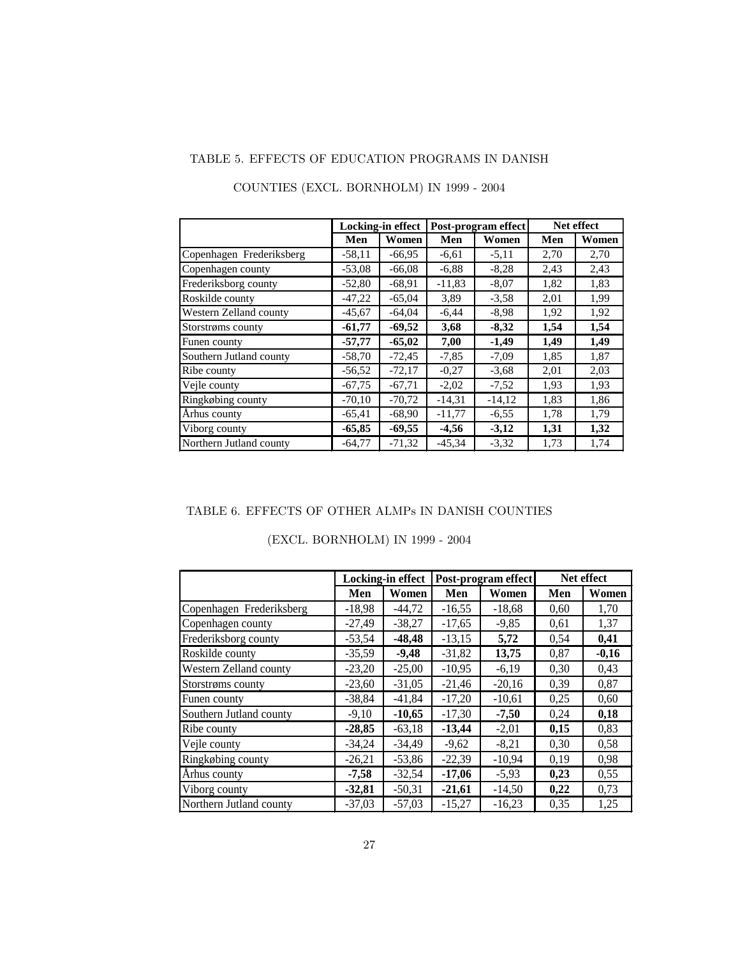## TABLE 5. EFFECTS OF EDUCATION PROGRAMS IN DANISH

|                          |          | <b>Locking-in effect</b> |          | Post-program effect |      | Net effect |
|--------------------------|----------|--------------------------|----------|---------------------|------|------------|
|                          | Men      | Women                    | Men      | Women               | Men  | Women      |
| Copenhagen Frederiksberg | $-58,11$ | $-66,95$                 | $-6,61$  | $-5,11$             | 2,70 | 2,70       |
| Copenhagen county        | $-53,08$ | $-66,08$                 | $-6,88$  | $-8,28$             | 2.43 | 2,43       |
| Frederiksborg county     | $-52,80$ | $-68,91$                 | $-11,83$ | $-8,07$             | 1,82 | 1,83       |
| Roskilde county          | $-47,22$ | $-65,04$                 | 3.89     | $-3,58$             | 2,01 | 1,99       |
| Western Zelland county   | $-45,67$ | $-64,04$                 | $-6,44$  | $-8,98$             | 1,92 | 1,92       |
| Storstrøms county        | $-61,77$ | $-69,52$                 | 3,68     | $-8,32$             | 1,54 | 1,54       |
| Funen county             | $-57,77$ | $-65,02$                 | 7,00     | $-1,49$             | 1,49 | 1,49       |
| Southern Jutland county  | $-58,70$ | $-72,45$                 | $-7,85$  | $-7,09$             | 1,85 | 1,87       |
| Ribe county              | $-56,52$ | $-72,17$                 | $-0.27$  | $-3,68$             | 2,01 | 2,03       |
| Vejle county             | $-67,75$ | $-67,71$                 | $-2,02$  | $-7,52$             | 1.93 | 1,93       |
| Ringkøbing county        | $-70,10$ | $-70,72$                 | $-14,31$ | $-14,12$            | 1,83 | 1,86       |
| Århus county             | $-65,41$ | $-68,90$                 | $-11,77$ | $-6,55$             | 1,78 | 1,79       |
| Viborg county            | $-65,85$ | $-69,55$                 | $-4,56$  | $-3,12$             | 1,31 | 1,32       |
| Northern Jutland county  | $-64,77$ | $-71.32$                 | $-45.34$ | $-3,32$             | 1,73 | 1,74       |

# COUNTIES (EXCL. BORNHOLM) IN 1999 - 2004

#### TABLE 6. EFFECTS OF OTHER ALMPs IN DANISH COUNTIES

|  | (EXCL. BORNHOLM) IN 1999 - 2004 |  |  |  |
|--|---------------------------------|--|--|--|
|--|---------------------------------|--|--|--|

|                          |          | Locking-in effect |          | Post-program effect |      | Net effect |
|--------------------------|----------|-------------------|----------|---------------------|------|------------|
|                          | Men      | Women             | Men      | Women               | Men  | Women      |
| Copenhagen Frederiksberg | $-18,98$ | $-44,72$          | $-16,55$ | $-18,68$            | 0,60 | 1,70       |
| Copenhagen county        | $-27,49$ | $-38,27$          | $-17,65$ | $-9,85$             | 0,61 | 1,37       |
| Frederiksborg county     | $-53,54$ | $-48,48$          | $-13,15$ | 5,72                | 0,54 | 0,41       |
| Roskilde county          | $-35,59$ | $-9,48$           | $-31,82$ | 13,75               | 0,87 | $-0,16$    |
| Western Zelland county   | $-23,20$ | $-25,00$          | $-10,95$ | $-6,19$             | 0,30 | 0,43       |
| Storstrøms county        | $-23,60$ | $-31,05$          | $-21,46$ | $-20,16$            | 0,39 | 0,87       |
| Funen county             | $-38,84$ | $-41,84$          | $-17,20$ | $-10,61$            | 0,25 | 0,60       |
| Southern Jutland county  | $-9,10$  | $-10,65$          | $-17,30$ | $-7,50$             | 0,24 | 0,18       |
| Ribe county              | $-28,85$ | $-63,18$          | $-13,44$ | $-2,01$             | 0,15 | 0,83       |
| Vejle county             | $-34,24$ | $-34.49$          | $-9,62$  | $-8,21$             | 0,30 | 0,58       |
| Ringkøbing county        | $-26,21$ | $-53,86$          | $-22,39$ | $-10,94$            | 0,19 | 0,98       |
| Århus county             | $-7,58$  | $-32,54$          | $-17,06$ | $-5,93$             | 0,23 | 0,55       |
| Viborg county            | $-32,81$ | $-50,31$          | $-21,61$ | $-14,50$            | 0,22 | 0,73       |
| Northern Jutland county  | $-37,03$ | $-57,03$          | $-15,27$ | $-16,23$            | 0,35 | 1,25       |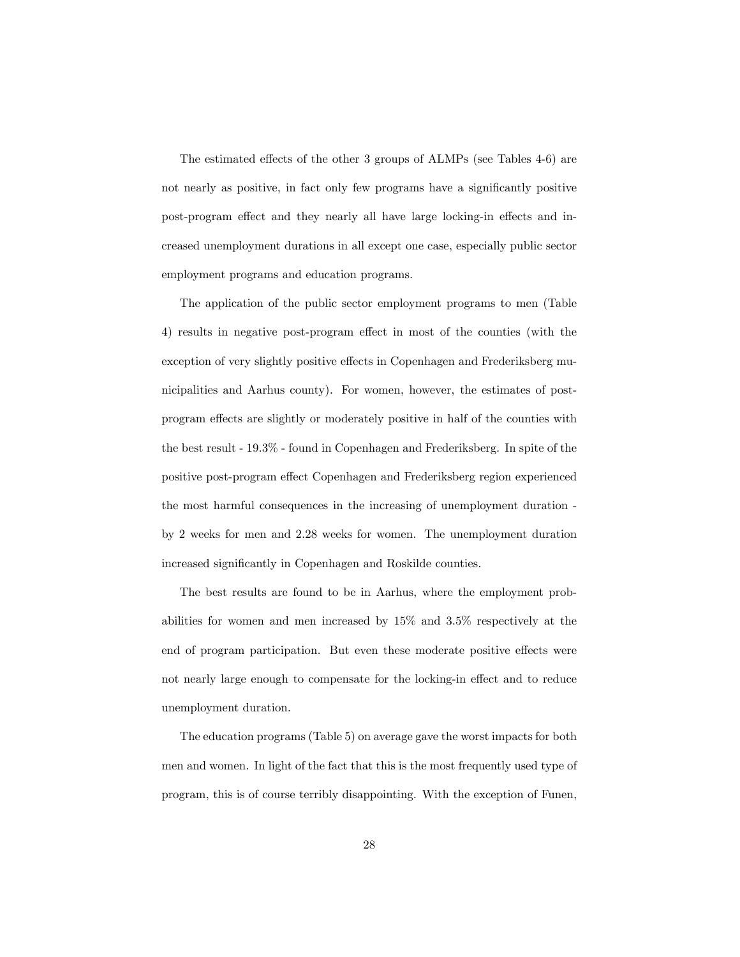The estimated effects of the other 3 groups of  $ALMPs$  (see Tables 4-6) are not nearly as positive, in fact only few programs have a significantly positive post-program effect and they nearly all have large locking-in effects and increased unemployment durations in all except one case, especially public sector employment programs and education programs.

The application of the public sector employment programs to men (Table 4) results in negative post-program effect in most of the counties (with the exception of very slightly positive effects in Copenhagen and Frederiksberg municipalities and Aarhus county). For women, however, the estimates of postprogram effects are slightly or moderately positive in half of the counties with the best result - 19.3% - found in Copenhagen and Frederiksberg. In spite of the positive post-program effect Copenhagen and Frederiksberg region experienced the most harmful consequences in the increasing of unemployment duration by 2 weeks for men and 2.28 weeks for women. The unemployment duration increased significantly in Copenhagen and Roskilde counties.

The best results are found to be in Aarhus, where the employment probabilities for women and men increased by 15% and 3.5% respectively at the end of program participation. But even these moderate positive effects were not nearly large enough to compensate for the locking-in effect and to reduce unemployment duration.

The education programs (Table 5) on average gave the worst impacts for both men and women. In light of the fact that this is the most frequently used type of program, this is of course terribly disappointing. With the exception of Funen,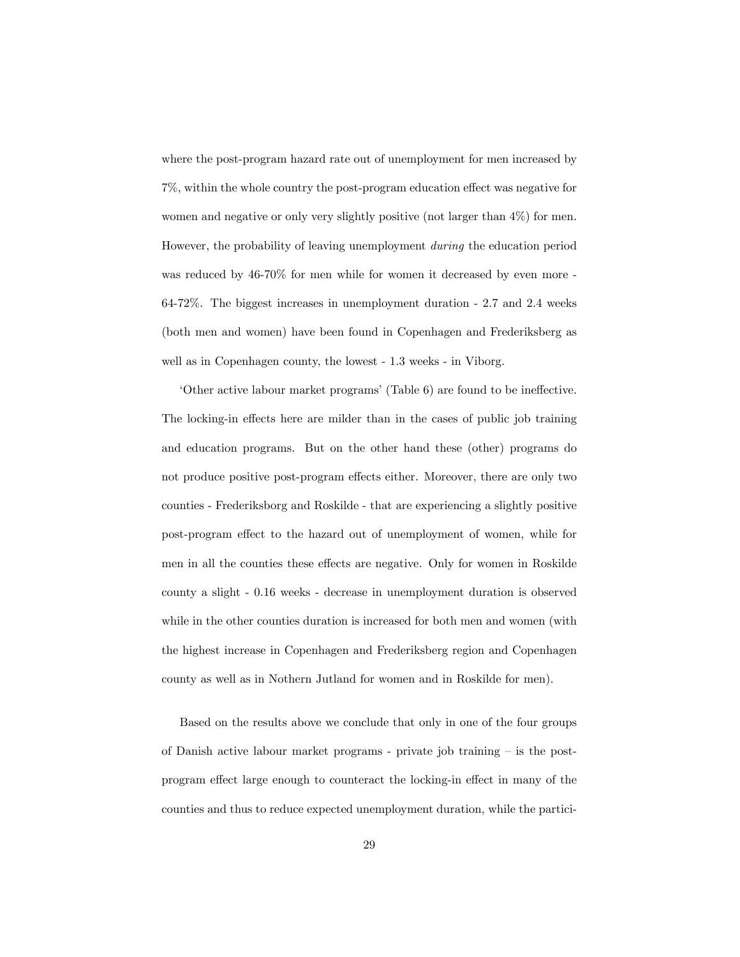where the post-program hazard rate out of unemployment for men increased by  $7\%$ , within the whole country the post-program education effect was negative for women and negative or only very slightly positive (not larger than 4%) for men. However, the probability of leaving unemployment during the education period was reduced by 46-70% for men while for women it decreased by even more - 64-72%. The biggest increases in unemployment duration - 2.7 and 2.4 weeks (both men and women) have been found in Copenhagen and Frederiksberg as well as in Copenhagen county, the lowest - 1.3 weeks - in Viborg.

ëOther active labour market programsí(Table 6) are found to be ine§ective. The locking-in effects here are milder than in the cases of public job training and education programs. But on the other hand these (other) programs do not produce positive post-program effects either. Moreover, there are only two counties - Frederiksborg and Roskilde - that are experiencing a slightly positive post-program effect to the hazard out of unemployment of women, while for men in all the counties these effects are negative. Only for women in Roskilde county a slight - 0.16 weeks - decrease in unemployment duration is observed while in the other counties duration is increased for both men and women (with the highest increase in Copenhagen and Frederiksberg region and Copenhagen county as well as in Nothern Jutland for women and in Roskilde for men).

Based on the results above we conclude that only in one of the four groups of Danish active labour market programs - private job training  $-$  is the postprogram effect large enough to counteract the locking-in effect in many of the counties and thus to reduce expected unemployment duration, while the partici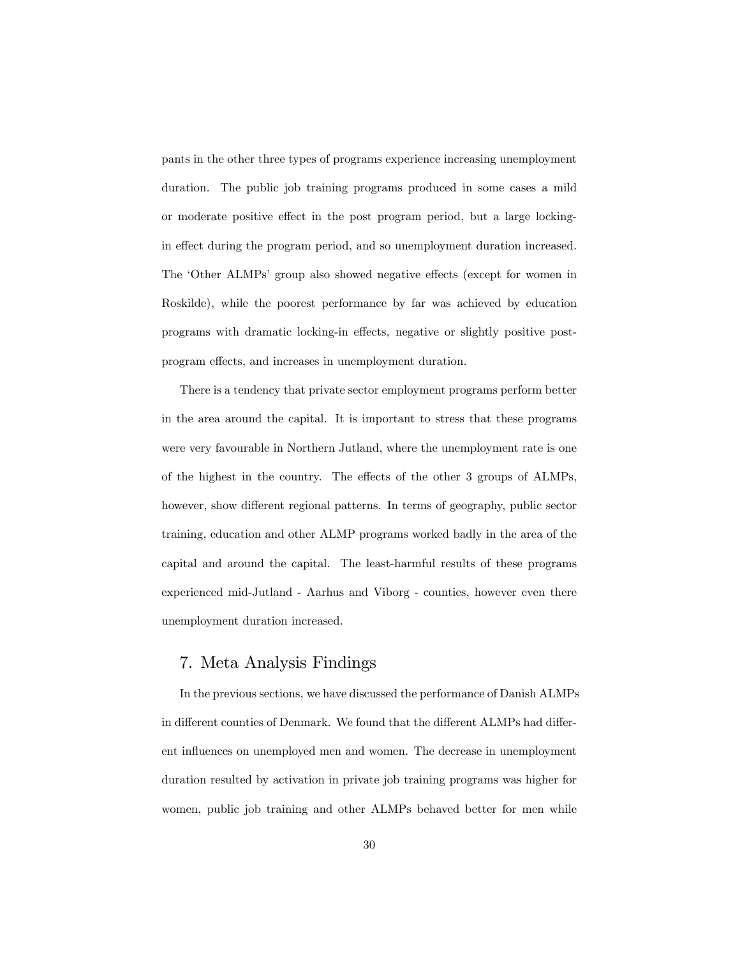pants in the other three types of programs experience increasing unemployment duration. The public job training programs produced in some cases a mild or moderate positive effect in the post program period, but a large lockingin effect during the program period, and so unemployment duration increased. The 'Other ALMPs' group also showed negative effects (except for women in Roskilde), while the poorest performance by far was achieved by education programs with dramatic locking-in effects, negative or slightly positive postprogram effects, and increases in unemployment duration.

There is a tendency that private sector employment programs perform better in the area around the capital. It is important to stress that these programs were very favourable in Northern Jutland, where the unemployment rate is one of the highest in the country. The effects of the other 3 groups of ALMPs, however, show different regional patterns. In terms of geography, public sector training, education and other ALMP programs worked badly in the area of the capital and around the capital. The least-harmful results of these programs experienced mid-Jutland - Aarhus and Viborg - counties, however even there unemployment duration increased.

## 7. Meta Analysis Findings

In the previous sections, we have discussed the performance of Danish ALMPs in different counties of Denmark. We found that the different ALMPs had different influences on unemployed men and women. The decrease in unemployment duration resulted by activation in private job training programs was higher for women, public job training and other ALMPs behaved better for men while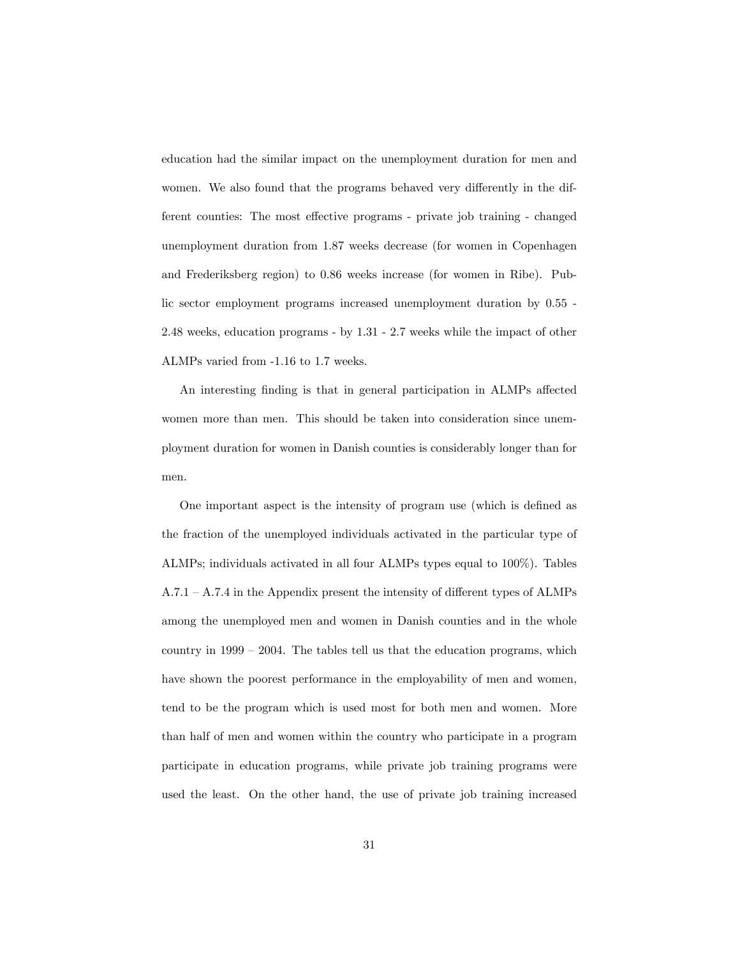education had the similar impact on the unemployment duration for men and women. We also found that the programs behaved very differently in the different counties: The most effective programs - private job training - changed unemployment duration from 1.87 weeks decrease (for women in Copenhagen and Frederiksberg region) to 0.86 weeks increase (for women in Ribe). Public sector employment programs increased unemployment duration by 0.55 - 2.48 weeks, education programs - by 1.31 - 2.7 weeks while the impact of other ALMPs varied from -1.16 to 1.7 weeks.

An interesting finding is that in general participation in ALMPs affected women more than men. This should be taken into consideration since unemployment duration for women in Danish counties is considerably longer than for men.

One important aspect is the intensity of program use (which is defined as the fraction of the unemployed individuals activated in the particular type of ALMPs; individuals activated in all four ALMPs types equal to 100%). Tables  $A.7.1 - A.7.4$  in the Appendix present the intensity of different types of ALMPs among the unemployed men and women in Danish counties and in the whole country in  $1999 - 2004$ . The tables tell us that the education programs, which have shown the poorest performance in the employability of men and women, tend to be the program which is used most for both men and women. More than half of men and women within the country who participate in a program participate in education programs, while private job training programs were used the least. On the other hand, the use of private job training increased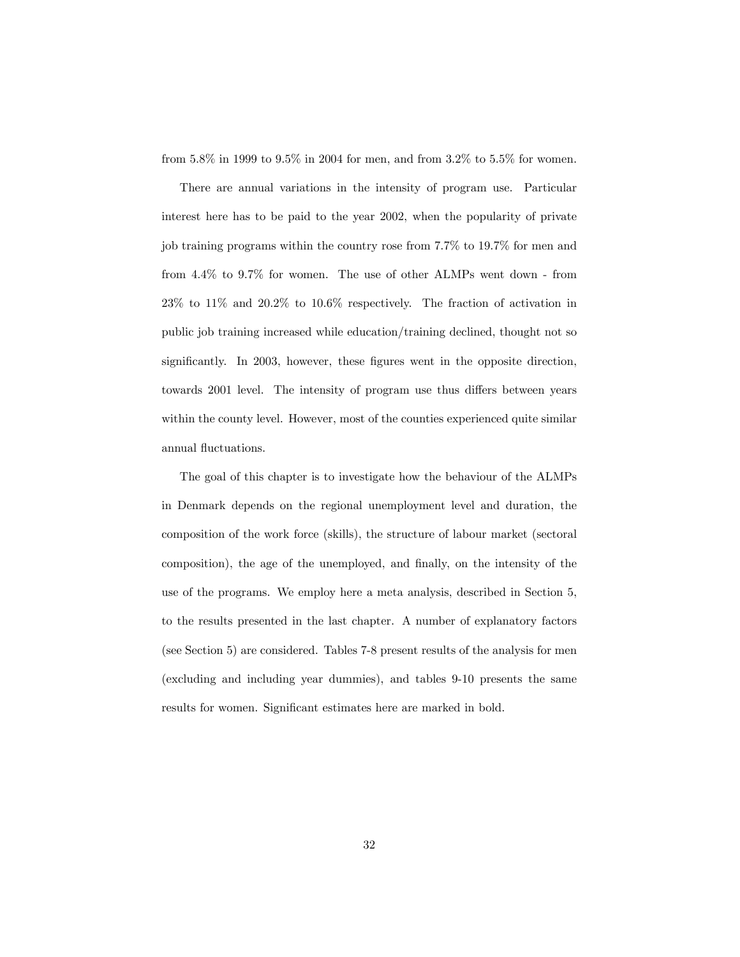from 5.8% in 1999 to 9.5% in 2004 for men, and from 3.2% to 5.5% for women.

There are annual variations in the intensity of program use. Particular interest here has to be paid to the year 2002, when the popularity of private job training programs within the country rose from 7.7% to 19.7% for men and from 4.4% to 9.7% for women. The use of other ALMPs went down - from 23% to 11% and 20.2% to 10.6% respectively. The fraction of activation in public job training increased while education/training declined, thought not so significantly. In 2003, however, these figures went in the opposite direction, towards 2001 level. The intensity of program use thus differs between years within the county level. However, most of the counties experienced quite similar annual fluctuations.

The goal of this chapter is to investigate how the behaviour of the ALMPs in Denmark depends on the regional unemployment level and duration, the composition of the work force (skills), the structure of labour market (sectoral composition), the age of the unemployed, and finally, on the intensity of the use of the programs. We employ here a meta analysis, described in Section 5, to the results presented in the last chapter. A number of explanatory factors (see Section 5) are considered. Tables 7-8 present results of the analysis for men (excluding and including year dummies), and tables 9-10 presents the same results for women. Significant estimates here are marked in bold.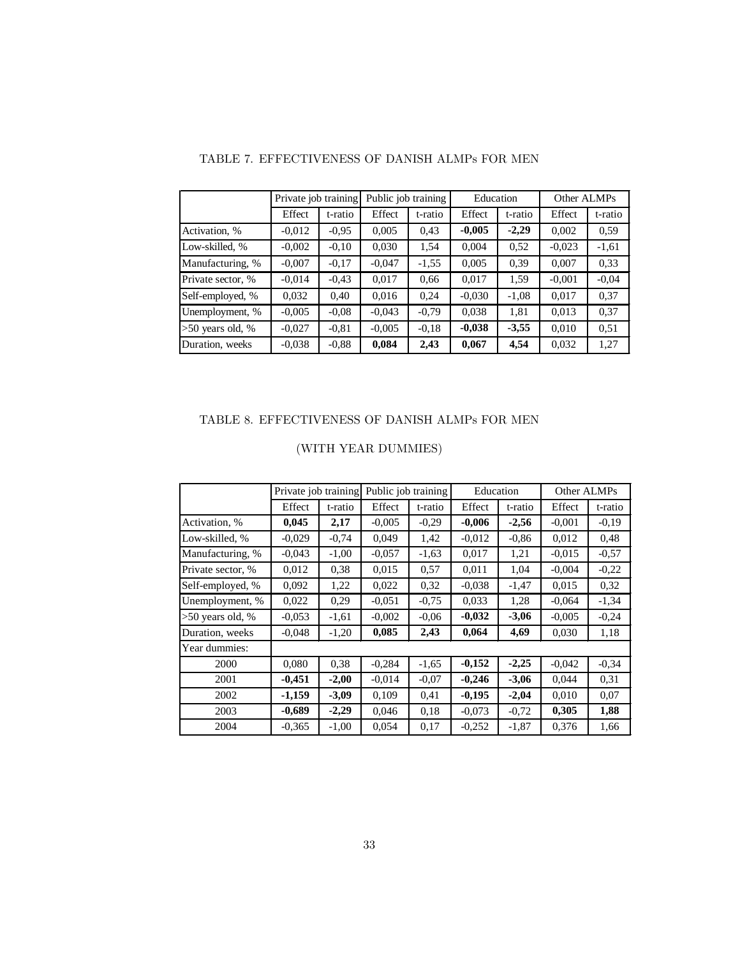|                    | Private job training |         | Public job training |         | Education |         | Other ALMPs |         |
|--------------------|----------------------|---------|---------------------|---------|-----------|---------|-------------|---------|
|                    | Effect               | t-ratio | Effect              | t-ratio | Effect    | t-ratio | Effect      | t-ratio |
| Activation, %      | $-0.012$             | $-0.95$ | 0.005               | 0.43    | $-0,005$  | $-2,29$ | 0,002       | 0.59    |
| Low-skilled, %     | $-0.002$             | $-0,10$ | 0,030               | 1,54    | 0,004     | 0.52    | $-0.023$    | $-1,61$ |
| Manufacturing, %   | $-0,007$             | $-0.17$ | $-0.047$            | $-1,55$ | 0,005     | 0.39    | 0,007       | 0.33    |
| Private sector, %  | $-0.014$             | $-0.43$ | 0.017               | 0.66    | 0,017     | 1,59    | $-0.001$    | $-0.04$ |
| Self-employed, %   | 0,032                | 0.40    | 0,016               | 0.24    | $-0.030$  | $-1,08$ | 0,017       | 0.37    |
| Unemployment, %    | $-0.005$             | $-0.08$ | $-0.043$            | $-0,79$ | 0,038     | 1,81    | 0,013       | 0,37    |
| $>50$ years old, % | $-0,027$             | $-0.81$ | $-0.005$            | $-0.18$ | $-0,038$  | $-3,55$ | 0.010       | 0.51    |
| Duration, weeks    | $-0.038$             | $-0.88$ | 0,084               | 2,43    | 0,067     | 4,54    | 0,032       | 1,27    |

#### TABLE 7. EFFECTIVENESS OF DANISH ALMPs FOR MEN

### TABLE 8. EFFECTIVENESS OF DANISH ALMPs FOR MEN

|                    | Private job training |         | Public job training |         | Education |         | Other ALMPs |         |
|--------------------|----------------------|---------|---------------------|---------|-----------|---------|-------------|---------|
|                    | Effect               | t-ratio | Effect              | t-ratio | Effect    | t-ratio | Effect      | t-ratio |
| Activation, %      | 0,045                | 2,17    | $-0,005$            | $-0,29$ | $-0,006$  | $-2,56$ | $-0.001$    | $-0.19$ |
| Low-skilled, %     | $-0.029$             | $-0.74$ | 0.049               | 1,42    | $-0.012$  | $-0.86$ | 0,012       | 0.48    |
| Manufacturing, %   | $-0.043$             | $-1,00$ | $-0.057$            | $-1,63$ | 0.017     | 1,21    | $-0.015$    | $-0.57$ |
| Private sector, %  | 0,012                | 0.38    | 0,015               | 0.57    | 0,011     | 1,04    | $-0.004$    | $-0,22$ |
| Self-employed, %   | 0,092                | 1,22    | 0,022               | 0.32    | $-0.038$  | $-1,47$ | 0,015       | 0.32    |
| Unemployment, %    | 0,022                | 0,29    | $-0.051$            | $-0.75$ | 0,033     | 1,28    | $-0.064$    | $-1,34$ |
| $>50$ years old, % | $-0.053$             | $-1,61$ | $-0,002$            | $-0.06$ | $-0,032$  | $-3,06$ | $-0.005$    | $-0,24$ |
| Duration, weeks    | $-0.048$             | $-1,20$ | 0,085               | 2,43    | 0,064     | 4,69    | 0,030       | 1,18    |
| Year dummies:      |                      |         |                     |         |           |         |             |         |
| 2000               | 0,080                | 0,38    | $-0,284$            | $-1,65$ | $-0,152$  | $-2,25$ | $-0,042$    | $-0,34$ |
| 2001               | $-0,451$             | $-2,00$ | $-0.014$            | $-0.07$ | $-0,246$  | $-3,06$ | 0,044       | 0.31    |
| 2002               | $-1,159$             | $-3,09$ | 0,109               | 0,41    | $-0,195$  | $-2,04$ | 0,010       | 0,07    |
| 2003               | $-0,689$             | $-2,29$ | 0,046               | 0.18    | $-0.073$  | $-0.72$ | 0,305       | 1,88    |
| 2004               | $-0.365$             | $-1,00$ | 0,054               | 0,17    | $-0,252$  | $-1,87$ | 0,376       | 1,66    |

# (WITH YEAR DUMMIES)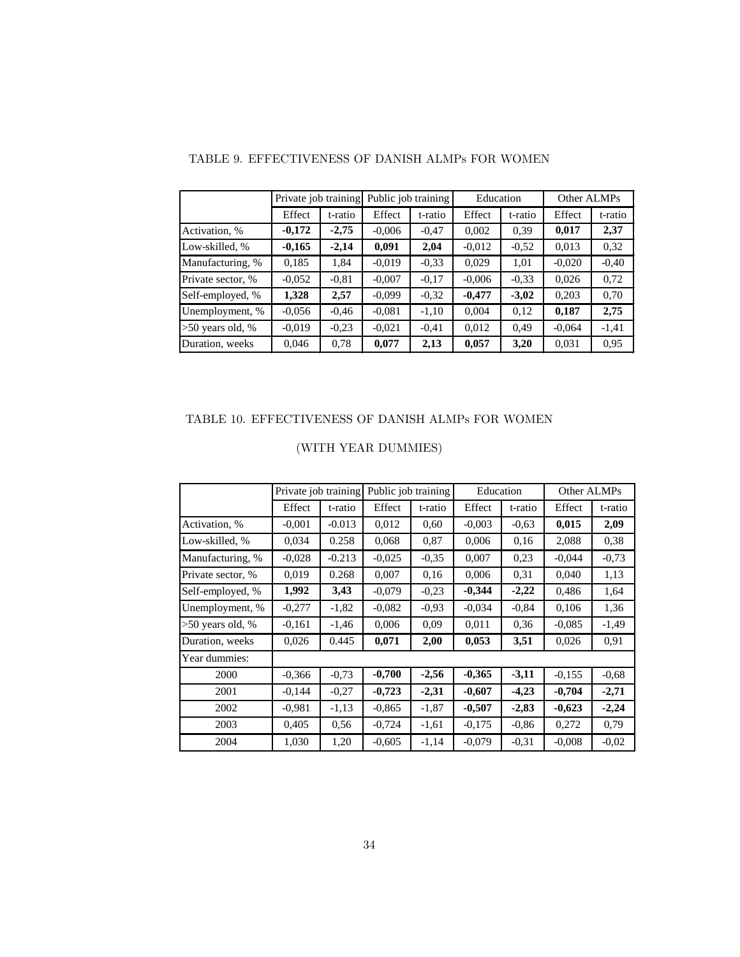|                    | Private job training |         | Public job training |         | Education |         | Other ALMPs |         |
|--------------------|----------------------|---------|---------------------|---------|-----------|---------|-------------|---------|
|                    | Effect               | t-ratio | Effect              | t-ratio | Effect    | t-ratio | Effect      | t-ratio |
| Activation, %      | $-0,172$             | $-2,75$ | $-0.006$            | $-0.47$ | 0,002     | 0.39    | 0,017       | 2,37    |
| Low-skilled, %     | $-0,165$             | $-2,14$ | 0,091               | 2,04    | $-0.012$  | $-0,52$ | 0,013       | 0.32    |
| Manufacturing, %   | 0,185                | 1,84    | $-0.019$            | $-0.33$ | 0.029     | 1,01    | $-0.020$    | $-0,40$ |
| Private sector, %  | $-0.052$             | $-0.81$ | $-0,007$            | $-0.17$ | $-0.006$  | $-0.33$ | 0.026       | 0,72    |
| Self-employed, %   | 1,328                | 2,57    | $-0.099$            | $-0.32$ | $-0,477$  | $-3,02$ | 0,203       | 0,70    |
| Unemployment, %    | $-0.056$             | $-0.46$ | $-0.081$            | $-1,10$ | 0.004     | 0,12    | 0,187       | 2,75    |
| $>50$ years old, % | $-0.019$             | $-0,23$ | $-0.021$            | $-0.41$ | 0,012     | 0.49    | $-0.064$    | $-1,41$ |
| Duration, weeks    | 0,046                | 0,78    | 0,077               | 2,13    | 0,057     | 3,20    | 0.031       | 0.95    |

#### TABLE 9. EFFECTIVENESS OF DANISH ALMPs FOR WOMEN

#### TABLE 10. EFFECTIVENESS OF DANISH ALMPs FOR WOMEN

|                    | Private job training |          | Public job training |         | Education | Other ALMPs |          |         |
|--------------------|----------------------|----------|---------------------|---------|-----------|-------------|----------|---------|
|                    | Effect               | t-ratio  | Effect              | t-ratio | Effect    | t-ratio     | Effect   | t-ratio |
| Activation, %      | $-0.001$             | $-0.013$ | 0,012               | 0.60    | $-0.003$  | $-0.63$     | 0,015    | 2,09    |
| Low-skilled, %     | 0,034                | 0.258    | 0,068               | 0,87    | 0,006     | 0,16        | 2,088    | 0,38    |
| Manufacturing, %   | $-0.028$             | $-0.213$ | $-0.025$            | $-0.35$ | 0,007     | 0.23        | $-0.044$ | $-0,73$ |
| Private sector, %  | 0,019                | 0.268    | 0,007               | 0.16    | 0,006     | 0.31        | 0,040    | 1,13    |
| Self-employed, %   | 1,992                | 3,43     | $-0.079$            | $-0.23$ | $-0,344$  | $-2,22$     | 0,486    | 1,64    |
| Unemployment, %    | $-0,277$             | $-1,82$  | $-0.082$            | $-0.93$ | $-0.034$  | $-0,84$     | 0,106    | 1,36    |
| $>50$ years old, % | $-0.161$             | $-1,46$  | 0,006               | 0.09    | 0,011     | 0.36        | $-0.085$ | $-1,49$ |
| Duration, weeks    | 0,026                | 0.445    | 0,071               | 2,00    | 0,053     | 3,51        | 0,026    | 0,91    |
| Year dummies:      |                      |          |                     |         |           |             |          |         |
| 2000               | $-0.366$             | $-0.73$  | $-0,700$            | $-2,56$ | $-0,365$  | $-3,11$     | $-0.155$ | $-0,68$ |
| 2001               | $-0,144$             | $-0,27$  | $-0,723$            | $-2,31$ | $-0,607$  | $-4,23$     | $-0,704$ | $-2,71$ |
| 2002               | $-0.981$             | $-1,13$  | $-0.865$            | $-1,87$ | $-0,507$  | $-2,83$     | $-0,623$ | $-2,24$ |
| 2003               | 0,405                | 0,56     | $-0,724$            | $-1,61$ | $-0.175$  | $-0.86$     | 0,272    | 0.79    |
| 2004               | 1,030                | 1,20     | $-0.605$            | $-1,14$ | $-0.079$  | $-0,31$     | $-0.008$ | $-0,02$ |

# (WITH YEAR DUMMIES)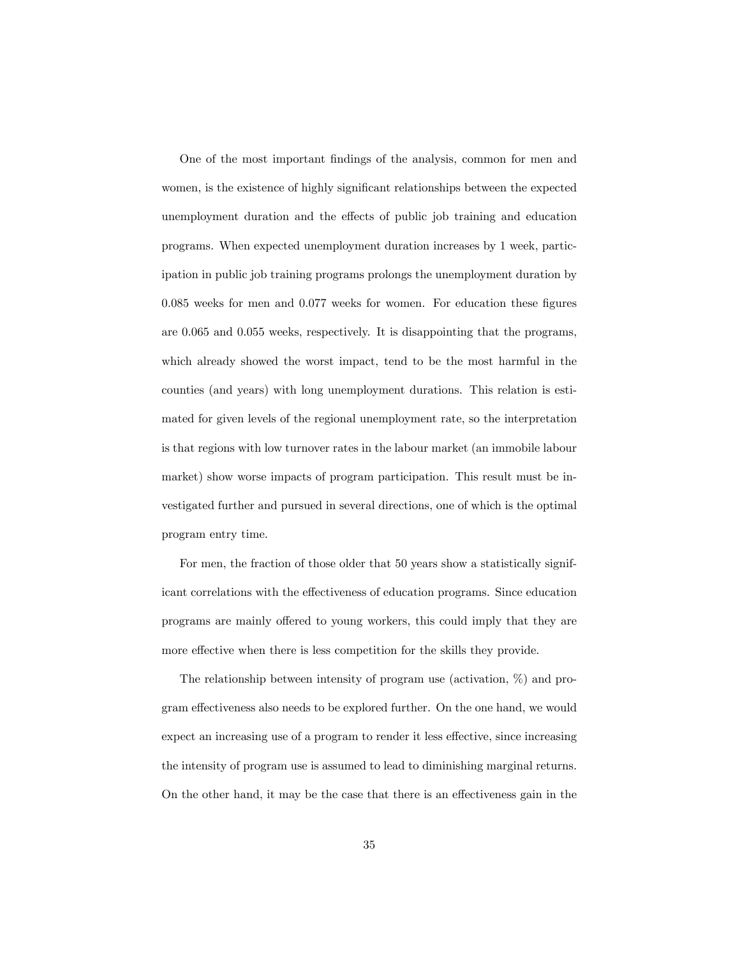One of the most important Öndings of the analysis, common for men and women, is the existence of highly significant relationships between the expected unemployment duration and the effects of public job training and education programs. When expected unemployment duration increases by 1 week, participation in public job training programs prolongs the unemployment duration by  $0.085$  weeks for men and  $0.077$  weeks for women. For education these figures are 0.065 and 0.055 weeks, respectively. It is disappointing that the programs, which already showed the worst impact, tend to be the most harmful in the counties (and years) with long unemployment durations. This relation is estimated for given levels of the regional unemployment rate, so the interpretation is that regions with low turnover rates in the labour market (an immobile labour market) show worse impacts of program participation. This result must be investigated further and pursued in several directions, one of which is the optimal program entry time.

For men, the fraction of those older that 50 years show a statistically significant correlations with the effectiveness of education programs. Since education programs are mainly offered to young workers, this could imply that they are more effective when there is less competition for the skills they provide.

The relationship between intensity of program use (activation, %) and program effectiveness also needs to be explored further. On the one hand, we would expect an increasing use of a program to render it less effective, since increasing the intensity of program use is assumed to lead to diminishing marginal returns. On the other hand, it may be the case that there is an effectiveness gain in the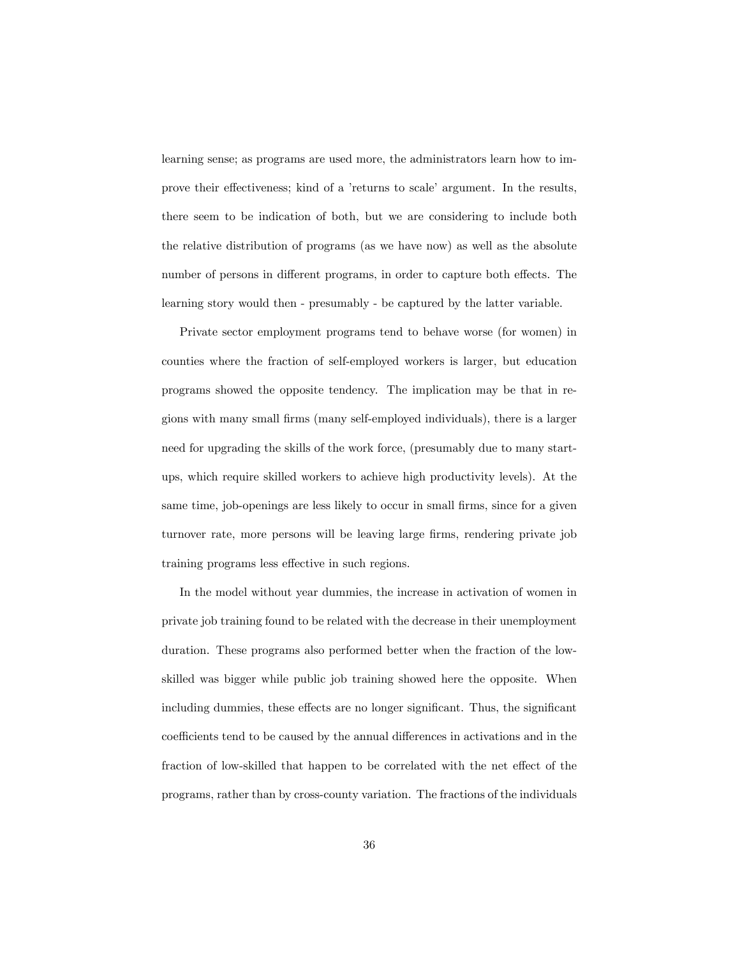learning sense; as programs are used more, the administrators learn how to improve their effectiveness; kind of a 'returns to scale' argument. In the results, there seem to be indication of both, but we are considering to include both the relative distribution of programs (as we have now) as well as the absolute number of persons in different programs, in order to capture both effects. The learning story would then - presumably - be captured by the latter variable.

Private sector employment programs tend to behave worse (for women) in counties where the fraction of self-employed workers is larger, but education programs showed the opposite tendency. The implication may be that in regions with many small Örms (many self-employed individuals), there is a larger need for upgrading the skills of the work force, (presumably due to many startups, which require skilled workers to achieve high productivity levels). At the same time, job-openings are less likely to occur in small firms, since for a given turnover rate, more persons will be leaving large firms, rendering private job training programs less effective in such regions.

In the model without year dummies, the increase in activation of women in private job training found to be related with the decrease in their unemployment duration. These programs also performed better when the fraction of the lowskilled was bigger while public job training showed here the opposite. When including dummies, these effects are no longer significant. Thus, the significant coefficients tend to be caused by the annual differences in activations and in the fraction of low-skilled that happen to be correlated with the net effect of the programs, rather than by cross-county variation. The fractions of the individuals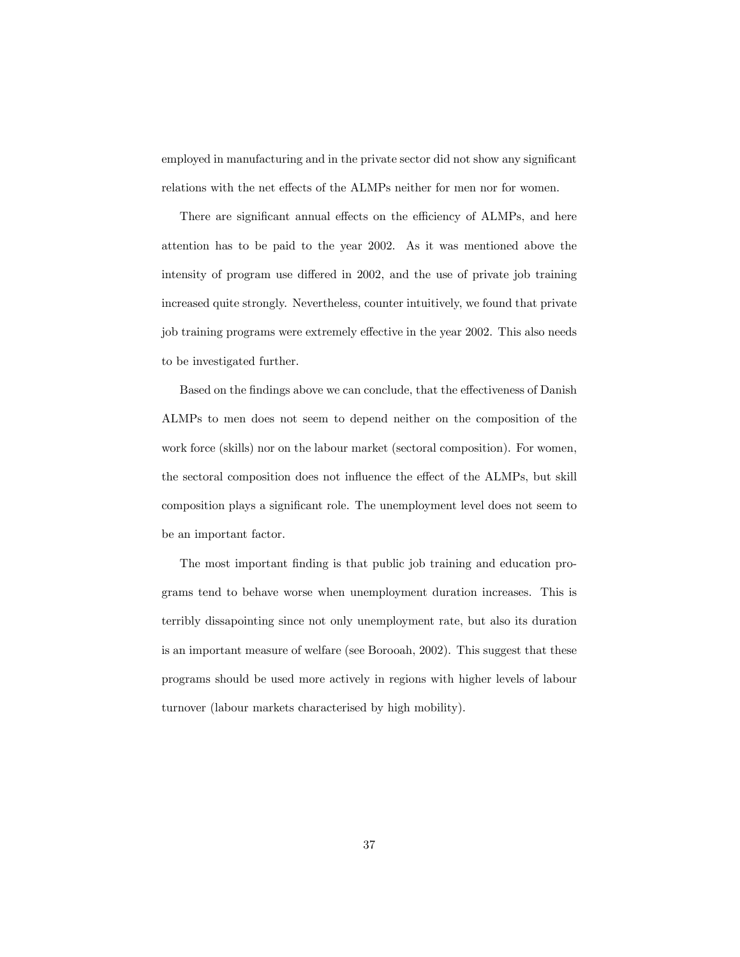employed in manufacturing and in the private sector did not show any significant relations with the net effects of the ALMPs neither for men nor for women.

There are significant annual effects on the efficiency of ALMPs, and here attention has to be paid to the year 2002. As it was mentioned above the intensity of program use differed in 2002, and the use of private job training increased quite strongly. Nevertheless, counter intuitively, we found that private job training programs were extremely effective in the year 2002. This also needs to be investigated further.

Based on the findings above we can conclude, that the effectiveness of Danish ALMPs to men does not seem to depend neither on the composition of the work force (skills) nor on the labour market (sectoral composition). For women, the sectoral composition does not influence the effect of the ALMPs, but skill composition plays a significant role. The unemployment level does not seem to be an important factor.

The most important finding is that public job training and education programs tend to behave worse when unemployment duration increases. This is terribly dissapointing since not only unemployment rate, but also its duration is an important measure of welfare (see Borooah, 2002). This suggest that these programs should be used more actively in regions with higher levels of labour turnover (labour markets characterised by high mobility).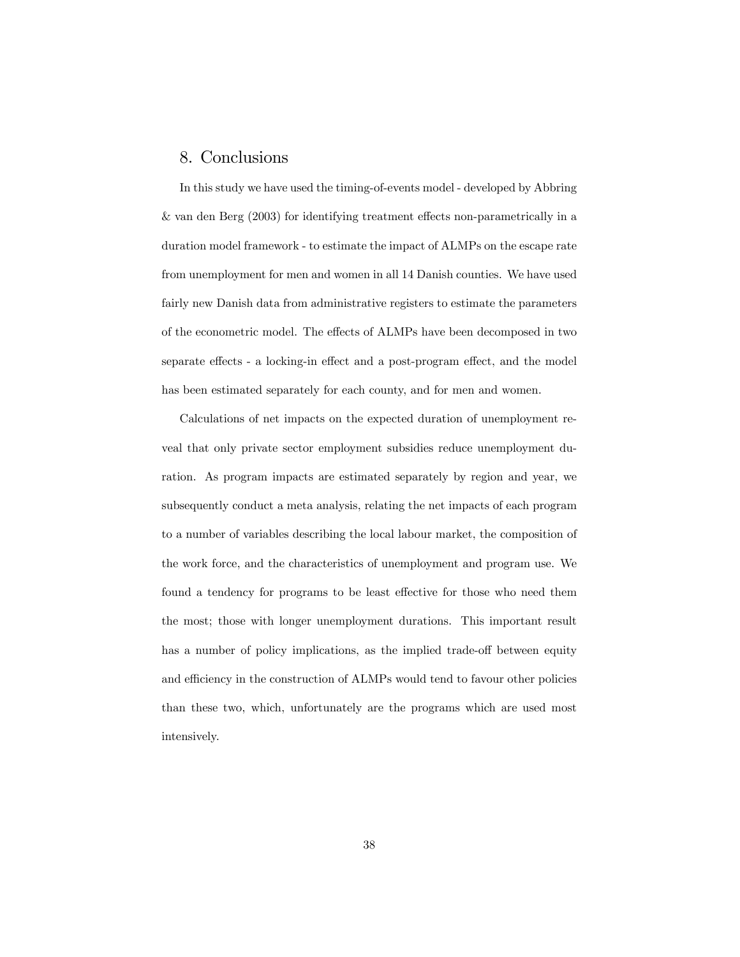## 8. Conclusions

In this study we have used the timing-of-events model - developed by Abbring & van den Berg  $(2003)$  for identifying treatment effects non-parametrically in a duration model framework - to estimate the impact of ALMPs on the escape rate from unemployment for men and women in all 14 Danish counties. We have used fairly new Danish data from administrative registers to estimate the parameters of the econometric model. The effects of ALMPs have been decomposed in two separate effects - a locking-in effect and a post-program effect, and the model has been estimated separately for each county, and for men and women.

Calculations of net impacts on the expected duration of unemployment reveal that only private sector employment subsidies reduce unemployment duration. As program impacts are estimated separately by region and year, we subsequently conduct a meta analysis, relating the net impacts of each program to a number of variables describing the local labour market, the composition of the work force, and the characteristics of unemployment and program use. We found a tendency for programs to be least effective for those who need them the most; those with longer unemployment durations. This important result has a number of policy implications, as the implied trade-off between equity and efficiency in the construction of ALMPs would tend to favour other policies than these two, which, unfortunately are the programs which are used most intensively.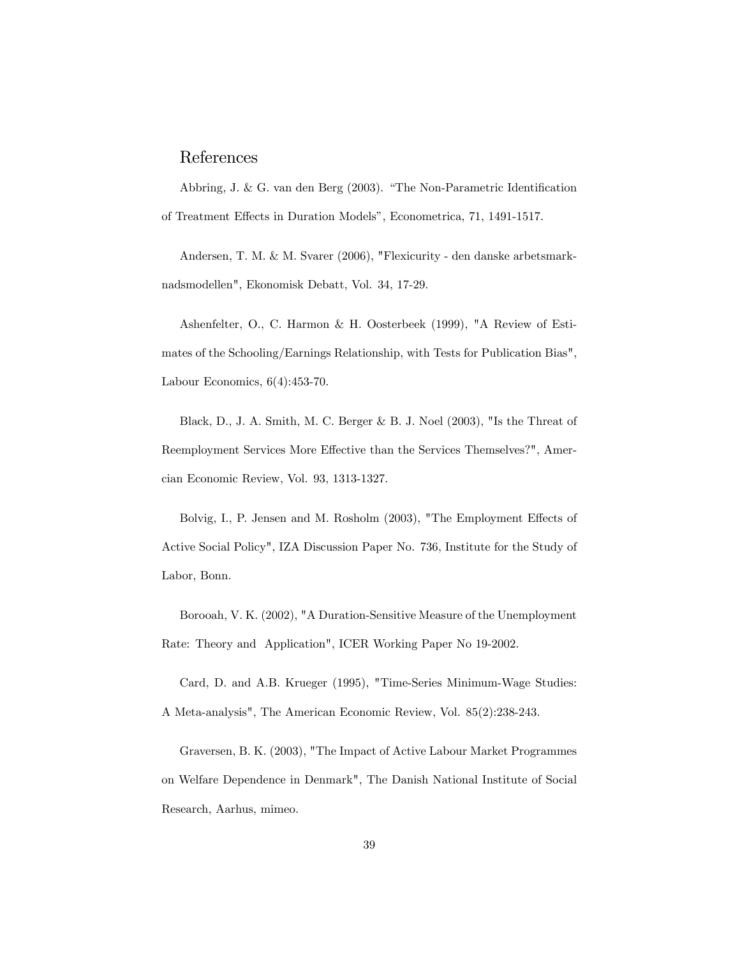## References

Abbring, J. & G. van den Berg  $(2003)$ . "The Non-Parametric Identification of Treatment Effects in Duration Models", Econometrica, 71, 1491-1517.

Andersen, T. M. & M. Svarer (2006), "Flexicurity - den danske arbetsmarknadsmodellen", Ekonomisk Debatt, Vol. 34, 17-29.

Ashenfelter, O., C. Harmon & H. Oosterbeek (1999), "A Review of Estimates of the Schooling/Earnings Relationship, with Tests for Publication Bias", Labour Economics, 6(4):453-70.

Black, D., J. A. Smith, M. C. Berger & B. J. Noel (2003), "Is the Threat of Reemployment Services More Effective than the Services Themselves?", Amercian Economic Review, Vol. 93, 1313-1327.

Bolvig, I., P. Jensen and M. Rosholm (2003), "The Employment Effects of Active Social Policy", IZA Discussion Paper No. 736, Institute for the Study of Labor, Bonn.

Borooah, V. K. (2002), "A Duration-Sensitive Measure of the Unemployment Rate: Theory and Application", ICER Working Paper No 19-2002.

Card, D. and A.B. Krueger (1995), "Time-Series Minimum-Wage Studies: A Meta-analysis", The American Economic Review, Vol. 85(2):238-243.

Graversen, B. K. (2003), "The Impact of Active Labour Market Programmes on Welfare Dependence in Denmark", The Danish National Institute of Social Research, Aarhus, mimeo.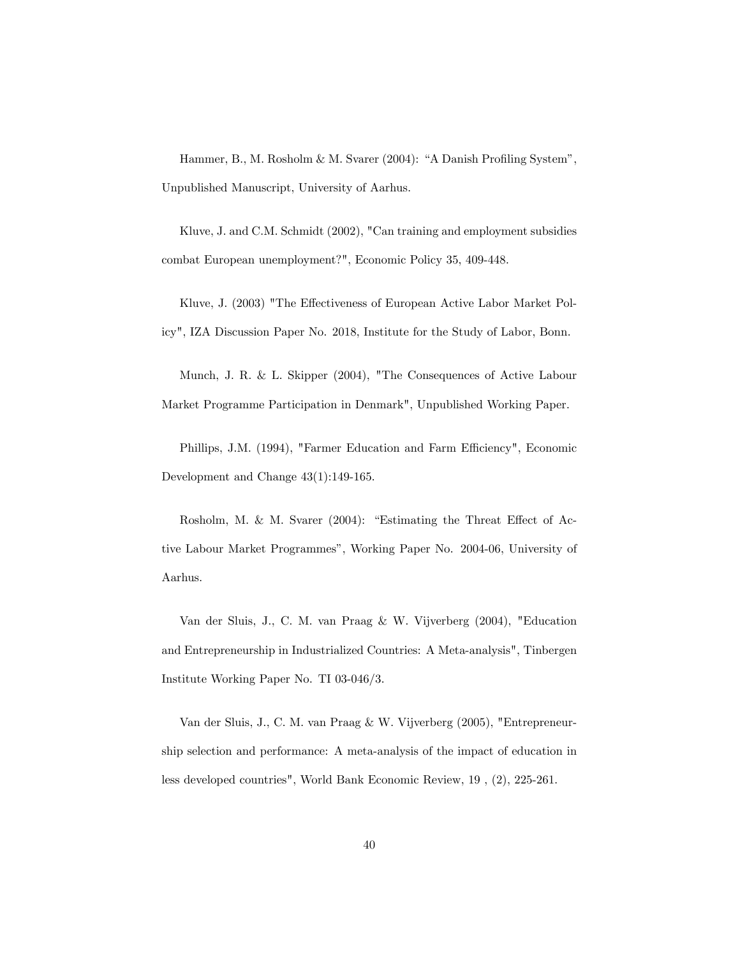Hammer, B., M. Rosholm & M. Svarer (2004): "A Danish Profiling System", Unpublished Manuscript, University of Aarhus.

Kluve, J. and C.M. Schmidt (2002), "Can training and employment subsidies combat European unemployment?", Economic Policy 35, 409-448.

Kluve, J. (2003) "The Effectiveness of European Active Labor Market Policy", IZA Discussion Paper No. 2018, Institute for the Study of Labor, Bonn.

Munch, J. R. & L. Skipper (2004), "The Consequences of Active Labour Market Programme Participation in Denmark", Unpublished Working Paper.

Phillips, J.M. (1994), "Farmer Education and Farm Efficiency", Economic Development and Change 43(1):149-165.

Rosholm, M. & M. Svarer  $(2004)$ : "Estimating the Threat Effect of Active Labour Market Programmes", Working Paper No. 2004-06, University of Aarhus.

Van der Sluis, J., C. M. van Praag & W. Vijverberg (2004), "Education and Entrepreneurship in Industrialized Countries: A Meta-analysis", Tinbergen Institute Working Paper No. TI 03-046/3.

Van der Sluis, J., C. M. van Praag & W. Vijverberg (2005), "Entrepreneurship selection and performance: A meta-analysis of the impact of education in less developed countries", World Bank Economic Review, 19 , (2), 225-261.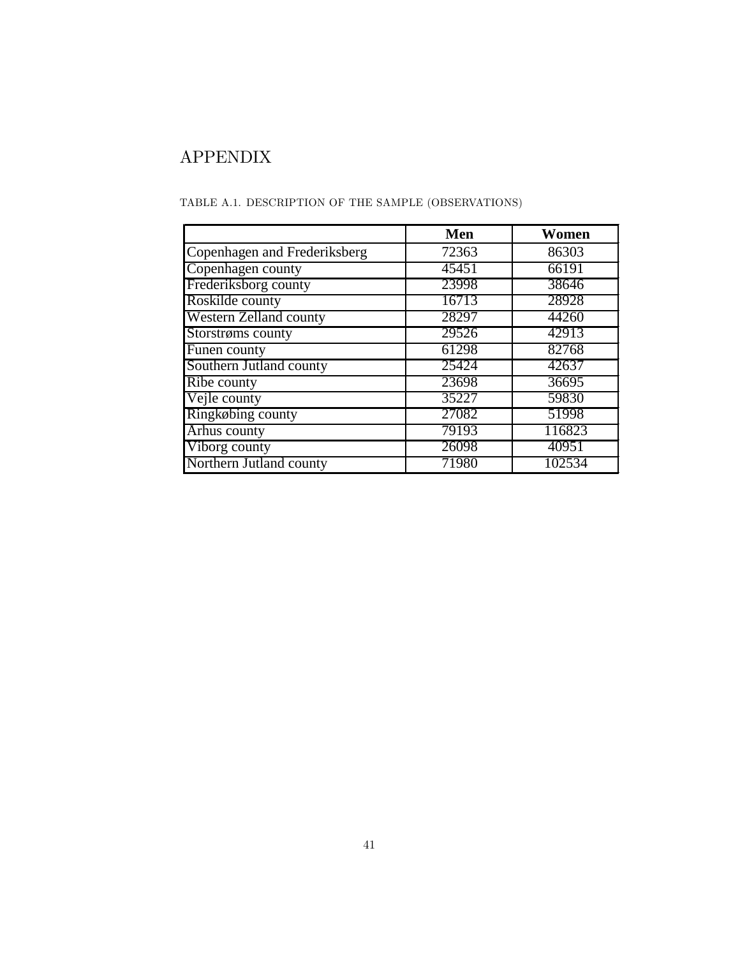# APPENDIX

|                               | Men   | Women  |
|-------------------------------|-------|--------|
| Copenhagen and Frederiksberg  | 72363 | 86303  |
| Copenhagen county             | 45451 | 66191  |
| Frederiksborg county          | 23998 | 38646  |
| Roskilde county               | 16713 | 28928  |
| <b>Western Zelland county</b> | 28297 | 44260  |
| Storstrøms county             | 29526 | 42913  |
| Funen county                  | 61298 | 82768  |
| Southern Jutland county       | 25424 | 42637  |
| Ribe county                   | 23698 | 36695  |
| Vejle county                  | 35227 | 59830  |
| Ringkøbing county             | 27082 | 51998  |
| Arhus county                  | 79193 | 116823 |
| Viborg county                 | 26098 | 40951  |
| Northern Jutland county       | 71980 | 102534 |

TABLE A.1. DESCRIPTION OF THE SAMPLE (OBSERVATIONS)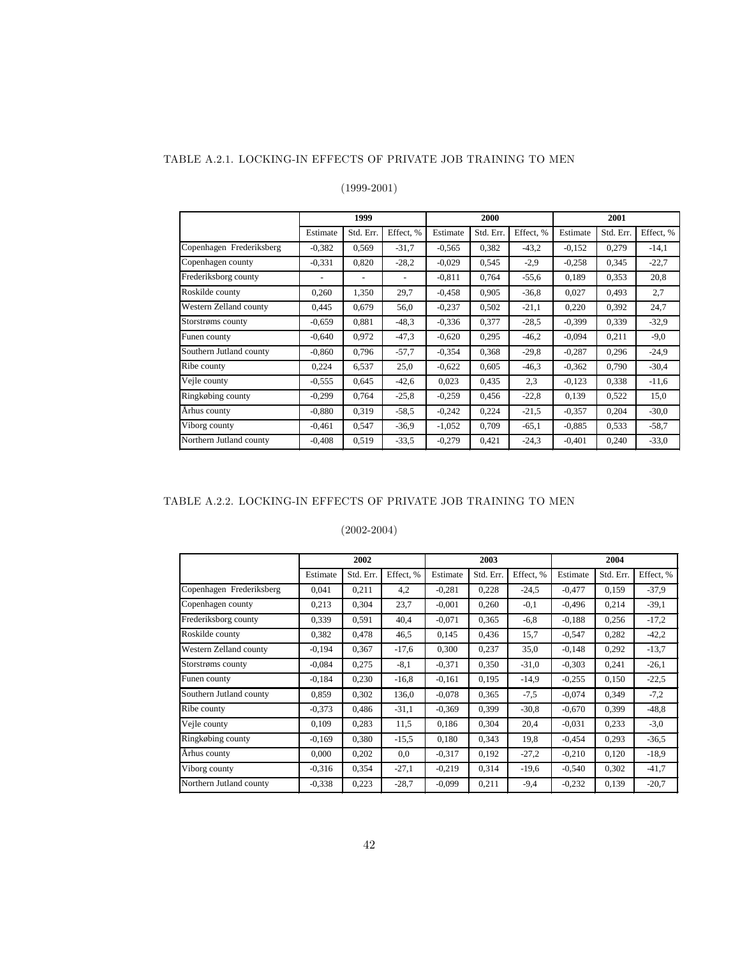#### TABLE A.2.1. LOCKING-IN EFFECTS OF PRIVATE JOB TRAINING TO MEN

### (1999-2001)

|                          |          | 1999      |           |          | 2000      |           | 2001     |           |           |
|--------------------------|----------|-----------|-----------|----------|-----------|-----------|----------|-----------|-----------|
|                          | Estimate | Std. Err. | Effect, % | Estimate | Std. Err. | Effect, % | Estimate | Std. Err. | Effect, % |
| Copenhagen Frederiksberg | $-0.382$ | 0,569     | $-31,7$   | $-0.565$ | 0,382     | $-43,2$   | $-0.152$ | 0,279     | $-14,1$   |
| Copenhagen county        | $-0,331$ | 0,820     | $-28,2$   | $-0.029$ | 0,545     | $-2,9$    | $-0.258$ | 0,345     | $-22,7$   |
| Frederiksborg county     |          |           | -         | $-0.811$ | 0,764     | $-55,6$   | 0,189    | 0,353     | 20,8      |
| Roskilde county          | 0,260    | 1,350     | 29,7      | $-0.458$ | 0,905     | $-36,8$   | 0,027    | 0,493     | 2,7       |
| Western Zelland county   | 0.445    | 0.679     | 56,0      | $-0.237$ | 0,502     | $-21,1$   | 0,220    | 0,392     | 24,7      |
| Storstrøms county        | $-0.659$ | 0.881     | $-48.3$   | $-0.336$ | 0,377     | $-28.5$   | $-0.399$ | 0,339     | $-32,9$   |
| Funen county             | $-0,640$ | 0.972     | $-47.3$   | $-0.620$ | 0,295     | $-46,2$   | $-0.094$ | 0,211     | $-9,0$    |
| Southern Jutland county  | $-0.860$ | 0,796     | $-57.7$   | $-0.354$ | 0,368     | $-29.8$   | $-0.287$ | 0,296     | $-24.9$   |
| Ribe county              | 0,224    | 6,537     | 25,0      | $-0.622$ | 0,605     | $-46.3$   | $-0.362$ | 0,790     | $-30.4$   |
| Vejle county             | $-0,555$ | 0,645     | $-42,6$   | 0.023    | 0,435     | 2,3       | $-0,123$ | 0,338     | $-11,6$   |
| Ringkøbing county        | $-0,299$ | 0,764     | $-25,8$   | $-0,259$ | 0,456     | $-22,8$   | 0,139    | 0,522     | 15,0      |
| Århus county             | $-0.880$ | 0,319     | $-58.5$   | $-0,242$ | 0,224     | $-21,5$   | $-0.357$ | 0,204     | $-30.0$   |
| Viborg county            | $-0,461$ | 0,547     | $-36.9$   | $-1,052$ | 0,709     | $-65,1$   | $-0.885$ | 0,533     | $-58,7$   |
| Northern Jutland county  | $-0,408$ | 0,519     | $-33.5$   | $-0,279$ | 0,421     | $-24.3$   | $-0.401$ | 0,240     | $-33,0$   |

#### TABLE A.2.2. LOCKING-IN EFFECTS OF PRIVATE JOB TRAINING TO MEN

|                          |          | 2002      |           |          | 2003      |           | 2004     |           |           |  |
|--------------------------|----------|-----------|-----------|----------|-----------|-----------|----------|-----------|-----------|--|
|                          | Estimate | Std. Err. | Effect, % | Estimate | Std. Err. | Effect, % | Estimate | Std. Err. | Effect, % |  |
| Copenhagen Frederiksberg | 0,041    | 0,211     | 4,2       | $-0,281$ | 0,228     | $-24.5$   | $-0,477$ | 0,159     | $-37,9$   |  |
| Copenhagen county        | 0.213    | 0,304     | 23,7      | $-0.001$ | 0,260     | $-0,1$    | $-0.496$ | 0,214     | $-39,1$   |  |
| Frederiksborg county     | 0,339    | 0,591     | 40,4      | $-0.071$ | 0,365     | $-6,8$    | $-0.188$ | 0,256     | $-17,2$   |  |
| Roskilde county          | 0,382    | 0,478     | 46,5      | 0,145    | 0,436     | 15,7      | $-0,547$ | 0,282     | $-42,2$   |  |
| Western Zelland county   | $-0.194$ | 0,367     | $-17,6$   | 0,300    | 0,237     | 35,0      | $-0,148$ | 0,292     | $-13,7$   |  |
| Storstrøms county        | $-0.084$ | 0,275     | $-8,1$    | $-0.371$ | 0,350     | $-31,0$   | $-0.303$ | 0,241     | $-26,1$   |  |
| Funen county             | $-0.184$ | 0,230     | $-16,8$   | $-0,161$ | 0,195     | $-14.9$   | $-0.255$ | 0,150     | $-22,5$   |  |
| Southern Jutland county  | 0,859    | 0,302     | 136,0     | $-0.078$ | 0,365     | $-7,5$    | $-0.074$ | 0,349     | $-7,2$    |  |
| Ribe county              | $-0.373$ | 0,486     | $-31,1$   | $-0,369$ | 0,399     | $-30,8$   | $-0.670$ | 0,399     | $-48,8$   |  |
| Vejle county             | 0,109    | 0,283     | 11,5      | 0,186    | 0,304     | 20,4      | $-0.031$ | 0,233     | $-3,0$    |  |
| Ringkøbing county        | $-0.169$ | 0,380     | $-15,5$   | 0,180    | 0,343     | 19,8      | $-0.454$ | 0,293     | $-36,5$   |  |
| Århus county             | 0.000    | 0,202     | 0,0       | $-0.317$ | 0,192     | $-27,2$   | $-0,210$ | 0,120     | $-18,9$   |  |
| Viborg county            | $-0.316$ | 0,354     | $-27,1$   | $-0,219$ | 0,314     | $-19,6$   | $-0,540$ | 0,302     | $-41,7$   |  |
| Northern Jutland county  | $-0.338$ | 0,223     | $-28.7$   | $-0,099$ | 0,211     | $-9,4$    | $-0.232$ | 0,139     | $-20,7$   |  |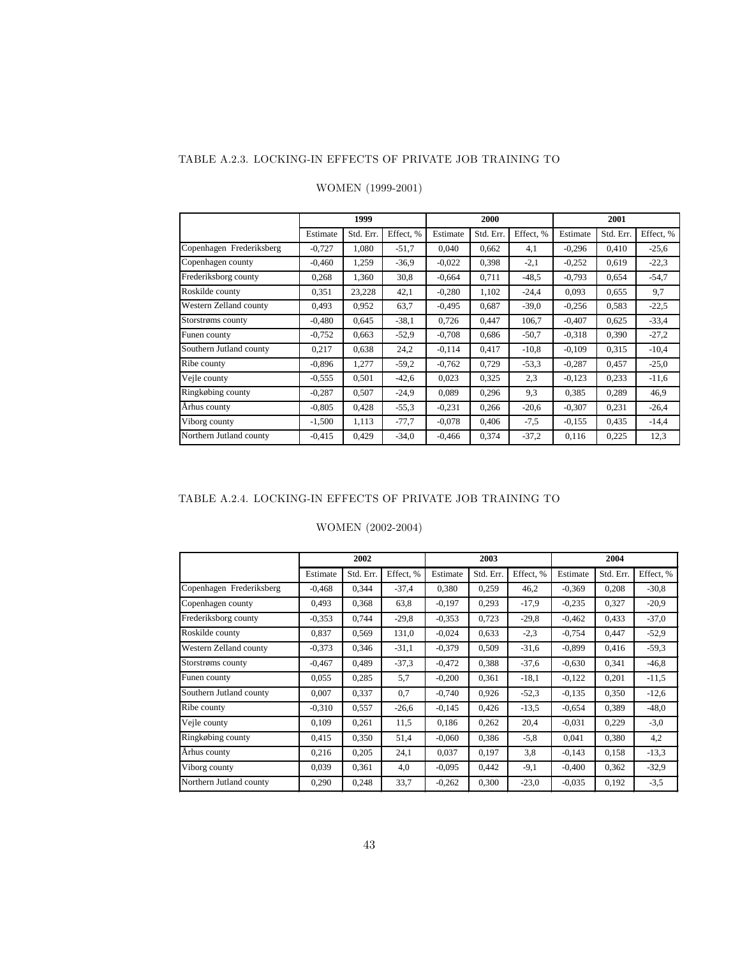#### TABLE A.2.3. LOCKING-IN EFFECTS OF PRIVATE JOB TRAINING TO

|                          |          | 1999      |           |          | 2000      |           | 2001     |           |           |  |
|--------------------------|----------|-----------|-----------|----------|-----------|-----------|----------|-----------|-----------|--|
|                          | Estimate | Std. Err. | Effect, % | Estimate | Std. Err. | Effect, % | Estimate | Std. Err. | Effect, % |  |
| Copenhagen Frederiksberg | $-0.727$ | 1.080     | $-51,7$   | 0.040    | 0.662     | 4,1       | $-0,296$ | 0.410     | $-25,6$   |  |
| Copenhagen county        | $-0.460$ | 1,259     | $-36.9$   | $-0.022$ | 0,398     | $-2,1$    | $-0.252$ | 0,619     | $-22,3$   |  |
| Frederiksborg county     | 0,268    | 1,360     | 30,8      | $-0.664$ | 0,711     | $-48.5$   | $-0,793$ | 0,654     | $-54,7$   |  |
| Roskilde county          | 0,351    | 23,228    | 42,1      | $-0.280$ | 1,102     | $-24,4$   | 0.093    | 0,655     | 9,7       |  |
| Western Zelland county   | 0.493    | 0,952     | 63,7      | $-0.495$ | 0.687     | $-39,0$   | $-0.256$ | 0,583     | $-22,5$   |  |
| Storstrøms county        | $-0.480$ | 0,645     | $-38.1$   | 0,726    | 0,447     | 106,7     | $-0.407$ | 0,625     | $-33,4$   |  |
| Funen county             | $-0,752$ | 0,663     | $-52.9$   | $-0,708$ | 0,686     | $-50,7$   | $-0.318$ | 0,390     | $-27,2$   |  |
| Southern Jutland county  | 0,217    | 0.638     | 24,2      | $-0.114$ | 0,417     | $-10,8$   | $-0,109$ | 0,315     | $-10.4$   |  |
| Ribe county              | $-0.896$ | 1,277     | $-59.2$   | $-0,762$ | 0,729     | $-53.3$   | $-0.287$ | 0,457     | $-25,0$   |  |
| Vejle county             | $-0.555$ | 0,501     | $-42,6$   | 0,023    | 0,325     | 2,3       | $-0,123$ | 0,233     | $-11,6$   |  |
| Ringkøbing county        | $-0,287$ | 0,507     | $-24.9$   | 0.089    | 0,296     | 9,3       | 0,385    | 0,289     | 46,9      |  |
| Århus county             | $-0.805$ | 0,428     | $-55.3$   | $-0,231$ | 0,266     | $-20,6$   | $-0.307$ | 0,231     | $-26.4$   |  |
| Viborg county            | $-1,500$ | 1,113     | $-77.7$   | $-0.078$ | 0,406     | $-7.5$    | $-0.155$ | 0,435     | $-14.4$   |  |
| Northern Jutland county  | $-0.415$ | 0,429     | $-34.0$   | $-0.466$ | 0,374     | $-37,2$   | 0,116    | 0,225     | 12,3      |  |

## WOMEN (1999-2001)

### TABLE A.2.4. LOCKING-IN EFFECTS OF PRIVATE JOB TRAINING TO

### WOMEN (2002-2004)

|                          |          | 2002      |           |          | 2003      |           | 2004     |           |           |  |
|--------------------------|----------|-----------|-----------|----------|-----------|-----------|----------|-----------|-----------|--|
|                          | Estimate | Std. Err. | Effect, % | Estimate | Std. Err. | Effect. % | Estimate | Std. Err. | Effect, % |  |
| Copenhagen Frederiksberg | $-0.468$ | 0,344     | $-37,4$   | 0,380    | 0,259     | 46,2      | $-0.369$ | 0,208     | $-30,8$   |  |
| Copenhagen county        | 0.493    | 0,368     | 63,8      | $-0,197$ | 0,293     | $-17.9$   | $-0.235$ | 0,327     | $-20.9$   |  |
| Frederiksborg county     | $-0.353$ | 0,744     | $-29.8$   | $-0.353$ | 0,723     | $-29.8$   | $-0,462$ | 0,433     | $-37,0$   |  |
| Roskilde county          | 0,837    | 0,569     | 131,0     | $-0,024$ | 0,633     | $-2,3$    | $-0.754$ | 0,447     | $-52,9$   |  |
| Western Zelland county   | $-0.373$ | 0,346     | $-31,1$   | $-0,379$ | 0,509     | $-31,6$   | $-0.899$ | 0,416     | $-59,3$   |  |
| Storstrøms county        | $-0,467$ | 0,489     | $-37,3$   | $-0,472$ | 0,388     | $-37,6$   | $-0.630$ | 0,341     | $-46.8$   |  |
| Funen county             | 0.055    | 0,285     | 5,7       | $-0,200$ | 0,361     | $-18,1$   | $-0,122$ | 0,201     | $-11,5$   |  |
| Southern Jutland county  | 0,007    | 0,337     | 0,7       | $-0,740$ | 0,926     | $-52.3$   | $-0,135$ | 0,350     | $-12,6$   |  |
| Ribe county              | $-0.310$ | 0,557     | $-26,6$   | $-0,145$ | 0,426     | $-13.5$   | $-0.654$ | 0,389     | $-48.0$   |  |
| Vejle county             | 0,109    | 0,261     | 11,5      | 0,186    | 0,262     | 20,4      | $-0.031$ | 0,229     | $-3,0$    |  |
| Ringkøbing county        | 0.415    | 0,350     | 51,4      | $-0.060$ | 0,386     | $-5,8$    | 0,041    | 0,380     | 4,2       |  |
| Århus county             | 0,216    | 0,205     | 24,1      | 0,037    | 0,197     | 3,8       | $-0,143$ | 0,158     | $-13,3$   |  |
| Viborg county            | 0,039    | 0,361     | 4,0       | $-0.095$ | 0,442     | $-9,1$    | $-0,400$ | 0,362     | $-32,9$   |  |
| Northern Jutland county  | 0,290    | 0,248     | 33,7      | $-0,262$ | 0,300     | $-23,0$   | $-0.035$ | 0,192     | $-3,5$    |  |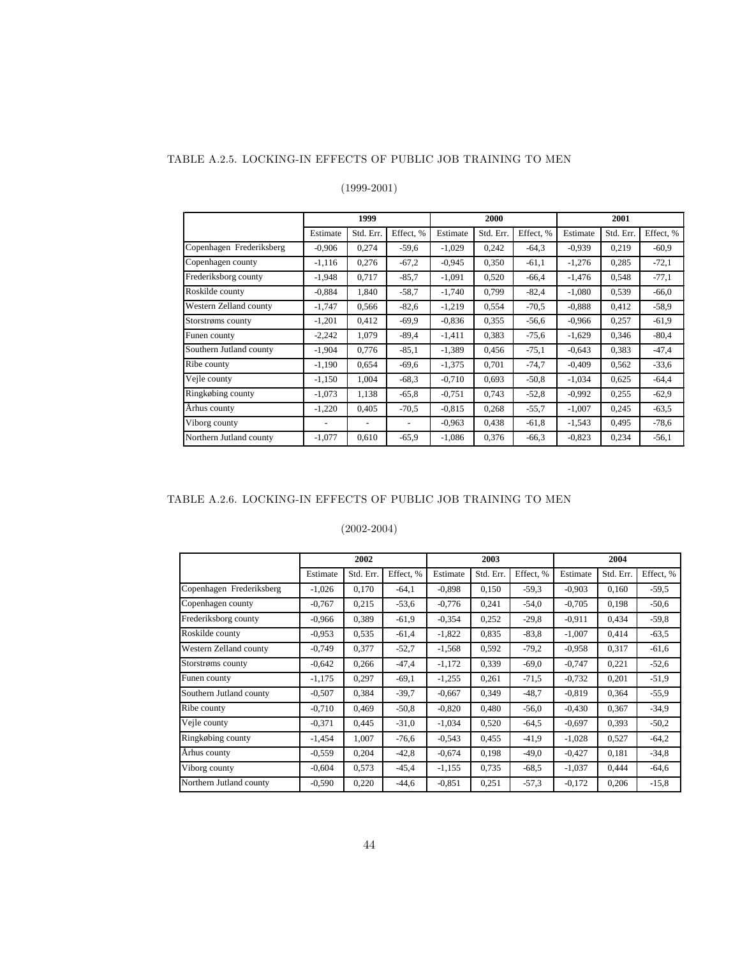#### TABLE A.2.5. LOCKING-IN EFFECTS OF PUBLIC JOB TRAINING TO MEN

### (1999-2001)

|                          |          | 1999      |           |          | 2000      |           | 2001     |           |           |
|--------------------------|----------|-----------|-----------|----------|-----------|-----------|----------|-----------|-----------|
|                          | Estimate | Std. Err. | Effect, % | Estimate | Std. Err. | Effect. % | Estimate | Std. Err. | Effect, % |
| Copenhagen Frederiksberg | $-0.906$ | 0,274     | $-59,6$   | $-1,029$ | 0,242     | $-64.3$   | $-0.939$ | 0,219     | $-60.9$   |
| Copenhagen county        | $-1.116$ | 0,276     | $-67,2$   | $-0.945$ | 0,350     | $-61,1$   | $-1,276$ | 0,285     | $-72,1$   |
| Frederiksborg county     | $-1,948$ | 0,717     | $-85,7$   | $-1,091$ | 0,520     | $-66,4$   | $-1,476$ | 0,548     | $-77,1$   |
| Roskilde county          | $-0.884$ | 1,840     | $-58.7$   | $-1,740$ | 0,799     | $-82,4$   | $-1,080$ | 0,539     | $-66.0$   |
| Western Zelland county   | $-1,747$ | 0,566     | $-82,6$   | $-1,219$ | 0,554     | $-70.5$   | $-0.888$ | 0,412     | $-58.9$   |
| Storstrøms county        | $-1,201$ | 0,412     | $-69,9$   | $-0.836$ | 0,355     | $-56,6$   | $-0.966$ | 0,257     | $-61,9$   |
| Funen county             | $-2,242$ | 1,079     | $-89.4$   | $-1,411$ | 0,383     | $-75,6$   | $-1,629$ | 0,346     | $-80,4$   |
| Southern Jutland county  | $-1,904$ | 0,776     | $-85,1$   | $-1,389$ | 0,456     | $-75.1$   | $-0,643$ | 0,383     | $-47,4$   |
| Ribe county              | $-1,190$ | 0,654     | $-69,6$   | $-1,375$ | 0,701     | $-74.7$   | $-0,409$ | 0,562     | $-33,6$   |
| Vejle county             | $-1,150$ | 1,004     | $-68,3$   | $-0,710$ | 0,693     | $-50.8$   | $-1,034$ | 0,625     | $-64.4$   |
| Ringkøbing county        | $-1,073$ | 1,138     | $-65,8$   | $-0.751$ | 0,743     | $-52,8$   | $-0.992$ | 0,255     | $-62.9$   |
| Århus county             | $-1,220$ | 0,405     | $-70,5$   | $-0.815$ | 0,268     | $-55.7$   | $-1,007$ | 0,245     | $-63,5$   |
| Viborg county            |          |           |           | $-0.963$ | 0,438     | $-61,8$   | $-1,543$ | 0,495     | $-78,6$   |
| Northern Jutland county  | $-1.077$ | 0,610     | $-65,9$   | $-1.086$ | 0,376     | $-66.3$   | $-0.823$ | 0,234     | $-56.1$   |

## TABLE A.2.6. LOCKING-IN EFFECTS OF PUBLIC JOB TRAINING TO MEN

|                          |          | 2002      |           |          | 2003      |           | 2004     |           |           |  |
|--------------------------|----------|-----------|-----------|----------|-----------|-----------|----------|-----------|-----------|--|
|                          | Estimate | Std. Err. | Effect, % | Estimate | Std. Err. | Effect, % | Estimate | Std. Err. | Effect, % |  |
| Copenhagen Frederiksberg | $-1,026$ | 0,170     | $-64,1$   | $-0,898$ | 0,150     | $-59.3$   | $-0,903$ | 0,160     | $-59.5$   |  |
| Copenhagen county        | $-0,767$ | 0,215     | $-53,6$   | $-0,776$ | 0,241     | $-54.0$   | $-0,705$ | 0,198     | $-50,6$   |  |
| Frederiksborg county     | $-0.966$ | 0,389     | $-61.9$   | $-0.354$ | 0.252     | $-29.8$   | $-0.911$ | 0,434     | $-59,8$   |  |
| Roskilde county          | $-0.953$ | 0,535     | $-61,4$   | $-1,822$ | 0,835     | $-83.8$   | $-1,007$ | 0,414     | $-63,5$   |  |
| Western Zelland county   | $-0,749$ | 0,377     | $-52.7$   | $-1,568$ | 0.592     | $-79.2$   | $-0.958$ | 0,317     | $-61,6$   |  |
| Storstrøms county        | $-0,642$ | 0,266     | $-47,4$   | $-1,172$ | 0,339     | $-69.0$   | $-0,747$ | 0,221     | $-52,6$   |  |
| Funen county             | $-1,175$ | 0,297     | $-69,1$   | $-1,255$ | 0,261     | $-71,5$   | $-0,732$ | 0,201     | $-51,9$   |  |
| Southern Jutland county  | $-0,507$ | 0,384     | $-39.7$   | $-0,667$ | 0,349     | $-48.7$   | $-0.819$ | 0,364     | $-55,9$   |  |
| Ribe county              | $-0,710$ | 0,469     | $-50,8$   | $-0,820$ | 0,480     | $-56.0$   | $-0.430$ | 0,367     | $-34,9$   |  |
| Vejle county             | $-0.371$ | 0,445     | $-31,0$   | $-1,034$ | 0,520     | $-64.5$   | $-0.697$ | 0,393     | $-50,2$   |  |
| Ringkøbing county        | $-1,454$ | 1,007     | $-76,6$   | $-0,543$ | 0,455     | $-41,9$   | $-1,028$ | 0,527     | $-64,2$   |  |
| Århus county             | $-0.559$ | 0,204     | $-42,8$   | $-0,674$ | 0,198     | $-49,0$   | $-0.427$ | 0,181     | $-34,8$   |  |
| Viborg county            | $-0.604$ | 0,573     | $-45,4$   | $-1,155$ | 0,735     | $-68.5$   | $-1,037$ | 0.444     | $-64,6$   |  |
| Northern Jutland county  | $-0.590$ | 0,220     | $-44,6$   | $-0.851$ | 0,251     | $-57.3$   | $-0,172$ | 0,206     | $-15,8$   |  |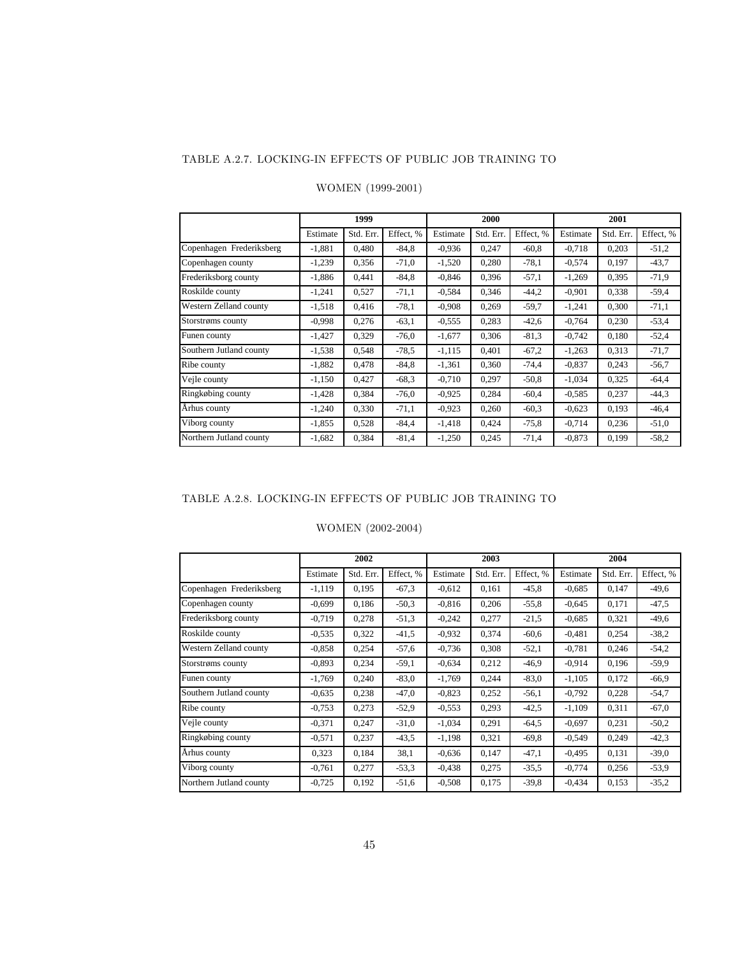#### TABLE A.2.7. LOCKING-IN EFFECTS OF PUBLIC JOB TRAINING TO

|                          |          | 1999      |           |          | 2000      |           | 2001     |           |           |  |
|--------------------------|----------|-----------|-----------|----------|-----------|-----------|----------|-----------|-----------|--|
|                          | Estimate | Std. Err. | Effect, % | Estimate | Std. Err. | Effect. % | Estimate | Std. Err. | Effect, % |  |
| Copenhagen Frederiksberg | $-1,881$ | 0,480     | $-84.8$   | $-0.936$ | 0,247     | $-60.8$   | $-0,718$ | 0,203     | $-51,2$   |  |
| Copenhagen county        | $-1,239$ | 0,356     | $-71,0$   | $-1,520$ | 0,280     | $-78.1$   | $-0,574$ | 0,197     | $-43,7$   |  |
| Frederiksborg county     | $-1,886$ | 0,441     | $-84.8$   | $-0,846$ | 0,396     | $-57.1$   | $-1,269$ | 0,395     | $-71,9$   |  |
| Roskilde county          | $-1.241$ | 0,527     | $-71,1$   | $-0.584$ | 0,346     | $-44.2$   | $-0,901$ | 0,338     | $-59.4$   |  |
| Western Zelland county   | $-1.518$ | 0.416     | $-78.1$   | $-0,908$ | 0,269     | $-59.7$   | $-1,241$ | 0,300     | $-71,1$   |  |
| Storstrøms county        | $-0.998$ | 0,276     | $-63.1$   | $-0.555$ | 0,283     | $-42,6$   | $-0,764$ | 0,230     | $-53,4$   |  |
| Funen county             | $-1,427$ | 0,329     | $-76,0$   | $-1,677$ | 0,306     | $-81.3$   | $-0,742$ | 0,180     | $-52,4$   |  |
| Southern Jutland county  | $-1,538$ | 0,548     | $-78.5$   | $-1,115$ | 0,401     | $-67.2$   | $-1,263$ | 0,313     | $-71,7$   |  |
| Ribe county              | $-1,882$ | 0,478     | $-84.8$   | $-1,361$ | 0,360     | $-74,4$   | $-0.837$ | 0,243     | $-56,7$   |  |
| Vejle county             | $-1,150$ | 0,427     | $-68.3$   | $-0,710$ | 0,297     | $-50.8$   | $-1,034$ | 0,325     | $-64.4$   |  |
| Ringkøbing county        | $-1,428$ | 0,384     | $-76,0$   | $-0.925$ | 0,284     | $-60,4$   | $-0.585$ | 0,237     | $-44.3$   |  |
| Århus county             | $-1.240$ | 0,330     | $-71,1$   | $-0,923$ | 0,260     | $-60.3$   | $-0,623$ | 0,193     | $-46,4$   |  |
| Viborg county            | $-1,855$ | 0,528     | $-84.4$   | $-1,418$ | 0,424     | $-75.8$   | $-0,714$ | 0,236     | $-51,0$   |  |
| Northern Jutland county  | $-1,682$ | 0,384     | $-81,4$   | $-1,250$ | 0.245     | $-71,4$   | $-0.873$ | 0,199     | $-58,2$   |  |

#### WOMEN (1999-2001)

### TABLE A.2.8. LOCKING-IN EFFECTS OF PUBLIC JOB TRAINING TO

### WOMEN (2002-2004)

|                          |          | 2002      |           |          | 2003      |           | 2004     |           |           |
|--------------------------|----------|-----------|-----------|----------|-----------|-----------|----------|-----------|-----------|
|                          | Estimate | Std. Err. | Effect, % | Estimate | Std. Err. | Effect. % | Estimate | Std. Err. | Effect, % |
| Copenhagen Frederiksberg | $-1,119$ | 0.195     | $-67,3$   | $-0,612$ | 0,161     | $-45.8$   | $-0.685$ | 0.147     | $-49,6$   |
| Copenhagen county        | $-0.699$ | 0,186     | $-50.3$   | $-0.816$ | 0,206     | $-55.8$   | $-0,645$ | 0,171     | $-47,5$   |
| Frederiksborg county     | $-0,719$ | 0,278     | $-51,3$   | $-0,242$ | 0,277     | $-21.5$   | $-0.685$ | 0,321     | $-49,6$   |
| Roskilde county          | $-0.535$ | 0,322     | $-41,5$   | $-0.932$ | 0,374     | $-60,6$   | $-0,481$ | 0,254     | $-38,2$   |
| Western Zelland county   | $-0.858$ | 0,254     | $-57,6$   | $-0,736$ | 0.308     | $-52,1$   | $-0,781$ | 0,246     | $-54,2$   |
| Storstrøms county        | $-0.893$ | 0,234     | $-59.1$   | $-0.634$ | 0.212     | $-46.9$   | $-0.914$ | 0,196     | $-59,9$   |
| Funen county             | $-1,769$ | 0,240     | $-83.0$   | $-1,769$ | 0,244     | $-83.0$   | $-1,105$ | 0,172     | $-66,9$   |
| Southern Jutland county  | $-0.635$ | 0,238     | $-47,0$   | $-0,823$ | 0.252     | $-56.1$   | $-0,792$ | 0,228     | $-54,7$   |
| Ribe county              | $-0,753$ | 0,273     | $-52.9$   | $-0,553$ | 0.293     | $-42.5$   | $-1,109$ | 0,311     | $-67,0$   |
| Vejle county             | $-0.371$ | 0,247     | $-31,0$   | $-1,034$ | 0,291     | $-64.5$   | $-0.697$ | 0,231     | $-50,2$   |
| Ringkøbing county        | $-0.571$ | 0,237     | $-43.5$   | $-1,198$ | 0,321     | $-69.8$   | $-0,549$ | 0,249     | $-42,3$   |
| Århus county             | 0,323    | 0,184     | 38,1      | $-0.636$ | 0,147     | $-47,1$   | $-0.495$ | 0,131     | $-39,0$   |
| Viborg county            | $-0,761$ | 0,277     | $-53.3$   | $-0.438$ | 0,275     | $-35.5$   | $-0,774$ | 0,256     | $-53,9$   |
| Northern Jutland county  | $-0,725$ | 0,192     | $-51,6$   | $-0,508$ | 0,175     | $-39.8$   | $-0,434$ | 0,153     | $-35,2$   |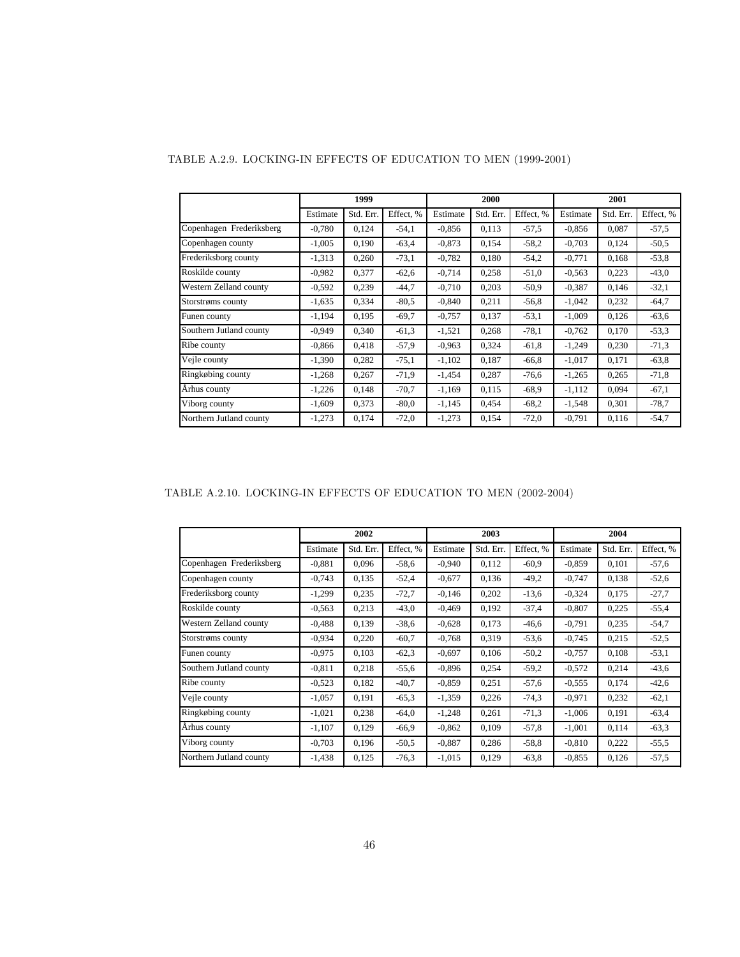|                          |          | 1999      |           |          | 2000      |           | 2001     |           |           |
|--------------------------|----------|-----------|-----------|----------|-----------|-----------|----------|-----------|-----------|
|                          | Estimate | Std. Err. | Effect, % | Estimate | Std. Err. | Effect. % | Estimate | Std. Err. | Effect, % |
| Copenhagen Frederiksberg | $-0,780$ | 0,124     | $-54,1$   | $-0.856$ | 0,113     | $-57.5$   | $-0,856$ | 0,087     | $-57,5$   |
| Copenhagen county        | $-1,005$ | 0,190     | $-63.4$   | $-0.873$ | 0,154     | $-58.2$   | $-0,703$ | 0,124     | $-50,5$   |
| Frederiksborg county     | $-1,313$ | 0,260     | $-73,1$   | $-0,782$ | 0,180     | $-54.2$   | $-0,771$ | 0,168     | $-53,8$   |
| Roskilde county          | $-0.982$ | 0,377     | $-62,6$   | $-0,714$ | 0,258     | $-51.0$   | $-0,563$ | 0,223     | $-43,0$   |
| Western Zelland county   | $-0.592$ | 0,239     | $-44,7$   | $-0,710$ | 0,203     | $-50.9$   | $-0.387$ | 0,146     | $-32,1$   |
| Storstrøms county        | $-1,635$ | 0,334     | $-80.5$   | $-0,840$ | 0,211     | $-56.8$   | $-1,042$ | 0,232     | $-64,7$   |
| Funen county             | $-1,194$ | 0,195     | $-69.7$   | $-0,757$ | 0,137     | $-53.1$   | $-1,009$ | 0,126     | $-63,6$   |
| Southern Jutland county  | $-0.949$ | 0.340     | $-61,3$   | $-1,521$ | 0,268     | $-78.1$   | $-0.762$ | 0.170     | $-53,3$   |
| Ribe county              | $-0.866$ | 0,418     | $-57.9$   | $-0,963$ | 0,324     | $-61,8$   | $-1,249$ | 0,230     | $-71,3$   |
| Vejle county             | $-1,390$ | 0,282     | $-75,1$   | $-1,102$ | 0,187     | $-66.8$   | $-1,017$ | 0,171     | $-63,8$   |
| Ringkøbing county        | $-1,268$ | 0,267     | $-71.9$   | $-1,454$ | 0,287     | $-76,6$   | $-1,265$ | 0,265     | $-71,8$   |
| Århus county             | $-1,226$ | 0,148     | $-70,7$   | $-1,169$ | 0,115     | $-68.9$   | $-1,112$ | 0,094     | $-67,1$   |
| Viborg county            | $-1,609$ | 0,373     | $-80,0$   | $-1,145$ | 0,454     | $-68.2$   | $-1,548$ | 0,301     | $-78,7$   |
| Northern Jutland county  | $-1,273$ | 0,174     | $-72,0$   | $-1,273$ | 0,154     | $-72,0$   | $-0,791$ | 0,116     | $-54,7$   |

## TABLE A.2.9. LOCKING-IN EFFECTS OF EDUCATION TO MEN (1999-2001)

TABLE A.2.10. LOCKING-IN EFFECTS OF EDUCATION TO MEN (2002-2004)

|                          |          | 2002      |           |          | 2003      |           | 2004     |           |           |  |
|--------------------------|----------|-----------|-----------|----------|-----------|-----------|----------|-----------|-----------|--|
|                          | Estimate | Std. Err. | Effect, % | Estimate | Std. Err. | Effect. % | Estimate | Std. Err. | Effect, % |  |
| Copenhagen Frederiksberg | $-0.881$ | 0,096     | $-58.6$   | $-0,940$ | 0,112     | $-60.9$   | $-0.859$ | 0,101     | $-57,6$   |  |
| Copenhagen county        | $-0,743$ | 0,135     | $-52,4$   | $-0.677$ | 0,136     | $-49.2$   | $-0,747$ | 0,138     | $-52,6$   |  |
| Frederiksborg county     | $-1,299$ | 0,235     | $-72,7$   | $-0,146$ | 0,202     | $-13,6$   | $-0,324$ | 0,175     | $-27.7$   |  |
| Roskilde county          | $-0.563$ | 0,213     | $-43,0$   | $-0,469$ | 0,192     | $-37,4$   | $-0,807$ | 0,225     | $-55,4$   |  |
| Western Zelland county   | $-0.488$ | 0,139     | $-38,6$   | $-0,628$ | 0,173     | $-46,6$   | $-0,791$ | 0,235     | $-54,7$   |  |
| Storstrøms county        | $-0.934$ | 0,220     | $-60.7$   | $-0,768$ | 0,319     | $-53,6$   | $-0,745$ | 0,215     | $-52,5$   |  |
| Funen county             | $-0.975$ | 0,103     | $-62.3$   | $-0,697$ | 0,106     | $-50.2$   | $-0.757$ | 0,108     | $-53,1$   |  |
| Southern Jutland county  | $-0.811$ | 0,218     | $-55.6$   | $-0.896$ | 0,254     | $-59.2$   | $-0.572$ | 0,214     | $-43,6$   |  |
| Ribe county              | $-0.523$ | 0,182     | $-40.7$   | $-0.859$ | 0.251     | $-57,6$   | $-0.555$ | 0,174     | $-42,6$   |  |
| Vejle county             | $-1,057$ | 0,191     | $-65.3$   | $-1,359$ | 0,226     | $-74.3$   | $-0.971$ | 0,232     | $-62,1$   |  |
| Ringkøbing county        | $-1,021$ | 0,238     | $-64,0$   | $-1,248$ | 0.261     | $-71.3$   | $-1,006$ | 0,191     | $-63,4$   |  |
| Århus county             | $-1,107$ | 0,129     | $-66,9$   | $-0,862$ | 0,109     | $-57,8$   | $-1,001$ | 0,114     | $-63,3$   |  |
| Viborg county            | $-0.703$ | 0.196     | $-50,5$   | $-0.887$ | 0,286     | $-58.8$   | $-0.810$ | 0,222     | $-55,5$   |  |
| Northern Jutland county  | $-1,438$ | 0,125     | $-76.3$   | $-1,015$ | 0,129     | $-63.8$   | $-0.855$ | 0,126     | $-57,5$   |  |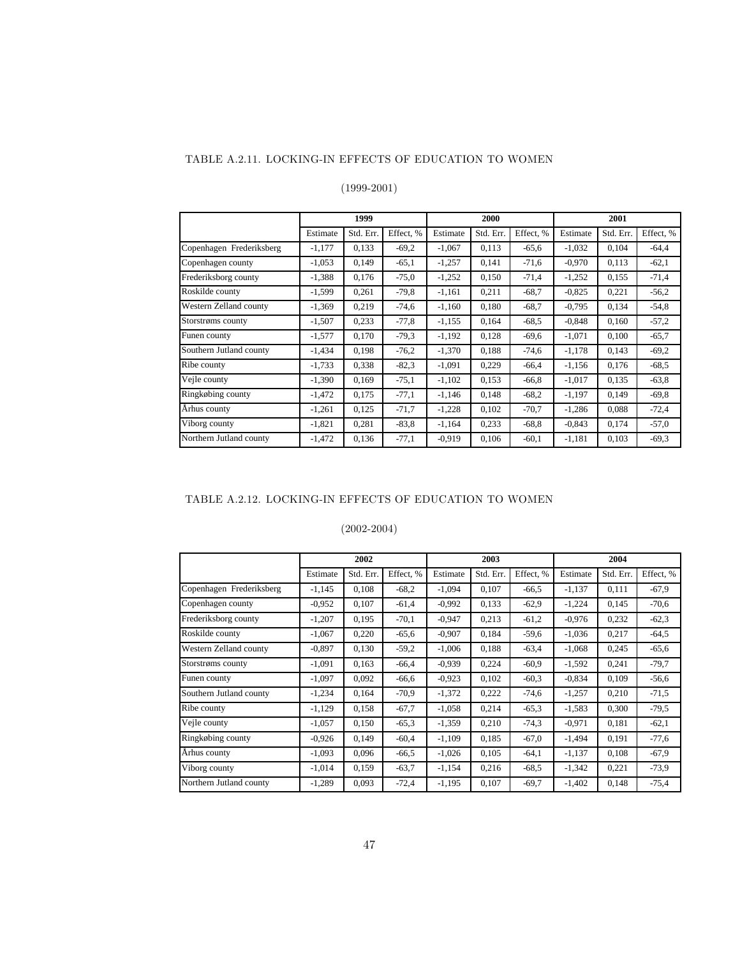### TABLE A.2.11. LOCKING-IN EFFECTS OF EDUCATION TO WOMEN

## (1999-2001)

|                          |          | 1999      |           |          | 2000      |           | 2001     |           |           |
|--------------------------|----------|-----------|-----------|----------|-----------|-----------|----------|-----------|-----------|
|                          | Estimate | Std. Err. | Effect, % | Estimate | Std. Err. | Effect, % | Estimate | Std. Err. | Effect, % |
| Copenhagen Frederiksberg | $-1,177$ | 0,133     | $-69.2$   | $-1,067$ | 0,113     | $-65.6$   | $-1,032$ | 0,104     | $-64.4$   |
| Copenhagen county        | $-1,053$ | 0.149     | $-65,1$   | $-1,257$ | 0,141     | $-71,6$   | $-0.970$ | 0,113     | $-62,1$   |
| Frederiksborg county     | $-1,388$ | 0,176     | $-75.0$   | $-1,252$ | 0,150     | $-71,4$   | $-1,252$ | 0,155     | $-71,4$   |
| Roskilde county          | $-1,599$ | 0,261     | $-79.8$   | $-1,161$ | 0,211     | $-68.7$   | $-0,825$ | 0,221     | $-56.2$   |
| Western Zelland county   | $-1,369$ | 0,219     | $-74,6$   | $-1,160$ | 0,180     | $-68.7$   | $-0,795$ | 0,134     | $-54,8$   |
| Storstrøms county        | $-1,507$ | 0,233     | $-77,8$   | $-1,155$ | 0,164     | $-68.5$   | $-0.848$ | 0,160     | $-57,2$   |
| Funen county             | $-1,577$ | 0,170     | $-79.3$   | $-1,192$ | 0,128     | $-69,6$   | $-1,071$ | 0,100     | $-65.7$   |
| Southern Jutland county  | $-1,434$ | 0,198     | $-76.2$   | $-1,370$ | 0.188     | $-74,6$   | $-1,178$ | 0,143     | $-69.2$   |
| Ribe county              | $-1,733$ | 0,338     | $-82.3$   | $-1,091$ | 0,229     | $-66,4$   | $-1,156$ | 0,176     | $-68,5$   |
| Vejle county             | $-1,390$ | 0,169     | $-75,1$   | $-1,102$ | 0,153     | $-66.8$   | $-1,017$ | 0,135     | $-63.8$   |
| Ringkøbing county        | $-1,472$ | 0,175     | $-77,1$   | $-1,146$ | 0,148     | $-68.2$   | $-1,197$ | 0,149     | $-69,8$   |
| Århus county             | $-1,261$ | 0,125     | $-71,7$   | $-1,228$ | 0,102     | $-70.7$   | $-1,286$ | 0,088     | $-72,4$   |
| Viborg county            | $-1,821$ | 0,281     | $-83.8$   | $-1,164$ | 0,233     | $-68.8$   | $-0,843$ | 0,174     | $-57,0$   |
| Northern Jutland county  | $-1,472$ | 0,136     | $-77,1$   | $-0.919$ | 0,106     | $-60.1$   | $-1,181$ | 0,103     | $-69.3$   |

### TABLE A.2.12. LOCKING-IN EFFECTS OF EDUCATION TO WOMEN

|                          |          | 2002      |           |          | 2003      |           | 2004     |           |           |  |
|--------------------------|----------|-----------|-----------|----------|-----------|-----------|----------|-----------|-----------|--|
|                          | Estimate | Std. Err. | Effect, % | Estimate | Std. Err. | Effect, % | Estimate | Std. Err. | Effect, % |  |
| Copenhagen Frederiksberg | $-1,145$ | 0,108     | $-68.2$   | $-1,094$ | 0,107     | $-66.5$   | $-1,137$ | 0,111     | $-67,9$   |  |
| Copenhagen county        | $-0.952$ | 0,107     | $-61,4$   | $-0,992$ | 0.133     | $-62.9$   | $-1,224$ | 0,145     | $-70,6$   |  |
| Frederiksborg county     | $-1,207$ | 0,195     | $-70,1$   | $-0.947$ | 0.213     | $-61,2$   | $-0.976$ | 0,232     | $-62,3$   |  |
| Roskilde county          | $-1,067$ | 0,220     | $-65,6$   | $-0,907$ | 0.184     | $-59.6$   | $-1,036$ | 0,217     | $-64,5$   |  |
| Western Zelland county   | $-0.897$ | 0,130     | $-59.2$   | $-1.006$ | 0.188     | $-63.4$   | $-1,068$ | 0,245     | $-65,6$   |  |
| Storstrøms county        | $-1,091$ | 0,163     | $-66,4$   | $-0,939$ | 0,224     | $-60.9$   | $-1,592$ | 0,241     | $-79,7$   |  |
| Funen county             | $-1,097$ | 0,092     | $-66,6$   | $-0.923$ | 0,102     | $-60.3$   | $-0.834$ | 0,109     | $-56,6$   |  |
| Southern Jutland county  | $-1,234$ | 0,164     | $-70.9$   | $-1,372$ | 0,222     | $-74,6$   | $-1,257$ | 0,210     | $-71,5$   |  |
| Ribe county              | $-1,129$ | 0,158     | $-67.7$   | $-1,058$ | 0,214     | $-65,3$   | $-1,583$ | 0,300     | $-79,5$   |  |
| Vejle county             | $-1,057$ | 0,150     | $-65.3$   | $-1,359$ | 0.210     | $-74.3$   | $-0.971$ | 0,181     | $-62,1$   |  |
| Ringkøbing county        | $-0.926$ | 0,149     | $-60,4$   | $-1,109$ | 0.185     | $-67.0$   | $-1,494$ | 0,191     | $-77,6$   |  |
| Århus county             | $-1,093$ | 0,096     | $-66.5$   | $-1,026$ | 0,105     | $-64.1$   | $-1,137$ | 0,108     | $-67,9$   |  |
| Viborg county            | $-1,014$ | 0,159     | $-63.7$   | $-1,154$ | 0.216     | $-68.5$   | $-1,342$ | 0,221     | $-73.9$   |  |
| Northern Jutland county  | $-1,289$ | 0,093     | $-72,4$   | $-1,195$ | 0,107     | $-69.7$   | $-1,402$ | 0,148     | $-75,4$   |  |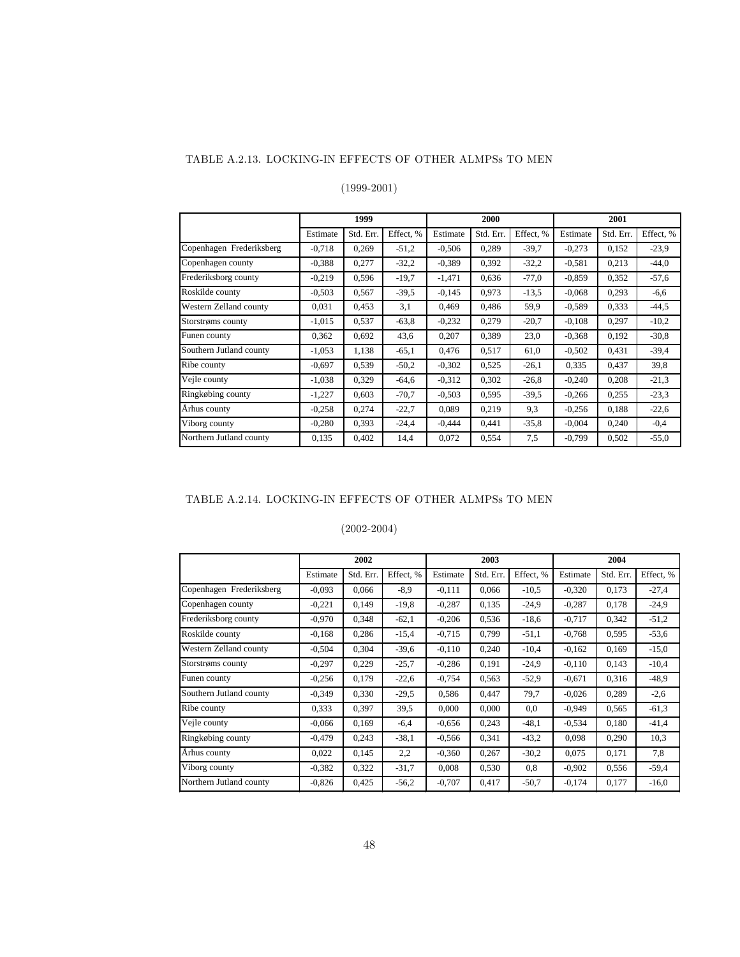#### TABLE A.2.13. LOCKING-IN EFFECTS OF OTHER ALMPSs TO MEN

### (1999-2001)

|                          |          | 1999      |           |          | 2000      |           | 2001     |           |           |  |
|--------------------------|----------|-----------|-----------|----------|-----------|-----------|----------|-----------|-----------|--|
|                          | Estimate | Std. Err. | Effect, % | Estimate | Std. Err. | Effect, % | Estimate | Std. Err. | Effect, % |  |
| Copenhagen Frederiksberg | $-0.718$ | 0.269     | $-51,2$   | $-0,506$ | 0,289     | $-39.7$   | $-0.273$ | 0.152     | $-23.9$   |  |
| Copenhagen county        | $-0.388$ | 0,277     | $-32,2$   | $-0,389$ | 0,392     | $-32.2$   | $-0,581$ | 0,213     | $-44,0$   |  |
| Frederiksborg county     | $-0,219$ | 0,596     | $-19.7$   | $-1,471$ | 0,636     | $-77.0$   | $-0.859$ | 0,352     | $-57,6$   |  |
| Roskilde county          | $-0.503$ | 0,567     | $-39.5$   | $-0,145$ | 0,973     | $-13.5$   | $-0.068$ | 0,293     | $-6,6$    |  |
| Western Zelland county   | 0,031    | 0,453     | 3,1       | 0,469    | 0,486     | 59,9      | $-0.589$ | 0,333     | $-44.5$   |  |
| Storstrøms county        | $-1,015$ | 0,537     | $-63.8$   | $-0,232$ | 0,279     | $-20.7$   | $-0,108$ | 0,297     | $-10,2$   |  |
| Funen county             | 0,362    | 0,692     | 43,6      | 0,207    | 0,389     | 23,0      | $-0.368$ | 0,192     | $-30,8$   |  |
| Southern Jutland county  | $-1,053$ | 1,138     | $-65,1$   | 0,476    | 0,517     | 61,0      | $-0,502$ | 0,431     | $-39,4$   |  |
| Ribe county              | $-0.697$ | 0.539     | $-50.2$   | $-0,302$ | 0,525     | $-26,1$   | 0,335    | 0.437     | 39,8      |  |
| Vejle county             | $-1,038$ | 0,329     | $-64,6$   | $-0,312$ | 0,302     | $-26.8$   | $-0,240$ | 0,208     | $-21,3$   |  |
| Ringkøbing county        | $-1,227$ | 0,603     | $-70,7$   | $-0,503$ | 0,595     | $-39.5$   | $-0,266$ | 0,255     | $-23,3$   |  |
| Århus county             | $-0.258$ | 0,274     | $-22.7$   | 0,089    | 0,219     | 9,3       | $-0,256$ | 0,188     | $-22,6$   |  |
| Viborg county            | $-0,280$ | 0,393     | $-24,4$   | $-0,444$ | 0.441     | $-35.8$   | $-0,004$ | 0,240     | $-0,4$    |  |
| Northern Jutland county  | 0,135    | 0,402     | 14,4      | 0,072    | 0,554     | 7,5       | $-0,799$ | 0,502     | $-55.0$   |  |

## TABLE A.2.14. LOCKING-IN EFFECTS OF OTHER ALMPSs TO MEN

|                          | 2002     |           |           |          | 2003      |           | 2004     |           |           |  |
|--------------------------|----------|-----------|-----------|----------|-----------|-----------|----------|-----------|-----------|--|
|                          | Estimate | Std. Err. | Effect, % | Estimate | Std. Err. | Effect, % | Estimate | Std. Err. | Effect, % |  |
| Copenhagen Frederiksberg | $-0.093$ | 0.066     | $-8,9$    | $-0.111$ | 0,066     | $-10,5$   | $-0.320$ | 0,173     | $-27,4$   |  |
| Copenhagen county        | $-0,221$ | 0,149     | $-19.8$   | $-0.287$ | 0,135     | $-24,9$   | $-0.287$ | 0,178     | $-24.9$   |  |
| Frederiksborg county     | $-0,970$ | 0,348     | $-62,1$   | $-0,206$ | 0,536     | $-18,6$   | $-0,717$ | 0,342     | $-51,2$   |  |
| Roskilde county          | $-0,168$ | 0,286     | $-15,4$   | $-0,715$ | 0,799     | $-51,1$   | $-0,768$ | 0,595     | $-53,6$   |  |
| Western Zelland county   | $-0,504$ | 0,304     | $-39,6$   | $-0.110$ | 0,240     | $-10,4$   | $-0.162$ | 0,169     | $-15,0$   |  |
| Storstrøms county        | $-0,297$ | 0,229     | $-25,7$   | $-0.286$ | 0,191     | $-24,9$   | $-0.110$ | 0,143     | $-10,4$   |  |
| Funen county             | $-0,256$ | 0,179     | $-22,6$   | $-0,754$ | 0,563     | $-52,9$   | $-0.671$ | 0,316     | $-48,9$   |  |
| Southern Jutland county  | $-0,349$ | 0,330     | $-29.5$   | 0,586    | 0,447     | 79,7      | $-0.026$ | 0,289     | $-2,6$    |  |
| Ribe county              | 0,333    | 0,397     | 39,5      | 0,000    | 0,000     | 0,0       | $-0.949$ | 0,565     | $-61,3$   |  |
| Vejle county             | $-0.066$ | 0,169     | $-6,4$    | $-0.656$ | 0,243     | $-48,1$   | $-0.534$ | 0,180     | $-41,4$   |  |
| Ringkøbing county        | $-0,479$ | 0,243     | $-38,1$   | $-0.566$ | 0,341     | $-43,2$   | 0,098    | 0,290     | 10,3      |  |
| Århus county             | 0,022    | 0,145     | 2,2       | $-0.360$ | 0,267     | $-30,2$   | 0,075    | 0,171     | 7,8       |  |
| Viborg county            | $-0.382$ | 0,322     | $-31,7$   | 0,008    | 0,530     | 0.8       | $-0.902$ | 0,556     | $-59,4$   |  |
| Northern Jutland county  | $-0,826$ | 0,425     | $-56,2$   | $-0,707$ | 0,417     | $-50,7$   | $-0,174$ | 0,177     | $-16,0$   |  |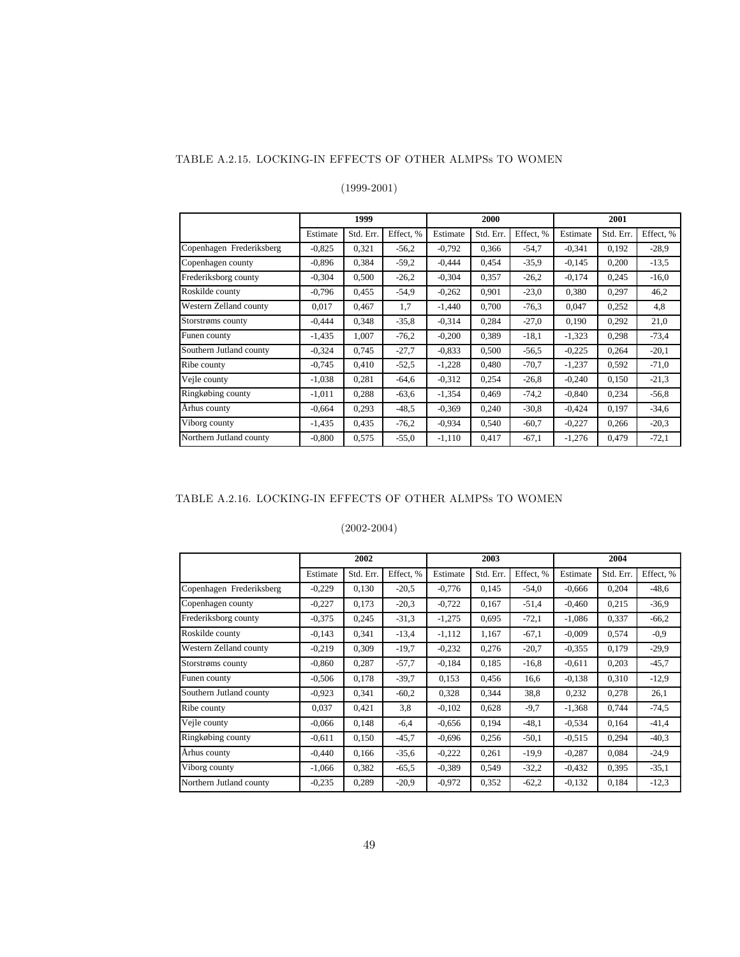#### TABLE A.2.15. LOCKING-IN EFFECTS OF OTHER ALMPSs TO WOMEN

### (1999-2001)

|                          |          | 1999      |           |          | 2000      |           | 2001     |           |           |  |
|--------------------------|----------|-----------|-----------|----------|-----------|-----------|----------|-----------|-----------|--|
|                          | Estimate | Std. Err. | Effect, % | Estimate | Std. Err. | Effect. % | Estimate | Std. Err. | Effect, % |  |
| Copenhagen Frederiksberg | $-0.825$ | 0,321     | $-56.2$   | $-0,792$ | 0,366     | $-54.7$   | $-0,341$ | 0,192     | $-28.9$   |  |
| Copenhagen county        | $-0.896$ | 0,384     | $-59,2$   | $-0,444$ | 0.454     | $-35.9$   | $-0,145$ | 0,200     | $-13,5$   |  |
| Frederiksborg county     | $-0.304$ | 0,500     | $-26.2$   | $-0,304$ | 0,357     | $-26.2$   | $-0,174$ | 0,245     | $-16,0$   |  |
| Roskilde county          | $-0.796$ | 0,455     | $-54,9$   | $-0,262$ | 0,901     | $-23.0$   | 0,380    | 0,297     | 46,2      |  |
| Western Zelland county   | 0.017    | 0.467     | 1,7       | $-1,440$ | 0,700     | $-76.3$   | 0.047    | 0,252     | 4,8       |  |
| Storstrøms county        | $-0,444$ | 0,348     | $-35.8$   | $-0,314$ | 0,284     | $-27,0$   | 0,190    | 0,292     | 21,0      |  |
| Funen county             | $-1,435$ | 1,007     | $-76.2$   | $-0,200$ | 0,389     | $-18.1$   | $-1,323$ | 0,298     | $-73,4$   |  |
| Southern Jutland county  | $-0,324$ | 0,745     | $-27.7$   | $-0.833$ | 0,500     | $-56.5$   | $-0,225$ | 0,264     | $-20,1$   |  |
| Ribe county              | $-0,745$ | 0,410     | $-52,5$   | $-1,228$ | 0,480     | $-70.7$   | $-1,237$ | 0,592     | $-71,0$   |  |
| Vejle county             | $-1,038$ | 0,281     | $-64,6$   | $-0,312$ | 0,254     | $-26.8$   | $-0,240$ | 0,150     | $-21,3$   |  |
| Ringkøbing county        | $-1,011$ | 0,288     | $-63,6$   | $-1,354$ | 0,469     | $-74.2$   | $-0,840$ | 0,234     | $-56,8$   |  |
| Århus county             | $-0.664$ | 0,293     | $-48.5$   | $-0,369$ | 0,240     | $-30.8$   | $-0,424$ | 0.197     | $-34,6$   |  |
| Viborg county            | $-1,435$ | 0,435     | $-76.2$   | $-0.934$ | 0,540     | $-60.7$   | $-0,227$ | 0,266     | $-20.3$   |  |
| Northern Jutland county  | $-0.800$ | 0,575     | $-55.0$   | $-1,110$ | 0,417     | $-67.1$   | $-1,276$ | 0,479     | $-72,1$   |  |

## TABLE A.2.16. LOCKING-IN EFFECTS OF OTHER ALMPSs TO WOMEN

|                          | 2002     |           |           |          | 2003      |           | 2004     |           |           |  |
|--------------------------|----------|-----------|-----------|----------|-----------|-----------|----------|-----------|-----------|--|
|                          | Estimate | Std. Err. | Effect, % | Estimate | Std. Err. | Effect, % | Estimate | Std. Err. | Effect, % |  |
| Copenhagen Frederiksberg | $-0,229$ | 0,130     | $-20.5$   | $-0,776$ | 0,145     | $-54.0$   | $-0.666$ | 0,204     | $-48,6$   |  |
| Copenhagen county        | $-0,227$ | 0,173     | $-20.3$   | $-0,722$ | 0,167     | $-51,4$   | $-0,460$ | 0,215     | $-36.9$   |  |
| Frederiksborg county     | $-0.375$ | 0,245     | $-31,3$   | $-1,275$ | 0.695     | $-72,1$   | $-1,086$ | 0,337     | $-66,2$   |  |
| Roskilde county          | $-0,143$ | 0,341     | $-13,4$   | $-1,112$ | 1,167     | $-67.1$   | $-0,009$ | 0,574     | $-0.9$    |  |
| Western Zelland county   | $-0,219$ | 0,309     | $-19.7$   | $-0,232$ | 0,276     | $-20.7$   | $-0.355$ | 0,179     | $-29.9$   |  |
| Storstrøms county        | $-0.860$ | 0,287     | $-57,7$   | $-0.184$ | 0.185     | $-16,8$   | $-0.611$ | 0,203     | $-45,7$   |  |
| Funen county             | $-0.506$ | 0,178     | $-39.7$   | 0,153    | 0,456     | 16,6      | $-0,138$ | 0,310     | $-12,9$   |  |
| Southern Jutland county  | $-0.923$ | 0,341     | $-60.2$   | 0,328    | 0,344     | 38,8      | 0,232    | 0,278     | 26,1      |  |
| Ribe county              | 0,037    | 0,421     | 3,8       | $-0,102$ | 0,628     | $-9,7$    | $-1,368$ | 0,744     | $-74,5$   |  |
| Vejle county             | $-0,066$ | 0,148     | $-6,4$    | $-0,656$ | 0.194     | $-48.1$   | $-0.534$ | 0,164     | $-41,4$   |  |
| Ringkøbing county        | $-0.611$ | 0,150     | $-45.7$   | $-0,696$ | 0,256     | $-50,1$   | $-0.515$ | 0,294     | $-40,3$   |  |
| Arhus county             | $-0,440$ | 0,166     | $-35,6$   | $-0,222$ | 0,261     | $-19.9$   | $-0,287$ | 0,084     | $-24.9$   |  |
| Viborg county            | $-1,066$ | 0,382     | $-65.5$   | $-0,389$ | 0,549     | $-32,2$   | $-0.432$ | 0,395     | $-35,1$   |  |
| Northern Jutland county  | $-0.235$ | 0,289     | $-20.9$   | $-0.972$ | 0,352     | $-62,2$   | $-0,132$ | 0,184     | $-12,3$   |  |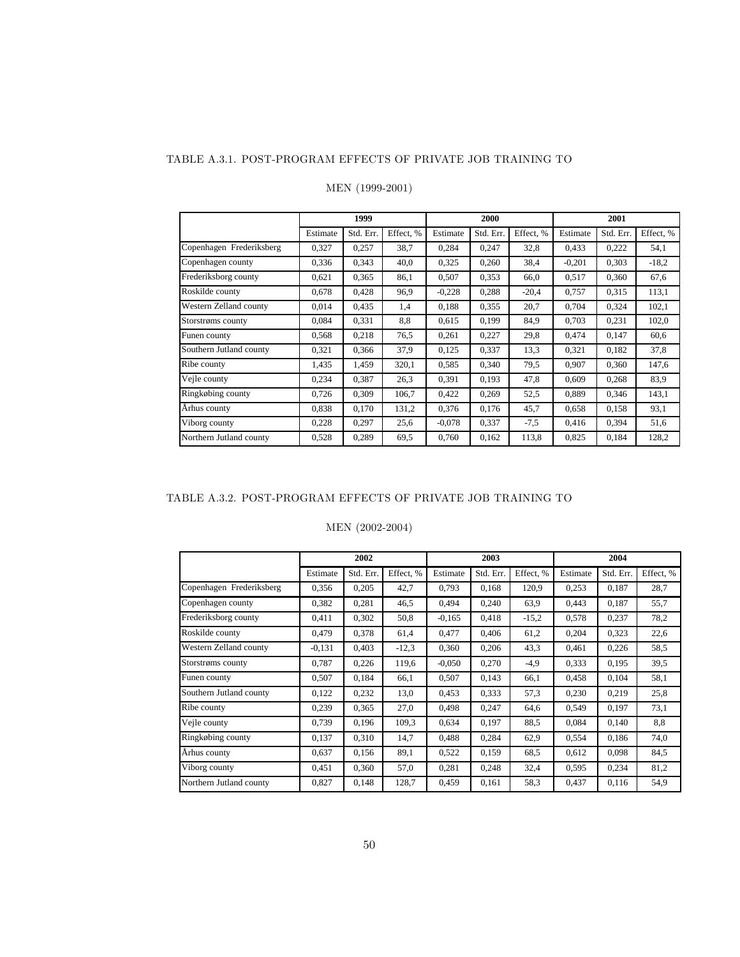#### TABLE A.3.1. POST-PROGRAM EFFECTS OF PRIVATE JOB TRAINING TO

|                          | 1999     |           |           |          | 2000      |           | 2001     |           |           |  |
|--------------------------|----------|-----------|-----------|----------|-----------|-----------|----------|-----------|-----------|--|
|                          | Estimate | Std. Err. | Effect, % | Estimate | Std. Err. | Effect. % | Estimate | Std. Err. | Effect, % |  |
| Copenhagen Frederiksberg | 0,327    | 0,257     | 38,7      | 0,284    | 0,247     | 32,8      | 0,433    | 0,222     | 54,1      |  |
| Copenhagen county        | 0,336    | 0,343     | 40,0      | 0,325    | 0,260     | 38,4      | $-0,201$ | 0,303     | $-18.2$   |  |
| Frederiksborg county     | 0,621    | 0.365     | 86,1      | 0,507    | 0,353     | 66,0      | 0,517    | 0,360     | 67,6      |  |
| Roskilde county          | 0.678    | 0.428     | 96,9      | $-0.228$ | 0,288     | $-20,4$   | 0.757    | 0,315     | 113,1     |  |
| Western Zelland county   | 0.014    | 0.435     | 1,4       | 0.188    | 0,355     | 20,7      | 0.704    | 0.324     | 102,1     |  |
| Storstrøms county        | 0,084    | 0,331     | 8,8       | 0,615    | 0,199     | 84,9      | 0,703    | 0,231     | 102,0     |  |
| Funen county             | 0,568    | 0.218     | 76,5      | 0,261    | 0,227     | 29,8      | 0,474    | 0,147     | 60,6      |  |
| Southern Jutland county  | 0,321    | 0.366     | 37,9      | 0.125    | 0,337     | 13,3      | 0,321    | 0,182     | 37,8      |  |
| Ribe county              | 1,435    | 1,459     | 320,1     | 0.585    | 0,340     | 79,5      | 0,907    | 0,360     | 147,6     |  |
| Vejle county             | 0,234    | 0,387     | 26,3      | 0,391    | 0,193     | 47,8      | 0,609    | 0,268     | 83,9      |  |
| Ringkøbing county        | 0,726    | 0,309     | 106,7     | 0,422    | 0,269     | 52,5      | 0.889    | 0,346     | 143,1     |  |
| Århus county             | 0.838    | 0,170     | 131,2     | 0,376    | 0,176     | 45,7      | 0,658    | 0,158     | 93,1      |  |
| Viborg county            | 0,228    | 0,297     | 25,6      | $-0.078$ | 0,337     | $-7.5$    | 0,416    | 0,394     | 51,6      |  |
| Northern Jutland county  | 0,528    | 0,289     | 69,5      | 0,760    | 0,162     | 113,8     | 0,825    | 0,184     | 128,2     |  |

#### MEN (1999-2001)

### TABLE A.3.2. POST-PROGRAM EFFECTS OF PRIVATE JOB TRAINING TO

### MEN (2002-2004)

|                          |          | 2002      |           |          | 2003      |           | 2004     |           |           |  |
|--------------------------|----------|-----------|-----------|----------|-----------|-----------|----------|-----------|-----------|--|
|                          | Estimate | Std. Err. | Effect. % | Estimate | Std. Err. | Effect. % | Estimate | Std. Err. | Effect, % |  |
| Copenhagen Frederiksberg | 0.356    | 0,205     | 42,7      | 0,793    | 0,168     | 120.9     | 0,253    | 0,187     | 28,7      |  |
| Copenhagen county        | 0,382    | 0,281     | 46,5      | 0,494    | 0,240     | 63,9      | 0,443    | 0,187     | 55,7      |  |
| Frederiksborg county     | 0,411    | 0,302     | 50,8      | $-0,165$ | 0.418     | $-15.2$   | 0,578    | 0,237     | 78,2      |  |
| Roskilde county          | 0,479    | 0,378     | 61,4      | 0,477    | 0,406     | 61,2      | 0,204    | 0,323     | 22,6      |  |
| Western Zelland county   | $-0,131$ | 0.403     | $-12,3$   | 0,360    | 0,206     | 43.3      | 0,461    | 0,226     | 58,5      |  |
| Storstrøms county        | 0,787    | 0,226     | 119,6     | $-0,050$ | 0,270     | $-4,9$    | 0,333    | 0,195     | 39,5      |  |
| Funen county             | 0,507    | 0,184     | 66,1      | 0,507    | 0,143     | 66,1      | 0,458    | 0,104     | 58,1      |  |
| Southern Jutland county  | 0,122    | 0,232     | 13,0      | 0,453    | 0.333     | 57,3      | 0,230    | 0,219     | 25,8      |  |
| Ribe county              | 0,239    | 0,365     | 27,0      | 0,498    | 0,247     | 64,6      | 0,549    | 0,197     | 73,1      |  |
| Vejle county             | 0,739    | 0,196     | 109,3     | 0,634    | 0,197     | 88.5      | 0.084    | 0.140     | 8,8       |  |
| Ringkøbing county        | 0,137    | 0,310     | 14,7      | 0,488    | 0.284     | 62,9      | 0,554    | 0,186     | 74,0      |  |
| Århus county             | 0,637    | 0,156     | 89,1      | 0,522    | 0,159     | 68.5      | 0,612    | 0,098     | 84,5      |  |
| Viborg county            | 0,451    | 0,360     | 57,0      | 0,281    | 0.248     | 32,4      | 0,595    | 0,234     | 81,2      |  |
| Northern Jutland county  | 0,827    | 0,148     | 128,7     | 0,459    | 0,161     | 58.3      | 0,437    | 0,116     | 54,9      |  |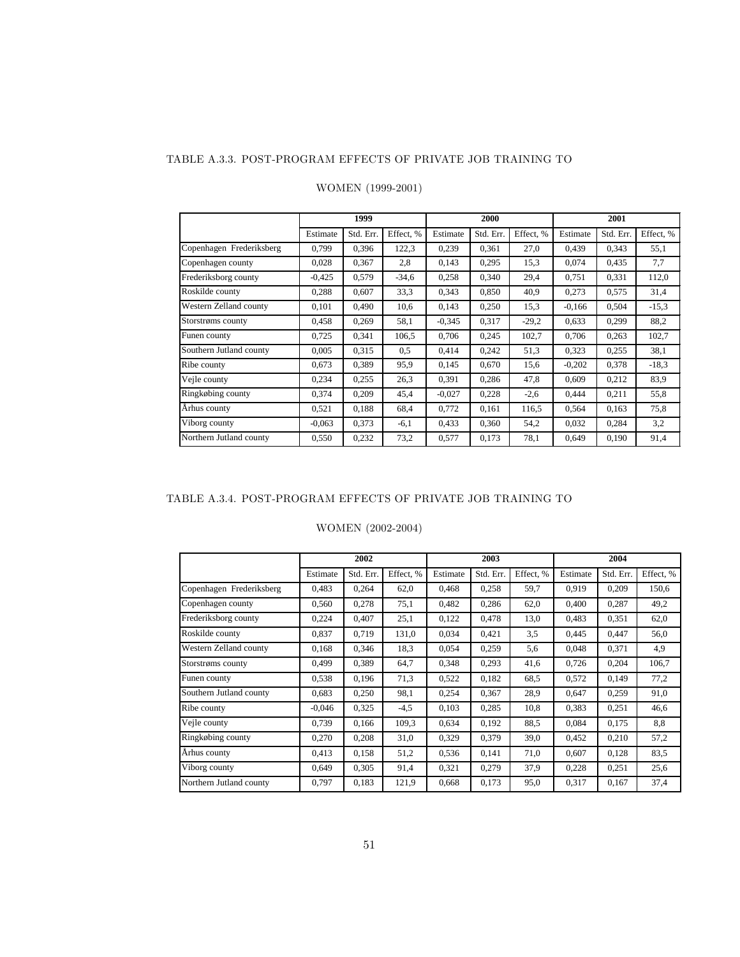#### TABLE A.3.3. POST-PROGRAM EFFECTS OF PRIVATE JOB TRAINING TO

|                          |          | 1999      |           |          | 2000      |           | 2001     |           |           |  |
|--------------------------|----------|-----------|-----------|----------|-----------|-----------|----------|-----------|-----------|--|
|                          | Estimate | Std. Err. | Effect, % | Estimate | Std. Err. | Effect, % | Estimate | Std. Err. | Effect, % |  |
| Copenhagen Frederiksberg | 0.799    | 0.396     | 122,3     | 0,239    | 0,361     | 27,0      | 0,439    | 0,343     | 55,1      |  |
| Copenhagen county        | 0.028    | 0,367     | 2,8       | 0.143    | 0,295     | 15,3      | 0.074    | 0,435     | 7,7       |  |
| Frederiksborg county     | $-0.425$ | 0,579     | $-34,6$   | 0,258    | 0,340     | 29,4      | 0,751    | 0,331     | 112,0     |  |
| Roskilde county          | 0,288    | 0,607     | 33,3      | 0,343    | 0,850     | 40,9      | 0,273    | 0,575     | 31,4      |  |
| Western Zelland county   | 0,101    | 0.490     | 10,6      | 0,143    | 0,250     | 15,3      | $-0,166$ | 0,504     | $-15.3$   |  |
| Storstrøms county        | 0,458    | 0,269     | 58,1      | $-0.345$ | 0,317     | $-29,2$   | 0,633    | 0,299     | 88,2      |  |
| Funen county             | 0,725    | 0,341     | 106,5     | 0,706    | 0,245     | 102,7     | 0,706    | 0,263     | 102,7     |  |
| Southern Jutland county  | 0.005    | 0.315     | 0,5       | 0.414    | 0,242     | 51,3      | 0,323    | 0,255     | 38,1      |  |
| Ribe county              | 0,673    | 0,389     | 95,9      | 0.145    | 0,670     | 15,6      | $-0,202$ | 0,378     | $-18,3$   |  |
| Vejle county             | 0,234    | 0,255     | 26,3      | 0,391    | 0,286     | 47,8      | 0.609    | 0,212     | 83.9      |  |
| Ringkøbing county        | 0,374    | 0,209     | 45,4      | $-0.027$ | 0,228     | $-2,6$    | 0,444    | 0,211     | 55,8      |  |
| Århus county             | 0,521    | 0,188     | 68,4      | 0,772    | 0,161     | 116.5     | 0,564    | 0,163     | 75,8      |  |
| Viborg county            | $-0.063$ | 0,373     | $-6,1$    | 0.433    | 0,360     | 54,2      | 0.032    | 0,284     | 3,2       |  |
| Northern Jutland county  | 0,550    | 0,232     | 73,2      | 0,577    | 0,173     | 78,1      | 0.649    | 0,190     | 91,4      |  |

#### WOMEN (1999-2001)

### TABLE A.3.4. POST-PROGRAM EFFECTS OF PRIVATE JOB TRAINING TO

### WOMEN (2002-2004)

|                          |          | 2002      |           |          | 2003      |           | 2004     |           |           |  |
|--------------------------|----------|-----------|-----------|----------|-----------|-----------|----------|-----------|-----------|--|
|                          | Estimate | Std. Err. | Effect, % | Estimate | Std. Err. | Effect, % | Estimate | Std. Err. | Effect, % |  |
| Copenhagen Frederiksberg | 0.483    | 0,264     | 62,0      | 0,468    | 0.258     | 59,7      | 0,919    | 0,209     | 150,6     |  |
| Copenhagen county        | 0,560    | 0,278     | 75,1      | 0,482    | 0,286     | 62,0      | 0,400    | 0,287     | 49,2      |  |
| Frederiksborg county     | 0.224    | 0.407     | 25,1      | 0,122    | 0,478     | 13,0      | 0,483    | 0,351     | 62,0      |  |
| Roskilde county          | 0,837    | 0,719     | 131,0     | 0,034    | 0,421     | 3.5       | 0,445    | 0,447     | 56,0      |  |
| Western Zelland county   | 0,168    | 0,346     | 18,3      | 0,054    | 0,259     | 5,6       | 0,048    | 0,371     | 4,9       |  |
| Storstrøms county        | 0,499    | 0,389     | 64,7      | 0,348    | 0.293     | 41,6      | 0,726    | 0,204     | 106,7     |  |
| Funen county             | 0.538    | 0,196     | 71,3      | 0,522    | 0,182     | 68.5      | 0,572    | 0,149     | 77,2      |  |
| Southern Jutland county  | 0.683    | 0,250     | 98,1      | 0,254    | 0,367     | 28.9      | 0,647    | 0,259     | 91,0      |  |
| Ribe county              | $-0.046$ | 0,325     | $-4,5$    | 0,103    | 0,285     | 10,8      | 0,383    | 0,251     | 46,6      |  |
| Vejle county             | 0.739    | 0.166     | 109,3     | 0,634    | 0.192     | 88.5      | 0.084    | 0.175     | 8,8       |  |
| Ringkøbing county        | 0,270    | 0,208     | 31,0      | 0,329    | 0,379     | 39,0      | 0,452    | 0,210     | 57,2      |  |
| Århus county             | 0.413    | 0,158     | 51,2      | 0,536    | 0,141     | 71,0      | 0,607    | 0,128     | 83,5      |  |
| Viborg county            | 0,649    | 0,305     | 91,4      | 0,321    | 0,279     | 37,9      | 0,228    | 0,251     | 25,6      |  |
| Northern Jutland county  | 0,797    | 0,183     | 121,9     | 0,668    | 0,173     | 95,0      | 0,317    | 0,167     | 37,4      |  |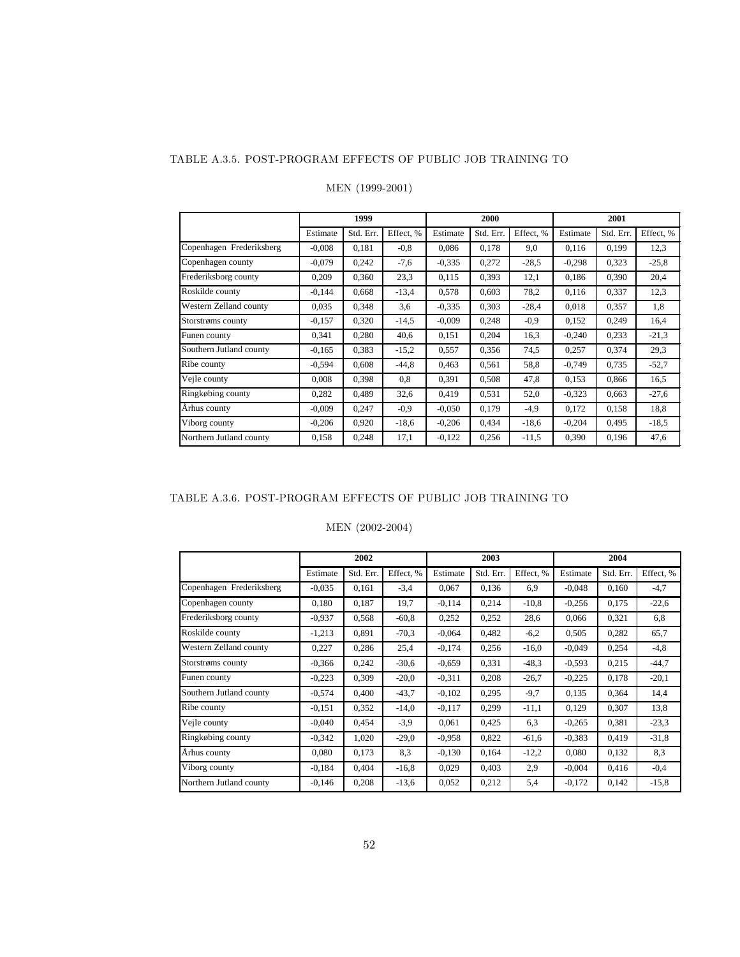#### TABLE A.3.5. POST-PROGRAM EFFECTS OF PUBLIC JOB TRAINING TO

|                          |          | 1999      |           |          | 2000      |           | 2001     |           |           |  |
|--------------------------|----------|-----------|-----------|----------|-----------|-----------|----------|-----------|-----------|--|
|                          | Estimate | Std. Err. | Effect, % | Estimate | Std. Err. | Effect. % | Estimate | Std. Err. | Effect, % |  |
| Copenhagen Frederiksberg | $-0,008$ | 0,181     | $-0.8$    | 0,086    | 0,178     | 9,0       | 0,116    | 0,199     | 12,3      |  |
| Copenhagen county        | $-0.079$ | 0,242     | $-7,6$    | $-0.335$ | 0,272     | $-28.5$   | $-0,298$ | 0,323     | $-25,8$   |  |
| Frederiksborg county     | 0,209    | 0,360     | 23,3      | 0.115    | 0,393     | 12,1      | 0,186    | 0,390     | 20,4      |  |
| Roskilde county          | $-0.144$ | 0,668     | $-13,4$   | 0,578    | 0.603     | 78,2      | 0,116    | 0,337     | 12,3      |  |
| Western Zelland county   | 0,035    | 0,348     | 3,6       | $-0.335$ | 0,303     | $-28,4$   | 0,018    | 0,357     | 1,8       |  |
| Storstrøms county        | $-0,157$ | 0,320     | $-14,5$   | $-0.009$ | 0,248     | $-0.9$    | 0,152    | 0,249     | 16,4      |  |
| Funen county             | 0,341    | 0,280     | 40,6      | 0,151    | 0,204     | 16,3      | $-0,240$ | 0,233     | $-21,3$   |  |
| Southern Jutland county  | $-0.165$ | 0,383     | $-15,2$   | 0,557    | 0,356     | 74,5      | 0,257    | 0,374     | 29,3      |  |
| Ribe county              | $-0,594$ | 0,608     | $-44,8$   | 0.463    | 0,561     | 58,8      | $-0,749$ | 0,735     | $-52,7$   |  |
| Vejle county             | 0.008    | 0,398     | 0.8       | 0,391    | 0,508     | 47,8      | 0,153    | 0.866     | 16,5      |  |
| Ringkøbing county        | 0,282    | 0,489     | 32,6      | 0,419    | 0,531     | 52,0      | $-0.323$ | 0,663     | $-27,6$   |  |
| Århus county             | $-0,009$ | 0,247     | $-0.9$    | $-0.050$ | 0,179     | $-4,9$    | 0,172    | 0,158     | 18,8      |  |
| Viborg county            | $-0,206$ | 0,920     | $-18,6$   | $-0,206$ | 0,434     | $-18,6$   | $-0,204$ | 0,495     | $-18.5$   |  |
| Northern Jutland county  | 0.158    | 0,248     | 17,1      | $-0,122$ | 0,256     | $-11,5$   | 0,390    | 0.196     | 47,6      |  |

### MEN (1999-2001)

### TABLE A.3.6. POST-PROGRAM EFFECTS OF PUBLIC JOB TRAINING TO

### MEN (2002-2004)

|                          |          | 2002      |           |          | 2003      |           | 2004     |           |           |  |
|--------------------------|----------|-----------|-----------|----------|-----------|-----------|----------|-----------|-----------|--|
|                          | Estimate | Std. Err. | Effect, % | Estimate | Std. Err. | Effect, % | Estimate | Std. Err. | Effect, % |  |
| Copenhagen Frederiksberg | $-0.035$ | 0,161     | $-3,4$    | 0,067    | 0,136     | 6,9       | $-0.048$ | 0.160     | $-4,7$    |  |
| Copenhagen county        | 0,180    | 0,187     | 19,7      | $-0,114$ | 0,214     | $-10,8$   | $-0,256$ | 0,175     | $-22,6$   |  |
| Frederiksborg county     | $-0.937$ | 0,568     | $-60,8$   | 0,252    | 0,252     | 28,6      | 0,066    | 0,321     | 6,8       |  |
| Roskilde county          | $-1,213$ | 0.891     | $-70.3$   | $-0,064$ | 0,482     | $-6,2$    | 0,505    | 0,282     | 65,7      |  |
| Western Zelland county   | 0,227    | 0,286     | 25,4      | $-0,174$ | 0,256     | $-16,0$   | $-0.049$ | 0,254     | $-4,8$    |  |
| Storstrøms county        | $-0.366$ | 0,242     | $-30,6$   | $-0,659$ | 0,331     | $-48.3$   | $-0,593$ | 0,215     | $-44,7$   |  |
| Funen county             | $-0,223$ | 0,309     | $-20,0$   | $-0.311$ | 0,208     | $-26.7$   | $-0,225$ | 0,178     | $-20,1$   |  |
| Southern Jutland county  | $-0.574$ | 0,400     | $-43,7$   | $-0,102$ | 0,295     | $-9,7$    | 0,135    | 0,364     | 14,4      |  |
| Ribe county              | $-0.151$ | 0,352     | $-14,0$   | $-0,117$ | 0,299     | $-11,1$   | 0,129    | 0,307     | 13,8      |  |
| Vejle county             | $-0.040$ | 0,454     | $-3.9$    | 0,061    | 0,425     | 6,3       | $-0,265$ | 0,381     | $-23.3$   |  |
| Ringkøbing county        | $-0.342$ | 1,020     | $-29,0$   | $-0.958$ | 0,822     | $-61,6$   | $-0.383$ | 0,419     | $-31,8$   |  |
| Århus county             | 0.080    | 0,173     | 8.3       | $-0,130$ | 0,164     | $-12,2$   | 0,080    | 0,132     | 8,3       |  |
| Viborg county            | $-0.184$ | 0,404     | $-16,8$   | 0,029    | 0,403     | 2.9       | $-0.004$ | 0,416     | $-0,4$    |  |
| Northern Jutland county  | $-0.146$ | 0,208     | $-13,6$   | 0,052    | 0,212     | 5,4       | $-0,172$ | 0,142     | $-15,8$   |  |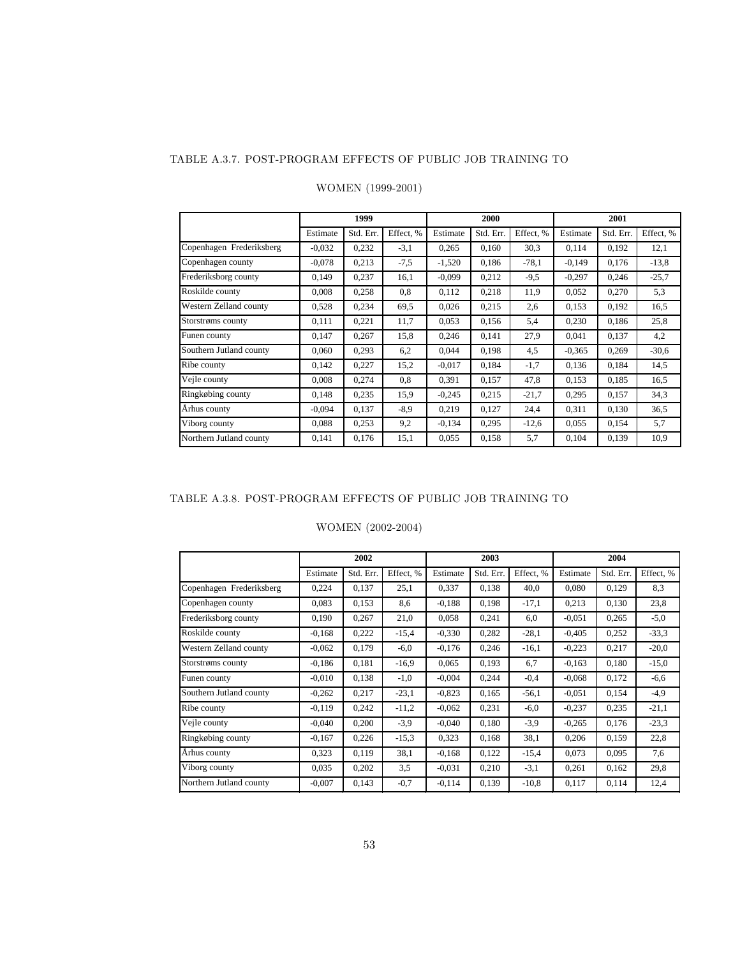#### TABLE A.3.7. POST-PROGRAM EFFECTS OF PUBLIC JOB TRAINING TO

|                          |          | 1999      |           |          | 2000      |           | 2001     |           |           |  |
|--------------------------|----------|-----------|-----------|----------|-----------|-----------|----------|-----------|-----------|--|
|                          | Estimate | Std. Err. | Effect, % | Estimate | Std. Err. | Effect, % | Estimate | Std. Err. | Effect, % |  |
| Copenhagen Frederiksberg | $-0.032$ | 0,232     | $-3,1$    | 0,265    | 0,160     | 30,3      | 0,114    | 0,192     | 12,1      |  |
| Copenhagen county        | $-0.078$ | 0,213     | $-7,5$    | $-1,520$ | 0,186     | $-78.1$   | $-0,149$ | 0,176     | $-13,8$   |  |
| Frederiksborg county     | 0.149    | 0,237     | 16,1      | $-0.099$ | 0,212     | $-9.5$    | $-0,297$ | 0,246     | $-25,7$   |  |
| Roskilde county          | 0.008    | 0,258     | 0,8       | 0,112    | 0,218     | 11,9      | 0.052    | 0,270     | 5,3       |  |
| Western Zelland county   | 0,528    | 0,234     | 69,5      | 0,026    | 0.215     | 2.6       | 0,153    | 0,192     | 16,5      |  |
| Storstrøms county        | 0,111    | 0,221     | 11,7      | 0,053    | 0,156     | 5,4       | 0,230    | 0,186     | 25,8      |  |
| Funen county             | 0,147    | 0,267     | 15,8      | 0,246    | 0,141     | 27,9      | 0,041    | 0,137     | 4,2       |  |
| Southern Jutland county  | 0.060    | 0,293     | 6,2       | 0.044    | 0,198     | 4,5       | $-0.365$ | 0,269     | $-30,6$   |  |
| Ribe county              | 0,142    | 0,227     | 15,2      | $-0.017$ | 0,184     | $-1,7$    | 0,136    | 0,184     | 14,5      |  |
| Vejle county             | 0,008    | 0,274     | 0,8       | 0,391    | 0,157     | 47,8      | 0,153    | 0,185     | 16,5      |  |
| Ringkøbing county        | 0.148    | 0,235     | 15,9      | $-0,245$ | 0.215     | $-21.7$   | 0,295    | 0,157     | 34,3      |  |
| Århus county             | $-0.094$ | 0,137     | $-8,9$    | 0,219    | 0,127     | 24,4      | 0,311    | 0,130     | 36,5      |  |
| Viborg county            | 0.088    | 0,253     | 9,2       | $-0,134$ | 0,295     | $-12,6$   | 0,055    | 0,154     | 5,7       |  |
| Northern Jutland county  | 0,141    | 0,176     | 15,1      | 0,055    | 0,158     | 5,7       | 0,104    | 0,139     | 10,9      |  |

### WOMEN (1999-2001)

### TABLE A.3.8. POST-PROGRAM EFFECTS OF PUBLIC JOB TRAINING TO

### WOMEN (2002-2004)

|                          |          | 2002      |           |          | 2003      |           |          | 2004      |           |
|--------------------------|----------|-----------|-----------|----------|-----------|-----------|----------|-----------|-----------|
|                          | Estimate | Std. Err. | Effect, % | Estimate | Std. Err. | Effect, % | Estimate | Std. Err. | Effect, % |
| Copenhagen Frederiksberg | 0,224    | 0,137     | 25,1      | 0,337    | 0,138     | 40,0      | 0.080    | 0,129     | 8,3       |
| Copenhagen county        | 0,083    | 0,153     | 8,6       | $-0.188$ | 0,198     | $-17,1$   | 0,213    | 0,130     | 23,8      |
| Frederiksborg county     | 0,190    | 0,267     | 21,0      | 0,058    | 0,241     | 6,0       | $-0.051$ | 0,265     | $-5,0$    |
| Roskilde county          | $-0,168$ | 0,222     | $-15,4$   | $-0.330$ | 0,282     | $-28,1$   | $-0,405$ | 0,252     | $-33,3$   |
| Western Zelland county   | $-0,062$ | 0,179     | $-6,0$    | $-0,176$ | 0,246     | $-16,1$   | $-0.223$ | 0,217     | $-20,0$   |
| Storstrøms county        | $-0.186$ | 0.181     | $-16,9$   | 0,065    | 0,193     | 6,7       | $-0.163$ | 0,180     | $-15,0$   |
| Funen county             | $-0.010$ | 0,138     | $-1,0$    | $-0,004$ | 0,244     | $-0,4$    | $-0.068$ | 0,172     | $-6,6$    |
| Southern Jutland county  | $-0,262$ | 0,217     | $-23,1$   | $-0.823$ | 0,165     | $-56,1$   | $-0.051$ | 0,154     | $-4,9$    |
| Ribe county              | $-0,119$ | 0,242     | $-11,2$   | $-0.062$ | 0,231     | $-6,0$    | $-0,237$ | 0,235     | $-21,1$   |
| Vejle county             | $-0,040$ | 0,200     | $-3,9$    | $-0.040$ | 0,180     | $-3,9$    | $-0.265$ | 0,176     | $-23,3$   |
| Ringkøbing county        | $-0,167$ | 0,226     | $-15.3$   | 0,323    | 0,168     | 38,1      | 0,206    | 0,159     | 22,8      |
| Århus county             | 0,323    | 0,119     | 38,1      | $-0.168$ | 0,122     | $-15,4$   | 0,073    | 0,095     | 7,6       |
| Viborg county            | 0,035    | 0,202     | 3,5       | $-0.031$ | 0,210     | $-3,1$    | 0,261    | 0,162     | 29.8      |
| Northern Jutland county  | $-0,007$ | 0,143     | $-0,7$    | $-0.114$ | 0,139     | $-10,8$   | 0,117    | 0,114     | 12,4      |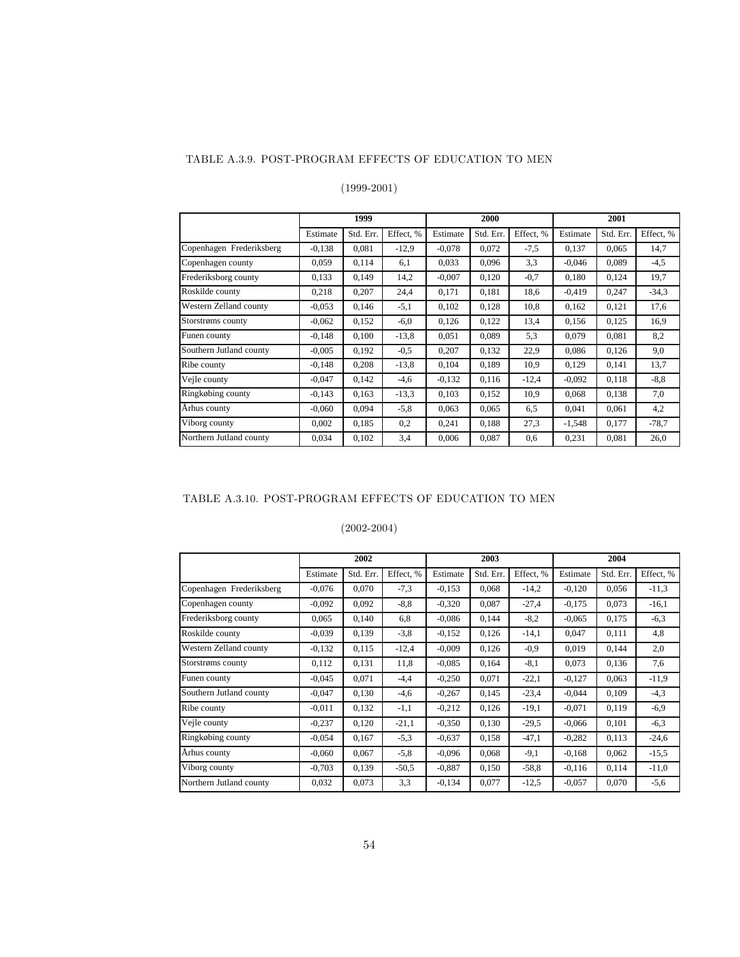### TABLE A.3.9. POST-PROGRAM EFFECTS OF EDUCATION TO MEN

### (1999-2001)

|                          |          | 1999      |           |          | 2000      |           |          | 2001      |           |
|--------------------------|----------|-----------|-----------|----------|-----------|-----------|----------|-----------|-----------|
|                          | Estimate | Std. Err. | Effect, % | Estimate | Std. Err. | Effect. % | Estimate | Std. Err. | Effect, % |
| Copenhagen Frederiksberg | $-0.138$ | 0.081     | $-12,9$   | $-0.078$ | 0.072     | $-7,5$    | 0,137    | 0.065     | 14,7      |
| Copenhagen county        | 0,059    | 0,114     | 6,1       | 0.033    | 0,096     | 3,3       | $-0.046$ | 0,089     | $-4,5$    |
| Frederiksborg county     | 0,133    | 0.149     | 14,2      | $-0,007$ | 0,120     | $-0,7$    | 0,180    | 0,124     | 19,7      |
| Roskilde county          | 0,218    | 0,207     | 24,4      | 0,171    | 0,181     | 18,6      | $-0.419$ | 0,247     | $-34.3$   |
| Western Zelland county   | $-0.053$ | 0,146     | $-5,1$    | 0.102    | 0,128     | 10,8      | 0,162    | 0,121     | 17,6      |
| Storstrøms county        | $-0.062$ | 0,152     | $-6,0$    | 0,126    | 0,122     | 13,4      | 0,156    | 0,125     | 16,9      |
| Funen county             | $-0,148$ | 0,100     | $-13,8$   | 0,051    | 0,089     | 5,3       | 0,079    | 0,081     | 8,2       |
| Southern Jutland county  | $-0.005$ | 0.192     | $-0.5$    | 0,207    | 0,132     | 22,9      | 0,086    | 0,126     | 9,0       |
| Ribe county              | $-0.148$ | 0,208     | $-13,8$   | 0,104    | 0,189     | 10,9      | 0,129    | 0,141     | 13,7      |
| Vejle county             | $-0.047$ | 0.142     | $-4,6$    | $-0,132$ | 0,116     | $-12,4$   | $-0.092$ | 0,118     | $-8, 8$   |
| Ringkøbing county        | $-0,143$ | 0,163     | $-13.3$   | 0,103    | 0,152     | 10.9      | 0,068    | 0,138     | 7,0       |
| Århus county             | $-0.060$ | 0,094     | $-5,8$    | 0.063    | 0,065     | 6,5       | 0,041    | 0,061     | 4,2       |
| Viborg county            | 0,002    | 0,185     | 0,2       | 0,241    | 0,188     | 27,3      | $-1,548$ | 0,177     | $-78.7$   |
| Northern Jutland county  | 0.034    | 0,102     | 3,4       | 0.006    | 0.087     | 0,6       | 0,231    | 0,081     | 26,0      |

## TABLE A.3.10. POST-PROGRAM EFFECTS OF EDUCATION TO MEN

|                          |          | 2002      |           |          | 2003      |           | 2004     |           |           |
|--------------------------|----------|-----------|-----------|----------|-----------|-----------|----------|-----------|-----------|
|                          | Estimate | Std. Err. | Effect, % | Estimate | Std. Err. | Effect, % | Estimate | Std. Err. | Effect, % |
| Copenhagen Frederiksberg | $-0.076$ | 0,070     | $-7,3$    | $-0.153$ | 0,068     | $-14,2$   | $-0,120$ | 0,056     | $-11,3$   |
| Copenhagen county        | $-0.092$ | 0.092     | $-8, 8$   | $-0,320$ | 0.087     | $-27,4$   | $-0.175$ | 0,073     | $-16,1$   |
| Frederiksborg county     | 0,065    | 0,140     | 6,8       | $-0.086$ | 0,144     | $-8,2$    | $-0.065$ | 0,175     | $-6,3$    |
| Roskilde county          | $-0,039$ | 0,139     | $-3,8$    | $-0.152$ | 0,126     | $-14,1$   | 0.047    | 0,111     | 4,8       |
| Western Zelland county   | $-0,132$ | 0,115     | $-12,4$   | $-0.009$ | 0,126     | $-0.9$    | 0,019    | 0,144     | 2,0       |
| Storstrøms county        | 0,112    | 0.131     | 11,8      | $-0.085$ | 0,164     | $-8,1$    | 0,073    | 0,136     | 7,6       |
| Funen county             | $-0,045$ | 0,071     | $-4,4$    | $-0.250$ | 0,071     | $-22,1$   | $-0.127$ | 0,063     | $-11,9$   |
| Southern Jutland county  | $-0,047$ | 0,130     | $-4,6$    | $-0,267$ | 0,145     | $-23,4$   | $-0.044$ | 0,109     | $-4,3$    |
| Ribe county              | $-0,011$ | 0,132     | $-1,1$    | $-0,212$ | 0,126     | $-19,1$   | $-0.071$ | 0,119     | $-6,9$    |
| Vejle county             | $-0,237$ | 0,120     | $-21,1$   | $-0.350$ | 0,130     | $-29.5$   | $-0.066$ | 0,101     | $-6,3$    |
| Ringkøbing county        | $-0.054$ | 0.167     | $-5,3$    | $-0.637$ | 0,158     | $-47,1$   | $-0.282$ | 0,113     | $-24,6$   |
| Århus county             | $-0.060$ | 0,067     | $-5,8$    | $-0,096$ | 0,068     | $-9,1$    | $-0,168$ | 0,062     | $-15,5$   |
| Viborg county            | $-0,703$ | 0,139     | $-50.5$   | $-0.887$ | 0,150     | $-58.8$   | $-0,116$ | 0,114     | $-11,0$   |
| Northern Jutland county  | 0,032    | 0,073     | 3,3       | $-0,134$ | 0,077     | $-12,5$   | $-0.057$ | 0,070     | $-5,6$    |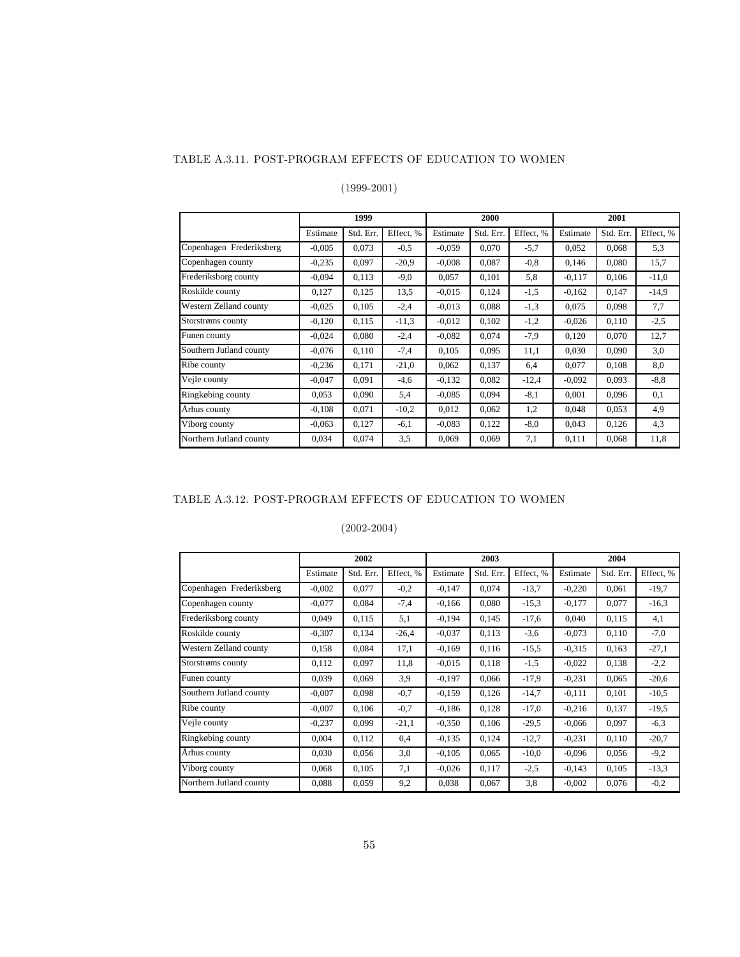#### TABLE A.3.11. POST-PROGRAM EFFECTS OF EDUCATION TO WOMEN

## (1999-2001)

|                          |          | 1999      |           |          | 2000      |           | 2001     |           |           |
|--------------------------|----------|-----------|-----------|----------|-----------|-----------|----------|-----------|-----------|
|                          | Estimate | Std. Err. | Effect. % | Estimate | Std. Err. | Effect, % | Estimate | Std. Err. | Effect, % |
| Copenhagen Frederiksberg | $-0.005$ | 0.073     | $-0.5$    | $-0.059$ | 0.070     | $-5,7$    | 0,052    | 0.068     | 5,3       |
| Copenhagen county        | $-0,235$ | 0.097     | $-20.9$   | $-0.008$ | 0,087     | $-0.8$    | 0,146    | 0.080     | 15,7      |
| Frederiksborg county     | $-0,094$ | 0,113     | $-9,0$    | 0,057    | 0,101     | 5,8       | $-0.117$ | 0,106     | $-11,0$   |
| Roskilde county          | 0,127    | 0,125     | 13,5      | $-0.015$ | 0,124     | $-1,5$    | $-0.162$ | 0,147     | $-14,9$   |
| Western Zelland county   | $-0.025$ | 0,105     | $-2,4$    | $-0.013$ | 0,088     | $-1,3$    | 0.075    | 0,098     | 7,7       |
| Storstrøms county        | $-0,120$ | 0,115     | $-11,3$   | $-0.012$ | 0,102     | $-1,2$    | $-0.026$ | 0,110     | $-2,5$    |
| Funen county             | $-0.024$ | 0.080     | $-2,4$    | $-0.082$ | 0.074     | $-7,9$    | 0,120    | 0,070     | 12,7      |
| Southern Jutland county  | $-0.076$ | 0,110     | $-7,4$    | 0.105    | 0.095     | 11,1      | 0.030    | 0.090     | 3,0       |
| Ribe county              | $-0,236$ | 0,171     | $-21,0$   | 0,062    | 0,137     | 6,4       | 0,077    | 0,108     | 8,0       |
| Vejle county             | $-0,047$ | 0.091     | $-4,6$    | $-0.132$ | 0,082     | $-12,4$   | $-0.092$ | 0,093     | $-8, 8$   |
| Ringkøbing county        | 0,053    | 0,090     | 5,4       | $-0.085$ | 0,094     | $-8,1$    | 0,001    | 0,096     | 0,1       |
| Århus county             | $-0.108$ | 0.071     | $-10,2$   | 0,012    | 0,062     | 1,2       | 0,048    | 0,053     | 4,9       |
| Viborg county            | $-0,063$ | 0,127     | $-6,1$    | $-0.083$ | 0,122     | $-8,0$    | 0,043    | 0,126     | 4,3       |
| Northern Jutland county  | 0.034    | 0,074     | 3,5       | 0.069    | 0.069     | 7,1       | 0,111    | 0,068     | 11,8      |

## TABLE A.3.12. POST-PROGRAM EFFECTS OF EDUCATION TO WOMEN

|                          | 2002     |           |           |          | 2003      |           | 2004     |           |           |
|--------------------------|----------|-----------|-----------|----------|-----------|-----------|----------|-----------|-----------|
|                          | Estimate | Std. Err. | Effect, % | Estimate | Std. Err. | Effect, % | Estimate | Std. Err. | Effect, % |
| Copenhagen Frederiksberg | $-0.002$ | 0,077     | $-0,2$    | $-0.147$ | 0,074     | $-13,7$   | $-0,220$ | 0,061     | $-19.7$   |
| Copenhagen county        | $-0.077$ | 0.084     | $-7,4$    | $-0.166$ | 0.080     | $-15,3$   | $-0.177$ | 0.077     | $-16.3$   |
| Frederiksborg county     | 0,049    | 0,115     | 5,1       | $-0,194$ | 0,145     | $-17,6$   | 0,040    | 0,115     | 4,1       |
| Roskilde county          | $-0,307$ | 0,134     | $-26,4$   | $-0.037$ | 0,113     | $-3,6$    | $-0.073$ | 0,110     | $-7,0$    |
| Western Zelland county   | 0,158    | 0,084     | 17,1      | $-0,169$ | 0,116     | $-15,5$   | $-0.315$ | 0,163     | $-27,1$   |
| Storstrøms county        | 0,112    | 0,097     | 11,8      | $-0.015$ | 0,118     | $-1,5$    | $-0.022$ | 0,138     | $-2,2$    |
| Funen county             | 0,039    | 0,069     | 3,9       | $-0.197$ | 0,066     | $-17.9$   | $-0.231$ | 0,065     | $-20,6$   |
| Southern Jutland county  | $-0,007$ | 0,098     | $-0,7$    | $-0.159$ | 0,126     | $-14,7$   | $-0,111$ | 0,101     | $-10.5$   |
| Ribe county              | $-0,007$ | 0,106     | $-0,7$    | $-0.186$ | 0,128     | $-17,0$   | $-0.216$ | 0,137     | $-19,5$   |
| Vejle county             | $-0,237$ | 0,099     | $-21,1$   | $-0.350$ | 0,106     | $-29.5$   | $-0.066$ | 0,097     | $-6,3$    |
| Ringkøbing county        | 0.004    | 0,112     | 0,4       | $-0.135$ | 0,124     | $-12,7$   | $-0,231$ | 0.110     | $-20.7$   |
| Århus county             | 0,030    | 0,056     | 3,0       | $-0,105$ | 0,065     | $-10,0$   | $-0.096$ | 0,056     | $-9,2$    |
| Viborg county            | 0,068    | 0,105     | 7,1       | $-0.026$ | 0,117     | $-2,5$    | $-0.143$ | 0,105     | $-13.3$   |
| Northern Jutland county  | 0,088    | 0,059     | 9,2       | 0,038    | 0,067     | 3,8       | $-0.002$ | 0,076     | $-0,2$    |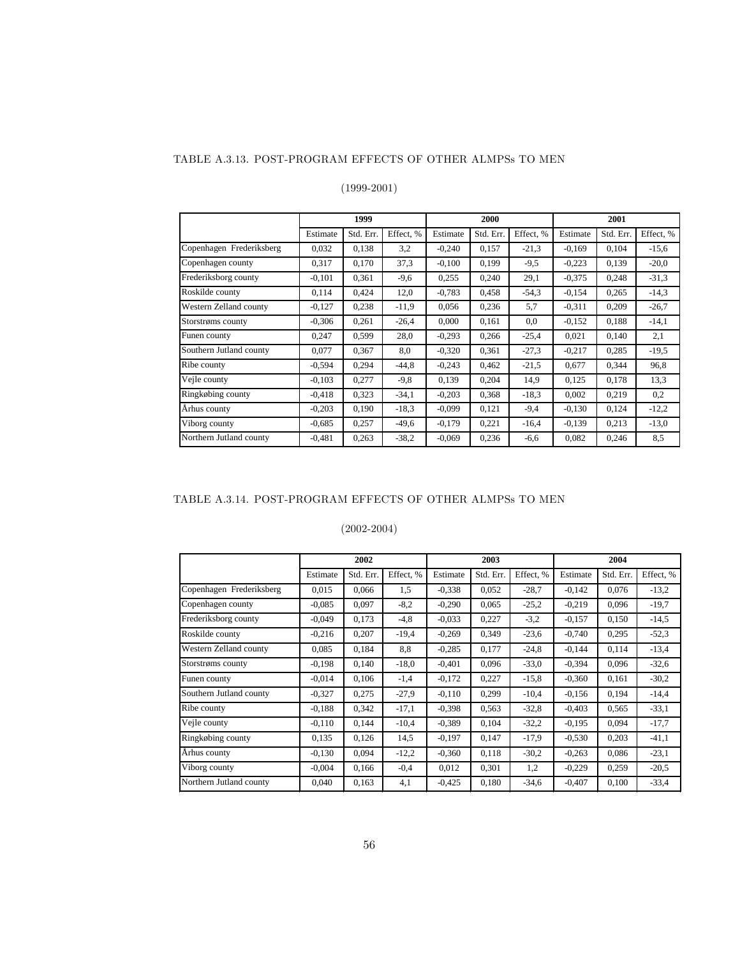#### TABLE A.3.13. POST-PROGRAM EFFECTS OF OTHER ALMPSs TO MEN

### (1999-2001)

|                          |          | 1999      |           |          | 2000      |           | 2001     |           |           |
|--------------------------|----------|-----------|-----------|----------|-----------|-----------|----------|-----------|-----------|
|                          | Estimate | Std. Err. | Effect. % | Estimate | Std. Err. | Effect, % | Estimate | Std. Err. | Effect, % |
| Copenhagen Frederiksberg | 0,032    | 0,138     | 3,2       | $-0,240$ | 0,157     | $-21,3$   | $-0.169$ | 0,104     | $-15,6$   |
| Copenhagen county        | 0,317    | 0,170     | 37,3      | $-0.100$ | 0,199     | $-9.5$    | $-0,223$ | 0,139     | $-20,0$   |
| Frederiksborg county     | $-0,101$ | 0.361     | $-9,6$    | 0,255    | 0,240     | 29,1      | $-0.375$ | 0,248     | $-31.3$   |
| Roskilde county          | 0,114    | 0,424     | 12,0      | $-0,783$ | 0,458     | $-54.3$   | $-0.154$ | 0,265     | $-14,3$   |
| Western Zelland county   | $-0,127$ | 0,238     | $-11,9$   | 0,056    | 0,236     | 5,7       | $-0.311$ | 0,209     | $-26,7$   |
| Storstrøms county        | $-0,306$ | 0.261     | $-26,4$   | 0,000    | 0,161     | 0,0       | $-0.152$ | 0,188     | $-14,1$   |
| Funen county             | 0,247    | 0,599     | 28,0      | $-0,293$ | 0,266     | $-25,4$   | 0,021    | 0,140     | 2,1       |
| Southern Jutland county  | 0.077    | 0,367     | 8.0       | $-0.320$ | 0,361     | $-27.3$   | $-0.217$ | 0,285     | $-19,5$   |
| Ribe county              | $-0,594$ | 0,294     | $-44,8$   | $-0,243$ | 0,462     | $-21,5$   | 0,677    | 0,344     | 96.8      |
| Vejle county             | $-0.103$ | 0.277     | $-9,8$    | 0,139    | 0,204     | 14,9      | 0.125    | 0.178     | 13.3      |
| Ringkøbing county        | $-0.418$ | 0,323     | $-34,1$   | $-0,203$ | 0,368     | $-18.3$   | 0,002    | 0,219     | 0,2       |
| Århus county             | $-0,203$ | 0,190     | $-18.3$   | $-0.099$ | 0,121     | $-9,4$    | $-0.130$ | 0,124     | $-12,2$   |
| Viborg county            | $-0.685$ | 0,257     | $-49,6$   | $-0.179$ | 0,221     | $-16,4$   | $-0.139$ | 0,213     | $-13.0$   |
| Northern Jutland county  | $-0,481$ | 0,263     | $-38.2$   | $-0.069$ | 0,236     | $-6,6$    | 0,082    | 0,246     | 8,5       |

## TABLE A.3.14. POST-PROGRAM EFFECTS OF OTHER ALMPSs TO MEN

|                          |          | 2002      |           |          | 2003      |           | 2004     |           |           |
|--------------------------|----------|-----------|-----------|----------|-----------|-----------|----------|-----------|-----------|
|                          | Estimate | Std. Err. | Effect, % | Estimate | Std. Err. | Effect, % | Estimate | Std. Err. | Effect, % |
| Copenhagen Frederiksberg | 0,015    | 0,066     | 1,5       | $-0.338$ | 0.052     | $-28.7$   | $-0,142$ | 0,076     | $-13,2$   |
| Copenhagen county        | $-0.085$ | 0,097     | $-8,2$    | $-0,290$ | 0,065     | $-25,2$   | $-0,219$ | 0,096     | $-19.7$   |
| Frederiksborg county     | $-0,049$ | 0,173     | $-4,8$    | $-0.033$ | 0,227     | $-3,2$    | $-0.157$ | 0,150     | $-14,5$   |
| Roskilde county          | $-0,216$ | 0,207     | $-19,4$   | $-0,269$ | 0,349     | $-23,6$   | $-0,740$ | 0,295     | $-52,3$   |
| Western Zelland county   | 0,085    | 0,184     | 8,8       | $-0,285$ | 0,177     | $-24.8$   | $-0.144$ | 0,114     | $-13,4$   |
| Storstrøms county        | $-0.198$ | 0,140     | $-18,0$   | $-0,401$ | 0,096     | $-33.0$   | $-0.394$ | 0,096     | $-32,6$   |
| Funen county             | $-0.014$ | 0.106     | $-1,4$    | $-0,172$ | 0,227     | $-15,8$   | $-0,360$ | 0.161     | $-30,2$   |
| Southern Jutland county  | $-0.327$ | 0,275     | $-27.9$   | $-0.110$ | 0,299     | $-10,4$   | $-0.156$ | 0,194     | $-14,4$   |
| Ribe county              | $-0.188$ | 0,342     | $-17,1$   | $-0,398$ | 0.563     | $-32.8$   | $-0,403$ | 0,565     | $-33,1$   |
| Vejle county             | $-0.110$ | 0,144     | $-10,4$   | $-0.389$ | 0.104     | $-32,2$   | $-0,195$ | 0,094     | $-17,7$   |
| Ringkøbing county        | 0,135    | 0,126     | 14,5      | $-0.197$ | 0,147     | $-17.9$   | $-0,530$ | 0,203     | $-41,1$   |
| Århus county             | $-0.130$ | 0,094     | $-12,2$   | $-0,360$ | 0,118     | $-30.2$   | $-0,263$ | 0,086     | $-23,1$   |
| Viborg county            | $-0.004$ | 0,166     | $-0,4$    | 0,012    | 0,301     | 1,2       | $-0,229$ | 0,259     | $-20,5$   |
| Northern Jutland county  | 0,040    | 0,163     | 4,1       | $-0,425$ | 0.180     | $-34,6$   | $-0,407$ | 0,100     | $-33,4$   |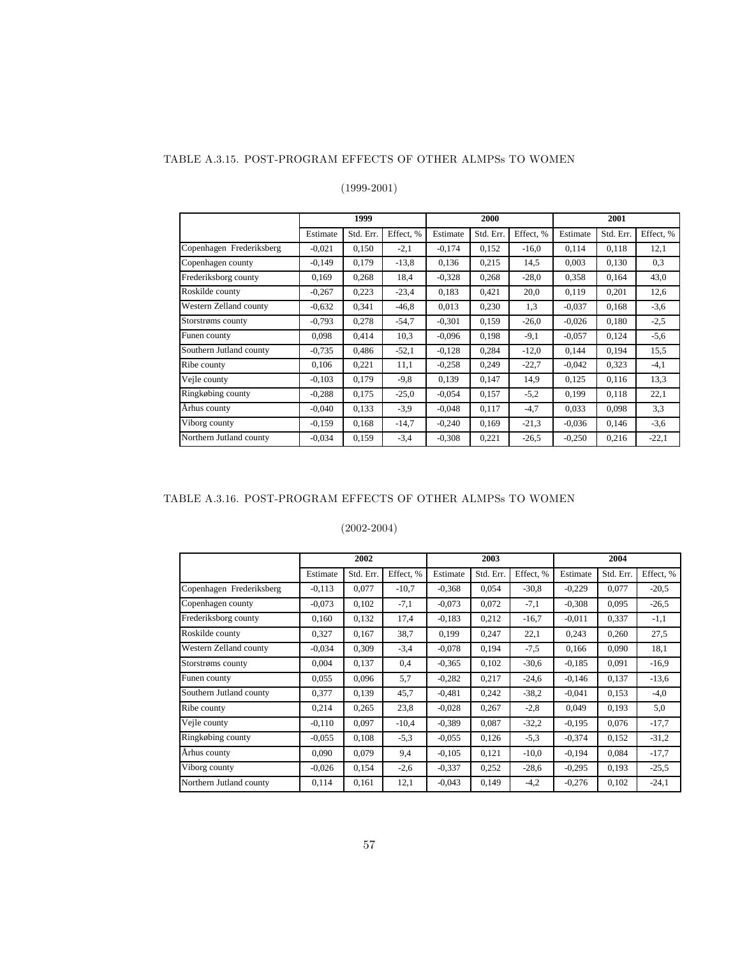#### TABLE A.3.15. POST-PROGRAM EFFECTS OF OTHER ALMPSs TO WOMEN

### (1999-2001)

|                          |          | 1999      |           |          | 2000      |           | 2001     |           |           |
|--------------------------|----------|-----------|-----------|----------|-----------|-----------|----------|-----------|-----------|
|                          | Estimate | Std. Err. | Effect, % | Estimate | Std. Err. | Effect. % | Estimate | Std. Err. | Effect, % |
| Copenhagen Frederiksberg | $-0.021$ | 0,150     | $-2,1$    | $-0.174$ | 0,152     | $-16,0$   | 0,114    | 0,118     | 12,1      |
| Copenhagen county        | $-0.149$ | 0,179     | $-13,8$   | 0,136    | 0,215     | 14,5      | 0,003    | 0,130     | 0.3       |
| Frederiksborg county     | 0,169    | 0,268     | 18,4      | $-0.328$ | 0,268     | $-28,0$   | 0,358    | 0,164     | 43,0      |
| Roskilde county          | $-0,267$ | 0,223     | $-23,4$   | 0.183    | 0,421     | 20,0      | 0,119    | 0,201     | 12,6      |
| Western Zelland county   | $-0.632$ | 0,341     | $-46,8$   | 0.013    | 0,230     | 1,3       | $-0.037$ | 0,168     | $-3,6$    |
| Storstrøms county        | $-0,793$ | 0,278     | $-54,7$   | $-0.301$ | 0,159     | $-26,0$   | $-0.026$ | 0,180     | $-2,5$    |
| Funen county             | 0,098    | 0,414     | 10,3      | $-0.096$ | 0,198     | $-9,1$    | $-0.057$ | 0,124     | $-5,6$    |
| Southern Jutland county  | $-0,735$ | 0,486     | $-52,1$   | $-0,128$ | 0,284     | $-12,0$   | 0,144    | 0,194     | 15,5      |
| Ribe county              | 0,106    | 0,221     | 11,1      | $-0.258$ | 0,249     | $-22.7$   | $-0.042$ | 0,323     | $-4,1$    |
| Vejle county             | $-0.103$ | 0,179     | $-9,8$    | 0.139    | 0,147     | 14,9      | 0,125    | 0,116     | 13.3      |
| Ringkøbing county        | $-0,288$ | 0,175     | $-25,0$   | $-0.054$ | 0,157     | $-5,2$    | 0,199    | 0,118     | 22,1      |
| Århus county             | $-0,040$ | 0,133     | $-3,9$    | $-0.048$ | 0,117     | $-4,7$    | 0,033    | 0,098     | 3,3       |
| Viborg county            | $-0.159$ | 0,168     | $-14,7$   | $-0,240$ | 0,169     | $-21,3$   | $-0.036$ | 0,146     | $-3,6$    |
| Northern Jutland county  | $-0.034$ | 0,159     | $-3,4$    | $-0.308$ | 0,221     | $-26.5$   | $-0.250$ | 0,216     | $-22,1$   |

## TABLE A.3.16. POST-PROGRAM EFFECTS OF OTHER ALMPSs TO WOMEN

|                          |          | 2002      |           |          | 2003      |           | 2004     |           |           |
|--------------------------|----------|-----------|-----------|----------|-----------|-----------|----------|-----------|-----------|
|                          | Estimate | Std. Err. | Effect, % | Estimate | Std. Err. | Effect, % | Estimate | Std. Err. | Effect, % |
| Copenhagen Frederiksberg | $-0,113$ | 0,077     | $-10,7$   | $-0,368$ | 0,054     | $-30.8$   | $-0,229$ | 0,077     | $-20.5$   |
| Copenhagen county        | $-0.073$ | 0,102     | $-7,1$    | $-0,073$ | 0.072     | $-7,1$    | $-0.308$ | 0,095     | $-26.5$   |
| Frederiksborg county     | 0,160    | 0,132     | 17,4      | $-0,183$ | 0.212     | $-16,7$   | $-0.011$ | 0,337     | $-1,1$    |
| Roskilde county          | 0,327    | 0,167     | 38,7      | 0,199    | 0,247     | 22,1      | 0,243    | 0,260     | 27,5      |
| Western Zelland county   | $-0.034$ | 0,309     | $-3,4$    | $-0,078$ | 0,194     | $-7.5$    | 0,166    | 0,090     | 18,1      |
| Storstrøms county        | 0,004    | 0,137     | 0,4       | $-0.365$ | 0.102     | $-30,6$   | $-0.185$ | 0,091     | $-16,9$   |
| Funen county             | 0.055    | 0,096     | 5,7       | $-0,282$ | 0,217     | $-24,6$   | $-0,146$ | 0,137     | $-13,6$   |
| Southern Jutland county  | 0,377    | 0.139     | 45,7      | $-0.481$ | 0,242     | $-38.2$   | $-0.041$ | 0,153     | $-4,0$    |
| Ribe county              | 0,214    | 0,265     | 23,8      | $-0,028$ | 0,267     | $-2,8$    | 0,049    | 0,193     | 5,0       |
| Vejle county             | $-0.110$ | 0,097     | $-10,4$   | $-0.389$ | 0,087     | $-32,2$   | $-0.195$ | 0,076     | $-17,7$   |
| Ringkøbing county        | $-0.055$ | 0,108     | $-5,3$    | $-0.055$ | 0.126     | $-5.3$    | $-0.374$ | 0,152     | $-31,2$   |
| Århus county             | 0,090    | 0,079     | 9,4       | $-0,105$ | 0,121     | $-10,0$   | $-0,194$ | 0,084     | $-17,7$   |
| Viborg county            | $-0.026$ | 0,154     | $-2,6$    | $-0.337$ | 0.252     | $-28,6$   | $-0,295$ | 0,193     | $-25.5$   |
| Northern Jutland county  | 0.114    | 0,161     | 12,1      | $-0,043$ | 0,149     | $-4,2$    | $-0,276$ | 0,102     | $-24,1$   |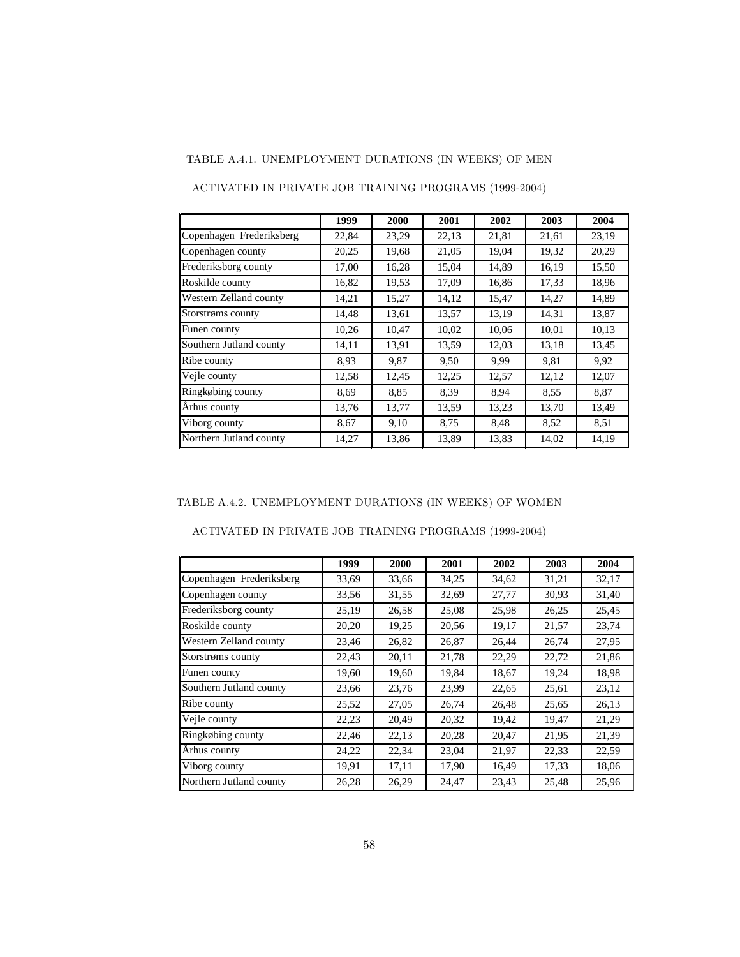## TABLE A.4.1. UNEMPLOYMENT DURATIONS (IN WEEKS) OF MEN

|                          | 1999  | 2000  | 2001  | 2002  | 2003  | 2004  |
|--------------------------|-------|-------|-------|-------|-------|-------|
| Copenhagen Frederiksberg | 22,84 | 23,29 | 22,13 | 21,81 | 21,61 | 23,19 |
| Copenhagen county        | 20,25 | 19,68 | 21,05 | 19,04 | 19,32 | 20,29 |
| Frederiksborg county     | 17,00 | 16,28 | 15,04 | 14,89 | 16,19 | 15,50 |
| Roskilde county          | 16,82 | 19,53 | 17,09 | 16,86 | 17,33 | 18,96 |
| Western Zelland county   | 14,21 | 15,27 | 14,12 | 15,47 | 14,27 | 14,89 |
| Storstrøms county        | 14,48 | 13,61 | 13,57 | 13,19 | 14,31 | 13,87 |
| Funen county             | 10,26 | 10,47 | 10,02 | 10,06 | 10,01 | 10,13 |
| Southern Jutland county  | 14,11 | 13,91 | 13,59 | 12,03 | 13,18 | 13,45 |
| Ribe county              | 8.93  | 9,87  | 9,50  | 9,99  | 9,81  | 9,92  |
| Vejle county             | 12,58 | 12,45 | 12,25 | 12,57 | 12,12 | 12,07 |
| Ringkøbing county        | 8,69  | 8,85  | 8,39  | 8.94  | 8.55  | 8,87  |
| Århus county             | 13,76 | 13,77 | 13,59 | 13,23 | 13,70 | 13,49 |
| Viborg county            | 8,67  | 9,10  | 8,75  | 8,48  | 8.52  | 8,51  |
| Northern Jutland county  | 14,27 | 13,86 | 13,89 | 13,83 | 14,02 | 14,19 |

ACTIVATED IN PRIVATE JOB TRAINING PROGRAMS (1999-2004)

### TABLE A.4.2. UNEMPLOYMENT DURATIONS (IN WEEKS) OF WOMEN

ACTIVATED IN PRIVATE JOB TRAINING PROGRAMS (1999-2004)

|                          | 1999  | 2000  | 2001  | 2002  | 2003  | 2004  |
|--------------------------|-------|-------|-------|-------|-------|-------|
| Copenhagen Frederiksberg | 33,69 | 33,66 | 34,25 | 34,62 | 31,21 | 32,17 |
| Copenhagen county        | 33,56 | 31,55 | 32,69 | 27,77 | 30,93 | 31,40 |
| Frederiksborg county     | 25,19 | 26,58 | 25,08 | 25,98 | 26,25 | 25,45 |
| Roskilde county          | 20,20 | 19,25 | 20,56 | 19,17 | 21,57 | 23,74 |
| Western Zelland county   | 23,46 | 26,82 | 26,87 | 26,44 | 26,74 | 27,95 |
| Storstrøms county        | 22,43 | 20,11 | 21,78 | 22,29 | 22,72 | 21,86 |
| Funen county             | 19,60 | 19,60 | 19.84 | 18,67 | 19,24 | 18,98 |
| Southern Jutland county  | 23,66 | 23,76 | 23,99 | 22,65 | 25,61 | 23,12 |
| Ribe county              | 25,52 | 27,05 | 26,74 | 26,48 | 25,65 | 26,13 |
| Veile county             | 22,23 | 20,49 | 20,32 | 19,42 | 19,47 | 21,29 |
| Ringkøbing county        | 22,46 | 22,13 | 20,28 | 20,47 | 21,95 | 21,39 |
| Århus county             | 24,22 | 22,34 | 23,04 | 21,97 | 22,33 | 22,59 |
| Viborg county            | 19,91 | 17,11 | 17,90 | 16,49 | 17,33 | 18,06 |
| Northern Jutland county  | 26,28 | 26,29 | 24,47 | 23,43 | 25,48 | 25,96 |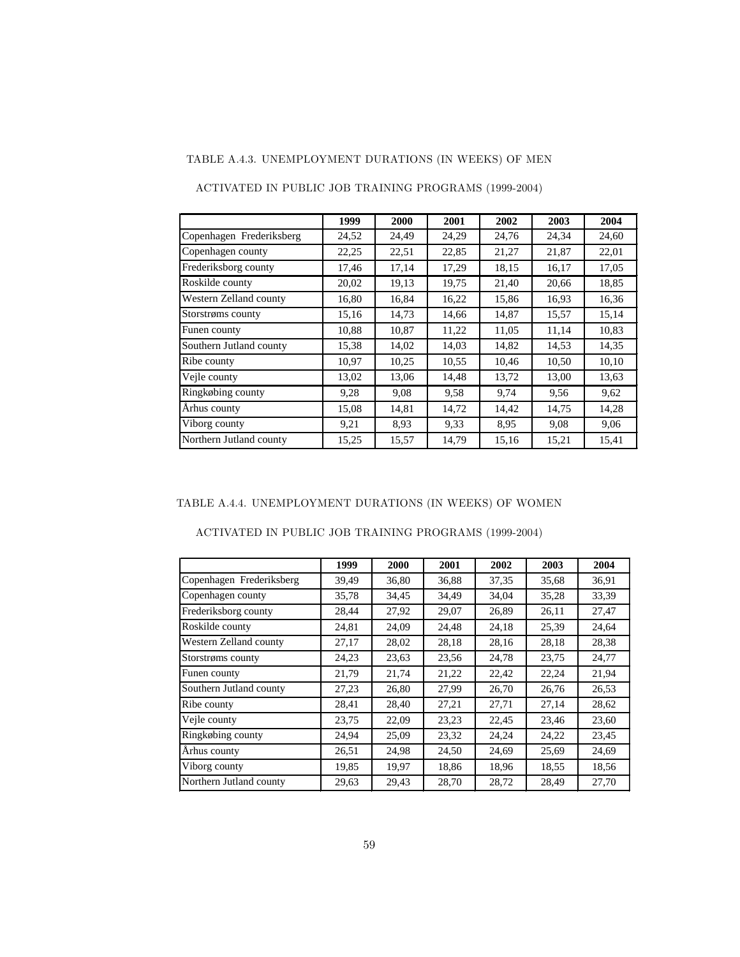### TABLE A.4.3. UNEMPLOYMENT DURATIONS (IN WEEKS) OF MEN

|                          | 1999  | 2000  | 2001  | 2002  | 2003  | 2004  |
|--------------------------|-------|-------|-------|-------|-------|-------|
| Copenhagen Frederiksberg | 24,52 | 24,49 | 24,29 | 24,76 | 24,34 | 24,60 |
| Copenhagen county        | 22,25 | 22,51 | 22,85 | 21,27 | 21,87 | 22,01 |
| Frederiksborg county     | 17,46 | 17,14 | 17,29 | 18,15 | 16,17 | 17,05 |
| Roskilde county          | 20,02 | 19,13 | 19,75 | 21,40 | 20,66 | 18,85 |
| Western Zelland county   | 16,80 | 16,84 | 16,22 | 15,86 | 16,93 | 16,36 |
| Storstrøms county        | 15,16 | 14,73 | 14,66 | 14,87 | 15,57 | 15,14 |
| Funen county             | 10,88 | 10,87 | 11,22 | 11,05 | 11,14 | 10,83 |
| Southern Jutland county  | 15,38 | 14,02 | 14,03 | 14,82 | 14,53 | 14,35 |
| Ribe county              | 10,97 | 10,25 | 10,55 | 10,46 | 10,50 | 10,10 |
| Vejle county             | 13,02 | 13,06 | 14,48 | 13,72 | 13,00 | 13.63 |
| Ringkøbing county        | 9,28  | 9,08  | 9,58  | 9,74  | 9,56  | 9,62  |
| Arhus county             | 15,08 | 14,81 | 14,72 | 14,42 | 14,75 | 14,28 |
| Viborg county            | 9,21  | 8.93  | 9,33  | 8.95  | 9,08  | 9,06  |
| Northern Jutland county  | 15,25 | 15,57 | 14,79 | 15,16 | 15,21 | 15,41 |

ACTIVATED IN PUBLIC JOB TRAINING PROGRAMS (1999-2004)

#### TABLE A.4.4. UNEMPLOYMENT DURATIONS (IN WEEKS) OF WOMEN

| ACTIVATED IN PUBLIC JOB TRAINING PROGRAMS (1999-2004) |  |  |
|-------------------------------------------------------|--|--|
|-------------------------------------------------------|--|--|

|                          | 1999  | 2000  | 2001  | 2002  | 2003  | 2004  |
|--------------------------|-------|-------|-------|-------|-------|-------|
| Copenhagen Frederiksberg | 39,49 | 36,80 | 36,88 | 37,35 | 35,68 | 36,91 |
| Copenhagen county        | 35,78 | 34,45 | 34,49 | 34,04 | 35,28 | 33,39 |
| Frederiksborg county     | 28,44 | 27,92 | 29,07 | 26,89 | 26,11 | 27,47 |
| Roskilde county          | 24,81 | 24,09 | 24,48 | 24,18 | 25,39 | 24,64 |
| Western Zelland county   | 27,17 | 28,02 | 28,18 | 28,16 | 28,18 | 28,38 |
| Storstrøms county        | 24,23 | 23,63 | 23,56 | 24,78 | 23,75 | 24,77 |
| Funen county             | 21,79 | 21,74 | 21,22 | 22,42 | 22,24 | 21,94 |
| Southern Jutland county  | 27,23 | 26,80 | 27,99 | 26,70 | 26,76 | 26,53 |
| Ribe county              | 28,41 | 28,40 | 27,21 | 27,71 | 27,14 | 28,62 |
| Vejle county             | 23,75 | 22,09 | 23,23 | 22,45 | 23,46 | 23,60 |
| Ringkøbing county        | 24,94 | 25,09 | 23,32 | 24,24 | 24,22 | 23,45 |
| Århus county             | 26,51 | 24,98 | 24,50 | 24,69 | 25,69 | 24,69 |
| Viborg county            | 19,85 | 19,97 | 18,86 | 18,96 | 18,55 | 18,56 |
| Northern Jutland county  | 29,63 | 29,43 | 28,70 | 28,72 | 28,49 | 27,70 |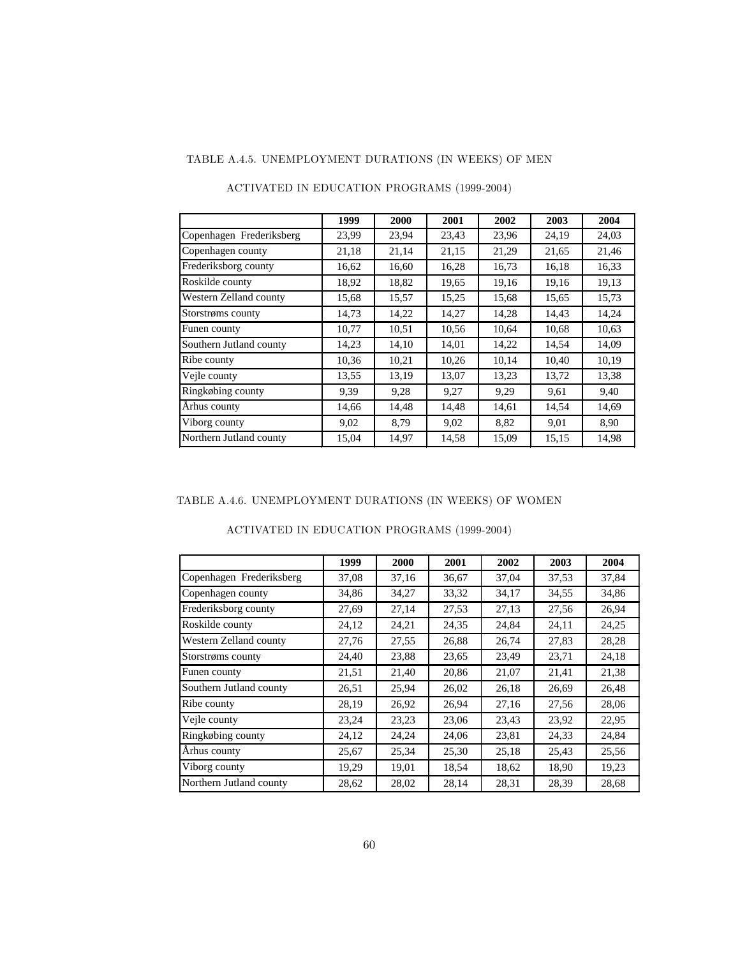## TABLE A.4.5. UNEMPLOYMENT DURATIONS (IN WEEKS) OF MEN

|                          | 1999  | 2000  | 2001  | 2002  | 2003  | 2004  |
|--------------------------|-------|-------|-------|-------|-------|-------|
| Copenhagen Frederiksberg | 23,99 | 23,94 | 23,43 | 23,96 | 24,19 | 24,03 |
| Copenhagen county        | 21,18 | 21,14 | 21,15 | 21,29 | 21,65 | 21,46 |
| Frederiksborg county     | 16,62 | 16,60 | 16,28 | 16,73 | 16,18 | 16,33 |
| Roskilde county          | 18,92 | 18,82 | 19,65 | 19,16 | 19,16 | 19,13 |
| Western Zelland county   | 15,68 | 15,57 | 15,25 | 15,68 | 15,65 | 15,73 |
| Storstrøms county        | 14,73 | 14,22 | 14,27 | 14,28 | 14,43 | 14,24 |
| Funen county             | 10,77 | 10,51 | 10,56 | 10,64 | 10,68 | 10,63 |
| Southern Jutland county  | 14,23 | 14,10 | 14,01 | 14,22 | 14,54 | 14,09 |
| Ribe county              | 10,36 | 10,21 | 10,26 | 10,14 | 10,40 | 10,19 |
| Vejle county             | 13,55 | 13,19 | 13,07 | 13,23 | 13,72 | 13,38 |
| Ringkøbing county        | 9,39  | 9,28  | 9,27  | 9,29  | 9,61  | 9,40  |
| Århus county             | 14,66 | 14,48 | 14,48 | 14,61 | 14,54 | 14,69 |
| Viborg county            | 9,02  | 8,79  | 9,02  | 8,82  | 9,01  | 8,90  |
| Northern Jutland county  | 15,04 | 14,97 | 14,58 | 15,09 | 15,15 | 14,98 |

### ACTIVATED IN EDUCATION PROGRAMS (1999-2004)

### TABLE A.4.6. UNEMPLOYMENT DURATIONS (IN WEEKS) OF WOMEN

|                          | 1999  | 2000  | 2001  | 2002  | 2003  | 2004  |
|--------------------------|-------|-------|-------|-------|-------|-------|
| Copenhagen Frederiksberg | 37,08 | 37,16 | 36,67 | 37,04 | 37,53 | 37,84 |
| Copenhagen county        | 34,86 | 34,27 | 33,32 | 34,17 | 34,55 | 34,86 |
| Frederiksborg county     | 27,69 | 27,14 | 27,53 | 27,13 | 27,56 | 26,94 |
| Roskilde county          | 24,12 | 24,21 | 24,35 | 24,84 | 24,11 | 24,25 |
| Western Zelland county   | 27,76 | 27,55 | 26,88 | 26,74 | 27,83 | 28,28 |
| Storstrøms county        | 24,40 | 23,88 | 23,65 | 23,49 | 23,71 | 24,18 |
| Funen county             | 21,51 | 21,40 | 20,86 | 21,07 | 21,41 | 21,38 |
| Southern Jutland county  | 26,51 | 25,94 | 26,02 | 26,18 | 26,69 | 26,48 |
| Ribe county              | 28,19 | 26,92 | 26,94 | 27,16 | 27,56 | 28,06 |
| Veile county             | 23,24 | 23,23 | 23,06 | 23,43 | 23,92 | 22,95 |
| Ringkøbing county        | 24,12 | 24,24 | 24,06 | 23,81 | 24,33 | 24,84 |
| Arhus county             | 25,67 | 25,34 | 25,30 | 25,18 | 25,43 | 25,56 |
| Viborg county            | 19,29 | 19,01 | 18,54 | 18,62 | 18,90 | 19,23 |
| Northern Jutland county  | 28,62 | 28,02 | 28,14 | 28,31 | 28,39 | 28,68 |

### ACTIVATED IN EDUCATION PROGRAMS (1999-2004)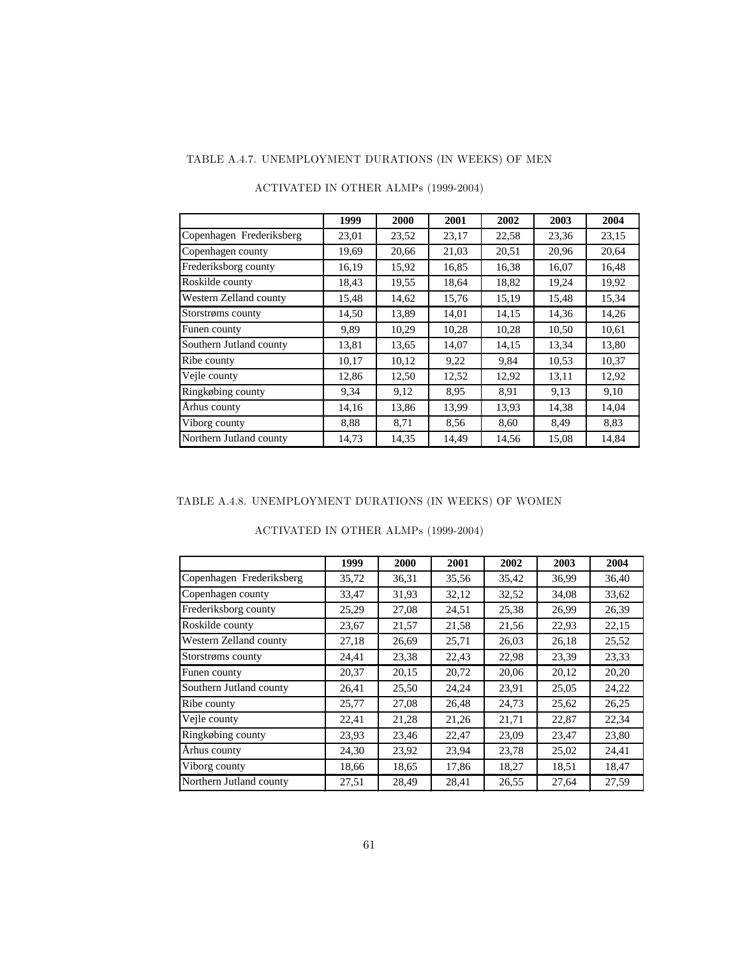## TABLE A.4.7. UNEMPLOYMENT DURATIONS (IN WEEKS) OF MEN

|                          | 1999  | 2000  | 2001  | 2002  | 2003  | 2004  |
|--------------------------|-------|-------|-------|-------|-------|-------|
| Copenhagen Frederiksberg | 23,01 | 23,52 | 23,17 | 22,58 | 23,36 | 23,15 |
| Copenhagen county        | 19,69 | 20,66 | 21,03 | 20,51 | 20,96 | 20,64 |
| Frederiksborg county     | 16,19 | 15,92 | 16,85 | 16,38 | 16,07 | 16,48 |
| Roskilde county          | 18,43 | 19,55 | 18,64 | 18,82 | 19,24 | 19,92 |
| Western Zelland county   | 15,48 | 14,62 | 15,76 | 15,19 | 15,48 | 15,34 |
| Storstrøms county        | 14,50 | 13,89 | 14,01 | 14,15 | 14,36 | 14,26 |
| Funen county             | 9,89  | 10,29 | 10,28 | 10,28 | 10,50 | 10,61 |
| Southern Jutland county  | 13,81 | 13,65 | 14,07 | 14,15 | 13,34 | 13,80 |
| Ribe county              | 10,17 | 10,12 | 9,22  | 9,84  | 10,53 | 10,37 |
| Vejle county             | 12,86 | 12,50 | 12,52 | 12,92 | 13,11 | 12,92 |
| Ringkøbing county        | 9,34  | 9,12  | 8,95  | 8,91  | 9,13  | 9,10  |
| Århus county             | 14,16 | 13,86 | 13,99 | 13,93 | 14,38 | 14,04 |
| Viborg county            | 8,88  | 8,71  | 8,56  | 8,60  | 8,49  | 8,83  |
| Northern Jutland county  | 14,73 | 14,35 | 14,49 | 14,56 | 15,08 | 14,84 |

### ACTIVATED IN OTHER ALMPs (1999-2004)

### TABLE A.4.8. UNEMPLOYMENT DURATIONS (IN WEEKS) OF WOMEN

|                          | 1999  | 2000  | 2001  | 2002  | 2003  | 2004  |
|--------------------------|-------|-------|-------|-------|-------|-------|
| Copenhagen Frederiksberg | 35,72 | 36,31 | 35,56 | 35,42 | 36,99 | 36,40 |
| Copenhagen county        | 33,47 | 31,93 | 32,12 | 32,52 | 34,08 | 33,62 |
| Frederiksborg county     | 25,29 | 27,08 | 24,51 | 25,38 | 26,99 | 26,39 |
| Roskilde county          | 23,67 | 21,57 | 21,58 | 21,56 | 22,93 | 22,15 |
| Western Zelland county   | 27,18 | 26,69 | 25,71 | 26,03 | 26,18 | 25,52 |
| Storstrøms county        | 24,41 | 23,38 | 22,43 | 22,98 | 23,39 | 23,33 |
| Funen county             | 20,37 | 20,15 | 20,72 | 20,06 | 20,12 | 20,20 |
| Southern Jutland county  | 26,41 | 25,50 | 24,24 | 23,91 | 25,05 | 24,22 |
| Ribe county              | 25,77 | 27,08 | 26,48 | 24,73 | 25,62 | 26,25 |
| Vejle county             | 22,41 | 21,28 | 21,26 | 21,71 | 22,87 | 22,34 |
| Ringkøbing county        | 23,93 | 23,46 | 22,47 | 23,09 | 23,47 | 23,80 |
| Århus county             | 24,30 | 23,92 | 23,94 | 23,78 | 25,02 | 24,41 |
| Viborg county            | 18,66 | 18,65 | 17,86 | 18,27 | 18,51 | 18,47 |
| Northern Jutland county  | 27,51 | 28,49 | 28,41 | 26,55 | 27,64 | 27,59 |

### ACTIVATED IN OTHER ALMPs (1999-2004)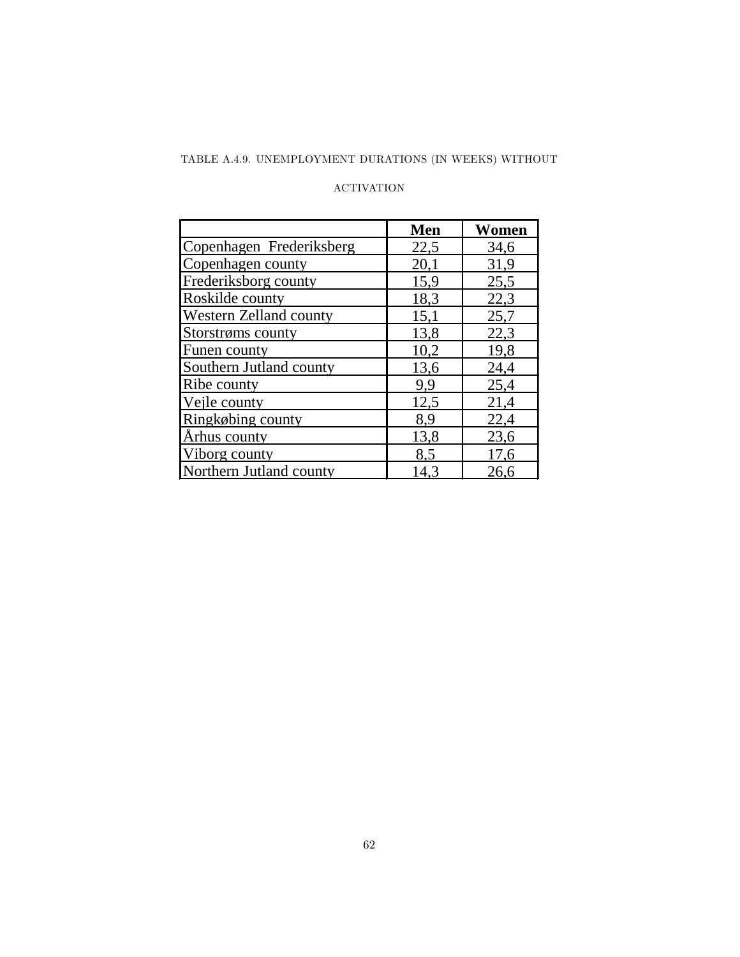## TABLE A.4.9. UNEMPLOYMENT DURATIONS (IN WEEKS) WITHOUT

#### ACTIVATION

|                          | Men  | Women |
|--------------------------|------|-------|
| Copenhagen Frederiksberg | 22,5 | 34,6  |
| Copenhagen county        | 20,1 | 31,9  |
| Frederiksborg county     | 15,9 | 25,5  |
| Roskilde county          | 18,3 | 22,3  |
| Western Zelland county   | 15,1 | 25,7  |
| Storstrøms county        | 13,8 | 22,3  |
| Funen county             | 10,2 | 19,8  |
| Southern Jutland county  | 13,6 | 24,4  |
| Ribe county              | 9,9  | 25,4  |
| Vejle county             | 12,5 | 21,4  |
| Ringkøbing county        | 8,9  | 22,4  |
| Århus county             | 13,8 | 23,6  |
| Viborg county            | 8,5  | 17,6  |
| Northern Jutland county  | 14.3 | 26,6  |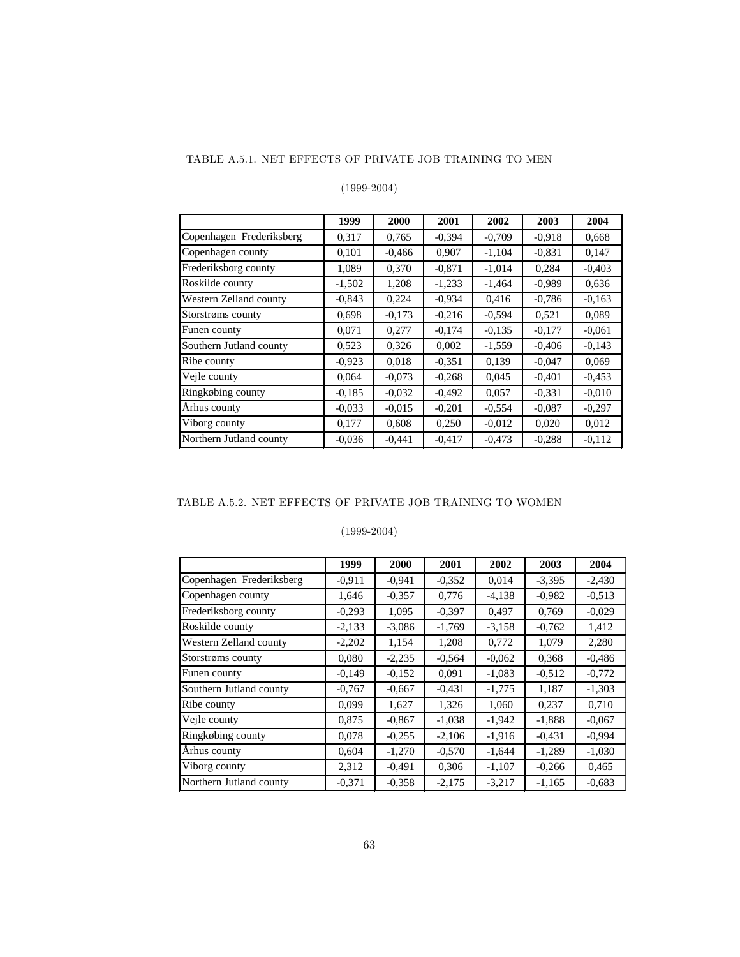#### TABLE A.5.1. NET EFFECTS OF PRIVATE JOB TRAINING TO MEN

### (1999-2004)

|                          | 1999     | 2000     | 2001     | 2002     | 2003     | 2004     |
|--------------------------|----------|----------|----------|----------|----------|----------|
| Copenhagen Frederiksberg | 0,317    | 0.765    | $-0.394$ | $-0,709$ | $-0.918$ | 0,668    |
| Copenhagen county        | 0,101    | $-0.466$ | 0,907    | $-1,104$ | $-0.831$ | 0,147    |
| Frederiksborg county     | 1,089    | 0,370    | $-0.871$ | $-1,014$ | 0,284    | $-0,403$ |
| Roskilde county          | $-1,502$ | 1,208    | $-1,233$ | $-1,464$ | $-0.989$ | 0,636    |
| Western Zelland county   | $-0,843$ | 0,224    | $-0.934$ | 0.416    | $-0,786$ | $-0.163$ |
| Storstrøms county        | 0,698    | $-0,173$ | $-0,216$ | $-0.594$ | 0,521    | 0,089    |
| Funen county             | 0,071    | 0,277    | $-0,174$ | $-0.135$ | $-0.177$ | $-0.061$ |
| Southern Jutland county  | 0,523    | 0,326    | 0,002    | $-1,559$ | $-0,406$ | $-0,143$ |
| Ribe county              | $-0.923$ | 0,018    | $-0.351$ | 0,139    | $-0.047$ | 0,069    |
| Vejle county             | 0,064    | $-0.073$ | $-0.268$ | 0,045    | $-0.401$ | $-0.453$ |
| Ringkøbing county        | $-0.185$ | $-0.032$ | $-0,492$ | 0,057    | $-0.331$ | $-0.010$ |
| Århus county             | $-0.033$ | $-0.015$ | $-0.201$ | $-0.554$ | $-0.087$ | $-0.297$ |
| Viborg county            | 0.177    | 0,608    | 0,250    | $-0.012$ | 0.020    | 0.012    |
| Northern Jutland county  | $-0.036$ | $-0,441$ | $-0.417$ | $-0,473$ | $-0,288$ | $-0.112$ |

### TABLE A.5.2. NET EFFECTS OF PRIVATE JOB TRAINING TO WOMEN

### (1999-2004)

|                          | 1999     | 2000     | 2001     | 2002     | 2003     | 2004     |
|--------------------------|----------|----------|----------|----------|----------|----------|
| Copenhagen Frederiksberg | $-0.911$ | $-0.941$ | $-0.352$ | 0,014    | $-3,395$ | $-2,430$ |
| Copenhagen county        | 1,646    | $-0.357$ | 0,776    | $-4,138$ | $-0.982$ | $-0.513$ |
| Frederiksborg county     | $-0,293$ | 1,095    | $-0.397$ | 0,497    | 0,769    | $-0,029$ |
| Roskilde county          | $-2,133$ | $-3,086$ | $-1,769$ | $-3,158$ | $-0,762$ | 1,412    |
| Western Zelland county   | $-2,202$ | 1,154    | 1,208    | 0,772    | 1,079    | 2,280    |
| Storstrøms county        | 0.080    | $-2,235$ | $-0,564$ | $-0.062$ | 0,368    | $-0,486$ |
| Funen county             | $-0,149$ | $-0,152$ | 0,091    | $-1,083$ | $-0.512$ | $-0,772$ |
| Southern Jutland county  | $-0,767$ | $-0.667$ | $-0.431$ | $-1,775$ | 1,187    | $-1,303$ |
| Ribe county              | 0,099    | 1,627    | 1,326    | 1,060    | 0,237    | 0,710    |
| Vejle county             | 0,875    | $-0.867$ | $-1,038$ | $-1,942$ | $-1,888$ | $-0.067$ |
| Ringkøbing county        | 0.078    | $-0.255$ | $-2,106$ | $-1.916$ | $-0.431$ | $-0.994$ |
| Århus county             | 0,604    | $-1,270$ | $-0.570$ | $-1,644$ | $-1,289$ | $-1,030$ |
| Viborg county            | 2,312    | $-0.491$ | 0,306    | $-1,107$ | $-0,266$ | 0,465    |
| Northern Jutland county  | $-0,371$ | $-0.358$ | $-2,175$ | $-3,217$ | $-1,165$ | $-0.683$ |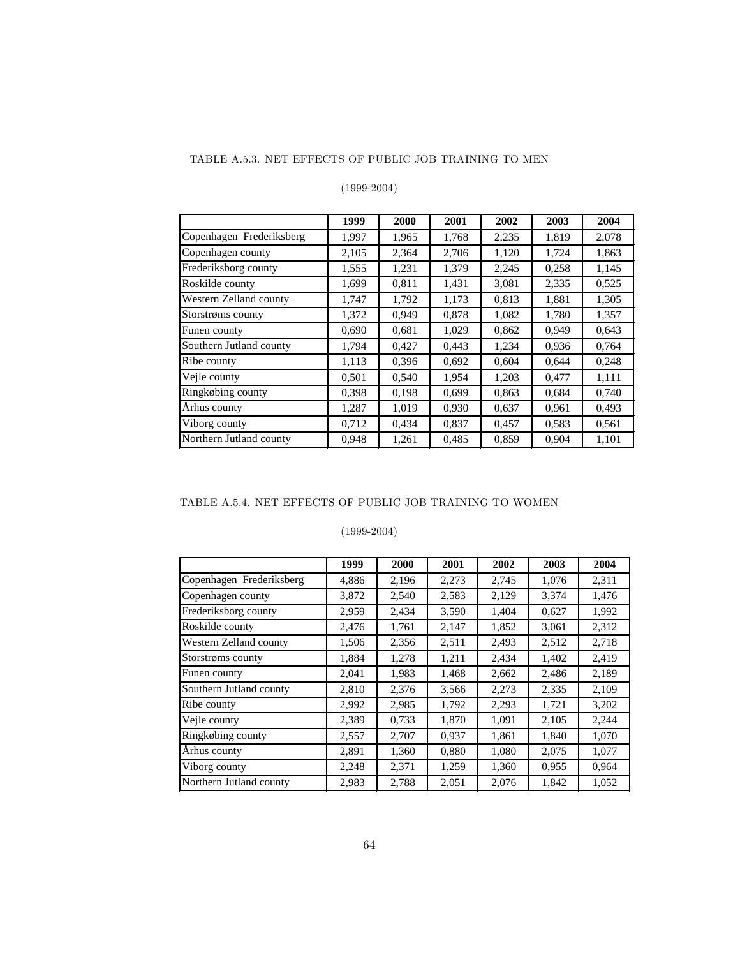#### TABLE A.5.3. NET EFFECTS OF PUBLIC JOB TRAINING TO MEN

### (1999-2004)

|                          | 1999  | <b>2000</b> | 2001  | 2002  | 2003  | 2004  |
|--------------------------|-------|-------------|-------|-------|-------|-------|
| Copenhagen Frederiksberg | 1,997 | 1,965       | 1,768 | 2,235 | 1,819 | 2,078 |
| Copenhagen county        | 2,105 | 2,364       | 2,706 | 1,120 | 1,724 | 1,863 |
| Frederiksborg county     | 1,555 | 1,231       | 1,379 | 2,245 | 0,258 | 1,145 |
| Roskilde county          | 1,699 | 0,811       | 1,431 | 3,081 | 2,335 | 0,525 |
| Western Zelland county   | 1,747 | 1,792       | 1,173 | 0,813 | 1,881 | 1,305 |
| Storstrøms county        | 1,372 | 0.949       | 0,878 | 1,082 | 1,780 | 1,357 |
| Funen county             | 0,690 | 0,681       | 1,029 | 0,862 | 0,949 | 0,643 |
| Southern Jutland county  | 1,794 | 0,427       | 0,443 | 1,234 | 0,936 | 0,764 |
| Ribe county              | 1,113 | 0,396       | 0.692 | 0,604 | 0,644 | 0,248 |
| Vejle county             | 0,501 | 0.540       | 1,954 | 1,203 | 0.477 | 1,111 |
| Ringkøbing county        | 0,398 | 0,198       | 0,699 | 0,863 | 0,684 | 0,740 |
| Århus county             | 1.287 | 1.019       | 0,930 | 0,637 | 0.961 | 0,493 |
| Viborg county            | 0,712 | 0,434       | 0,837 | 0,457 | 0,583 | 0,561 |
| Northern Jutland county  | 0.948 | 1,261       | 0,485 | 0,859 | 0,904 | 1,101 |

#### TABLE A.5.4. NET EFFECTS OF PUBLIC JOB TRAINING TO WOMEN

## (1999-2004)

|                          | 1999  | 2000  | 2001  | 2002  | 2003  | 2004  |
|--------------------------|-------|-------|-------|-------|-------|-------|
| Copenhagen Frederiksberg | 4,886 | 2,196 | 2,273 | 2,745 | 1,076 | 2,311 |
| Copenhagen county        | 3,872 | 2,540 | 2,583 | 2,129 | 3,374 | 1,476 |
| Frederiksborg county     | 2,959 | 2,434 | 3,590 | 1,404 | 0,627 | 1,992 |
| Roskilde county          | 2,476 | 1,761 | 2,147 | 1,852 | 3,061 | 2,312 |
| Western Zelland county   | 1,506 | 2,356 | 2,511 | 2,493 | 2,512 | 2,718 |
| Storstrøms county        | 1,884 | 1,278 | 1,211 | 2,434 | 1,402 | 2,419 |
| Funen county             | 2,041 | 1,983 | 1,468 | 2,662 | 2,486 | 2,189 |
| Southern Jutland county  | 2,810 | 2,376 | 3,566 | 2,273 | 2,335 | 2,109 |
| Ribe county              | 2,992 | 2,985 | 1,792 | 2,293 | 1,721 | 3,202 |
| Vejle county             | 2,389 | 0,733 | 1,870 | 1,091 | 2,105 | 2,244 |
| Ringkøbing county        | 2,557 | 2,707 | 0,937 | 1,861 | 1,840 | 1,070 |
| Århus county             | 2,891 | 1,360 | 0,880 | 1,080 | 2,075 | 1,077 |
| Viborg county            | 2,248 | 2,371 | 1,259 | 1,360 | 0,955 | 0,964 |
| Northern Jutland county  | 2,983 | 2,788 | 2,051 | 2,076 | 1,842 | 1,052 |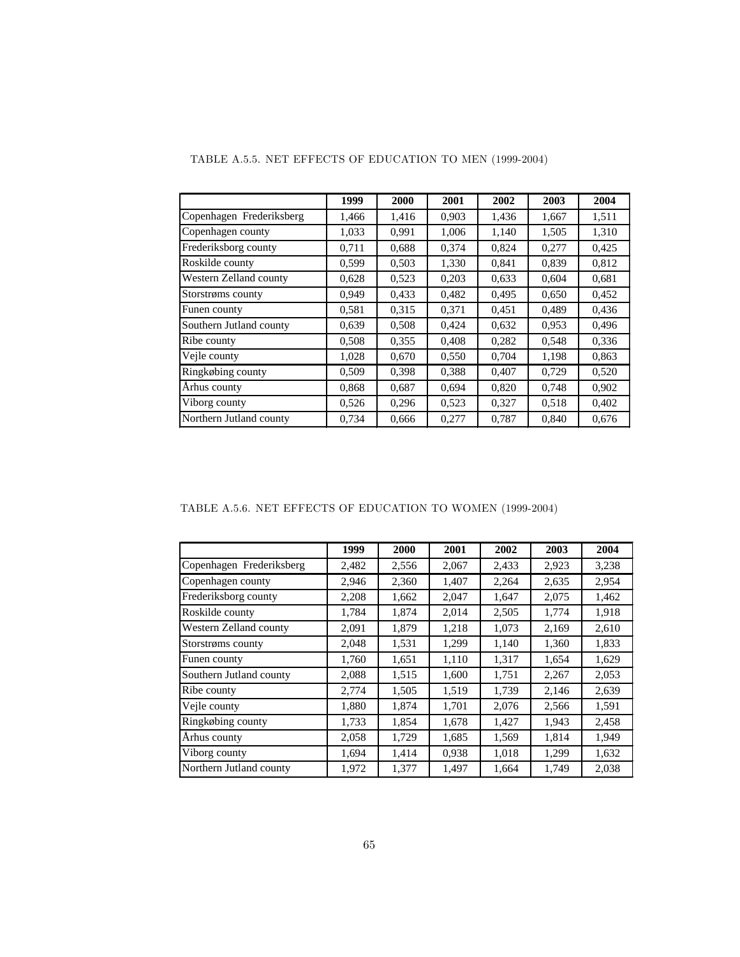|                          | 1999  | 2000  | 2001  | 2002  | 2003  | 2004  |
|--------------------------|-------|-------|-------|-------|-------|-------|
| Copenhagen Frederiksberg | 1,466 | 1,416 | 0,903 | 1,436 | 1,667 | 1,511 |
| Copenhagen county        | 1,033 | 0,991 | 1,006 | 1,140 | 1,505 | 1,310 |
| Frederiksborg county     | 0,711 | 0.688 | 0,374 | 0,824 | 0,277 | 0,425 |
| Roskilde county          | 0.599 | 0,503 | 1,330 | 0,841 | 0.839 | 0,812 |
| Western Zelland county   | 0,628 | 0,523 | 0,203 | 0.633 | 0,604 | 0,681 |
| Storstrøms county        | 0.949 | 0,433 | 0,482 | 0,495 | 0,650 | 0,452 |
| Funen county             | 0.581 | 0.315 | 0,371 | 0.451 | 0.489 | 0,436 |
| Southern Jutland county  | 0,639 | 0,508 | 0,424 | 0,632 | 0,953 | 0,496 |
| Ribe county              | 0,508 | 0,355 | 0,408 | 0,282 | 0,548 | 0,336 |
| Vejle county             | 1,028 | 0,670 | 0,550 | 0,704 | 1,198 | 0,863 |
| Ringkøbing county        | 0,509 | 0,398 | 0,388 | 0,407 | 0.729 | 0,520 |
| Århus county             | 0,868 | 0,687 | 0,694 | 0,820 | 0,748 | 0,902 |
| Viborg county            | 0,526 | 0,296 | 0,523 | 0,327 | 0,518 | 0,402 |
| Northern Jutland county  | 0.734 | 0.666 | 0,277 | 0.787 | 0.840 | 0.676 |

## TABLE A.5.5. NET EFFECTS OF EDUCATION TO MEN (1999-2004)

## TABLE A.5.6. NET EFFECTS OF EDUCATION TO WOMEN (1999-2004)

|                          | 1999  | 2000  | 2001  | 2002  | 2003  | 2004  |  |  |
|--------------------------|-------|-------|-------|-------|-------|-------|--|--|
| Copenhagen Frederiksberg | 2,482 | 2,556 | 2,067 | 2,433 | 2,923 | 3,238 |  |  |
| Copenhagen county        | 2,946 | 2,360 | 1,407 | 2,264 | 2,635 | 2,954 |  |  |
| Frederiksborg county     | 2,208 | 1,662 | 2,047 | 1,647 | 2,075 | 1,462 |  |  |
| Roskilde county          | 1,784 | 1,874 | 2,014 | 2,505 | 1,774 | 1,918 |  |  |
| Western Zelland county   | 2,091 | 1,879 | 1,218 | 1,073 | 2,169 | 2,610 |  |  |
| Storstrøms county        | 2,048 | 1,531 | 1,299 | 1,140 | 1,360 | 1,833 |  |  |
| Funen county             | 1,760 | 1,651 | 1,110 | 1,317 | 1,654 | 1,629 |  |  |
| Southern Jutland county  | 2,088 | 1,515 | 1,600 | 1,751 | 2,267 | 2,053 |  |  |
| Ribe county              | 2,774 | 1,505 | 1,519 | 1,739 | 2,146 | 2,639 |  |  |
| Vejle county             | 1,880 | 1,874 | 1,701 | 2,076 | 2,566 | 1,591 |  |  |
| Ringkøbing county        | 1,733 | 1,854 | 1,678 | 1,427 | 1,943 | 2,458 |  |  |
| Århus county             | 2,058 | 1,729 | 1,685 | 1,569 | 1,814 | 1,949 |  |  |
| Viborg county            | 1,694 | 1,414 | 0,938 | 1,018 | 1,299 | 1,632 |  |  |
| Northern Jutland county  | 1,972 | 1,377 | 1,497 | 1,664 | 1,749 | 2,038 |  |  |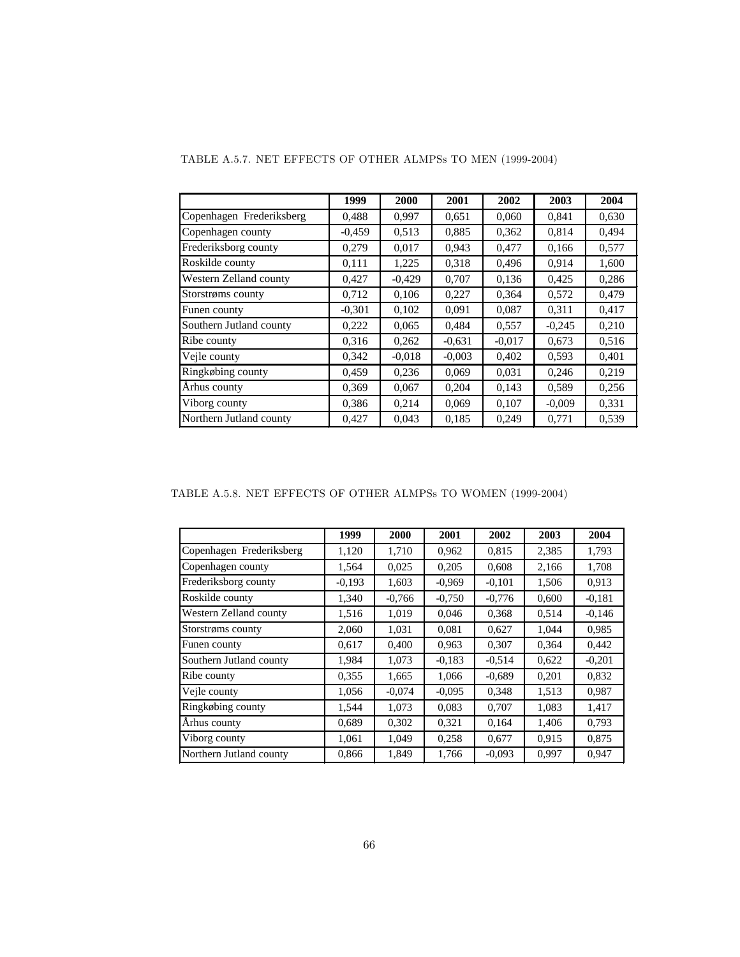|                          | 1999     | 2000     | 2001     | 2002     | 2003     | 2004  |
|--------------------------|----------|----------|----------|----------|----------|-------|
| Copenhagen Frederiksberg | 0.488    | 0.997    | 0,651    | 0.060    | 0.841    | 0,630 |
| Copenhagen county        | $-0.459$ | 0,513    | 0,885    | 0,362    | 0,814    | 0.494 |
| Frederiksborg county     | 0,279    | 0.017    | 0.943    | 0.477    | 0.166    | 0,577 |
| Roskilde county          | 0.111    | 1,225    | 0,318    | 0,496    | 0.914    | 1,600 |
| Western Zelland county   | 0.427    | $-0.429$ | 0.707    | 0,136    | 0.425    | 0,286 |
| Storstrøms county        | 0,712    | 0,106    | 0,227    | 0,364    | 0,572    | 0,479 |
| Funen county             | $-0.301$ | 0,102    | 0,091    | 0.087    | 0.311    | 0.417 |
| Southern Jutland county  | 0,222    | 0,065    | 0,484    | 0,557    | $-0,245$ | 0,210 |
| Ribe county              | 0.316    | 0,262    | $-0.631$ | $-0.017$ | 0,673    | 0,516 |
| Vejle county             | 0,342    | $-0.018$ | $-0.003$ | 0,402    | 0,593    | 0,401 |
| Ringkøbing county        | 0.459    | 0,236    | 0,069    | 0,031    | 0,246    | 0,219 |
| Århus county             | 0,369    | 0,067    | 0,204    | 0,143    | 0,589    | 0,256 |
| Viborg county            | 0,386    | 0,214    | 0,069    | 0,107    | $-0,009$ | 0,331 |
| Northern Jutland county  | 0.427    | 0.043    | 0,185    | 0.249    | 0.771    | 0,539 |

TABLE A.5.7. NET EFFECTS OF OTHER ALMPSs TO MEN (1999-2004)

TABLE A.5.8. NET EFFECTS OF OTHER ALMPSs TO WOMEN (1999-2004)

|                          | 1999     | 2000     | 2001     | 2002     | 2003  | 2004     |
|--------------------------|----------|----------|----------|----------|-------|----------|
| Copenhagen Frederiksberg | 1,120    | 1,710    | 0,962    | 0,815    | 2,385 | 1,793    |
| Copenhagen county        | 1,564    | 0,025    | 0,205    | 0,608    | 2,166 | 1,708    |
| Frederiksborg county     | $-0,193$ | 1,603    | $-0.969$ | $-0,101$ | 1,506 | 0,913    |
| Roskilde county          | 1,340    | $-0,766$ | $-0,750$ | $-0,776$ | 0,600 | $-0.181$ |
| Western Zelland county   | 1,516    | 1.019    | 0,046    | 0,368    | 0,514 | $-0,146$ |
| Storstrøms county        | 2,060    | 1,031    | 0,081    | 0,627    | 1,044 | 0,985    |
| Funen county             | 0.617    | 0.400    | 0,963    | 0.307    | 0,364 | 0.442    |
| Southern Jutland county  | 1,984    | 1,073    | $-0.183$ | $-0.514$ | 0,622 | $-0,201$ |
| Ribe county              | 0,355    | 1,665    | 1,066    | $-0.689$ | 0,201 | 0,832    |
| Vejle county             | 1,056    | $-0.074$ | $-0.095$ | 0,348    | 1,513 | 0,987    |
| Ringkøbing county        | 1,544    | 1,073    | 0,083    | 0,707    | 1,083 | 1,417    |
| Ārhus county             | 0.689    | 0,302    | 0.321    | 0,164    | 1,406 | 0,793    |
| Viborg county            | 1,061    | 1,049    | 0,258    | 0,677    | 0,915 | 0,875    |
| Northern Jutland county  | 0,866    | 1,849    | 1,766    | $-0.093$ | 0,997 | 0,947    |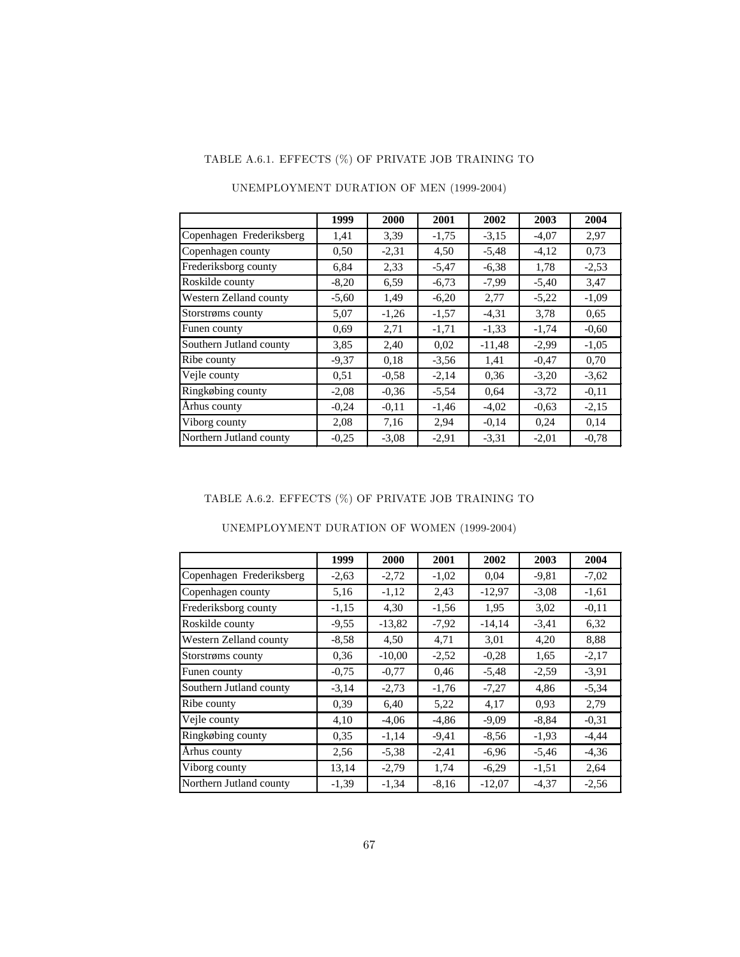## TABLE A.6.1. EFFECTS (%) OF PRIVATE JOB TRAINING TO

|                          | 1999    | 2000    | 2001    | 2002     | 2003    | 2004    |
|--------------------------|---------|---------|---------|----------|---------|---------|
| Copenhagen Frederiksberg | 1,41    | 3.39    | $-1,75$ | $-3,15$  | $-4,07$ | 2,97    |
| Copenhagen county        | 0.50    | $-2,31$ | 4,50    | $-5,48$  | $-4,12$ | 0.73    |
| Frederiksborg county     | 6,84    | 2,33    | $-5,47$ | $-6,38$  | 1,78    | $-2,53$ |
| Roskilde county          | $-8,20$ | 6.59    | $-6,73$ | $-7,99$  | $-5,40$ | 3,47    |
| Western Zelland county   | $-5,60$ | 1,49    | $-6,20$ | 2,77     | $-5,22$ | $-1,09$ |
| Storstrøms county        | 5,07    | $-1,26$ | $-1,57$ | $-4,31$  | 3.78    | 0.65    |
| Funen county             | 0.69    | 2,71    | $-1,71$ | $-1,33$  | $-1,74$ | $-0.60$ |
| Southern Jutland county  | 3,85    | 2,40    | 0,02    | $-11,48$ | $-2,99$ | $-1,05$ |
| Ribe county              | $-9,37$ | 0.18    | $-3,56$ | 1,41     | $-0.47$ | 0,70    |
| Vejle county             | 0,51    | $-0.58$ | $-2,14$ | 0.36     | $-3,20$ | $-3,62$ |
| Ringkøbing county        | $-2,08$ | $-0.36$ | $-5,54$ | 0.64     | $-3,72$ | $-0.11$ |
| Århus county             | $-0,24$ | $-0.11$ | $-1,46$ | $-4,02$  | $-0.63$ | $-2,15$ |
| Viborg county            | 2,08    | 7,16    | 2,94    | $-0.14$  | 0,24    | 0,14    |
| Northern Jutland county  | $-0.25$ | $-3,08$ | $-2.91$ | $-3,31$  | $-2,01$ | $-0.78$ |

### UNEMPLOYMENT DURATION OF MEN (1999-2004)

### TABLE A.6.2. EFFECTS (%) OF PRIVATE JOB TRAINING TO

|                          | 1999    | 2000     | 2001    | 2002     | 2003    | 2004    |
|--------------------------|---------|----------|---------|----------|---------|---------|
| Copenhagen Frederiksberg | $-2,63$ | $-2,72$  | $-1,02$ | 0,04     | $-9,81$ | $-7,02$ |
| Copenhagen county        | 5,16    | $-1,12$  | 2,43    | $-12,97$ | $-3,08$ | $-1,61$ |
| Frederiksborg county     | $-1,15$ | 4,30     | $-1,56$ | 1,95     | 3,02    | $-0.11$ |
| Roskilde county          | $-9,55$ | $-13,82$ | $-7,92$ | $-14,14$ | $-3,41$ | 6,32    |
| Western Zelland county   | $-8,58$ | 4,50     | 4,71    | 3,01     | 4,20    | 8,88    |
| Storstrøms county        | 0,36    | $-10,00$ | $-2,52$ | $-0,28$  | 1,65    | $-2,17$ |
| Funen county             | $-0.75$ | $-0.77$  | 0,46    | $-5,48$  | $-2,59$ | $-3.91$ |
| Southern Jutland county  | $-3,14$ | $-2,73$  | $-1,76$ | $-7,27$  | 4,86    | $-5,34$ |
| Ribe county              | 0,39    | 6.40     | 5,22    | 4,17     | 0.93    | 2,79    |
| Vejle county             | 4,10    | $-4,06$  | $-4,86$ | $-9,09$  | $-8,84$ | $-0.31$ |
| Ringkøbing county        | 0.35    | $-1,14$  | $-9,41$ | $-8,56$  | $-1,93$ | $-4,44$ |
| Århus county             | 2,56    | $-5,38$  | $-2,41$ | $-6,96$  | $-5,46$ | $-4,36$ |
| Viborg county            | 13,14   | $-2,79$  | 1,74    | $-6,29$  | $-1,51$ | 2,64    |
| Northern Jutland county  | $-1,39$ | $-1,34$  | $-8,16$ | $-12,07$ | $-4,37$ | $-2,56$ |

### UNEMPLOYMENT DURATION OF WOMEN (1999-2004)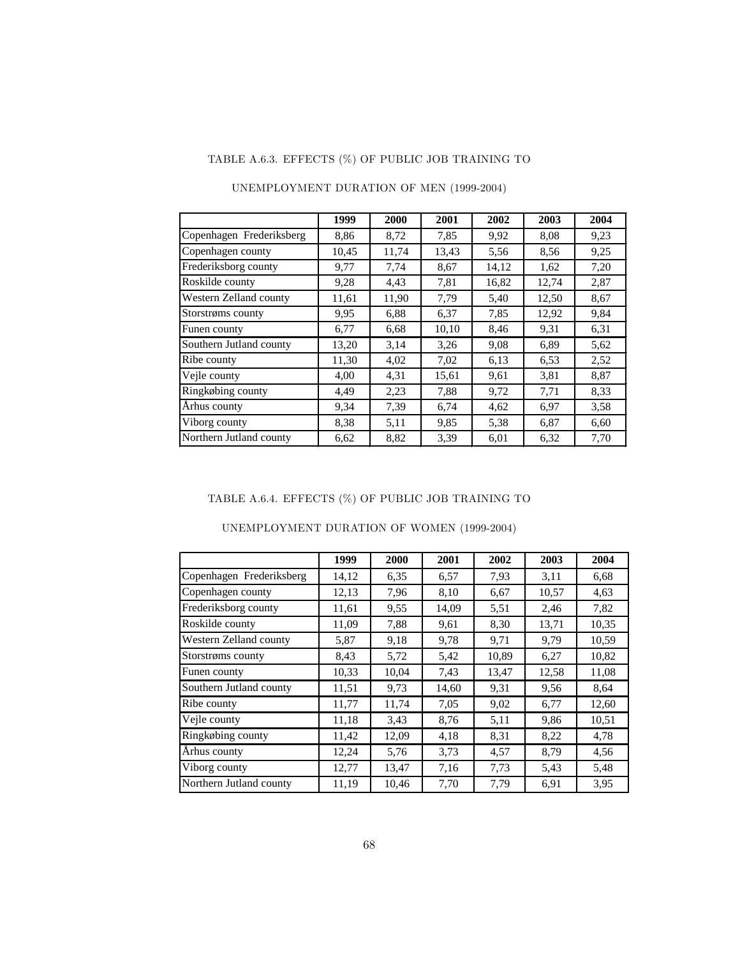## TABLE A.6.3. EFFECTS (%) OF PUBLIC JOB TRAINING TO

|                          | 1999  | 2000  | 2001  | 2002  | 2003  | 2004 |
|--------------------------|-------|-------|-------|-------|-------|------|
| Copenhagen Frederiksberg | 8,86  | 8,72  | 7,85  | 9.92  | 8,08  | 9.23 |
| Copenhagen county        | 10,45 | 11,74 | 13,43 | 5,56  | 8.56  | 9,25 |
| Frederiksborg county     | 9,77  | 7,74  | 8,67  | 14,12 | 1,62  | 7,20 |
| Roskilde county          | 9,28  | 4,43  | 7,81  | 16,82 | 12,74 | 2,87 |
| Western Zelland county   | 11,61 | 11,90 | 7.79  | 5,40  | 12,50 | 8,67 |
| Storstrøms county        | 9.95  | 6,88  | 6,37  | 7,85  | 12,92 | 9,84 |
| Funen county             | 6,77  | 6,68  | 10,10 | 8,46  | 9,31  | 6,31 |
| Southern Jutland county  | 13,20 | 3,14  | 3,26  | 9,08  | 6,89  | 5,62 |
| Ribe county              | 11,30 | 4,02  | 7,02  | 6,13  | 6.53  | 2,52 |
| Vejle county             | 4,00  | 4,31  | 15,61 | 9,61  | 3,81  | 8,87 |
| Ringkøbing county        | 4,49  | 2,23  | 7.88  | 9,72  | 7,71  | 8.33 |
| Århus county             | 9.34  | 7,39  | 6,74  | 4,62  | 6,97  | 3,58 |
| Viborg county            | 8,38  | 5,11  | 9,85  | 5,38  | 6,87  | 6,60 |
| Northern Jutland county  | 6,62  | 8,82  | 3.39  | 6,01  | 6,32  | 7,70 |

### UNEMPLOYMENT DURATION OF MEN (1999-2004)

### TABLE A.6.4. EFFECTS (%) OF PUBLIC JOB TRAINING TO

|                          | 1999  | 2000  | 2001  | 2002  | 2003  | 2004  |  |
|--------------------------|-------|-------|-------|-------|-------|-------|--|
| Copenhagen Frederiksberg | 14,12 | 6.35  | 6,57  | 7,93  | 3,11  | 6.68  |  |
| Copenhagen county        | 12,13 | 7,96  | 8,10  | 6,67  | 10,57 | 4,63  |  |
| Frederiksborg county     | 11,61 | 9.55  | 14,09 | 5,51  | 2,46  | 7,82  |  |
| Roskilde county          | 11,09 | 7,88  | 9,61  | 8,30  | 13,71 | 10,35 |  |
| Western Zelland county   | 5,87  | 9.18  | 9.78  | 9,71  | 9,79  | 10,59 |  |
| Storstrøms county        | 8,43  | 5,72  | 5,42  | 10,89 | 6,27  | 10,82 |  |
| Funen county             | 10,33 | 10,04 | 7.43  | 13,47 | 12,58 | 11,08 |  |
| Southern Jutland county  | 11,51 | 9,73  | 14,60 | 9.31  | 9,56  | 8,64  |  |
| Ribe county              | 11,77 | 11,74 | 7,05  | 9,02  | 6,77  | 12,60 |  |
| Vejle county             | 11,18 | 3.43  | 8,76  | 5,11  | 9,86  | 10,51 |  |
| Ringkøbing county        | 11,42 | 12,09 | 4,18  | 8,31  | 8,22  | 4,78  |  |
| Århus county             | 12,24 | 5,76  | 3.73  | 4,57  | 8.79  | 4,56  |  |
| Viborg county            | 12,77 | 13,47 | 7,16  | 7,73  | 5.43  | 5,48  |  |
| Northern Jutland county  | 11,19 | 10,46 | 7,70  | 7,79  | 6.91  | 3,95  |  |

### UNEMPLOYMENT DURATION OF WOMEN (1999-2004)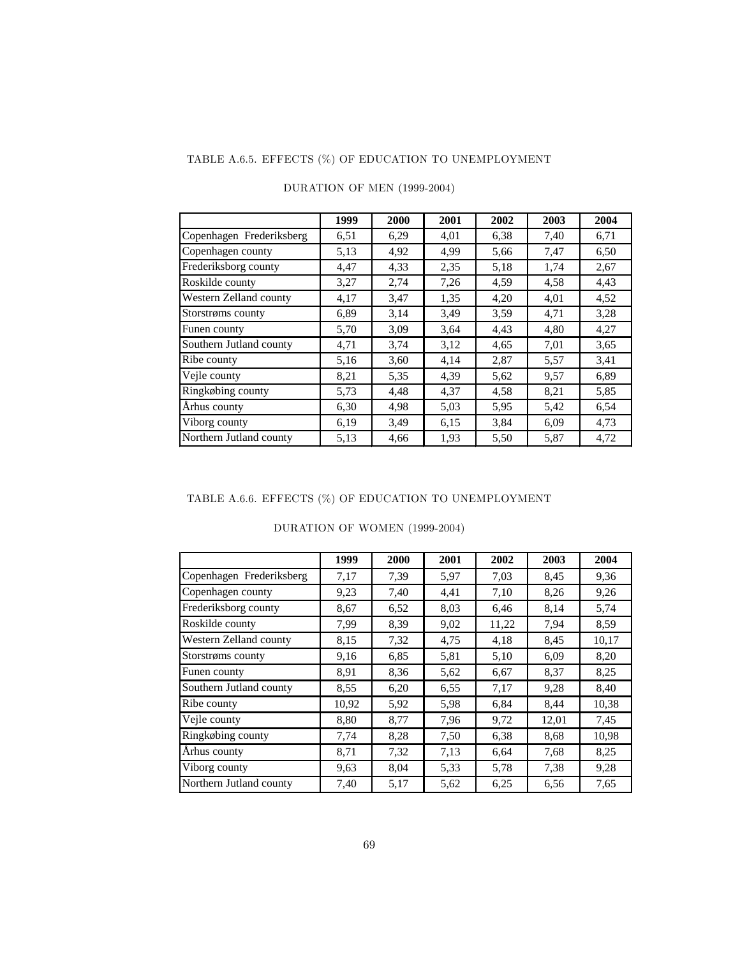## TABLE A.6.5. EFFECTS (%) OF EDUCATION TO UNEMPLOYMENT

|                          | 1999 | 2000 | 2001 | 2002 | 2003 | 2004 |
|--------------------------|------|------|------|------|------|------|
| Copenhagen Frederiksberg | 6,51 | 6,29 | 4,01 | 6,38 | 7,40 | 6,71 |
| Copenhagen county        | 5,13 | 4,92 | 4,99 | 5,66 | 7,47 | 6,50 |
| Frederiksborg county     | 4,47 | 4,33 | 2,35 | 5,18 | 1,74 | 2,67 |
| Roskilde county          | 3,27 | 2,74 | 7,26 | 4,59 | 4,58 | 4,43 |
| Western Zelland county   | 4,17 | 3,47 | 1,35 | 4,20 | 4,01 | 4,52 |
| Storstrøms county        | 6,89 | 3,14 | 3.49 | 3.59 | 4,71 | 3,28 |
| Funen county             | 5,70 | 3,09 | 3.64 | 4,43 | 4,80 | 4,27 |
| Southern Jutland county  | 4,71 | 3,74 | 3,12 | 4,65 | 7,01 | 3,65 |
| Ribe county              | 5,16 | 3,60 | 4,14 | 2,87 | 5,57 | 3,41 |
| Veile county             | 8,21 | 5,35 | 4,39 | 5.62 | 9,57 | 6,89 |
| Ringkøbing county        | 5,73 | 4,48 | 4,37 | 4,58 | 8,21 | 5,85 |
| Århus county             | 6,30 | 4,98 | 5,03 | 5.95 | 5,42 | 6,54 |
| Viborg county            | 6,19 | 3.49 | 6,15 | 3,84 | 6,09 | 4,73 |
| Northern Jutland county  | 5,13 | 4,66 | 1,93 | 5,50 | 5,87 | 4,72 |

### DURATION OF MEN (1999-2004)

### TABLE A.6.6. EFFECTS (%) OF EDUCATION TO UNEMPLOYMENT

|                          | 1999  | 2000 | 2001 | 2002  | 2003  | 2004  |
|--------------------------|-------|------|------|-------|-------|-------|
|                          |       |      |      |       |       |       |
| Copenhagen Frederiksberg | 7.17  | 7,39 | 5,97 | 7,03  | 8,45  | 9,36  |
| Copenhagen county        | 9.23  | 7,40 | 4,41 | 7,10  | 8,26  | 9,26  |
| Frederiksborg county     | 8,67  | 6,52 | 8,03 | 6,46  | 8,14  | 5,74  |
| Roskilde county          | 7.99  | 8,39 | 9,02 | 11,22 | 7.94  | 8.59  |
| Western Zelland county   | 8,15  | 7,32 | 4,75 | 4,18  | 8.45  | 10,17 |
| Storstrøms county        | 9,16  | 6,85 | 5,81 | 5,10  | 6,09  | 8,20  |
| Funen county             | 8.91  | 8,36 | 5.62 | 6,67  | 8,37  | 8,25  |
| Southern Jutland county  | 8.55  | 6,20 | 6.55 | 7,17  | 9,28  | 8,40  |
| Ribe county              | 10,92 | 5,92 | 5,98 | 6,84  | 8,44  | 10,38 |
| Vejle county             | 8,80  | 8,77 | 7,96 | 9,72  | 12,01 | 7,45  |
| Ringkøbing county        | 7,74  | 8,28 | 7,50 | 6,38  | 8,68  | 10,98 |
| Århus county             | 8,71  | 7,32 | 7,13 | 6,64  | 7.68  | 8,25  |
| Viborg county            | 9.63  | 8,04 | 5,33 | 5,78  | 7,38  | 9,28  |
| Northern Jutland county  | 7,40  | 5,17 | 5,62 | 6,25  | 6,56  | 7,65  |

### DURATION OF WOMEN (1999-2004)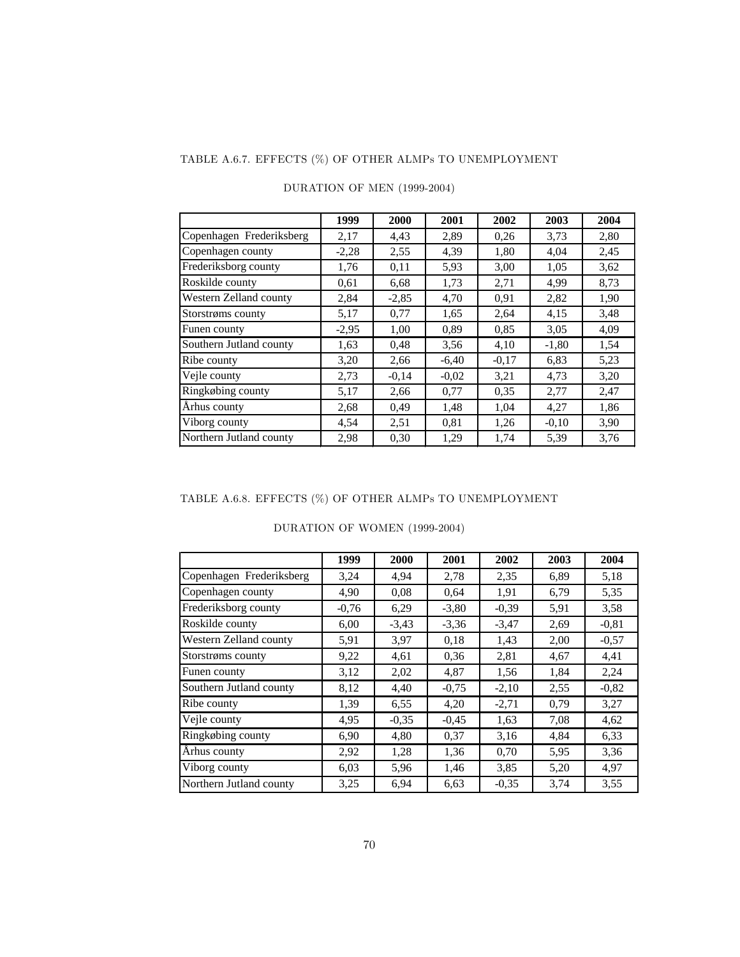## TABLE A.6.7. EFFECTS (%) OF OTHER ALMPs TO UNEMPLOYMENT

|                          | 1999    | 2000    | 2001    | 2002    | 2003    | 2004 |
|--------------------------|---------|---------|---------|---------|---------|------|
| Copenhagen Frederiksberg | 2,17    | 4,43    | 2,89    | 0,26    | 3,73    | 2,80 |
| Copenhagen county        | $-2,28$ | 2,55    | 4,39    | 1,80    | 4,04    | 2,45 |
| Frederiksborg county     | 1,76    | 0,11    | 5.93    | 3,00    | 1,05    | 3,62 |
| Roskilde county          | 0.61    | 6,68    | 1,73    | 2,71    | 4,99    | 8,73 |
| Western Zelland county   | 2,84    | $-2,85$ | 4,70    | 0.91    | 2,82    | 1,90 |
| Storstrøms county        | 5,17    | 0,77    | 1,65    | 2,64    | 4,15    | 3,48 |
| Funen county             | $-2,95$ | 1,00    | 0.89    | 0.85    | 3,05    | 4,09 |
| Southern Jutland county  | 1,63    | 0,48    | 3,56    | 4,10    | $-1,80$ | 1,54 |
| Ribe county              | 3,20    | 2,66    | $-6,40$ | $-0.17$ | 6,83    | 5,23 |
| Vejle county             | 2,73    | $-0.14$ | $-0.02$ | 3,21    | 4,73    | 3,20 |
| Ringkøbing county        | 5,17    | 2,66    | 0,77    | 0.35    | 2,77    | 2,47 |
| Århus county             | 2,68    | 0,49    | 1,48    | 1,04    | 4,27    | 1,86 |
| Viborg county            | 4,54    | 2,51    | 0,81    | 1,26    | $-0.10$ | 3,90 |
| Northern Jutland county  | 2,98    | 0,30    | 1,29    | 1,74    | 5,39    | 3,76 |

### DURATION OF MEN (1999-2004)

## TABLE A.6.8. EFFECTS (%) OF OTHER ALMPs TO UNEMPLOYMENT

|                          | 1999    | 2000    | 2001    | 2002    | 2003 | 2004    |  |  |  |  |
|--------------------------|---------|---------|---------|---------|------|---------|--|--|--|--|
| Copenhagen Frederiksberg | 3,24    | 4,94    | 2,78    | 2,35    | 6,89 | 5,18    |  |  |  |  |
| Copenhagen county        | 4,90    | 0.08    | 0.64    | 1,91    | 6,79 | 5,35    |  |  |  |  |
| Frederiksborg county     | $-0.76$ | 6,29    | $-3,80$ | $-0.39$ | 5,91 | 3,58    |  |  |  |  |
| Roskilde county          | 6,00    | $-3,43$ | $-3,36$ | $-3,47$ | 2.69 | $-0.81$ |  |  |  |  |
| Western Zelland county   | 5,91    | 3,97    | 0.18    | 1,43    | 2,00 | $-0.57$ |  |  |  |  |
| Storstrøms county        | 9,22    | 4,61    | 0.36    | 2,81    | 4,67 | 4,41    |  |  |  |  |
| Funen county             | 3,12    | 2,02    | 4,87    | 1,56    | 1,84 | 2,24    |  |  |  |  |
| Southern Jutland county  | 8,12    | 4,40    | $-0,75$ | $-2,10$ | 2,55 | $-0.82$ |  |  |  |  |
| Ribe county              | 1,39    | 6,55    | 4,20    | $-2,71$ | 0.79 | 3,27    |  |  |  |  |
| Vejle county             | 4,95    | $-0.35$ | $-0,45$ | 1,63    | 7,08 | 4,62    |  |  |  |  |
| Ringkøbing county        | 6.90    | 4,80    | 0,37    | 3,16    | 4,84 | 6.33    |  |  |  |  |
| Århus county             | 2,92    | 1,28    | 1,36    | 0,70    | 5,95 | 3.36    |  |  |  |  |
| Viborg county            | 6.03    | 5,96    | 1,46    | 3,85    | 5,20 | 4,97    |  |  |  |  |
| Northern Jutland county  | 3,25    | 6,94    | 6,63    | $-0.35$ | 3,74 | 3,55    |  |  |  |  |

### DURATION OF WOMEN (1999-2004)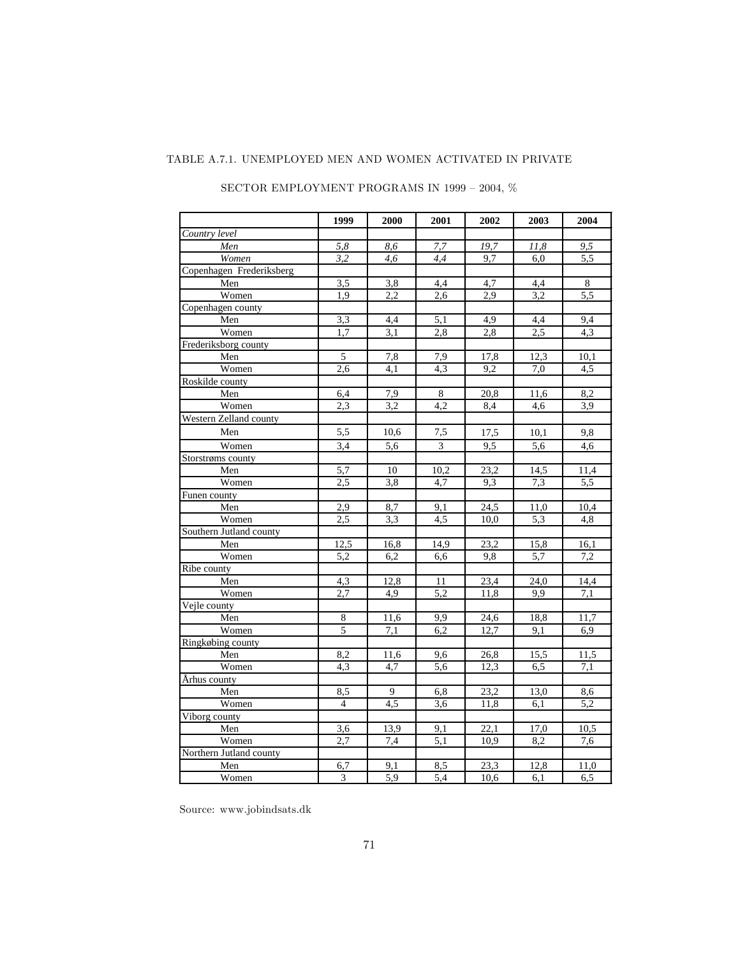#### TABLE A.7.1. UNEMPLOYED MEN AND WOMEN ACTIVATED IN PRIVATE

|                          | 1999             | 2000             | 2001             | 2002              | 2003             | 2004 |
|--------------------------|------------------|------------------|------------------|-------------------|------------------|------|
| Country level            |                  |                  |                  |                   |                  |      |
| Men                      | 5,8              | 8,6              | 7,7              | 19,7              | 11,8             | 9,5  |
| Women                    | 3,2              | 4,6              | 4,4              | 9,7               | 6,0              | 5,5  |
| Copenhagen Frederiksberg |                  |                  |                  |                   |                  |      |
| Men                      | 3,5              | 3,8              | 4,4              | 4,7               | 4,4              | 8    |
| Women                    | 1,9              | 2,2              | 2,6              | 2,9               | 3,2              | 5,5  |
| Copenhagen county        |                  |                  |                  |                   |                  |      |
| Men                      | 3,3              | 4,4              | 5,1              | 4,9               | 4,4              | 9.4  |
| Women                    | 1,7              | $\overline{3,1}$ | 2,8              | 2,8               | $\overline{2,5}$ | 4,3  |
| Frederiksborg county     |                  |                  |                  |                   |                  |      |
| Men                      | 5                | 7,8              | 7,9              | 17,8              | 12,3             | 10,1 |
| Women                    | 2,6              | 4,1              | $\overline{4,3}$ | 9,2               | 7,0              | 4,5  |
| Roskilde county          |                  |                  |                  |                   |                  |      |
| Men                      | 6,4              | 7,9              | 8                | 20,8              | 11,6             | 8,2  |
| Women                    | 2,3              | 3,2              | 4,2              | 8,4               | 4,6              | 3,9  |
| Western Zelland county   |                  |                  |                  |                   |                  |      |
| Men                      | 5,5              | 10,6             | 7,5              | 17,5              | 10,1             | 9,8  |
| Women                    | $\overline{3,4}$ | 5,6              | 3                | 9,5               | 5,6              | 4,6  |
| Storstrøms county        |                  |                  |                  |                   |                  |      |
| Men                      | 5.7              | 10               | 10,2             | 23,2              | 14,5             | 11,4 |
| Women                    | 2,5              | 3,8              | 4,7              | 9,3               | 7,3              | 5,5  |
| Funen county             |                  |                  |                  |                   |                  |      |
| Men                      | 2,9              | 8,7              | 9.1              | 24,5              | 11,0             | 10,4 |
| Women                    | $\overline{2,5}$ | 3,3              | 4,5              | 10,0              | 5,3              | 4,8  |
| Southern Jutland county  |                  |                  |                  |                   |                  |      |
| Men                      | 12,5             | 16,8             | 14,9             | 23,2              | 15,8             | 16,1 |
| Women                    | 5,2              | 6,2              | 6,6              | 9,8               | 5,7              | 7,2  |
| Ribe county              |                  |                  |                  |                   |                  |      |
| Men                      | 4,3              | 12,8             | 11               | 23,4              | 24,0             | 14,4 |
| Women                    | $\overline{2,7}$ | $\overline{4,9}$ | $\overline{5,2}$ | 11,8              | 9,9              | 7,1  |
| Vejle county             |                  |                  |                  |                   |                  |      |
| Men                      | $\overline{8}$   | 11,6             | 9,9              | 24,6              | 18,8             | 11,7 |
| Women                    | 5                | 7,1              | 6.2              | 12.7              | 9,1              | 6,9  |
| Ringkøbing county        |                  |                  |                  |                   |                  |      |
| Men                      | 8,2              | 11,6             | 9,6              | 26,8              | 15,5             | 11,5 |
| Women                    | 4,3              | 4,7              | 5.6              | 12.3              | 6,5              | 7.1  |
| Arhus county             |                  |                  |                  |                   |                  |      |
| Men                      | 8,5              | $\overline{9}$   | 6,8              | 23,2              | 13,0             | 8,6  |
| Women                    | $\overline{4}$   | 4,5              | $\overline{3,6}$ | 11,8              | 6,1              | 5,2  |
| Viborg county            |                  |                  |                  |                   |                  |      |
| Men                      | $\overline{3,6}$ | 13,9             | 9,1              | 22,1              | 17,0             | 10,5 |
| Women                    | 2,7              | 7,4              | $\overline{5,1}$ | 10,9              | 8,2              | 7,6  |
| Northern Jutland county  |                  |                  |                  |                   |                  |      |
| Men                      | 6,7              | 9,1              | 8,5              | $\overline{23,3}$ | 12,8             | 11,0 |
| Women                    | 3                | 5.9              | 5,4              | 10,6              | $\overline{6,1}$ | 6,5  |

SECTOR EMPLOYMENT PROGRAMS IN 1999 – 2004,  $\%$ 

Source: www.jobindsats.dk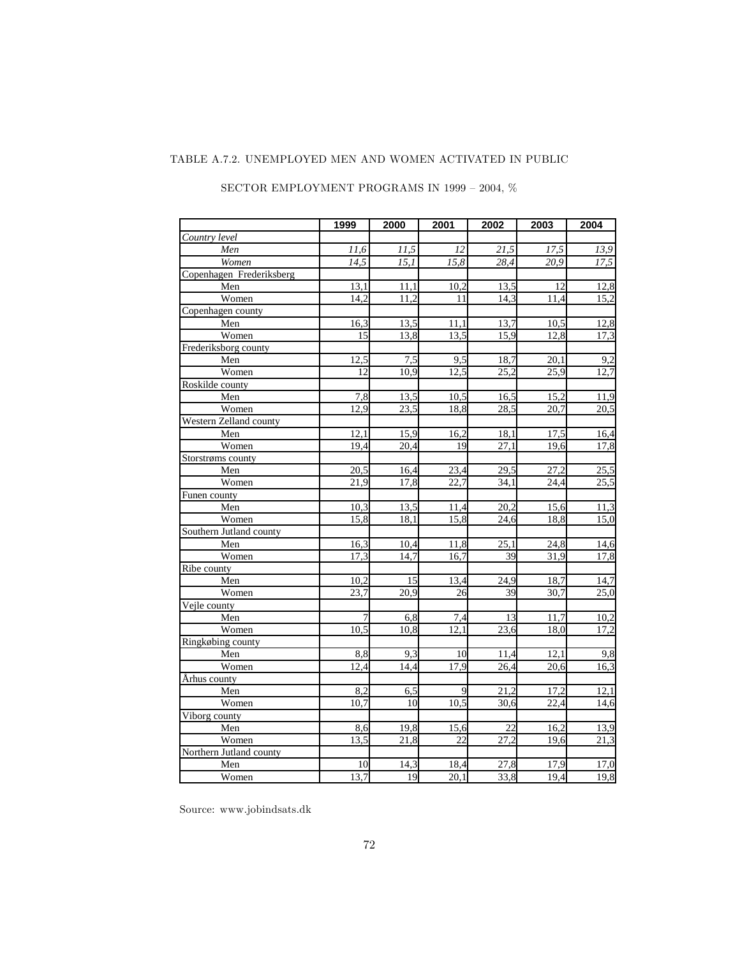#### TABLE A.7.2. UNEMPLOYED MEN AND WOMEN ACTIVATED IN PUBLIC

|                          | 1999              | 2000              | 2001              | 2002              | 2003              | 2004              |
|--------------------------|-------------------|-------------------|-------------------|-------------------|-------------------|-------------------|
| Country level            |                   |                   |                   |                   |                   |                   |
| Men                      | 11,6              | 11,5              | 12                | 21,5              | 17,5              | 13,9              |
| Women                    | $\overline{14,5}$ | $\overline{15,1}$ | 15,8              | $\overline{28,4}$ | 20,9              | $\overline{17,5}$ |
| Copenhagen Frederiksberg |                   |                   |                   |                   |                   |                   |
| Men                      | 13,1              | 11,1              | 10,2              | 13,5              | 12                | 12,8              |
| Women                    | 14,2              | 11,2              | 11                | 14,3              | 11,4              | 15,2              |
| Copenhagen county        |                   |                   |                   |                   |                   |                   |
| Men                      | 16,3              | 13,5              | $\overline{1}1,1$ | 13,7              | 10,5              | 12,8              |
| Women                    | 15                | 13,8              | 13,5              | 15,9              | 12,8              | 17,3              |
| Frederiksborg county     |                   |                   |                   |                   |                   |                   |
| Men                      | 12,5              | 7,5               | 9,5               | 18,7              | 20,1              | 9,2               |
| Women                    | $\overline{12}$   | 10,9              | 12,5              | 25,2              | 25,9              | 12,7              |
| Roskilde county          |                   |                   |                   |                   |                   |                   |
| Men                      | 7,8               | 13,5              | 10,5              | 16,5              | 15,2              | 11,9              |
| Women                    | 12,9              | $\overline{23,5}$ | 18,8              | $\overline{28,5}$ | 20,7              | 20,5              |
| Western Zelland county   |                   |                   |                   |                   |                   |                   |
| Men                      | 12,1              | 15,9              | 16,2              | 18,1              | 17,5              | 16,4              |
| Women                    | 19,4              | 20,4              | 19                | 27,1              | 19,6              | 17,8              |
| Storstrøms county        |                   |                   |                   |                   |                   |                   |
| Men                      | 20,5              | 16,4              | 23,4              | 29,5              | 27,2              | 25,5              |
| Women                    | 21,9              | 17.8              | 22.7              | 34,1              | 24.4              | 25,5              |
| Funen county             |                   |                   |                   |                   |                   |                   |
| Men                      | 10,3              | 13,5              | 11,4              | 20,2              | 15,6              | 11,3              |
| Women                    | 15.8              | 18,1              | 15,8              | 24,6              | 18,8              | 15,0              |
| Southern Jutland county  |                   |                   |                   |                   |                   |                   |
| Men                      | 16,3              | 10,4              | 11,8              | 25,1              | 24,8              | $\overline{14,6}$ |
| Women                    | 17,3              | 14,7              | 16,7              | 39                | 31,9              | 17,8              |
| Ribe county              |                   |                   |                   |                   |                   |                   |
| Men                      | 10,2              | 15                | 13,4              | 24,9              | 18,7              | 14,7              |
| Women                    | $\overline{23,7}$ | $\overline{20,9}$ | 26                | 39                | 30,7              | 25,0              |
| Vejle county             |                   |                   |                   |                   |                   |                   |
| Men                      | 7                 | 6,8               | 7,4               | 13                | $\overline{1}1,7$ | 10,2              |
| Women                    | 10,5              | 10,8              | 12,1              | 23,6              | 18,0              | 17,2              |
| Ringkøbing county        |                   |                   |                   |                   |                   |                   |
| Men                      | 8,8               | 9,3               | 10                | 11,4              | 12,1              | 9,8               |
| Women                    | 12,4              | 14,4              | 17,9              | $\overline{26,4}$ | 20,6              | 16,3              |
| Århus county             |                   |                   |                   |                   |                   |                   |
| Men                      | 8,2               | 6,5               | 9                 | 21,2              | 17,2              | 12,1              |
| Women                    | 10,7              | 10                | 10,5              | 30,6              | 22,4              | 14,6              |
| Viborg county            |                   |                   |                   |                   |                   |                   |
| Men                      | 8,6               | 19,8              | 15,6              | 22                | 16,2              | 13,9              |
| Women                    | 13,5              | 21,8              | 22                | 27,2              | 19,6              | 21,3              |
| Northern Jutland county  |                   |                   |                   |                   |                   |                   |
| Men                      | 10                | 14,3              | 18,4              | 27,8              | 17,9              | 17,0              |
| Women                    | 13,7              | 19                | 20,1              | 33,8              | 19,4              | 19,8              |

### SECTOR EMPLOYMENT PROGRAMS IN 1999 – 2004,  $\%$

Source: www.jobindsats.dk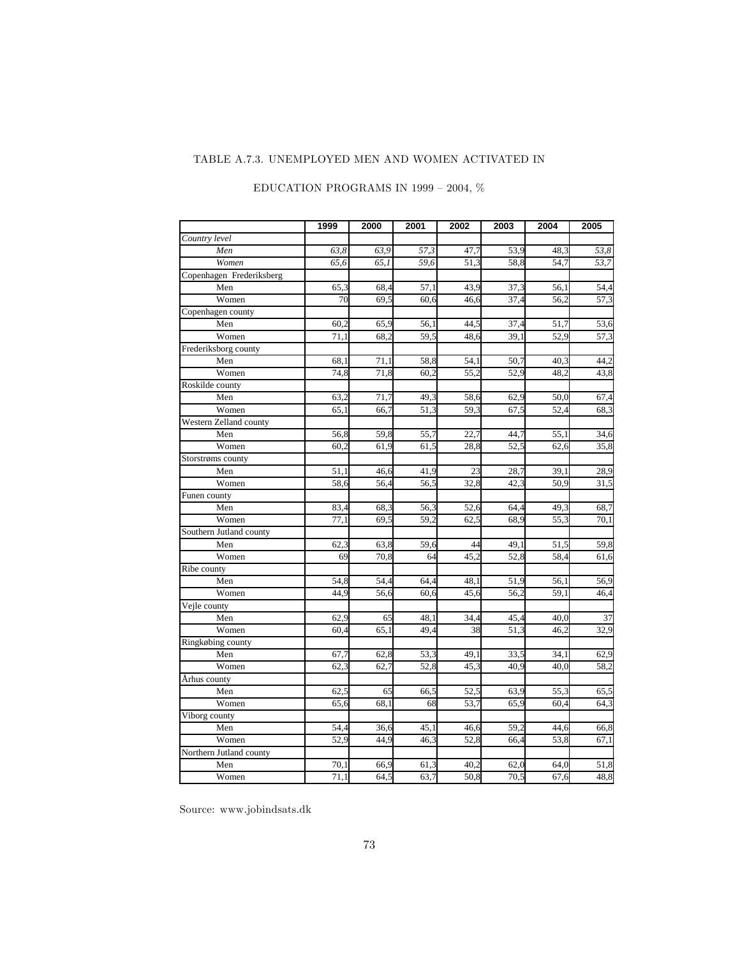# TABLE A.7.3. UNEMPLOYED MEN AND WOMEN ACTIVATED IN

|                          | 1999 | 2000 | 2001 | 2002 | 2003 | 2004 | 2005              |
|--------------------------|------|------|------|------|------|------|-------------------|
| Country level            |      |      |      |      |      |      |                   |
| Men                      | 63,8 | 63,9 | 57,3 | 47,7 | 53,9 | 48,3 | 53,8              |
| Women                    | 65,6 | 65,1 | 59,6 | 51,3 | 58,8 | 54,7 | $\overline{53,7}$ |
| Copenhagen Frederiksberg |      |      |      |      |      |      |                   |
| Men                      | 65,3 | 68,4 | 57,1 | 43,9 | 37,3 | 56,1 | 54,4              |
| Women                    | 70   | 69,5 | 60,6 | 46,6 | 37,4 | 56,2 | $\overline{57,3}$ |
| Copenhagen county        |      |      |      |      |      |      |                   |
| Men                      | 60,2 | 65,9 | 56,1 | 44,5 | 37,4 | 51,7 | 53,6              |
| Women                    | 71,1 | 68,2 | 59,5 | 48,6 | 39,1 | 52,9 | 57,3              |
| Frederiksborg county     |      |      |      |      |      |      |                   |
| Men                      | 68,1 | 71,1 | 58,8 | 54,1 | 50,7 | 40,3 | 44,2              |
| Women                    | 74,8 | 71,8 | 60,2 | 55,2 | 52,9 | 48,2 | 43,8              |
| Roskilde county          |      |      |      |      |      |      |                   |
| Men                      | 63,2 | 71,7 | 49,3 | 58,6 | 62,9 | 50,0 | 67,4              |
| Women                    | 65,1 | 66,7 | 51,3 | 59,3 | 67,5 | 52,4 | 68,3              |
| Western Zelland county   |      |      |      |      |      |      |                   |
| Men                      | 56,8 | 59,8 | 55,7 | 22,7 | 44,7 | 55,1 | 34,6              |
| Women                    | 60,2 | 61,9 | 61,5 | 28,8 | 52,5 | 62,6 | 35,8              |
| Storstrøms county        |      |      |      |      |      |      |                   |
| Men                      | 51,1 | 46,6 | 41,9 | 23   | 28,7 | 39,1 | 28,9              |
| Women                    | 58,6 | 56,4 | 56,5 | 32,8 | 42,3 | 50,9 | 31,5              |
| Funen county             |      |      |      |      |      |      |                   |
| Men                      | 83,4 | 68,3 | 56,3 | 52,6 | 64,4 | 49,3 | 68,7              |
| Women                    | 77,1 | 69,5 | 59,2 | 62,5 | 68,9 | 55,3 | 70,1              |
| Southern Jutland county  |      |      |      |      |      |      |                   |
| Men                      | 62,3 | 63,8 | 59,6 | 44   | 49,1 | 51,5 | 59,8              |
| Women                    | 69   | 70,8 | 64   | 45,2 | 52,8 | 58,4 | 61,6              |
| Ribe county              |      |      |      |      |      |      |                   |
| Men                      | 54,8 | 54,4 | 64,4 | 48,1 | 51,9 | 56,1 | 56,9              |
| Women                    | 44,9 | 56,6 | 60,6 | 45,6 | 56,2 | 59,1 | 46,4              |
| Vejle county             |      |      |      |      |      |      |                   |
| Men                      | 62,9 | 65   | 48,1 | 34,4 | 45,4 | 40,0 | 37                |
| Women                    | 60,4 | 65,1 | 49,4 | 38   | 51,3 | 46,2 | 32,9              |
| Ringkøbing county        |      |      |      |      |      |      |                   |
| Men                      | 67,7 | 62,8 | 53,3 | 49,1 | 33,5 | 34,1 | 62,9              |
| Women                    | 62,3 | 62,7 | 52,8 | 45,3 | 40,9 | 40,0 | 58,2              |
| Århus county             |      |      |      |      |      |      |                   |
| Men                      | 62,5 | 65   | 66,5 | 52,5 | 63,9 | 55,3 | 65,5              |
| Women                    | 65,6 | 68,1 | 68   | 53,7 | 65,9 | 60,4 | 64,3              |
| Viborg county            |      |      |      |      |      |      |                   |
| Men                      | 54,4 | 36,6 | 45,1 | 46,6 | 59,2 | 44,6 | 66,8              |
| Women                    | 52,9 | 44,9 | 46,3 | 52,8 | 66,4 | 53,8 | 67,1              |
| Northern Jutland county  |      |      |      |      |      |      |                   |
| Men                      | 70,1 | 66,9 | 61,3 | 40,2 | 62,0 | 64,0 | 51,8              |
| Women                    | 71,1 | 64,5 | 63,7 | 50,8 | 70,5 | 67,6 | 48.8              |

# EDUCATION PROGRAMS IN 1999 – 2004,  $\%$

Source: www.jobindsats.dk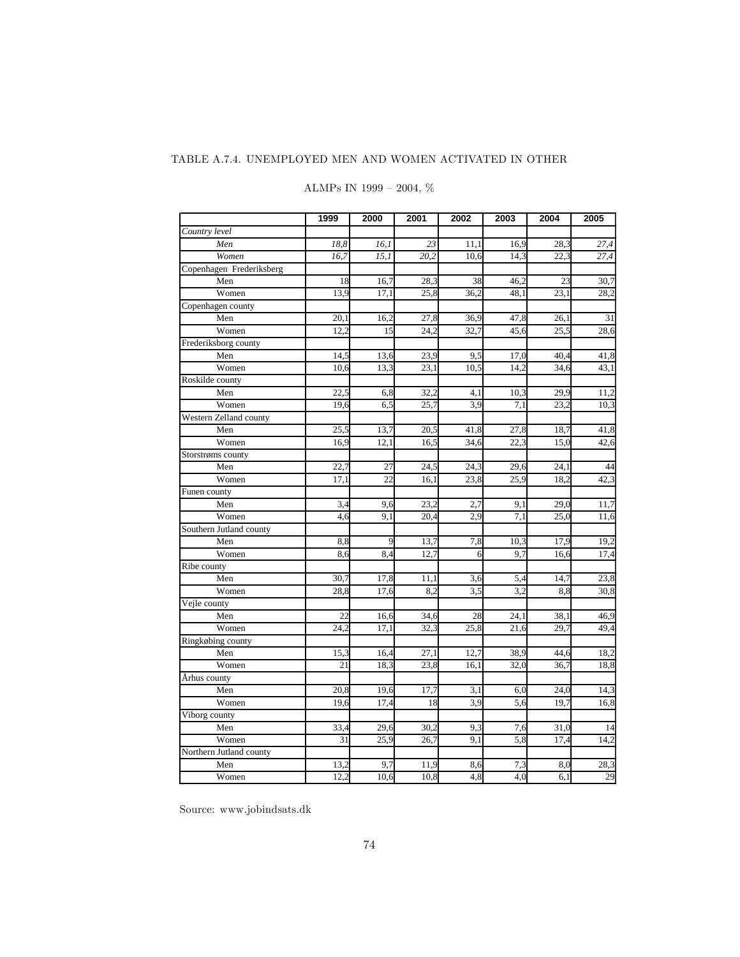## TABLE A.7.4. UNEMPLOYED MEN AND WOMEN ACTIVATED IN OTHER

|                          | 1999 | 2000 | 2001 | 2002             | 2003              | 2004 | 2005 |
|--------------------------|------|------|------|------------------|-------------------|------|------|
| Country level            |      |      |      |                  |                   |      |      |
| Men                      | 18,8 | 16,1 | 23   | 11,1             | 16,9              | 28,3 | 27,4 |
| Women                    | 16,7 | 15,1 | 20,2 | 10,6             | 14,3              | 22,3 | 27,4 |
| Copenhagen Frederiksberg |      |      |      |                  |                   |      |      |
| Men                      | 18   | 16,7 | 28,3 | 38               | 46,2              | 23   | 30,7 |
| Women                    | 13,9 | 17,1 | 25,8 | 36,2             | 48,1              | 23,1 | 28,2 |
| Copenhagen county        |      |      |      |                  |                   |      |      |
| Men                      | 20,1 | 16,2 | 27,8 | 36,9             | 47,8              | 26,1 | 31   |
| Women                    | 12,2 | 15   | 24,2 | 32,7             | 45,6              | 25,5 | 28,6 |
| Frederiksborg county     |      |      |      |                  |                   |      |      |
| Men                      | 14,5 | 13,6 | 23,9 | 9,5              | 17,0              | 40,4 | 41,8 |
| Women                    | 10,6 | 13,3 | 23,1 | 10,5             | 14,2              | 34,6 | 43,1 |
| Roskilde county          |      |      |      |                  |                   |      |      |
| Men                      | 22,5 | 6,8  | 32,2 | $\overline{4,1}$ | 10,3              | 29,9 | 11,2 |
| Women                    | 19,6 | 6,5  | 25,7 | 3,9              | 7,1               | 23,2 | 10,3 |
| Western Zelland county   |      |      |      |                  |                   |      |      |
| Men                      | 25,5 | 13,7 | 20,5 | 41,8             | 27,8              | 18,7 | 41,8 |
| Women                    | 16,9 | 12,1 | 16,5 | 34,6             | $\overline{22,3}$ | 15,0 | 42,6 |
| Storstrøms county        |      |      |      |                  |                   |      |      |
| Men                      | 22,7 | 27   | 24,5 | 24,3             | 29,6              | 24,1 | 44   |
| Women                    | 17,1 | 22   | 16,1 | 23,8             | 25,9              | 18,2 | 42,3 |
| Funen county             |      |      |      |                  |                   |      |      |
| Men                      | 3,4  | 9,6  | 23,2 | 2,7              | 9,1               | 29,0 | 11,7 |
| Women                    | 4,6  | 9,1  | 20,4 | 2,9              | 7,1               | 25,0 | 11,6 |
| Southern Jutland county  |      |      |      |                  |                   |      |      |
| Men                      | 8,8  | 9    | 13,7 | 7,8              | 10,3              | 17,9 | 19,2 |
| Women                    | 8,6  | 8,4  | 12,7 | 6                | 9,7               | 16,6 | 17,4 |
| Ribe county              |      |      |      |                  |                   |      |      |
| Men                      | 30,7 | 17,8 | 11,1 | 3,6              | 5,4               | 14,7 | 23,8 |
| Women                    | 28,8 | 17,6 | 8,2  | $\overline{3,5}$ | 3,2               | 8,8  | 30,8 |
| Vejle county             |      |      |      |                  |                   |      |      |
| Men                      | 22   | 16,6 | 34,6 | 28               | 24,1              | 38,1 | 46,9 |
| Women                    | 24,2 | 17,1 | 32,3 | 25,8             | 21,6              | 29,7 | 49,4 |
| Ringkøbing county        |      |      |      |                  |                   |      |      |
| Men                      | 15,3 | 16,4 | 27,1 | 12,7             | 38,9              | 44,6 | 18,2 |
| Women                    | 21   | 18,3 | 23,8 | 16,1             | 32,0              | 36,7 | 18,8 |
| Århus county             |      |      |      |                  |                   |      |      |
| Men                      | 20,8 | 19,6 | 17,7 | 3,1              | 6,0               | 24,0 | 14,3 |
| Women                    | 19,6 | 17,4 | 18   | 3,9              | 5,6               | 19,7 | 16,8 |
| Viborg county            |      |      |      |                  |                   |      |      |
| Men                      | 33,4 | 29,6 | 30,2 | 9,3              | 7,6               | 31,0 | 14   |
| Women                    | 31   | 25,9 | 26,7 | 9,1              | 5,8               | 17,4 | 14,2 |
| Northern Jutland county  |      |      |      |                  |                   |      |      |
| Men                      | 13,2 | 9,7  | 11,9 | 8,6              | 7,3               | 8,0  | 28,3 |
| Women                    | 12,2 | 10,6 | 10,8 | 4,8              | 4,0               | 6,1  | 29   |

# ALMPs IN 1999 – 2004,  $\%$

Source: www.jobindsats.dk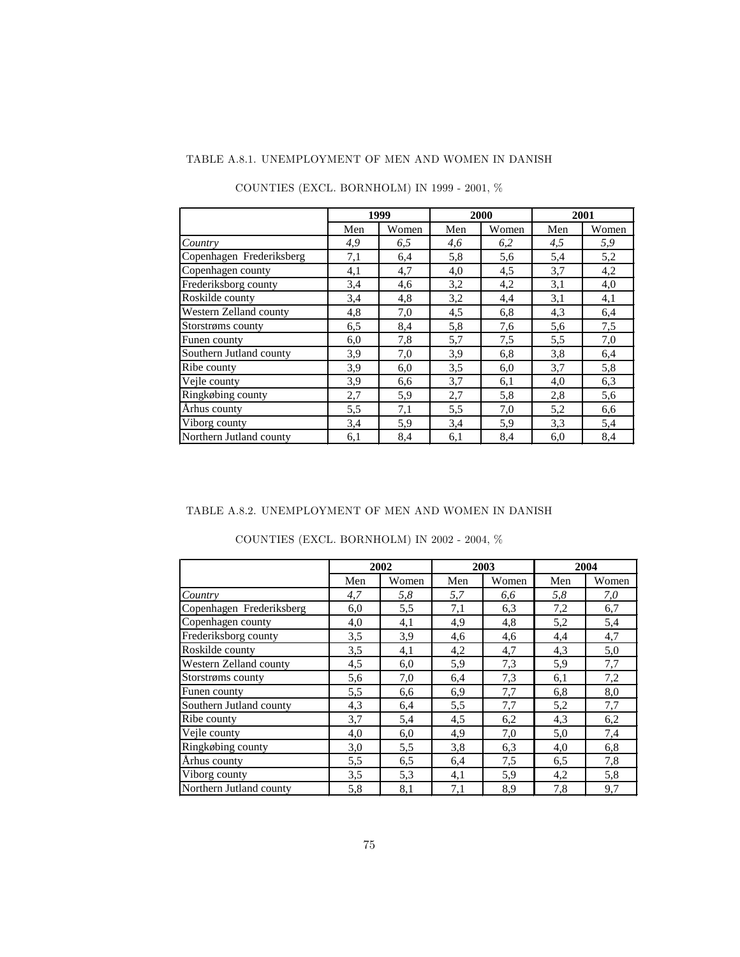# TABLE A.8.1. UNEMPLOYMENT OF MEN AND WOMEN IN DANISH

|                          | 1999 |       | 2000 |       | 2001 |       |
|--------------------------|------|-------|------|-------|------|-------|
|                          | Men  | Women | Men  | Women | Men  | Women |
| Country                  | 4,9  | 6.5   | 4,6  | 6,2   | 4,5  | 5,9   |
| Copenhagen Frederiksberg | 7,1  | 6,4   | 5,8  | 5,6   | 5,4  | 5,2   |
| Copenhagen county        | 4,1  | 4,7   | 4,0  | 4,5   | 3.7  | 4,2   |
| Frederiksborg county     | 3,4  | 4,6   | 3,2  | 4,2   | 3,1  | 4,0   |
| Roskilde county          | 3,4  | 4,8   | 3,2  | 4,4   | 3,1  | 4,1   |
| Western Zelland county   | 4,8  | 7,0   | 4,5  | 6,8   | 4,3  | 6,4   |
| Storstrøms county        | 6,5  | 8,4   | 5,8  | 7,6   | 5,6  | 7,5   |
| Funen county             | 6,0  | 7,8   | 5,7  | 7,5   | 5,5  | 7,0   |
| Southern Jutland county  | 3,9  | 7,0   | 3,9  | 6,8   | 3,8  | 6,4   |
| Ribe county              | 3,9  | 6,0   | 3,5  | 6,0   | 3,7  | 5,8   |
| Vejle county             | 3,9  | 6,6   | 3,7  | 6,1   | 4,0  | 6,3   |
| Ringkøbing county        | 2,7  | 5,9   | 2,7  | 5,8   | 2,8  | 5,6   |
| Århus county             | 5,5  | 7,1   | 5,5  | 7,0   | 5,2  | 6,6   |
| Viborg county            | 3,4  | 5,9   | 3,4  | 5,9   | 3,3  | 5,4   |
| Northern Jutland county  | 6,1  | 8,4   | 6,1  | 8,4   | 6,0  | 8,4   |

COUNTIES (EXCL. BORNHOLM) IN 1999 - 2001,  $\%$ 

#### TABLE A.8.2. UNEMPLOYMENT OF MEN AND WOMEN IN DANISH

|                          |     | 2002  |     | 2003  |     | 2004  |
|--------------------------|-----|-------|-----|-------|-----|-------|
|                          | Men | Women | Men | Women | Men | Women |
| Country                  | 4,7 | 5,8   | 5,7 | 6,6   | 5,8 | 7,0   |
| Copenhagen Frederiksberg | 6,0 | 5,5   | 7,1 | 6.3   | 7,2 | 6,7   |
| Copenhagen county        | 4,0 | 4,1   | 4,9 | 4,8   | 5,2 | 5,4   |
| Frederiksborg county     | 3,5 | 3,9   | 4,6 | 4,6   | 4,4 | 4,7   |
| Roskilde county          | 3,5 | 4,1   | 4,2 | 4,7   | 4,3 | 5,0   |
| Western Zelland county   | 4,5 | 6,0   | 5,9 | 7,3   | 5,9 | 7,7   |
| Storstrøms county        | 5,6 | 7,0   | 6,4 | 7,3   | 6,1 | 7,2   |
| Funen county             | 5.5 | 6,6   | 6,9 | 7,7   | 6,8 | 8,0   |
| Southern Jutland county  | 4.3 | 6,4   | 5,5 | 7,7   | 5,2 | 7,7   |
| Ribe county              | 3,7 | 5,4   | 4,5 | 6,2   | 4,3 | 6,2   |
| Vejle county             | 4,0 | 6,0   | 4,9 | 7,0   | 5,0 | 7,4   |
| Ringkøbing county        | 3,0 | 5,5   | 3,8 | 6,3   | 4,0 | 6,8   |
| Århus county             | 5,5 | 6,5   | 6,4 | 7,5   | 6,5 | 7,8   |
| Viborg county            | 3.5 | 5,3   | 4,1 | 5,9   | 4,2 | 5,8   |
| Northern Jutland county  | 5,8 | 8,1   | 7,1 | 8,9   | 7,8 | 9,7   |

COUNTIES (EXCL. BORNHOLM) IN 2002 - 2004, %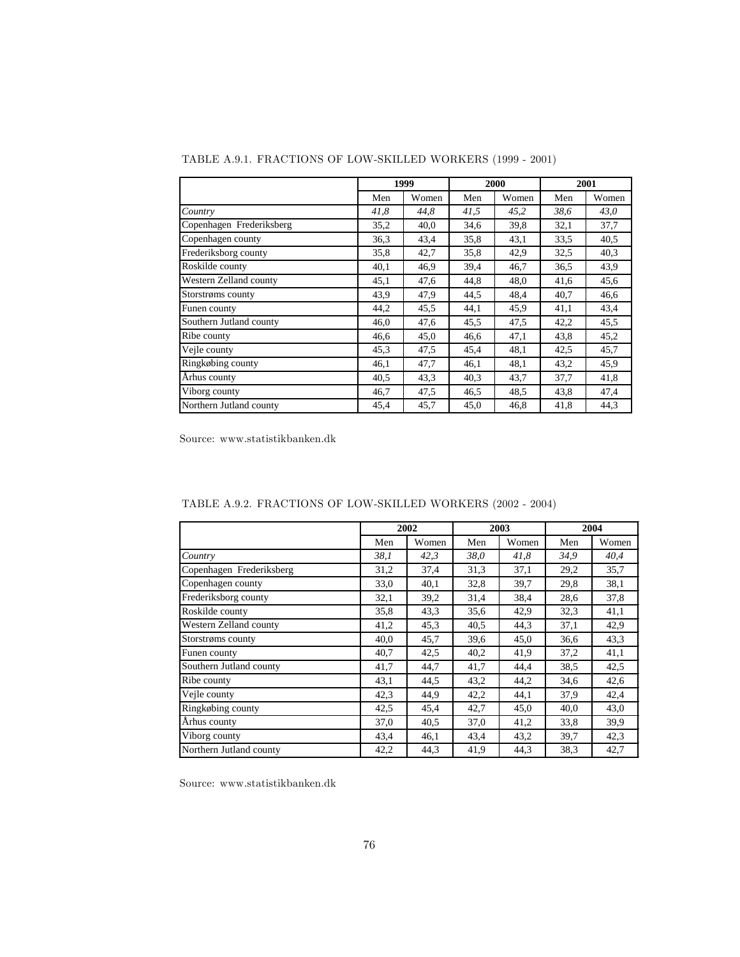|                          | 1999 |       |      | 2000  | 2001 |       |
|--------------------------|------|-------|------|-------|------|-------|
|                          | Men  | Women | Men  | Women | Men  | Women |
| Country                  | 41,8 | 44,8  | 41,5 | 45,2  | 38,6 | 43,0  |
| Copenhagen Frederiksberg | 35,2 | 40,0  | 34,6 | 39,8  | 32,1 | 37,7  |
| Copenhagen county        | 36,3 | 43,4  | 35,8 | 43,1  | 33.5 | 40,5  |
| Frederiksborg county     | 35,8 | 42,7  | 35,8 | 42,9  | 32,5 | 40,3  |
| Roskilde county          | 40,1 | 46,9  | 39,4 | 46,7  | 36,5 | 43,9  |
| Western Zelland county   | 45,1 | 47,6  | 44,8 | 48,0  | 41,6 | 45,6  |
| Storstrøms county        | 43,9 | 47,9  | 44,5 | 48,4  | 40,7 | 46,6  |
| Funen county             | 44,2 | 45,5  | 44,1 | 45,9  | 41,1 | 43,4  |
| Southern Jutland county  | 46,0 | 47,6  | 45,5 | 47,5  | 42,2 | 45,5  |
| Ribe county              | 46,6 | 45,0  | 46,6 | 47,1  | 43,8 | 45,2  |
| Vejle county             | 45,3 | 47,5  | 45,4 | 48,1  | 42,5 | 45,7  |
| Ringkøbing county        | 46,1 | 47,7  | 46,1 | 48,1  | 43,2 | 45,9  |
| Århus county             | 40,5 | 43,3  | 40,3 | 43,7  | 37,7 | 41,8  |
| Viborg county            | 46,7 | 47,5  | 46,5 | 48,5  | 43,8 | 47,4  |
| Northern Jutland county  | 45,4 | 45,7  | 45,0 | 46,8  | 41,8 | 44,3  |

TABLE A.9.1. FRACTIONS OF LOW-SKILLED WORKERS (1999 - 2001)

|                          |      | 2002  |      | 2003  | 2004 |       |
|--------------------------|------|-------|------|-------|------|-------|
|                          | Men  | Women | Men  | Women | Men  | Women |
| Country                  | 38,1 | 42,3  | 38,0 | 41,8  | 34,9 | 40,4  |
| Copenhagen Frederiksberg | 31,2 | 37,4  | 31,3 | 37,1  | 29,2 | 35,7  |
| Copenhagen county        | 33,0 | 40,1  | 32,8 | 39,7  | 29,8 | 38,1  |
| Frederiksborg county     | 32,1 | 39,2  | 31,4 | 38,4  | 28,6 | 37,8  |
| Roskilde county          | 35,8 | 43,3  | 35,6 | 42,9  | 32,3 | 41,1  |
| Western Zelland county   | 41,2 | 45,3  | 40,5 | 44,3  | 37,1 | 42,9  |
| Storstrøms county        | 40,0 | 45,7  | 39,6 | 45,0  | 36,6 | 43,3  |
| Funen county             | 40,7 | 42,5  | 40,2 | 41,9  | 37,2 | 41,1  |
| Southern Jutland county  | 41,7 | 44,7  | 41,7 | 44,4  | 38.5 | 42,5  |
| Ribe county              | 43,1 | 44,5  | 43,2 | 44,2  | 34,6 | 42,6  |
| Vejle county             | 42,3 | 44,9  | 42,2 | 44,1  | 37,9 | 42,4  |
| Ringkøbing county        | 42,5 | 45,4  | 42,7 | 45,0  | 40,0 | 43,0  |
| Århus county             | 37,0 | 40,5  | 37,0 | 41,2  | 33,8 | 39,9  |
| Viborg county            | 43,4 | 46,1  | 43,4 | 43,2  | 39,7 | 42,3  |
| Northern Jutland county  | 42,2 | 44,3  | 41,9 | 44,3  | 38,3 | 42,7  |

TABLE A.9.2. FRACTIONS OF LOW-SKILLED WORKERS (2002 - 2004)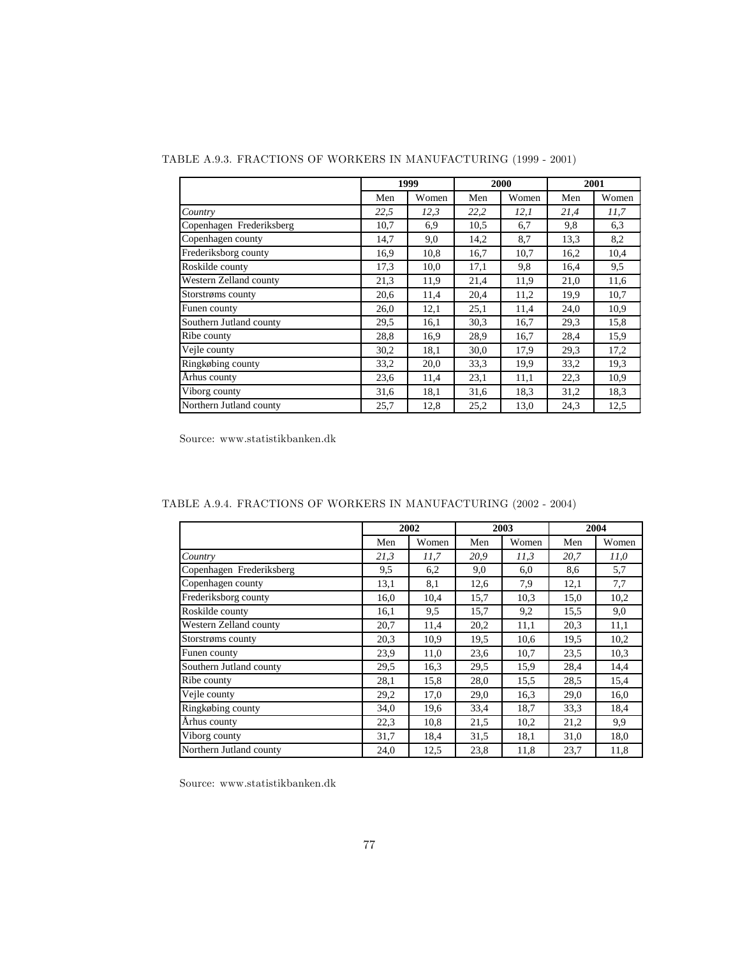|                          | 1999 |       |      | 2000  | 2001 |       |
|--------------------------|------|-------|------|-------|------|-------|
|                          | Men  | Women | Men  | Women | Men  | Women |
| Country                  | 22,5 | 12,3  | 22,2 | 12,1  | 21,4 | 11.7  |
| Copenhagen Frederiksberg | 10,7 | 6,9   | 10.5 | 6,7   | 9,8  | 6,3   |
| Copenhagen county        | 14,7 | 9,0   | 14,2 | 8,7   | 13,3 | 8,2   |
| Frederiksborg county     | 16,9 | 10,8  | 16,7 | 10,7  | 16,2 | 10,4  |
| Roskilde county          | 17,3 | 10,0  | 17,1 | 9,8   | 16,4 | 9,5   |
| Western Zelland county   | 21,3 | 11,9  | 21,4 | 11,9  | 21,0 | 11,6  |
| Storstrøms county        | 20,6 | 11,4  | 20,4 | 11,2  | 19,9 | 10,7  |
| Funen county             | 26,0 | 12,1  | 25,1 | 11,4  | 24,0 | 10,9  |
| Southern Jutland county  | 29,5 | 16,1  | 30,3 | 16,7  | 29,3 | 15,8  |
| Ribe county              | 28,8 | 16,9  | 28.9 | 16,7  | 28,4 | 15,9  |
| Vejle county             | 30,2 | 18,1  | 30,0 | 17,9  | 29,3 | 17,2  |
| Ringkøbing county        | 33,2 | 20,0  | 33,3 | 19,9  | 33,2 | 19,3  |
| Århus county             | 23,6 | 11,4  | 23,1 | 11,1  | 22,3 | 10,9  |
| Viborg county            | 31,6 | 18.1  | 31,6 | 18,3  | 31,2 | 18,3  |
| Northern Jutland county  | 25.7 | 12,8  | 25,2 | 13,0  | 24,3 | 12,5  |

TABLE A.9.3. FRACTIONS OF WORKERS IN MANUFACTURING (1999 - 2001)

|                          |      | 2002  |      | 2003  | 2004 |       |
|--------------------------|------|-------|------|-------|------|-------|
|                          | Men  | Women | Men  | Women | Men  | Women |
| Country                  | 21,3 | 11,7  | 20,9 | 11,3  | 20,7 | 11,0  |
| Copenhagen Frederiksberg | 9,5  | 6,2   | 9,0  | 6,0   | 8,6  | 5,7   |
| Copenhagen county        | 13,1 | 8,1   | 12,6 | 7,9   | 12,1 | 7,7   |
| Frederiksborg county     | 16,0 | 10,4  | 15,7 | 10,3  | 15,0 | 10,2  |
| Roskilde county          | 16,1 | 9,5   | 15,7 | 9,2   | 15,5 | 9,0   |
| Western Zelland county   | 20,7 | 11,4  | 20,2 | 11,1  | 20,3 | 11,1  |
| Storstrøms county        | 20,3 | 10.9  | 19,5 | 10,6  | 19,5 | 10,2  |
| Funen county             | 23,9 | 11,0  | 23,6 | 10,7  | 23,5 | 10,3  |
| Southern Jutland county  | 29,5 | 16,3  | 29,5 | 15,9  | 28,4 | 14,4  |
| Ribe county              | 28,1 | 15,8  | 28,0 | 15,5  | 28,5 | 15,4  |
| Vejle county             | 29,2 | 17,0  | 29,0 | 16,3  | 29,0 | 16,0  |
| Ringkøbing county        | 34,0 | 19,6  | 33,4 | 18,7  | 33,3 | 18,4  |
| Århus county             | 22,3 | 10,8  | 21,5 | 10,2  | 21,2 | 9,9   |
| Viborg county            | 31,7 | 18,4  | 31,5 | 18,1  | 31,0 | 18,0  |
| Northern Jutland county  | 24,0 | 12,5  | 23,8 | 11,8  | 23,7 | 11,8  |

TABLE A.9.4. FRACTIONS OF WORKERS IN MANUFACTURING (2002 - 2004)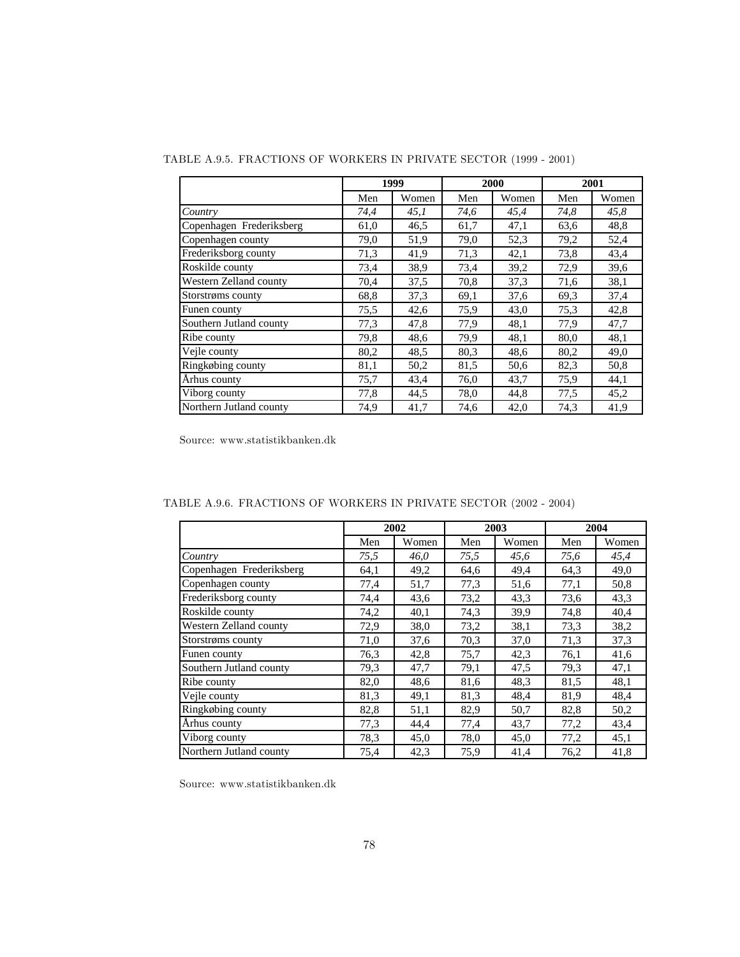|                          |      | 1999  |      | 2000  |      | 2001  |
|--------------------------|------|-------|------|-------|------|-------|
|                          | Men  | Women | Men  | Women | Men  | Women |
| Country                  | 74,4 | 45,1  | 74,6 | 45,4  | 74,8 | 45,8  |
| Copenhagen Frederiksberg | 61,0 | 46,5  | 61,7 | 47,1  | 63,6 | 48,8  |
| Copenhagen county        | 79,0 | 51,9  | 79,0 | 52,3  | 79,2 | 52,4  |
| Frederiksborg county     | 71,3 | 41,9  | 71,3 | 42,1  | 73,8 | 43,4  |
| Roskilde county          | 73,4 | 38,9  | 73,4 | 39,2  | 72,9 | 39,6  |
| Western Zelland county   | 70,4 | 37,5  | 70,8 | 37,3  | 71,6 | 38,1  |
| Storstrøms county        | 68.8 | 37,3  | 69,1 | 37,6  | 69.3 | 37,4  |
| Funen county             | 75.5 | 42,6  | 75,9 | 43,0  | 75,3 | 42,8  |
| Southern Jutland county  | 77,3 | 47,8  | 77,9 | 48,1  | 77,9 | 47,7  |
| Ribe county              | 79,8 | 48,6  | 79,9 | 48,1  | 80,0 | 48,1  |
| Vejle county             | 80,2 | 48.5  | 80,3 | 48,6  | 80,2 | 49,0  |
| Ringkøbing county        | 81,1 | 50,2  | 81,5 | 50,6  | 82,3 | 50,8  |
| Århus county             | 75,7 | 43,4  | 76,0 | 43,7  | 75,9 | 44,1  |
| Viborg county            | 77,8 | 44,5  | 78,0 | 44,8  | 77,5 | 45,2  |
| Northern Jutland county  | 74,9 | 41,7  | 74,6 | 42,0  | 74,3 | 41.9  |

TABLE A.9.5. FRACTIONS OF WORKERS IN PRIVATE SECTOR (1999 - 2001)

|                          |      | 2002  |      | 2003  |      | 2004  |
|--------------------------|------|-------|------|-------|------|-------|
|                          | Men  | Women | Men  | Women | Men  | Women |
| Country                  | 75,5 | 46,0  | 75,5 | 45,6  | 75,6 | 45,4  |
| Copenhagen Frederiksberg | 64,1 | 49,2  | 64,6 | 49,4  | 64,3 | 49,0  |
| Copenhagen county        | 77,4 | 51,7  | 77,3 | 51,6  | 77,1 | 50,8  |
| Frederiksborg county     | 74,4 | 43,6  | 73,2 | 43,3  | 73,6 | 43,3  |
| Roskilde county          | 74,2 | 40,1  | 74,3 | 39,9  | 74,8 | 40,4  |
| Western Zelland county   | 72,9 | 38,0  | 73,2 | 38,1  | 73,3 | 38,2  |
| Storstrøms county        | 71,0 | 37,6  | 70,3 | 37,0  | 71,3 | 37,3  |
| Funen county             | 76,3 | 42,8  | 75,7 | 42,3  | 76,1 | 41,6  |
| Southern Jutland county  | 79,3 | 47,7  | 79,1 | 47,5  | 79,3 | 47,1  |
| Ribe county              | 82,0 | 48,6  | 81,6 | 48,3  | 81,5 | 48,1  |
| Vejle county             | 81,3 | 49,1  | 81,3 | 48,4  | 81,9 | 48,4  |
| Ringkøbing county        | 82,8 | 51,1  | 82,9 | 50,7  | 82,8 | 50,2  |
| Århus county             | 77,3 | 44,4  | 77,4 | 43,7  | 77,2 | 43,4  |
| Viborg county            | 78,3 | 45,0  | 78,0 | 45,0  | 77,2 | 45,1  |
| Northern Jutland county  | 75,4 | 42,3  | 75,9 | 41,4  | 76,2 | 41,8  |

TABLE A.9.6. FRACTIONS OF WORKERS IN PRIVATE SECTOR (2002 - 2004)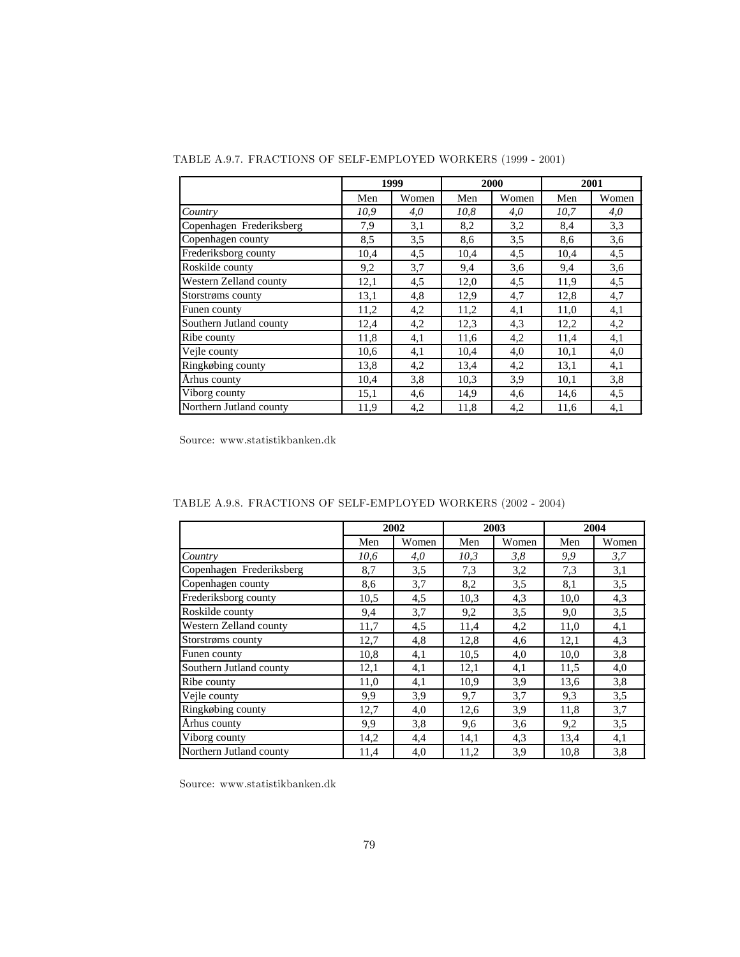|                          |      | 1999  |      | 2000  |      | 2001  |
|--------------------------|------|-------|------|-------|------|-------|
|                          | Men  | Women | Men  | Women | Men  | Women |
| Country                  | 10.9 | 4,0   | 10.8 | 4,0   | 10.7 | 4,0   |
| Copenhagen Frederiksberg | 7,9  | 3,1   | 8,2  | 3,2   | 8,4  | 3,3   |
| Copenhagen county        | 8.5  | 3.5   | 8,6  | 3,5   | 8,6  | 3.6   |
| Frederiksborg county     | 10,4 | 4,5   | 10,4 | 4,5   | 10,4 | 4,5   |
| Roskilde county          | 9,2  | 3,7   | 9,4  | 3.6   | 9,4  | 3,6   |
| Western Zelland county   | 12,1 | 4,5   | 12,0 | 4,5   | 11,9 | 4,5   |
| Storstrøms county        | 13,1 | 4,8   | 12,9 | 4,7   | 12,8 | 4,7   |
| Funen county             | 11,2 | 4,2   | 11,2 | 4,1   | 11,0 | 4,1   |
| Southern Jutland county  | 12,4 | 4,2   | 12,3 | 4,3   | 12,2 | 4,2   |
| Ribe county              | 11,8 | 4,1   | 11,6 | 4,2   | 11,4 | 4,1   |
| Vejle county             | 10,6 | 4,1   | 10,4 | 4,0   | 10,1 | 4,0   |
| Ringkøbing county        | 13,8 | 4,2   | 13,4 | 4,2   | 13,1 | 4,1   |
| Arhus county             | 10,4 | 3,8   | 10.3 | 3,9   | 10,1 | 3,8   |
| Viborg county            | 15,1 | 4,6   | 14,9 | 4,6   | 14,6 | 4,5   |
| Northern Jutland county  | 11,9 | 4,2   | 11,8 | 4,2   | 11,6 | 4,1   |

TABLE A.9.7. FRACTIONS OF SELF-EMPLOYED WORKERS (1999 - 2001)

|                          |      | 2002  |      | 2003  |      | 2004  |
|--------------------------|------|-------|------|-------|------|-------|
|                          | Men  | Women | Men  | Women | Men  | Women |
| Country                  | 10.6 | 4,0   | 10,3 | 3,8   | 9,9  | 3,7   |
| Copenhagen Frederiksberg | 8,7  | 3,5   | 7,3  | 3,2   | 7,3  | 3,1   |
| Copenhagen county        | 8,6  | 3,7   | 8,2  | 3,5   | 8,1  | 3,5   |
| Frederiksborg county     | 10,5 | 4,5   | 10,3 | 4,3   | 10,0 | 4,3   |
| Roskilde county          | 9,4  | 3,7   | 9,2  | 3,5   | 9,0  | 3,5   |
| Western Zelland county   | 11,7 | 4,5   | 11,4 | 4,2   | 11,0 | 4,1   |
| Storstrøms county        | 12,7 | 4,8   | 12,8 | 4,6   | 12,1 | 4,3   |
| Funen county             | 10,8 | 4,1   | 10,5 | 4,0   | 10,0 | 3,8   |
| Southern Jutland county  | 12,1 | 4,1   | 12,1 | 4,1   | 11,5 | 4,0   |
| Ribe county              | 11,0 | 4,1   | 10.9 | 3,9   | 13,6 | 3,8   |
| Vejle county             | 9,9  | 3,9   | 9,7  | 3,7   | 9,3  | 3,5   |
| Ringkøbing county        | 12,7 | 4,0   | 12,6 | 3,9   | 11,8 | 3,7   |
| Århus county             | 9,9  | 3,8   | 9,6  | 3,6   | 9,2  | 3,5   |
| Viborg county            | 14,2 | 4,4   | 14,1 | 4,3   | 13,4 | 4,1   |
| Northern Jutland county  | 11,4 | 4,0   | 11,2 | 3,9   | 10.8 | 3,8   |

TABLE A.9.8. FRACTIONS OF SELF-EMPLOYED WORKERS (2002 - 2004)